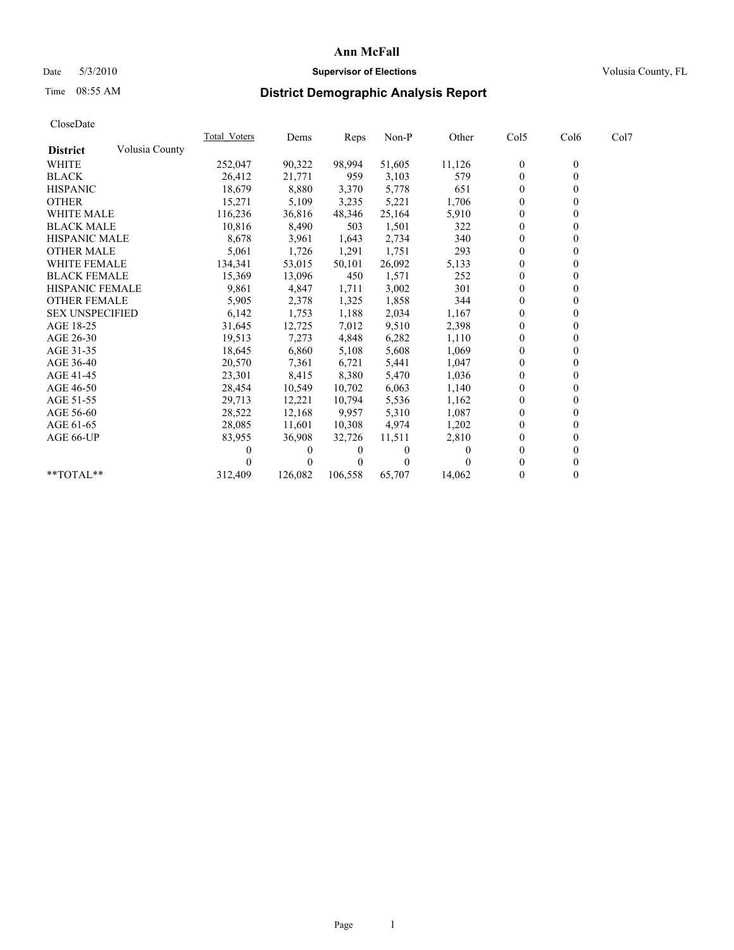## Date 5/3/2010 **Supervisor of Elections Supervisor of Elections** Volusia County, FL

# Time 08:55 AM **District Demographic Analysis Report**

|                        |                | Total Voters | Dems     | Reps    | Non-P    | Other  | Col5             | Col6             | Col7 |  |
|------------------------|----------------|--------------|----------|---------|----------|--------|------------------|------------------|------|--|
| <b>District</b>        | Volusia County |              |          |         |          |        |                  |                  |      |  |
| <b>WHITE</b>           |                | 252,047      | 90,322   | 98,994  | 51,605   | 11,126 | $\boldsymbol{0}$ | $\boldsymbol{0}$ |      |  |
| <b>BLACK</b>           |                | 26,412       | 21,771   | 959     | 3,103    | 579    | $\Omega$         |                  |      |  |
| <b>HISPANIC</b>        |                | 18,679       | 8,880    | 3,370   | 5,778    | 651    | $\Omega$         |                  |      |  |
| <b>OTHER</b>           |                | 15,271       | 5,109    | 3,235   | 5,221    | 1,706  | $\boldsymbol{0}$ |                  |      |  |
| <b>WHITE MALE</b>      |                | 116,236      | 36,816   | 48,346  | 25,164   | 5,910  | $\theta$         |                  |      |  |
| <b>BLACK MALE</b>      |                | 10,816       | 8,490    | 503     | 1,501    | 322    | $\theta$         |                  |      |  |
| <b>HISPANIC MALE</b>   |                | 8,678        | 3,961    | 1,643   | 2,734    | 340    | $\theta$         |                  |      |  |
| <b>OTHER MALE</b>      |                | 5,061        | 1,726    | 1,291   | 1,751    | 293    | $\theta$         |                  |      |  |
| <b>WHITE FEMALE</b>    |                | 134,341      | 53,015   | 50,101  | 26,092   | 5,133  | $\Omega$         |                  |      |  |
| <b>BLACK FEMALE</b>    |                | 15,369       | 13,096   | 450     | 1,571    | 252    | $\theta$         |                  |      |  |
| HISPANIC FEMALE        |                | 9,861        | 4,847    | 1,711   | 3,002    | 301    | $\Omega$         |                  |      |  |
| <b>OTHER FEMALE</b>    |                | 5,905        | 2,378    | 1,325   | 1,858    | 344    | $\Omega$         |                  |      |  |
| <b>SEX UNSPECIFIED</b> |                | 6,142        | 1,753    | 1,188   | 2,034    | 1,167  | $\theta$         |                  |      |  |
| AGE 18-25              |                | 31,645       | 12,725   | 7,012   | 9,510    | 2,398  | $\Omega$         |                  |      |  |
| AGE 26-30              |                | 19,513       | 7,273    | 4,848   | 6,282    | 1,110  | $\Omega$         |                  |      |  |
| AGE 31-35              |                | 18,645       | 6,860    | 5,108   | 5,608    | 1,069  | $\theta$         |                  |      |  |
| AGE 36-40              |                | 20,570       | 7,361    | 6,721   | 5,441    | 1,047  | $\mathbf{0}$     |                  |      |  |
| AGE 41-45              |                | 23,301       | 8,415    | 8,380   | 5,470    | 1,036  | $\Omega$         |                  |      |  |
| AGE 46-50              |                | 28,454       | 10,549   | 10,702  | 6,063    | 1,140  | $\theta$         |                  |      |  |
| AGE 51-55              |                | 29,713       | 12,221   | 10,794  | 5,536    | 1,162  | $\theta$         |                  |      |  |
| AGE 56-60              |                | 28,522       | 12,168   | 9,957   | 5,310    | 1,087  | $\Omega$         |                  |      |  |
| AGE 61-65              |                | 28,085       | 11,601   | 10,308  | 4,974    | 1,202  | $\theta$         |                  |      |  |
| AGE 66-UP              |                | 83,955       | 36,908   | 32,726  | 11,511   | 2,810  | 0                |                  |      |  |
|                        |                |              | $\theta$ | $_{0}$  | $\theta$ |        | $\Omega$         |                  |      |  |
|                        |                |              | $\theta$ |         | 0        |        |                  |                  |      |  |
| $**TOTAL**$            |                | 312,409      | 126,082  | 106,558 | 65,707   | 14,062 | $\mathbf{0}$     | 0                |      |  |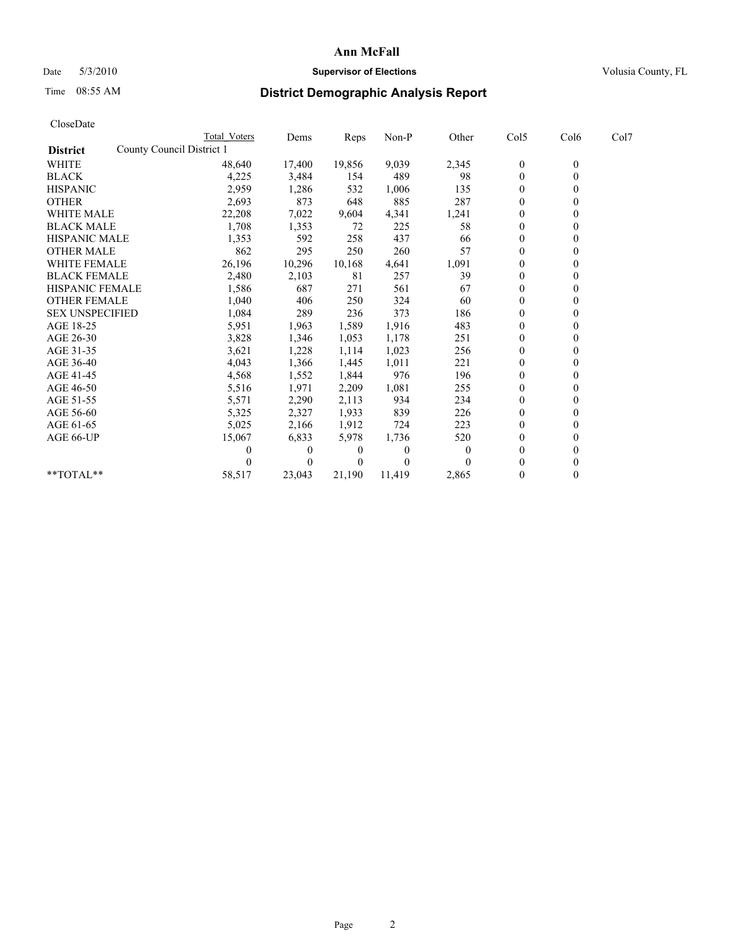# Date 5/3/2010 **Supervisor of Elections Supervisor of Elections** Volusia County, FL

# Time 08:55 AM **District Demographic Analysis Report**

|                                              | <b>Total Voters</b> | Dems     | Reps     | Non-P    | Other    | Col5         | Col6           | Col7 |
|----------------------------------------------|---------------------|----------|----------|----------|----------|--------------|----------------|------|
| County Council District 1<br><b>District</b> |                     |          |          |          |          |              |                |      |
| <b>WHITE</b>                                 | 48,640              | 17,400   | 19,856   | 9,039    | 2,345    | $\bf{0}$     | $\overline{0}$ |      |
| <b>BLACK</b>                                 | 4,225               | 3,484    | 154      | 489      | 98       | $\theta$     |                |      |
| <b>HISPANIC</b>                              | 2,959               | 1,286    | 532      | 1,006    | 135      | $\theta$     |                |      |
| <b>OTHER</b>                                 | 2,693               | 873      | 648      | 885      | 287      | $\theta$     |                |      |
| <b>WHITE MALE</b>                            | 22,208              | 7,022    | 9,604    | 4,341    | 1,241    | $\theta$     |                |      |
| <b>BLACK MALE</b>                            | 1,708               | 1,353    | 72       | 225      | 58       | $\theta$     |                |      |
| <b>HISPANIC MALE</b>                         | 1,353               | 592      | 258      | 437      | 66       | $\mathbf{0}$ |                |      |
| <b>OTHER MALE</b>                            | 862                 | 295      | 250      | 260      | 57       | $\theta$     |                |      |
| <b>WHITE FEMALE</b>                          | 26,196              | 10,296   | 10,168   | 4,641    | 1,091    | $\theta$     |                |      |
| <b>BLACK FEMALE</b>                          | 2,480               | 2,103    | 81       | 257      | 39       | $\theta$     |                |      |
| HISPANIC FEMALE                              | 1,586               | 687      | 271      | 561      | 67       | $\theta$     |                |      |
| <b>OTHER FEMALE</b>                          | 1,040               | 406      | 250      | 324      | 60       | $\theta$     |                |      |
| <b>SEX UNSPECIFIED</b>                       | 1,084               | 289      | 236      | 373      | 186      | $\theta$     |                |      |
| AGE 18-25                                    | 5,951               | 1,963    | 1,589    | 1,916    | 483      | $\theta$     |                |      |
| AGE 26-30                                    | 3,828               | 1,346    | 1,053    | 1,178    | 251      | $\theta$     |                |      |
| AGE 31-35                                    | 3,621               | 1,228    | 1,114    | 1,023    | 256      | $\theta$     |                |      |
| AGE 36-40                                    | 4,043               | 1,366    | 1,445    | 1,011    | 221      | $\theta$     |                |      |
| AGE 41-45                                    | 4,568               | 1,552    | 1,844    | 976      | 196      | $\theta$     |                |      |
| AGE 46-50                                    | 5,516               | 1,971    | 2,209    | 1,081    | 255      | $\theta$     |                |      |
| AGE 51-55                                    | 5,571               | 2,290    | 2,113    | 934      | 234      | $\theta$     |                |      |
| AGE 56-60                                    | 5,325               | 2,327    | 1,933    | 839      | 226      | $\theta$     |                |      |
| AGE 61-65                                    | 5,025               | 2,166    | 1,912    | 724      | 223      | $\theta$     |                |      |
| AGE 66-UP                                    | 15,067              | 6,833    | 5,978    | 1,736    | 520      | $\theta$     |                |      |
|                                              |                     | $\theta$ | 0        | $\theta$ | $\theta$ | $\Omega$     |                |      |
|                                              |                     | $\theta$ | $\Omega$ | $\Omega$ |          | $\theta$     |                |      |
| **TOTAL**                                    | 58,517              | 23,043   | 21,190   | 11,419   | 2,865    | $\mathbf{0}$ | $\Omega$       |      |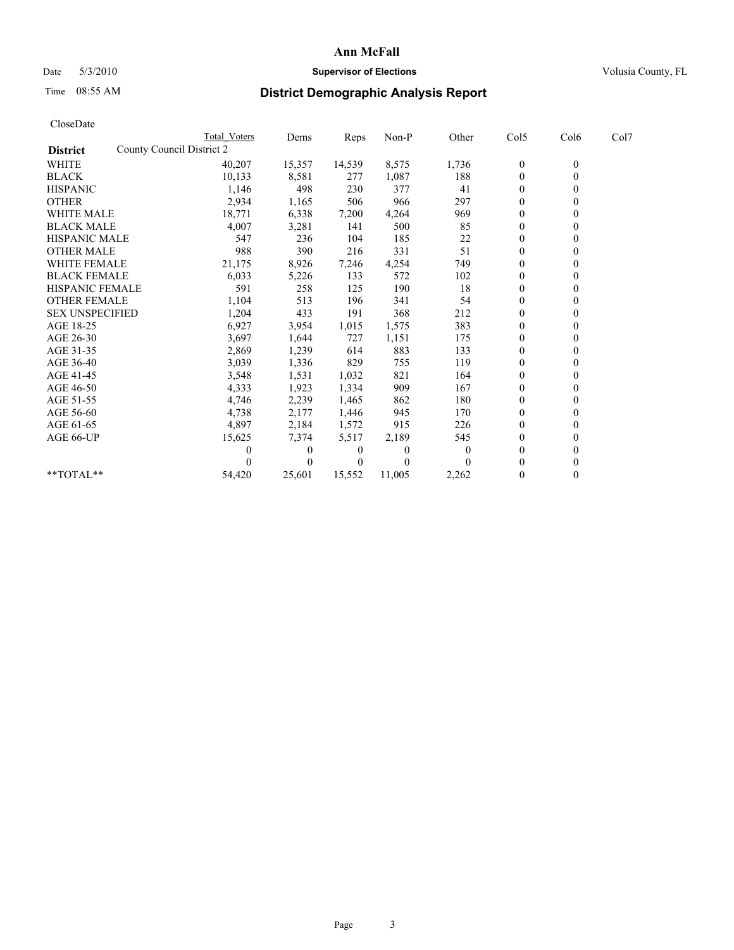# Date 5/3/2010 **Supervisor of Elections Supervisor of Elections** Volusia County, FL

# Time 08:55 AM **District Demographic Analysis Report**

|                                              | <b>Total Voters</b> | Dems     | <b>Reps</b>    | Non-P    | Other    | Col5             | Col6             | Col7 |  |
|----------------------------------------------|---------------------|----------|----------------|----------|----------|------------------|------------------|------|--|
| County Council District 2<br><b>District</b> |                     |          |                |          |          |                  |                  |      |  |
| <b>WHITE</b>                                 | 40,207              | 15,357   | 14,539         | 8,575    | 1,736    | $\boldsymbol{0}$ | $\boldsymbol{0}$ |      |  |
| <b>BLACK</b>                                 | 10,133              | 8,581    | 277            | 1,087    | 188      | $\Omega$         | 0                |      |  |
| <b>HISPANIC</b>                              | 1,146               | 498      | 230            | 377      | 41       | $\overline{0}$   |                  |      |  |
| <b>OTHER</b>                                 | 2,934               | 1,165    | 506            | 966      | 297      | 0                |                  |      |  |
| WHITE MALE                                   | 18,771              | 6,338    | 7,200          | 4,264    | 969      | 0                |                  |      |  |
| <b>BLACK MALE</b>                            | 4,007               | 3,281    | 141            | 500      | 85       | $\Omega$         |                  |      |  |
| <b>HISPANIC MALE</b>                         | 547                 | 236      | 104            | 185      | 22       | $\overline{0}$   |                  |      |  |
| <b>OTHER MALE</b>                            | 988                 | 390      | 216            | 331      | 51       | $\overline{0}$   |                  |      |  |
| <b>WHITE FEMALE</b>                          | 21,175              | 8,926    | 7,246          | 4,254    | 749      | $\overline{0}$   |                  |      |  |
| <b>BLACK FEMALE</b>                          | 6,033               | 5,226    | 133            | 572      | 102      | $\mathbf{0}$     |                  |      |  |
| HISPANIC FEMALE                              | 591                 | 258      | 125            | 190      | 18       | $\overline{0}$   |                  |      |  |
| <b>OTHER FEMALE</b>                          | 1,104               | 513      | 196            | 341      | 54       | $\Omega$         |                  |      |  |
| <b>SEX UNSPECIFIED</b>                       | 1,204               | 433      | 191            | 368      | 212      | $\mathbf{0}$     |                  |      |  |
| AGE 18-25                                    | 6,927               | 3,954    | 1,015          | 1,575    | 383      | $\Omega$         |                  |      |  |
| AGE 26-30                                    | 3,697               | 1,644    | 727            | 1,151    | 175      | $\overline{0}$   |                  |      |  |
| AGE 31-35                                    | 2,869               | 1,239    | 614            | 883      | 133      | $\mathbf{0}$     |                  |      |  |
| AGE 36-40                                    | 3,039               | 1,336    | 829            | 755      | 119      | 0                |                  |      |  |
| AGE 41-45                                    | 3,548               | 1,531    | 1,032          | 821      | 164      | 0                |                  |      |  |
| AGE 46-50                                    | 4,333               | 1,923    | 1,334          | 909      | 167      | $\mathbf{0}$     |                  |      |  |
| AGE 51-55                                    | 4,746               | 2,239    | 1,465          | 862      | 180      | $\theta$         |                  |      |  |
| AGE 56-60                                    | 4,738               | 2,177    | 1,446          | 945      | 170      | $\overline{0}$   |                  |      |  |
| AGE 61-65                                    | 4,897               | 2,184    | 1,572          | 915      | 226      | $\overline{0}$   |                  |      |  |
| AGE 66-UP                                    | 15,625              | 7,374    | 5,517          | 2,189    | 545      | 0                |                  |      |  |
|                                              | 0                   | $\theta$ | $\bf{0}$       | $\theta$ | $\bf{0}$ | $\theta$         |                  |      |  |
|                                              | 0                   |          | $\overline{0}$ | $\theta$ | 0        | $\Omega$         |                  |      |  |
| **TOTAL**                                    | 54,420              | 25,601   | 15,552         | 11,005   | 2,262    | 0                | 0                |      |  |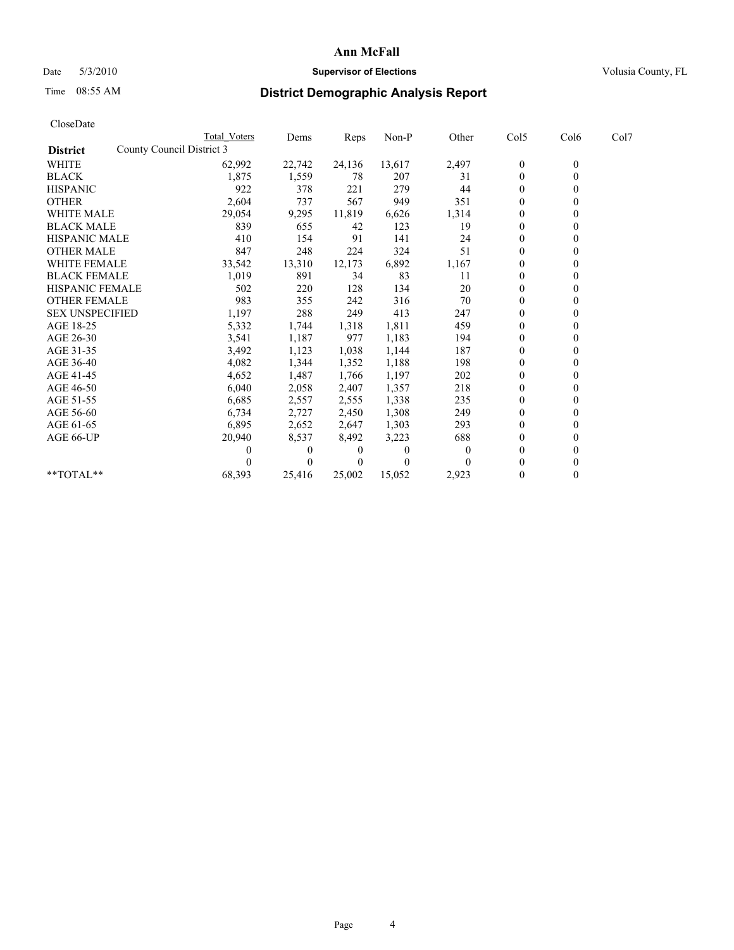## Date 5/3/2010 **Supervisor of Elections Supervisor of Elections** Volusia County, FL

# Time 08:55 AM **District Demographic Analysis Report**

|                        | <b>Total Voters</b>       | Dems     | Reps   | Non-P    | Other | Col5             | Col6             | Col7 |  |
|------------------------|---------------------------|----------|--------|----------|-------|------------------|------------------|------|--|
| <b>District</b>        | County Council District 3 |          |        |          |       |                  |                  |      |  |
| <b>WHITE</b>           | 62,992                    | 22,742   | 24,136 | 13,617   | 2,497 | $\boldsymbol{0}$ | $\boldsymbol{0}$ |      |  |
| <b>BLACK</b>           | 1,875                     | 1,559    | 78     | 207      | 31    | $\theta$         |                  |      |  |
| <b>HISPANIC</b>        | 922                       | 378      | 221    | 279      | 44    | $\theta$         |                  |      |  |
| <b>OTHER</b>           | 2,604                     | 737      | 567    | 949      | 351   | $\theta$         |                  |      |  |
| <b>WHITE MALE</b>      | 29,054                    | 9,295    | 11,819 | 6,626    | 1,314 | $\theta$         |                  |      |  |
| <b>BLACK MALE</b>      | 839                       | 655      | 42     | 123      | 19    | $\theta$         |                  |      |  |
| <b>HISPANIC MALE</b>   | 410                       | 154      | 91     | 141      | 24    | $\theta$         |                  |      |  |
| <b>OTHER MALE</b>      | 847                       | 248      | 224    | 324      | 51    | $\theta$         |                  |      |  |
| WHITE FEMALE           | 33,542                    | 13,310   | 12,173 | 6,892    | 1,167 | $\theta$         |                  |      |  |
| <b>BLACK FEMALE</b>    | 1,019                     | 891      | 34     | 83       | 11    | $\theta$         |                  |      |  |
| HISPANIC FEMALE        | 502                       | 220      | 128    | 134      | 20    | 0                |                  |      |  |
| <b>OTHER FEMALE</b>    | 983                       | 355      | 242    | 316      | 70    | $\theta$         |                  |      |  |
| <b>SEX UNSPECIFIED</b> | 1,197                     | 288      | 249    | 413      | 247   | $\theta$         |                  |      |  |
| AGE 18-25              | 5,332                     | 1,744    | 1,318  | 1,811    | 459   | $\theta$         |                  |      |  |
| AGE 26-30              | 3,541                     | 1,187    | 977    | 1,183    | 194   | $\theta$         |                  |      |  |
| AGE 31-35              | 3,492                     | 1,123    | 1,038  | 1,144    | 187   | $\theta$         |                  |      |  |
| AGE 36-40              | 4,082                     | 1,344    | 1,352  | 1,188    | 198   | $\theta$         |                  |      |  |
| AGE 41-45              | 4,652                     | 1,487    | 1,766  | 1,197    | 202   | $\theta$         |                  |      |  |
| AGE 46-50              | 6,040                     | 2,058    | 2,407  | 1,357    | 218   | $\theta$         |                  |      |  |
| AGE 51-55              | 6,685                     | 2,557    | 2,555  | 1,338    | 235   | $\theta$         |                  |      |  |
| AGE 56-60              | 6,734                     | 2,727    | 2,450  | 1,308    | 249   | $\theta$         |                  |      |  |
| AGE 61-65              | 6,895                     | 2,652    | 2,647  | 1,303    | 293   | $\theta$         |                  |      |  |
| AGE 66-UP              | 20,940                    | 8,537    | 8,492  | 3,223    | 688   | $\theta$         |                  |      |  |
|                        | 0                         | $\theta$ | 0      | $\theta$ |       | $\theta$         |                  |      |  |
|                        |                           | $\theta$ |        | $\theta$ |       | $\theta$         |                  |      |  |
| **TOTAL**              | 68,393                    | 25,416   | 25,002 | 15,052   | 2,923 | $\theta$         | 0                |      |  |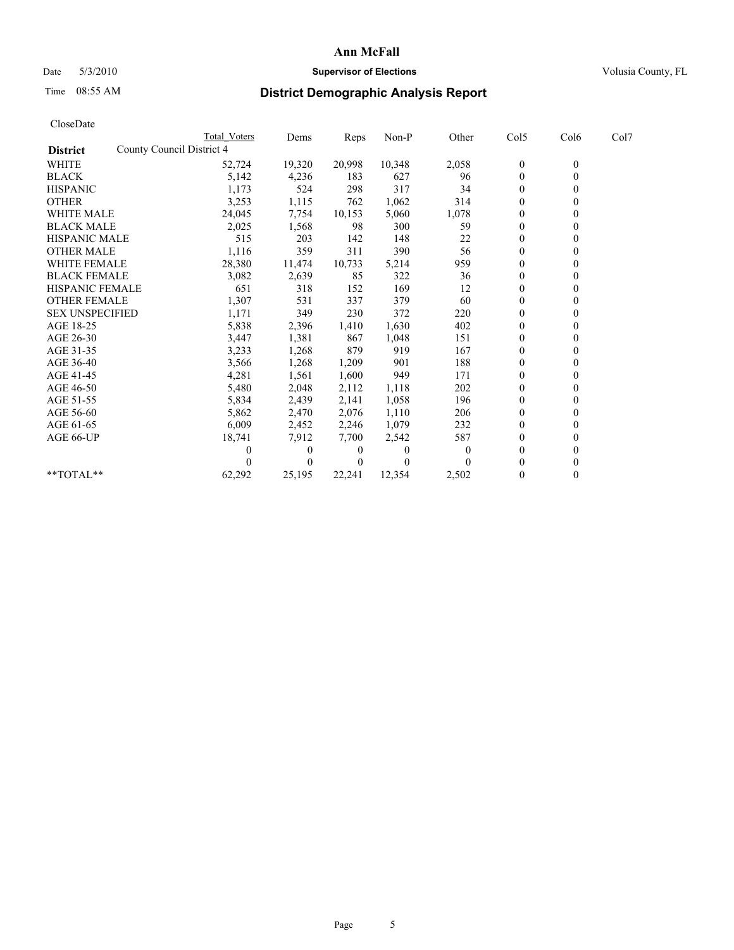# Date 5/3/2010 **Supervisor of Elections Supervisor of Elections** Volusia County, FL

# Time 08:55 AM **District Demographic Analysis Report**

| CloseDate              |                           |              |              |          |         |          |                  |                  |      |  |
|------------------------|---------------------------|--------------|--------------|----------|---------|----------|------------------|------------------|------|--|
|                        |                           | Total Voters | Dems         | Reps     | $Non-P$ | Other    | Col5             | Col6             | Col7 |  |
| <b>District</b>        | County Council District 4 |              |              |          |         |          |                  |                  |      |  |
| <b>WHITE</b>           |                           | 52,724       | 19,320       | 20,998   | 10,348  | 2,058    | $\boldsymbol{0}$ | $\boldsymbol{0}$ |      |  |
| <b>BLACK</b>           |                           | 5,142        | 4,236        | 183      | 627     | 96       | $\boldsymbol{0}$ | $\mathbf{0}$     |      |  |
| <b>HISPANIC</b>        |                           | 1,173        | 524          | 298      | 317     | 34       | $\mathbf{0}$     | $\Omega$         |      |  |
| <b>OTHER</b>           |                           | 3,253        | 1,115        | 762      | 1,062   | 314      | $\mathbf{0}$     | $\theta$         |      |  |
| <b>WHITE MALE</b>      |                           | 24,045       | 7,754        | 10,153   | 5,060   | 1,078    | $\boldsymbol{0}$ | $\mathbf{0}$     |      |  |
| <b>BLACK MALE</b>      |                           | 2,025        | 1,568        | 98       | 300     | 59       | $\mathbf{0}$     | $\mathbf{0}$     |      |  |
| <b>HISPANIC MALE</b>   |                           | 515          | 203          | 142      | 148     | 22       | $\boldsymbol{0}$ | $\Omega$         |      |  |
| <b>OTHER MALE</b>      |                           | 1,116        | 359          | 311      | 390     | 56       | $\boldsymbol{0}$ | $\mathbf{0}$     |      |  |
| <b>WHITE FEMALE</b>    |                           | 28,380       | 11,474       | 10,733   | 5,214   | 959      | $\boldsymbol{0}$ | $\theta$         |      |  |
| <b>BLACK FEMALE</b>    |                           | 3,082        | 2,639        | 85       | 322     | 36       | $\theta$         | $\Omega$         |      |  |
| <b>HISPANIC FEMALE</b> |                           | 651          | 318          | 152      | 169     | 12       | $\boldsymbol{0}$ | $\theta$         |      |  |
| <b>OTHER FEMALE</b>    |                           | 1,307        | 531          | 337      | 379     | 60       | $\boldsymbol{0}$ | $\mathbf{0}$     |      |  |
| <b>SEX UNSPECIFIED</b> |                           | 1,171        | 349          | 230      | 372     | 220      | $\mathbf{0}$     | $\mathbf{0}$     |      |  |
| AGE 18-25              |                           | 5,838        | 2,396        | 1,410    | 1,630   | 402      | $\boldsymbol{0}$ | $\mathbf{0}$     |      |  |
| AGE 26-30              |                           | 3,447        | 1,381        | 867      | 1,048   | 151      | $\boldsymbol{0}$ | $\mathbf{0}$     |      |  |
| AGE 31-35              |                           | 3,233        | 1,268        | 879      | 919     | 167      | $\boldsymbol{0}$ | $\theta$         |      |  |
| AGE 36-40              |                           | 3,566        | 1,268        | 1,209    | 901     | 188      | $\boldsymbol{0}$ | $\Omega$         |      |  |
| AGE 41-45              |                           | 4,281        | 1,561        | 1,600    | 949     | 171      | $\mathbf{0}$     | $\theta$         |      |  |
| AGE 46-50              |                           | 5,480        | 2,048        | 2,112    | 1,118   | 202      | $\boldsymbol{0}$ | $\mathbf{0}$     |      |  |
| AGE 51-55              |                           | 5,834        | 2,439        | 2,141    | 1,058   | 196      | $\boldsymbol{0}$ | $\theta$         |      |  |
| AGE 56-60              |                           | 5,862        | 2,470        | 2,076    | 1,110   | 206      | $\boldsymbol{0}$ | $\Omega$         |      |  |
| AGE 61-65              |                           | 6,009        | 2,452        | 2,246    | 1,079   | 232      | $\mathbf{0}$     | $\mathbf{0}$     |      |  |
| AGE 66-UP              |                           | 18,741       | 7,912        | 7,700    | 2,542   | 587      | $\boldsymbol{0}$ | $\theta$         |      |  |
|                        |                           | 0            | $\mathbf{0}$ | 0        | 0       | $\theta$ | $\mathbf{0}$     | $\mathbf{0}$     |      |  |
|                        |                           |              | $\theta$     | $\theta$ | 0       |          | $\mathbf{0}$     | $\theta$         |      |  |
| **TOTAL**              |                           | 62,292       | 25,195       | 22,241   | 12,354  | 2,502    | $\mathbf{0}$     | $\theta$         |      |  |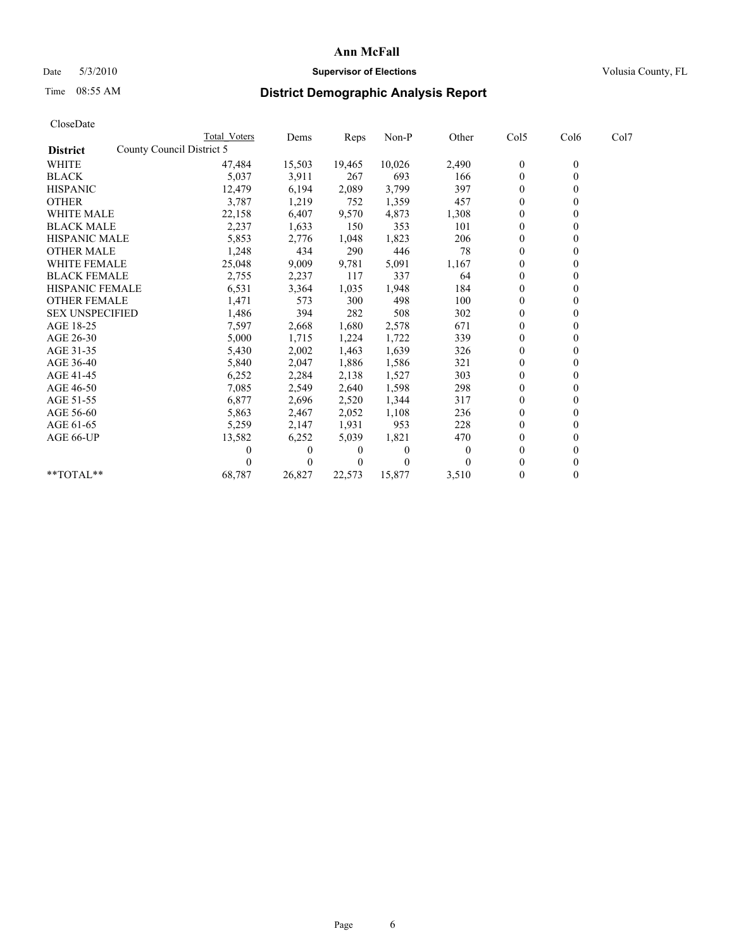# Date 5/3/2010 **Supervisor of Elections Supervisor of Elections** Volusia County, FL

# Time 08:55 AM **District Demographic Analysis Report**

|                                              | Total Voters | Dems         | Reps     | Non-P    | Other | Col5           | Col6         | Col7 |
|----------------------------------------------|--------------|--------------|----------|----------|-------|----------------|--------------|------|
| County Council District 5<br><b>District</b> |              |              |          |          |       |                |              |      |
| WHITE                                        | 47,484       | 15,503       | 19,465   | 10,026   | 2,490 | $\overline{0}$ | $\mathbf{0}$ |      |
| <b>BLACK</b>                                 | 5,037        | 3,911        | 267      | 693      | 166   | $\theta$       |              |      |
| <b>HISPANIC</b>                              | 12,479       | 6,194        | 2,089    | 3,799    | 397   | $\theta$       |              |      |
| <b>OTHER</b>                                 | 3,787        | 1,219        | 752      | 1,359    | 457   | $\theta$       |              |      |
| <b>WHITE MALE</b>                            | 22,158       | 6,407        | 9,570    | 4,873    | 1,308 | $\theta$       |              |      |
| <b>BLACK MALE</b>                            | 2,237        | 1,633        | 150      | 353      | 101   | $\theta$       |              |      |
| <b>HISPANIC MALE</b>                         | 5,853        | 2,776        | 1,048    | 1,823    | 206   | $\theta$       |              |      |
| <b>OTHER MALE</b>                            | 1,248        | 434          | 290      | 446      | 78    | $\mathbf{0}$   |              |      |
| WHITE FEMALE                                 | 25,048       | 9,009        | 9,781    | 5,091    | 1,167 | $\Omega$       |              |      |
| <b>BLACK FEMALE</b>                          | 2,755        | 2,237        | 117      | 337      | 64    | $\mathbf{0}$   |              |      |
| HISPANIC FEMALE                              | 6,531        | 3,364        | 1,035    | 1,948    | 184   | $\theta$       |              |      |
| <b>OTHER FEMALE</b>                          | 1,471        | 573          | 300      | 498      | 100   | $\theta$       |              |      |
| <b>SEX UNSPECIFIED</b>                       | 1,486        | 394          | 282      | 508      | 302   | $\theta$       |              |      |
| AGE 18-25                                    | 7,597        | 2,668        | 1,680    | 2,578    | 671   | $\theta$       |              |      |
| AGE 26-30                                    | 5,000        | 1,715        | 1,224    | 1,722    | 339   | $\theta$       |              |      |
| AGE 31-35                                    | 5,430        | 2,002        | 1,463    | 1,639    | 326   | $\theta$       |              |      |
| AGE 36-40                                    | 5,840        | 2,047        | 1,886    | 1,586    | 321   | $\mathbf{0}$   |              |      |
| AGE 41-45                                    | 6,252        | 2,284        | 2,138    | 1,527    | 303   | $\theta$       |              |      |
| AGE 46-50                                    | 7,085        | 2,549        | 2,640    | 1,598    | 298   | $\theta$       |              |      |
| AGE 51-55                                    | 6,877        | 2,696        | 2,520    | 1,344    | 317   | $\mathbf{0}$   |              |      |
| AGE 56-60                                    | 5,863        | 2,467        | 2,052    | 1,108    | 236   | $\Omega$       |              |      |
| AGE 61-65                                    | 5,259        | 2,147        | 1,931    | 953      | 228   | $\theta$       |              |      |
| AGE 66-UP                                    | 13,582       | 6,252        | 5,039    | 1,821    | 470   | $\mathbf{0}$   |              |      |
|                                              | 0            | $\mathbf{0}$ | $\bf{0}$ | $\theta$ | 0     | $\theta$       |              |      |
|                                              |              | $\Omega$     | $\theta$ | $\theta$ |       | $\theta$       |              |      |
| $*$ $TOTAI.**$                               | 68,787       | 26,827       | 22,573   | 15,877   | 3,510 | $\Omega$       | 0            |      |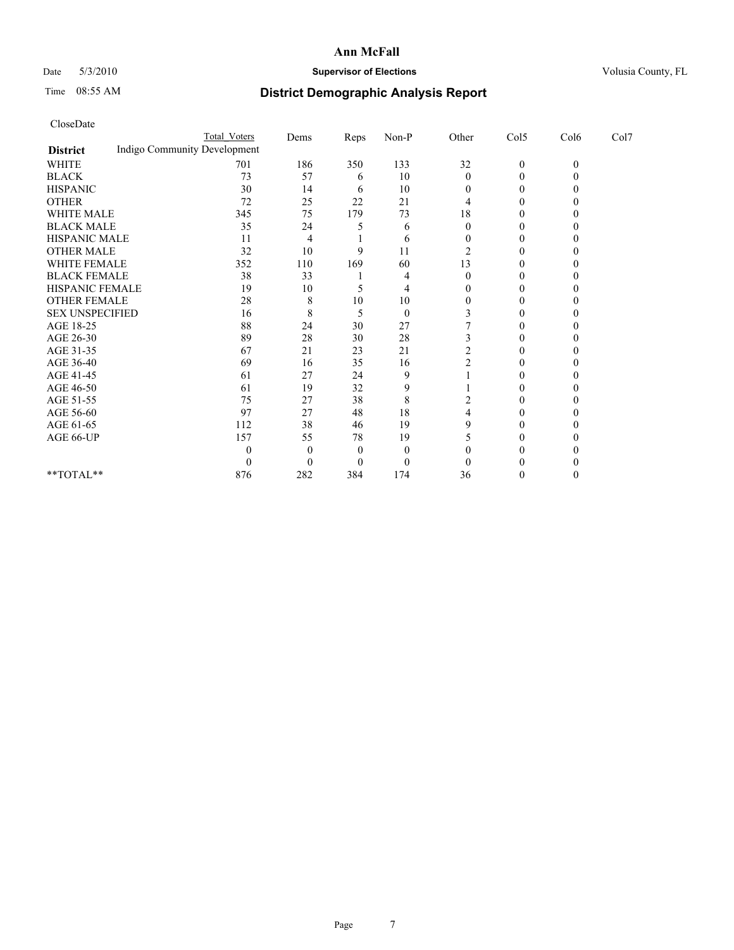## Date 5/3/2010 **Supervisor of Elections Supervisor of Elections** Volusia County, FL

# Time 08:55 AM **District Demographic Analysis Report**

| CloseDate |  |
|-----------|--|
|-----------|--|

|                                                 | <b>Total Voters</b> | Dems     | Reps | Non-P    | Other    | Col5             | Col6     | Col7 |  |
|-------------------------------------------------|---------------------|----------|------|----------|----------|------------------|----------|------|--|
| Indigo Community Development<br><b>District</b> |                     |          |      |          |          |                  |          |      |  |
| <b>WHITE</b>                                    | 701                 | 186      | 350  | 133      | 32       | $\boldsymbol{0}$ | $\theta$ |      |  |
| <b>BLACK</b>                                    | 73                  | 57       | 6    | 10       | 0        | 0                |          |      |  |
| <b>HISPANIC</b>                                 | 30                  | 14       | 6    | 10       | $_{0}$   |                  |          |      |  |
| <b>OTHER</b>                                    | 72                  | 25       | 22   | 21       |          |                  |          |      |  |
| WHITE MALE                                      | 345                 | 75       | 179  | 73       | 18       |                  |          |      |  |
| <b>BLACK MALE</b>                               | 35                  | 24       |      | 6        | 0        |                  |          |      |  |
| HISPANIC MALE                                   | 11                  | 4        |      | 6        | 0        |                  |          |      |  |
| <b>OTHER MALE</b>                               | 32                  | 10       | 9    | 11       |          |                  |          |      |  |
| WHITE FEMALE                                    | 352                 | 110      | 169  | 60       | 13       |                  |          |      |  |
| <b>BLACK FEMALE</b>                             | 38                  | 33       |      |          | $\theta$ |                  |          |      |  |
| HISPANIC FEMALE                                 | 19                  | 10       |      | 4        |          |                  |          |      |  |
| <b>OTHER FEMALE</b>                             | 28                  | 8        | 10   | 10       | $\theta$ |                  |          |      |  |
| <b>SEX UNSPECIFIED</b>                          | 16                  | 8        | 5    | $\theta$ |          |                  |          |      |  |
| AGE 18-25                                       | 88                  | 24       | 30   | 27       |          |                  |          |      |  |
| AGE 26-30                                       | 89                  | 28       | 30   | 28       |          |                  |          |      |  |
| AGE 31-35                                       | 67                  | 21       | 23   | 21       |          |                  |          |      |  |
| AGE 36-40                                       | 69                  | 16       | 35   | 16       |          |                  |          |      |  |
| AGE 41-45                                       | 61                  | 27       | 24   | 9        |          |                  |          |      |  |
| AGE 46-50                                       | 61                  | 19       | 32   | 9        |          |                  |          |      |  |
| AGE 51-55                                       | 75                  | 27       | 38   | 8        |          |                  |          |      |  |
| AGE 56-60                                       | 97                  | 27       | 48   | 18       |          |                  |          |      |  |
| AGE 61-65                                       | 112                 | 38       | 46   | 19       | 9        |                  |          |      |  |
| AGE 66-UP                                       | 157                 | 55       | 78   | 19       |          |                  |          |      |  |
|                                                 |                     | $\theta$ | 0    | $\theta$ |          |                  |          |      |  |
|                                                 |                     | $\Omega$ |      | $\theta$ |          |                  |          |      |  |
| **TOTAL**                                       | 876                 | 282      | 384  | 174      | 36       | $\theta$         | 0        |      |  |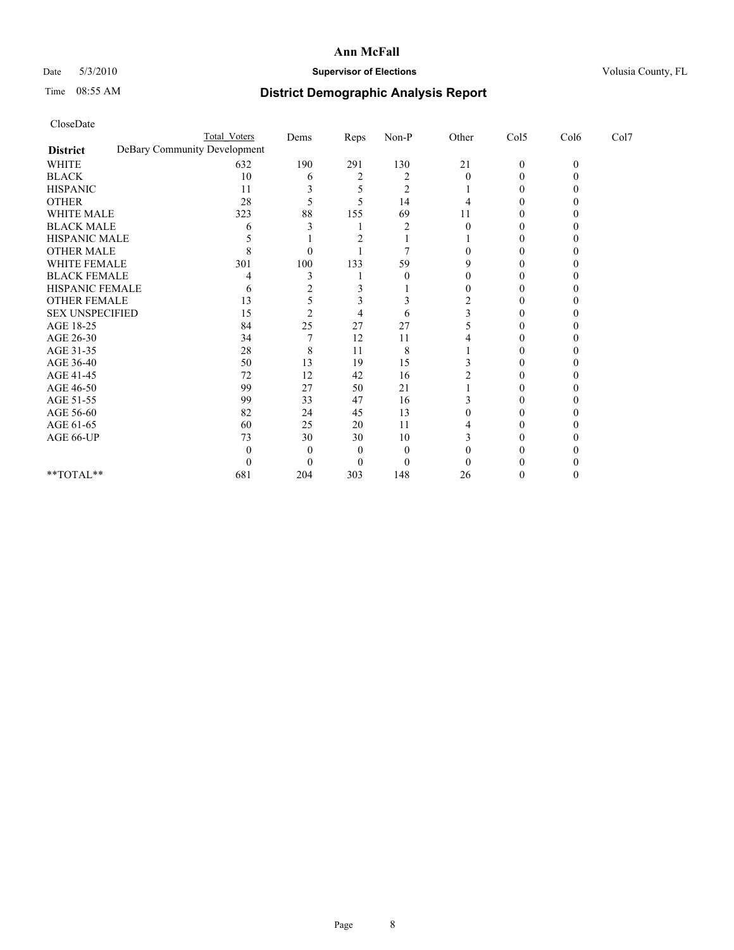# Date 5/3/2010 **Supervisor of Elections Supervisor of Elections** Volusia County, FL

# Time 08:55 AM **District Demographic Analysis Report**

|                        | <b>Total Voters</b>          | Dems | Reps | $Non-P$ | Other | Col5             | Col6     | Col7 |  |
|------------------------|------------------------------|------|------|---------|-------|------------------|----------|------|--|
| <b>District</b>        | DeBary Community Development |      |      |         |       |                  |          |      |  |
| <b>WHITE</b>           | 632                          | 190  | 291  | 130     | 21    | $\boldsymbol{0}$ | $\theta$ |      |  |
| <b>BLACK</b>           | 10                           | 6    |      | 2       |       |                  |          |      |  |
| <b>HISPANIC</b>        | 11                           |      |      | 2       |       |                  |          |      |  |
| <b>OTHER</b>           | 28                           |      |      | 14      |       |                  |          |      |  |
| <b>WHITE MALE</b>      | 323                          | 88   | 155  | 69      | 11    |                  |          |      |  |
| <b>BLACK MALE</b>      | h                            |      |      |         |       |                  |          |      |  |
| HISPANIC MALE          |                              |      |      |         |       |                  |          |      |  |
| <b>OTHER MALE</b>      |                              |      |      |         |       |                  |          |      |  |
| WHITE FEMALE           | 301                          | 100  | 133  | 59      |       |                  |          |      |  |
| <b>BLACK FEMALE</b>    |                              |      |      | 0       |       |                  |          |      |  |
| HISPANIC FEMALE        | h                            |      |      |         |       |                  |          |      |  |
| <b>OTHER FEMALE</b>    | 13                           |      |      |         |       |                  |          |      |  |
| <b>SEX UNSPECIFIED</b> | 15                           |      |      | 6       |       |                  |          |      |  |
| AGE 18-25              | 84                           | 25   | 27   | 27      |       |                  |          |      |  |
| AGE 26-30              | 34                           |      | 12   | 11      |       |                  |          |      |  |
| AGE 31-35              | 28                           | 8    | 11   | 8       |       |                  |          |      |  |
| AGE 36-40              | 50                           | 13   | 19   | 15      |       |                  |          |      |  |
| AGE 41-45              | 72                           | 12   | 42   | 16      |       |                  |          |      |  |
| AGE 46-50              | 99                           | 27   | 50   | 21      |       |                  |          |      |  |
| AGE 51-55              | 99                           | 33   | 47   | 16      |       |                  |          |      |  |
| AGE 56-60              | 82                           | 24   | 45   | 13      |       |                  |          |      |  |
| AGE 61-65              | 60                           | 25   | 20   | 11      |       |                  |          |      |  |
| AGE 66-UP              | 73                           | 30   | 30   | 10      |       |                  |          |      |  |
|                        |                              |      |      | 0       |       |                  |          |      |  |
|                        |                              |      |      | 0       |       |                  |          |      |  |
| **TOTAL**              | 681                          | 204  | 303  | 148     | 26    |                  |          |      |  |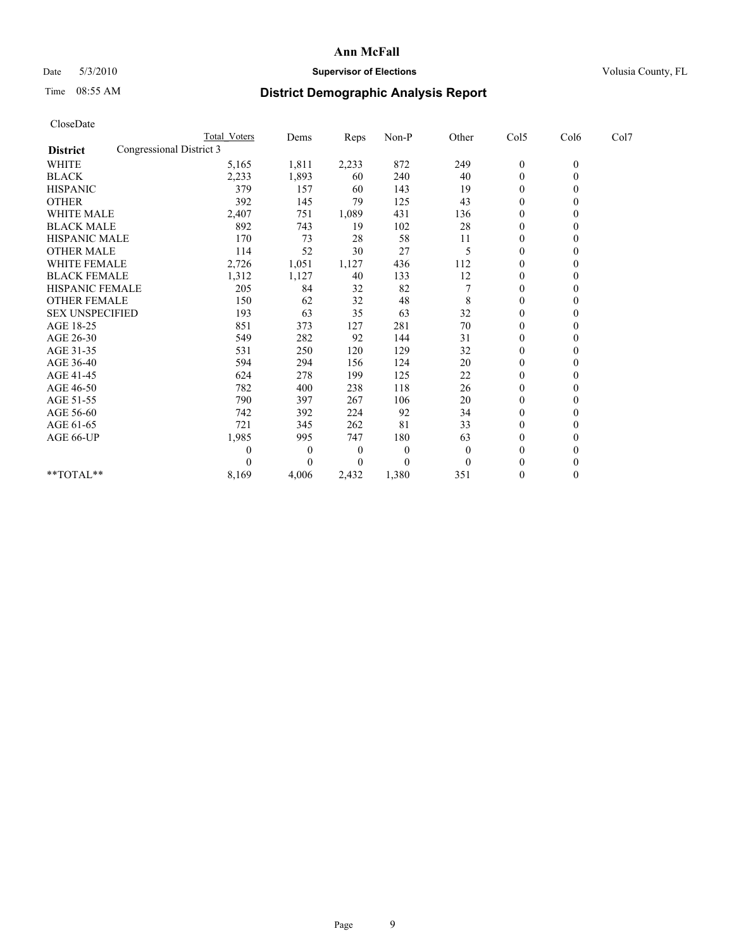# Date 5/3/2010 **Supervisor of Elections Supervisor of Elections** Volusia County, FL

# Time 08:55 AM **District Demographic Analysis Report**

|                                             | Total Voters | Dems         | Reps     | Non-P          | Other    | Col5         | Col6         | Col7 |  |
|---------------------------------------------|--------------|--------------|----------|----------------|----------|--------------|--------------|------|--|
| Congressional District 3<br><b>District</b> |              |              |          |                |          |              |              |      |  |
| WHITE                                       | 5,165        | 1,811        | 2,233    | 872            | 249      | $\bf{0}$     | $\mathbf{0}$ |      |  |
| <b>BLACK</b>                                | 2,233        | 1,893        | 60       | 240            | 40       | $\mathbf{0}$ |              |      |  |
| <b>HISPANIC</b>                             | 379          | 157          | 60       | 143            | 19       | $\theta$     |              |      |  |
| <b>OTHER</b>                                | 392          | 145          | 79       | 125            | 43       | $\mathbf{0}$ |              |      |  |
| <b>WHITE MALE</b>                           | 2,407        | 751          | 1,089    | 431            | 136      | $\theta$     |              |      |  |
| <b>BLACK MALE</b>                           | 892          | 743          | 19       | 102            | 28       | $\theta$     |              |      |  |
| <b>HISPANIC MALE</b>                        | 170          | 73           | 28       | 58             | 11       | $\mathbf{0}$ |              |      |  |
| <b>OTHER MALE</b>                           | 114          | 52           | 30       | 27             | 5        | $\theta$     |              |      |  |
| WHITE FEMALE                                | 2,726        | 1,051        | 1,127    | 436            | 112      | $\theta$     |              |      |  |
| <b>BLACK FEMALE</b>                         | 1,312        | 1,127        | 40       | 133            | 12       | $\theta$     |              |      |  |
| HISPANIC FEMALE                             | 205          | 84           | 32       | 82             |          | $\mathbf{0}$ |              |      |  |
| <b>OTHER FEMALE</b>                         | 150          | 62           | 32       | 48             | 8        | $\theta$     |              |      |  |
| <b>SEX UNSPECIFIED</b>                      | 193          | 63           | 35       | 63             | 32       | $\mathbf{0}$ |              |      |  |
| AGE 18-25                                   | 851          | 373          | 127      | 281            | 70       | $\mathbf{0}$ |              |      |  |
| AGE 26-30                                   | 549          | 282          | 92       | 144            | 31       | $\theta$     |              |      |  |
| AGE 31-35                                   | 531          | 250          | 120      | 129            | 32       | $\mathbf{0}$ |              |      |  |
| AGE 36-40                                   | 594          | 294          | 156      | 124            | 20       | $\theta$     |              |      |  |
| AGE 41-45                                   | 624          | 278          | 199      | 125            | 22       | $\theta$     |              |      |  |
| AGE 46-50                                   | 782          | 400          | 238      | 118            | 26       | $\theta$     |              |      |  |
| AGE 51-55                                   | 790          | 397          | 267      | 106            | 20       | $\theta$     |              |      |  |
| AGE 56-60                                   | 742          | 392          | 224      | 92             | 34       | $\theta$     |              |      |  |
| AGE 61-65                                   | 721          | 345          | 262      | 81             | 33       | $\theta$     |              |      |  |
| AGE 66-UP                                   | 1,985        | 995          | 747      | 180            | 63       | $\theta$     |              |      |  |
|                                             |              | $\mathbf{0}$ | $\theta$ | $\overline{0}$ | $\Omega$ | $\theta$     |              |      |  |
|                                             |              | $\theta$     | $\theta$ | $\theta$       | $\theta$ | $\theta$     |              |      |  |
| **TOTAL**                                   | 8,169        | 4,006        | 2,432    | 1,380          | 351      | $\mathbf{0}$ | 0            |      |  |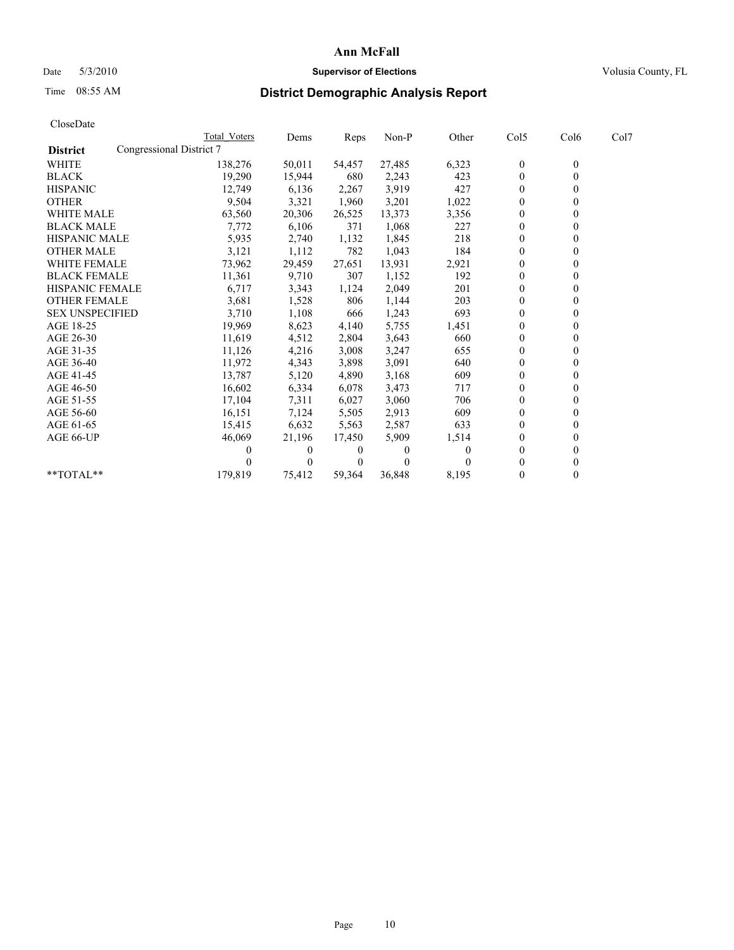# Date 5/3/2010 **Supervisor of Elections Supervisor of Elections** Volusia County, FL

# Time 08:55 AM **District Demographic Analysis Report**

|                                             | <b>Total Voters</b> | Dems   | Reps   | Non-P    | Other    | Col5             | Col6             | Col7 |  |
|---------------------------------------------|---------------------|--------|--------|----------|----------|------------------|------------------|------|--|
| Congressional District 7<br><b>District</b> |                     |        |        |          |          |                  |                  |      |  |
| <b>WHITE</b>                                | 138,276             | 50,011 | 54,457 | 27,485   | 6,323    | $\boldsymbol{0}$ | $\boldsymbol{0}$ |      |  |
| <b>BLACK</b>                                | 19,290              | 15,944 | 680    | 2,243    | 423      | $\overline{0}$   | 0                |      |  |
| <b>HISPANIC</b>                             | 12,749              | 6,136  | 2,267  | 3,919    | 427      | $\mathbf{0}$     | 0                |      |  |
| <b>OTHER</b>                                | 9,504               | 3,321  | 1,960  | 3,201    | 1,022    | $\theta$         |                  |      |  |
| <b>WHITE MALE</b>                           | 63,560              | 20,306 | 26,525 | 13,373   | 3,356    | 0                |                  |      |  |
| <b>BLACK MALE</b>                           | 7,772               | 6,106  | 371    | 1,068    | 227      | $\overline{0}$   |                  |      |  |
| <b>HISPANIC MALE</b>                        | 5,935               | 2,740  | 1,132  | 1,845    | 218      | $\theta$         |                  |      |  |
| <b>OTHER MALE</b>                           | 3,121               | 1,112  | 782    | 1,043    | 184      | 0                |                  |      |  |
| <b>WHITE FEMALE</b>                         | 73,962              | 29,459 | 27,651 | 13,931   | 2,921    | $\boldsymbol{0}$ |                  |      |  |
| <b>BLACK FEMALE</b>                         | 11,361              | 9,710  | 307    | 1,152    | 192      | $\theta$         |                  |      |  |
| HISPANIC FEMALE                             | 6,717               | 3,343  | 1,124  | 2,049    | 201      | 0                |                  |      |  |
| <b>OTHER FEMALE</b>                         | 3,681               | 1,528  | 806    | 1,144    | 203      | $\theta$         |                  |      |  |
| <b>SEX UNSPECIFIED</b>                      | 3,710               | 1,108  | 666    | 1,243    | 693      | $\theta$         |                  |      |  |
| AGE 18-25                                   | 19,969              | 8,623  | 4,140  | 5,755    | 1,451    | 0                |                  |      |  |
| AGE 26-30                                   | 11,619              | 4,512  | 2,804  | 3,643    | 660      | $\mathbf{0}$     |                  |      |  |
| AGE 31-35                                   | 11,126              | 4,216  | 3,008  | 3,247    | 655      | $\boldsymbol{0}$ |                  |      |  |
| AGE 36-40                                   | 11,972              | 4,343  | 3,898  | 3,091    | 640      | 0                |                  |      |  |
| AGE 41-45                                   | 13,787              | 5,120  | 4,890  | 3,168    | 609      | $\mathbf{0}$     |                  |      |  |
| AGE 46-50                                   | 16,602              | 6,334  | 6,078  | 3,473    | 717      | 0                |                  |      |  |
| AGE 51-55                                   | 17,104              | 7,311  | 6,027  | 3,060    | 706      | 0                |                  |      |  |
| AGE 56-60                                   | 16,151              | 7,124  | 5,505  | 2,913    | 609      | $\boldsymbol{0}$ |                  |      |  |
| AGE 61-65                                   | 15,415              | 6,632  | 5,563  | 2,587    | 633      | $\theta$         |                  |      |  |
| AGE 66-UP                                   | 46,069              | 21,196 | 17,450 | 5,909    | 1,514    | 0                |                  |      |  |
|                                             | $_{0}$              | 0      |        | $\theta$ | $\Omega$ | $\theta$         |                  |      |  |
|                                             |                     | 0      |        | $\theta$ |          | 0                |                  |      |  |
| **TOTAL**                                   | 179,819             | 75,412 | 59,364 | 36,848   | 8,195    | $\theta$         | 0                |      |  |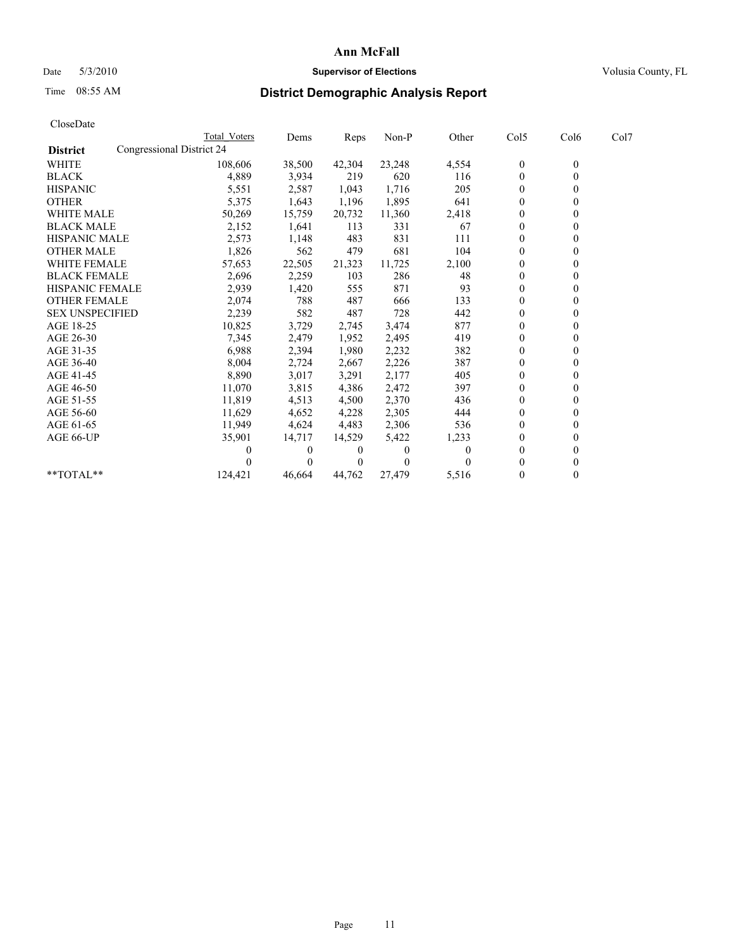# Date 5/3/2010 **Supervisor of Elections Supervisor of Elections** Volusia County, FL

# Time 08:55 AM **District Demographic Analysis Report**

|                        | Total Voters              | Dems     | Reps   | Non-P    | Other | Col5             | Col6             | Col7 |  |
|------------------------|---------------------------|----------|--------|----------|-------|------------------|------------------|------|--|
| <b>District</b>        | Congressional District 24 |          |        |          |       |                  |                  |      |  |
| <b>WHITE</b>           | 108,606                   | 38,500   | 42,304 | 23,248   | 4,554 | $\boldsymbol{0}$ | $\boldsymbol{0}$ |      |  |
| <b>BLACK</b>           | 4,889                     | 3,934    | 219    | 620      | 116   | $\theta$         |                  |      |  |
| <b>HISPANIC</b>        | 5,551                     | 2,587    | 1,043  | 1,716    | 205   | $\theta$         |                  |      |  |
| <b>OTHER</b>           | 5,375                     | 1,643    | 1,196  | 1,895    | 641   | $\theta$         |                  |      |  |
| <b>WHITE MALE</b>      | 50,269                    | 15,759   | 20,732 | 11,360   | 2,418 | $\theta$         |                  |      |  |
| <b>BLACK MALE</b>      | 2,152                     | 1,641    | 113    | 331      | 67    | $\theta$         |                  |      |  |
| <b>HISPANIC MALE</b>   | 2,573                     | 1,148    | 483    | 831      | 111   | $\theta$         |                  |      |  |
| <b>OTHER MALE</b>      | 1,826                     | 562      | 479    | 681      | 104   | 0                |                  |      |  |
| <b>WHITE FEMALE</b>    | 57,653                    | 22,505   | 21,323 | 11,725   | 2,100 | $\theta$         |                  |      |  |
| <b>BLACK FEMALE</b>    | 2,696                     | 2,259    | 103    | 286      | 48    | $\theta$         |                  |      |  |
| HISPANIC FEMALE        | 2,939                     | 1,420    | 555    | 871      | 93    | $\theta$         |                  |      |  |
| <b>OTHER FEMALE</b>    | 2,074                     | 788      | 487    | 666      | 133   | $\theta$         |                  |      |  |
| <b>SEX UNSPECIFIED</b> | 2,239                     | 582      | 487    | 728      | 442   | $\theta$         |                  |      |  |
| AGE 18-25              | 10,825                    | 3,729    | 2,745  | 3,474    | 877   | $\theta$         |                  |      |  |
| AGE 26-30              | 7,345                     | 2,479    | 1,952  | 2,495    | 419   | $\theta$         |                  |      |  |
| AGE 31-35              | 6,988                     | 2,394    | 1,980  | 2,232    | 382   | $\theta$         |                  |      |  |
| AGE 36-40              | 8,004                     | 2,724    | 2,667  | 2,226    | 387   | $\theta$         |                  |      |  |
| AGE 41-45              | 8,890                     | 3,017    | 3,291  | 2,177    | 405   | $\theta$         |                  |      |  |
| AGE 46-50              | 11,070                    | 3,815    | 4,386  | 2,472    | 397   | $\theta$         |                  |      |  |
| AGE 51-55              | 11,819                    | 4,513    | 4,500  | 2,370    | 436   | $\theta$         |                  |      |  |
| AGE 56-60              | 11,629                    | 4,652    | 4,228  | 2,305    | 444   | $\theta$         |                  |      |  |
| AGE 61-65              | 11,949                    | 4,624    | 4,483  | 2,306    | 536   | $\theta$         |                  |      |  |
| AGE 66-UP              | 35,901                    | 14,717   | 14,529 | 5,422    | 1,233 | $\theta$         |                  |      |  |
|                        |                           | 0        | 0      | $\theta$ |       | $\theta$         |                  |      |  |
|                        |                           | $\theta$ | 0      | $\theta$ |       | $\theta$         |                  |      |  |
| **TOTAL**              | 124,421                   | 46,664   | 44,762 | 27,479   | 5,516 | $\theta$         | $\overline{0}$   |      |  |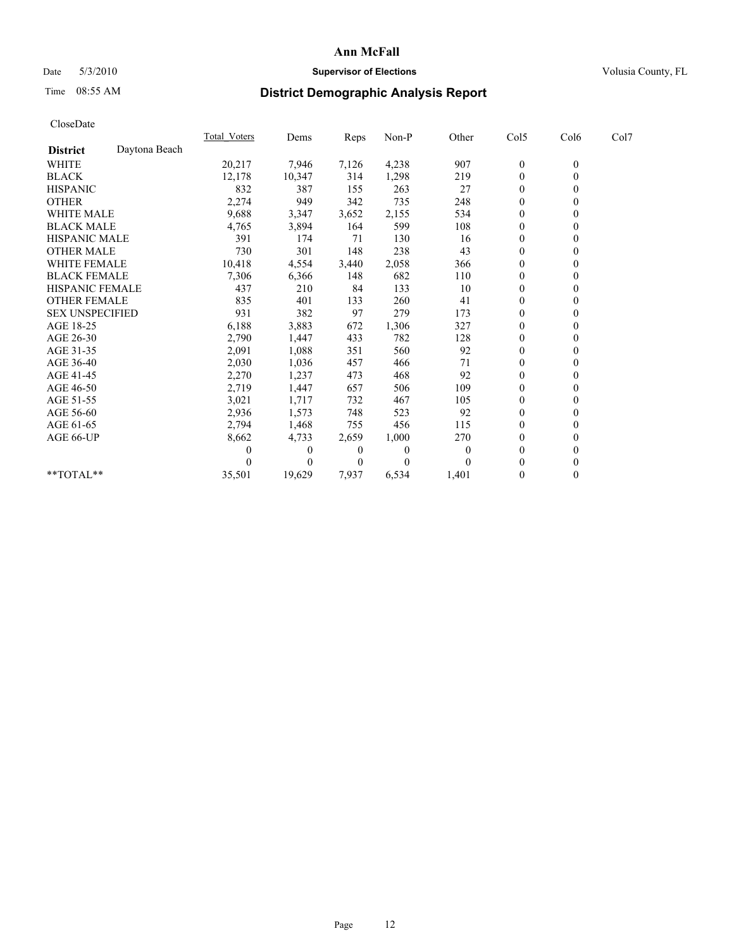# Date 5/3/2010 **Supervisor of Elections Supervisor of Elections** Volusia County, FL

# Time 08:55 AM **District Demographic Analysis Report**

|                        |               | <b>Total Voters</b> | Dems     | Reps           | Non-P    | Other    | Col5         | Col6             | Col7 |  |
|------------------------|---------------|---------------------|----------|----------------|----------|----------|--------------|------------------|------|--|
| <b>District</b>        | Daytona Beach |                     |          |                |          |          |              |                  |      |  |
| <b>WHITE</b>           |               | 20,217              | 7,946    | 7,126          | 4,238    | 907      | $\bf{0}$     | $\boldsymbol{0}$ |      |  |
| <b>BLACK</b>           |               | 12,178              | 10,347   | 314            | 1,298    | 219      | $\theta$     |                  |      |  |
| <b>HISPANIC</b>        |               | 832                 | 387      | 155            | 263      | 27       | $\theta$     |                  |      |  |
| <b>OTHER</b>           |               | 2,274               | 949      | 342            | 735      | 248      | $\mathbf{0}$ |                  |      |  |
| <b>WHITE MALE</b>      |               | 9,688               | 3,347    | 3,652          | 2,155    | 534      | $\theta$     |                  |      |  |
| <b>BLACK MALE</b>      |               | 4,765               | 3,894    | 164            | 599      | 108      | $\Omega$     |                  |      |  |
| <b>HISPANIC MALE</b>   |               | 391                 | 174      | 71             | 130      | 16       | $\theta$     |                  |      |  |
| <b>OTHER MALE</b>      |               | 730                 | 301      | 148            | 238      | 43       | $\theta$     |                  |      |  |
| <b>WHITE FEMALE</b>    |               | 10,418              | 4,554    | 3,440          | 2,058    | 366      | $\theta$     |                  |      |  |
| <b>BLACK FEMALE</b>    |               | 7,306               | 6,366    | 148            | 682      | 110      | $\mathbf{0}$ |                  |      |  |
| HISPANIC FEMALE        |               | 437                 | 210      | 84             | 133      | 10       | $\theta$     |                  |      |  |
| <b>OTHER FEMALE</b>    |               | 835                 | 401      | 133            | 260      | 41       | $\theta$     |                  |      |  |
| <b>SEX UNSPECIFIED</b> |               | 931                 | 382      | 97             | 279      | 173      | $\theta$     |                  |      |  |
| AGE 18-25              |               | 6,188               | 3,883    | 672            | 1,306    | 327      | $\theta$     |                  |      |  |
| AGE 26-30              |               | 2,790               | 1,447    | 433            | 782      | 128      | $\theta$     |                  |      |  |
| AGE 31-35              |               | 2,091               | 1,088    | 351            | 560      | 92       | $\theta$     |                  |      |  |
| AGE 36-40              |               | 2,030               | 1,036    | 457            | 466      | 71       | $\theta$     |                  |      |  |
| AGE 41-45              |               | 2,270               | 1,237    | 473            | 468      | 92       | $\theta$     |                  |      |  |
| AGE 46-50              |               | 2,719               | 1,447    | 657            | 506      | 109      | $\mathbf{0}$ |                  |      |  |
| AGE 51-55              |               | 3,021               | 1,717    | 732            | 467      | 105      | $\theta$     |                  |      |  |
| AGE 56-60              |               | 2,936               | 1,573    | 748            | 523      | 92       | $\theta$     |                  |      |  |
| AGE 61-65              |               | 2,794               | 1,468    | 755            | 456      | 115      | $\theta$     |                  |      |  |
| AGE 66-UP              |               | 8,662               | 4,733    | 2,659          | 1,000    | 270      | $\theta$     |                  |      |  |
|                        |               |                     | $\theta$ | $\overline{0}$ | $\Omega$ | $\theta$ | $\theta$     |                  |      |  |
|                        |               |                     | 0        | $\theta$       | $\Omega$ |          | $\theta$     |                  |      |  |
| $**TOTAL**$            |               | 35,501              | 19,629   | 7,937          | 6,534    | 1,401    | $\mathbf{0}$ | 0                |      |  |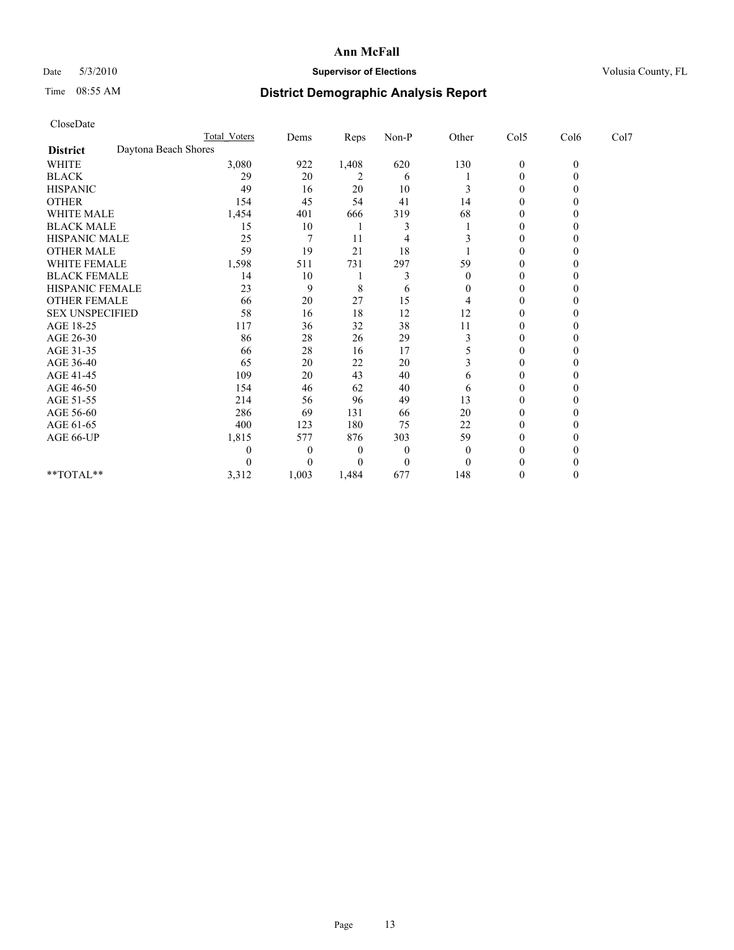# Date 5/3/2010 **Supervisor of Elections Supervisor of Elections** Volusia County, FL

# Time 08:55 AM **District Demographic Analysis Report**

|                                         | <b>Total Voters</b> | Dems  | Reps         | $Non-P$          | Other          | Col5             | Col6     | Col7 |  |
|-----------------------------------------|---------------------|-------|--------------|------------------|----------------|------------------|----------|------|--|
| Daytona Beach Shores<br><b>District</b> |                     |       |              |                  |                |                  |          |      |  |
| <b>WHITE</b>                            | 3,080               | 922   | 1,408        | 620              | 130            | $\boldsymbol{0}$ | $\theta$ |      |  |
| <b>BLACK</b>                            | 29                  | 20    | 2            | 6                |                | $\mathbf{0}$     |          |      |  |
| <b>HISPANIC</b>                         | 49                  | 16    | 20           | 10               |                | $\Omega$         |          |      |  |
| <b>OTHER</b>                            | 154                 | 45    | 54           | 41               | 14             | $\theta$         |          |      |  |
| WHITE MALE                              | 1,454               | 401   | 666          | 319              | 68             |                  |          |      |  |
| <b>BLACK MALE</b>                       | 15                  | 10    |              |                  |                | $\Omega$         |          |      |  |
| HISPANIC MALE                           | 25                  | 7     | 11           | 4                |                | $\Omega$         |          |      |  |
| <b>OTHER MALE</b>                       | 59                  | 19    | 21           | 18               |                | 0                |          |      |  |
| WHITE FEMALE                            | 1,598               | 511   | 731          | 297              | 59             | $\Omega$         |          |      |  |
| <b>BLACK FEMALE</b>                     | 14                  | 10    |              |                  | $\overline{0}$ | $\theta$         |          |      |  |
| HISPANIC FEMALE                         | 23                  | 9     | 8            | 6                | 0              | 0                |          |      |  |
| <b>OTHER FEMALE</b>                     | 66                  | 20    | 27           | 15               | 4              | $\Omega$         |          |      |  |
| <b>SEX UNSPECIFIED</b>                  | 58                  | 16    | 18           | 12               | 12             | $\Omega$         |          |      |  |
| AGE 18-25                               | 117                 | 36    | 32           | 38               | 11             | 0                |          |      |  |
| AGE 26-30                               | 86                  | 28    | 26           | 29               | 3              | $\Omega$         |          |      |  |
| AGE 31-35                               | 66                  | 28    | 16           | 17               |                | $\Omega$         |          |      |  |
| AGE 36-40                               | 65                  | 20    | 22           | 20               |                | 0                |          |      |  |
| AGE 41-45                               | 109                 | 20    | 43           | 40               | 6              | $\Omega$         |          |      |  |
| AGE 46-50                               | 154                 | 46    | 62           | 40               | 6              | $\theta$         |          |      |  |
| AGE 51-55                               | 214                 | 56    | 96           | 49               | 13             | $\Omega$         |          |      |  |
| AGE 56-60                               | 286                 | 69    | 131          | 66               | 20             | $\theta$         |          |      |  |
| AGE 61-65                               | 400                 | 123   | 180          | 75               | 22             | $\Omega$         |          |      |  |
| AGE 66-UP                               | 1,815               | 577   | 876          | 303              | 59             | $\mathbf{0}$     |          |      |  |
|                                         | 0                   | 0     | $\mathbf{0}$ | $\boldsymbol{0}$ | $\theta$       | $\Omega$         |          |      |  |
|                                         |                     | 0     | $\Omega$     | $\theta$         | $\theta$       |                  |          |      |  |
| **TOTAL**                               | 3,312               | 1,003 | 1,484        | 677              | 148            | 0                |          |      |  |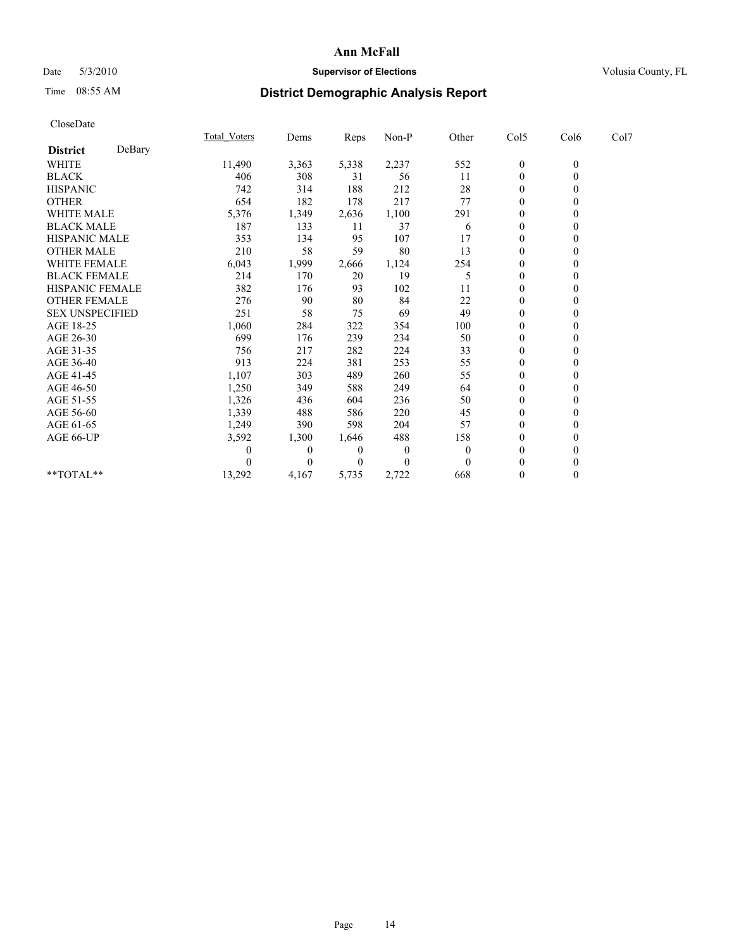# Date 5/3/2010 **Supervisor of Elections Supervisor of Elections** Volusia County, FL

# Time 08:55 AM **District Demographic Analysis Report**

|                        |        | <b>Total Voters</b> | Dems         | <b>Reps</b>    | $Non-P$      | Other        | Col5             | Col6             | Col7 |  |
|------------------------|--------|---------------------|--------------|----------------|--------------|--------------|------------------|------------------|------|--|
| <b>District</b>        | DeBary |                     |              |                |              |              |                  |                  |      |  |
| <b>WHITE</b>           |        | 11,490              | 3,363        | 5,338          | 2,237        | 552          | $\boldsymbol{0}$ | $\boldsymbol{0}$ |      |  |
| <b>BLACK</b>           |        | 406                 | 308          | 31             | 56           | 11           | $\mathbf{0}$     |                  |      |  |
| <b>HISPANIC</b>        |        | 742                 | 314          | 188            | 212          | 28           | $\theta$         |                  |      |  |
| <b>OTHER</b>           |        | 654                 | 182          | 178            | 217          | 77           | $\theta$         |                  |      |  |
| <b>WHITE MALE</b>      |        | 5,376               | 1,349        | 2,636          | 1,100        | 291          | 0                |                  |      |  |
| <b>BLACK MALE</b>      |        | 187                 | 133          | 11             | 37           | 6            | $\theta$         |                  |      |  |
| HISPANIC MALE          |        | 353                 | 134          | 95             | 107          | 17           | $\overline{0}$   |                  |      |  |
| <b>OTHER MALE</b>      |        | 210                 | 58           | 59             | 80           | 13           | $\overline{0}$   |                  |      |  |
| WHITE FEMALE           |        | 6,043               | 1,999        | 2,666          | 1,124        | 254          | $\theta$         |                  |      |  |
| <b>BLACK FEMALE</b>    |        | 214                 | 170          | 20             | 19           | 5            | $\theta$         |                  |      |  |
| HISPANIC FEMALE        |        | 382                 | 176          | 93             | 102          | 11           | $\overline{0}$   |                  |      |  |
| <b>OTHER FEMALE</b>    |        | 276                 | 90           | 80             | 84           | 22           | $\theta$         |                  |      |  |
| <b>SEX UNSPECIFIED</b> |        | 251                 | 58           | 75             | 69           | 49           | $\Omega$         |                  |      |  |
| AGE 18-25              |        | 1,060               | 284          | 322            | 354          | 100          | $\theta$         |                  |      |  |
| AGE 26-30              |        | 699                 | 176          | 239            | 234          | 50           | $\Omega$         |                  |      |  |
| AGE 31-35              |        | 756                 | 217          | 282            | 224          | 33           | $\overline{0}$   |                  |      |  |
| AGE 36-40              |        | 913                 | 224          | 381            | 253          | 55           | $\overline{0}$   |                  |      |  |
| AGE 41-45              |        | 1,107               | 303          | 489            | 260          | 55           | $\theta$         |                  |      |  |
| AGE 46-50              |        | 1,250               | 349          | 588            | 249          | 64           | $\theta$         |                  |      |  |
| AGE 51-55              |        | 1,326               | 436          | 604            | 236          | 50           | $\mathbf{0}$     |                  |      |  |
| AGE 56-60              |        | 1,339               | 488          | 586            | 220          | 45           | $\theta$         |                  |      |  |
| AGE 61-65              |        | 1,249               | 390          | 598            | 204          | 57           | $\Omega$         |                  |      |  |
| AGE 66-UP              |        | 3,592               | 1,300        | 1,646          | 488          | 158          | $\overline{0}$   |                  |      |  |
|                        |        | 0                   | $\mathbf{0}$ | $\overline{0}$ | $\mathbf{0}$ | $\mathbf{0}$ | $\theta$         |                  |      |  |
|                        |        |                     | $\Omega$     | $\Omega$       | $\mathbf{0}$ | $\Omega$     | $\theta$         |                  |      |  |
| $**TOTAL**$            |        | 13,292              | 4,167        | 5,735          | 2,722        | 668          | $\mathbf{0}$     | 0                |      |  |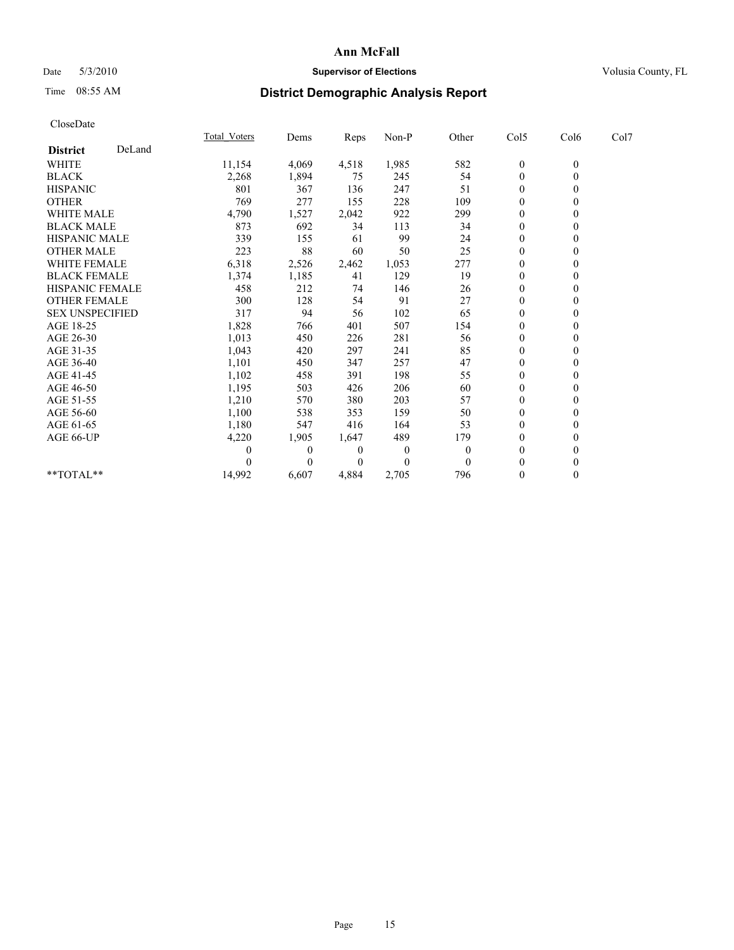# Date 5/3/2010 **Supervisor of Elections Supervisor of Elections** Volusia County, FL

# Time 08:55 AM **District Demographic Analysis Report**

|                        |        | <b>Total Voters</b> | Dems         | Reps         | Non-P          | Other          | Col5             | Col6             | Col7 |  |
|------------------------|--------|---------------------|--------------|--------------|----------------|----------------|------------------|------------------|------|--|
| <b>District</b>        | DeLand |                     |              |              |                |                |                  |                  |      |  |
| WHITE                  |        | 11,154              | 4,069        | 4,518        | 1,985          | 582            | $\boldsymbol{0}$ | $\boldsymbol{0}$ |      |  |
| <b>BLACK</b>           |        | 2,268               | 1,894        | 75           | 245            | 54             | $\theta$         | 0                |      |  |
| <b>HISPANIC</b>        |        | 801                 | 367          | 136          | 247            | 51             | $\theta$         |                  |      |  |
| <b>OTHER</b>           |        | 769                 | 277          | 155          | 228            | 109            | $\theta$         |                  |      |  |
| <b>WHITE MALE</b>      |        | 4,790               | 1,527        | 2,042        | 922            | 299            | $\theta$         |                  |      |  |
| <b>BLACK MALE</b>      |        | 873                 | 692          | 34           | 113            | 34             | $\theta$         |                  |      |  |
| <b>HISPANIC MALE</b>   |        | 339                 | 155          | 61           | 99             | 24             | $\theta$         |                  |      |  |
| <b>OTHER MALE</b>      |        | 223                 | 88           | 60           | 50             | 25             | $\mathbf{0}$     |                  |      |  |
| WHITE FEMALE           |        | 6,318               | 2,526        | 2,462        | 1,053          | 277            | $\theta$         |                  |      |  |
| <b>BLACK FEMALE</b>    |        | 1,374               | 1,185        | 41           | 129            | 19             | $\theta$         |                  |      |  |
| HISPANIC FEMALE        |        | 458                 | 212          | 74           | 146            | 26             | $\theta$         |                  |      |  |
| <b>OTHER FEMALE</b>    |        | 300                 | 128          | 54           | 91             | 27             | $\theta$         |                  |      |  |
| <b>SEX UNSPECIFIED</b> |        | 317                 | 94           | 56           | 102            | 65             | $\theta$         |                  |      |  |
| AGE 18-25              |        | 1,828               | 766          | 401          | 507            | 154            | $\theta$         |                  |      |  |
| AGE 26-30              |        | 1,013               | 450          | 226          | 281            | 56             | $\theta$         |                  |      |  |
| AGE 31-35              |        | 1,043               | 420          | 297          | 241            | 85             | $\theta$         |                  |      |  |
| AGE 36-40              |        | 1,101               | 450          | 347          | 257            | 47             | $\theta$         |                  |      |  |
| AGE 41-45              |        | 1,102               | 458          | 391          | 198            | 55             | $\theta$         |                  |      |  |
| AGE 46-50              |        | 1,195               | 503          | 426          | 206            | 60             | $\theta$         |                  |      |  |
| AGE 51-55              |        | 1,210               | 570          | 380          | 203            | 57             | $\theta$         |                  |      |  |
| AGE 56-60              |        | 1,100               | 538          | 353          | 159            | 50             | $\theta$         |                  |      |  |
| AGE 61-65              |        | 1,180               | 547          | 416          | 164            | 53             | $\theta$         |                  |      |  |
| AGE 66-UP              |        | 4,220               | 1,905        | 1,647        | 489            | 179            | $\mathbf{0}$     |                  |      |  |
|                        |        | $\boldsymbol{0}$    | $\mathbf{0}$ | $\mathbf{0}$ | $\overline{0}$ | $\theta$       | $\theta$         |                  |      |  |
|                        |        |                     | $\Omega$     | $\theta$     | $\theta$       | $\overline{0}$ | $\theta$         |                  |      |  |
| **TOTAL**              |        | 14,992              | 6,607        | 4,884        | 2,705          | 796            | $\overline{0}$   | 0                |      |  |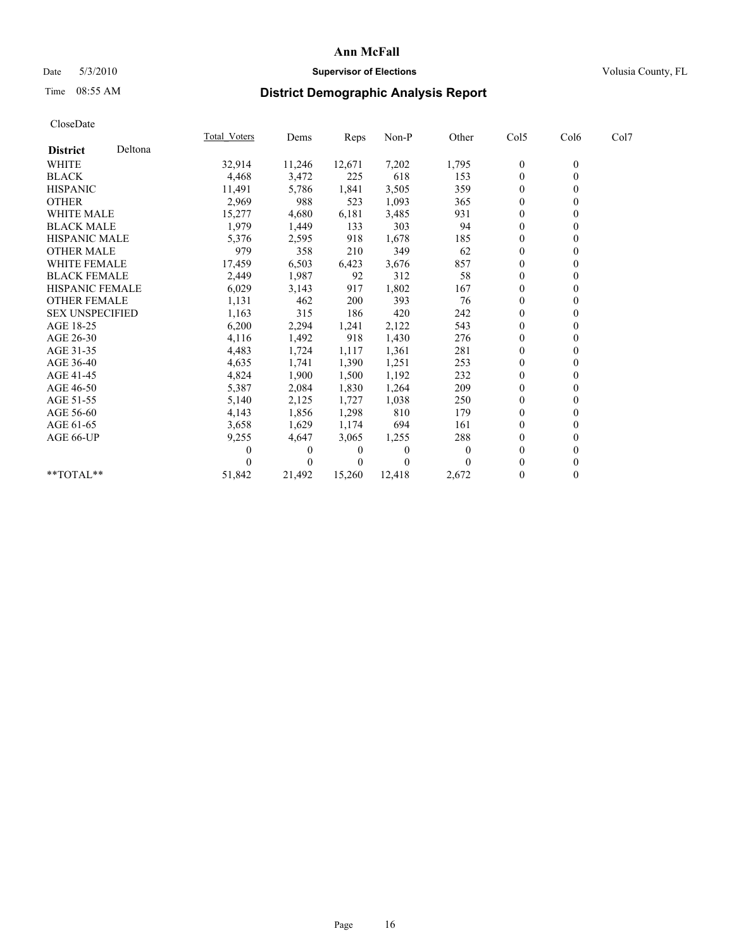# Date 5/3/2010 **Supervisor of Elections Supervisor of Elections** Volusia County, FL

# Time 08:55 AM **District Demographic Analysis Report**

|                        |         | <b>Total Voters</b> | Dems     | <b>Reps</b> | Non-P    | Other    | Col5             | Col6         | Col7 |  |
|------------------------|---------|---------------------|----------|-------------|----------|----------|------------------|--------------|------|--|
| <b>District</b>        | Deltona |                     |          |             |          |          |                  |              |      |  |
| <b>WHITE</b>           |         | 32,914              | 11,246   | 12,671      | 7,202    | 1,795    | $\boldsymbol{0}$ | $\mathbf{0}$ |      |  |
| <b>BLACK</b>           |         | 4,468               | 3,472    | 225         | 618      | 153      | $\theta$         |              |      |  |
| <b>HISPANIC</b>        |         | 11,491              | 5,786    | 1,841       | 3,505    | 359      | $\theta$         |              |      |  |
| <b>OTHER</b>           |         | 2,969               | 988      | 523         | 1,093    | 365      | $\overline{0}$   |              |      |  |
| <b>WHITE MALE</b>      |         | 15,277              | 4,680    | 6,181       | 3,485    | 931      | 0                |              |      |  |
| <b>BLACK MALE</b>      |         | 1,979               | 1,449    | 133         | 303      | 94       | $\theta$         |              |      |  |
| <b>HISPANIC MALE</b>   |         | 5,376               | 2,595    | 918         | 1,678    | 185      | $\theta$         |              |      |  |
| <b>OTHER MALE</b>      |         | 979                 | 358      | 210         | 349      | 62       | $\Omega$         |              |      |  |
| <b>WHITE FEMALE</b>    |         | 17,459              | 6,503    | 6,423       | 3,676    | 857      | $\theta$         |              |      |  |
| <b>BLACK FEMALE</b>    |         | 2,449               | 1,987    | 92          | 312      | 58       | $\overline{0}$   |              |      |  |
| HISPANIC FEMALE        |         | 6,029               | 3,143    | 917         | 1,802    | 167      | $\mathbf{0}$     |              |      |  |
| <b>OTHER FEMALE</b>    |         | 1,131               | 462      | 200         | 393      | 76       | $\theta$         |              |      |  |
| <b>SEX UNSPECIFIED</b> |         | 1,163               | 315      | 186         | 420      | 242      | $\overline{0}$   |              |      |  |
| AGE 18-25              |         | 6,200               | 2,294    | 1,241       | 2,122    | 543      | $\Omega$         |              |      |  |
| AGE 26-30              |         | 4,116               | 1,492    | 918         | 1,430    | 276      | $\theta$         |              |      |  |
| AGE 31-35              |         | 4,483               | 1,724    | 1,117       | 1,361    | 281      | $\overline{0}$   |              |      |  |
| AGE 36-40              |         | 4,635               | 1,741    | 1,390       | 1,251    | 253      | 0                |              |      |  |
| AGE 41-45              |         | 4,824               | 1,900    | 1,500       | 1,192    | 232      | $\theta$         |              |      |  |
| AGE 46-50              |         | 5,387               | 2,084    | 1,830       | 1,264    | 209      | $\overline{0}$   |              |      |  |
| AGE 51-55              |         | 5,140               | 2,125    | 1,727       | 1,038    | 250      | $\Omega$         |              |      |  |
| AGE 56-60              |         | 4,143               | 1,856    | 1,298       | 810      | 179      | $\theta$         |              |      |  |
| AGE 61-65              |         | 3,658               | 1,629    | 1,174       | 694      | 161      | $\Omega$         |              |      |  |
| AGE 66-UP              |         | 9,255               | 4,647    | 3,065       | 1,255    | 288      | 0                |              |      |  |
|                        |         | $\theta$            | $\left($ | $\bf{0}$    | $\theta$ | $\theta$ | $\theta$         |              |      |  |
|                        |         |                     | $\Omega$ | $\Omega$    | $\Omega$ |          | $\Omega$         |              |      |  |
| **TOTAL**              |         | 51,842              | 21,492   | 15,260      | 12,418   | 2,672    | $\mathbf{0}$     | 0            |      |  |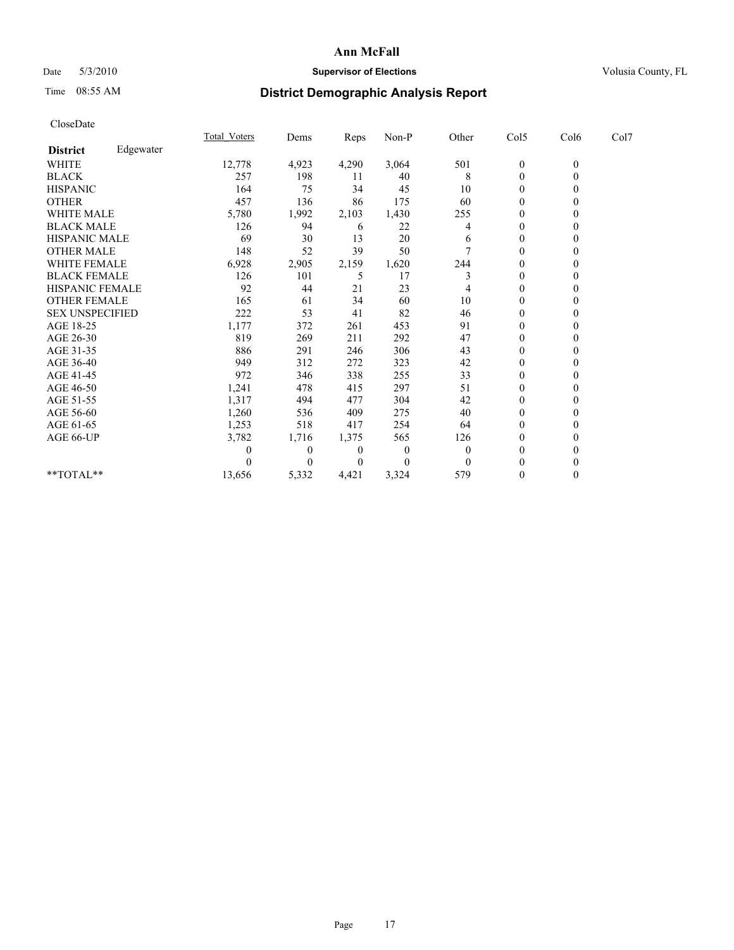# Date 5/3/2010 **Supervisor of Elections Supervisor of Elections** Volusia County, FL

# Time 08:55 AM **District Demographic Analysis Report**

|                        |           | Total Voters | Dems     | Reps     | $Non-P$  | Other | Col5         | Col6         | Col7 |  |
|------------------------|-----------|--------------|----------|----------|----------|-------|--------------|--------------|------|--|
| <b>District</b>        | Edgewater |              |          |          |          |       |              |              |      |  |
| <b>WHITE</b>           |           | 12,778       | 4,923    | 4,290    | 3,064    | 501   | $\mathbf{0}$ | $\mathbf{0}$ |      |  |
| <b>BLACK</b>           |           | 257          | 198      | 11       | 40       | 8     | $\mathbf{0}$ |              |      |  |
| <b>HISPANIC</b>        |           | 164          | 75       | 34       | 45       | 10    | $\Omega$     |              |      |  |
| <b>OTHER</b>           |           | 457          | 136      | 86       | 175      | 60    | $\theta$     |              |      |  |
| <b>WHITE MALE</b>      |           | 5,780        | 1,992    | 2,103    | 1,430    | 255   | 0            |              |      |  |
| <b>BLACK MALE</b>      |           | 126          | 94       | 6        | 22       | 4     | $\theta$     |              |      |  |
| <b>HISPANIC MALE</b>   |           | 69           | 30       | 13       | 20       | 6     | $\mathbf{0}$ |              |      |  |
| <b>OTHER MALE</b>      |           | 148          | 52       | 39       | 50       |       | $\theta$     |              |      |  |
| WHITE FEMALE           |           | 6,928        | 2,905    | 2,159    | 1,620    | 244   | $\theta$     |              |      |  |
| <b>BLACK FEMALE</b>    |           | 126          | 101      | 5        | 17       | 3     | $\theta$     |              |      |  |
| HISPANIC FEMALE        |           | 92           | 44       | 21       | 23       |       | $\theta$     |              |      |  |
| <b>OTHER FEMALE</b>    |           | 165          | 61       | 34       | 60       | 10    | $\Omega$     |              |      |  |
| <b>SEX UNSPECIFIED</b> |           | 222          | 53       | 41       | 82       | 46    | $\theta$     |              |      |  |
| AGE 18-25              |           | 1,177        | 372      | 261      | 453      | 91    | $\Omega$     |              |      |  |
| AGE 26-30              |           | 819          | 269      | 211      | 292      | 47    | $\theta$     |              |      |  |
| AGE 31-35              |           | 886          | 291      | 246      | 306      | 43    | $\theta$     |              |      |  |
| AGE 36-40              |           | 949          | 312      | 272      | 323      | 42    | $\mathbf{0}$ |              |      |  |
| AGE 41-45              |           | 972          | 346      | 338      | 255      | 33    | $\theta$     |              |      |  |
| AGE 46-50              |           | 1,241        | 478      | 415      | 297      | 51    | $\theta$     |              |      |  |
| AGE 51-55              |           | 1,317        | 494      | 477      | 304      | 42    | $\theta$     |              |      |  |
| AGE 56-60              |           | 1,260        | 536      | 409      | 275      | 40    | $\Omega$     |              |      |  |
| AGE 61-65              |           | 1,253        | 518      | 417      | 254      | 64    | $\theta$     |              |      |  |
| AGE 66-UP              |           | 3,782        | 1,716    | 1,375    | 565      | 126   | $\theta$     |              |      |  |
|                        |           |              | $\theta$ | 0        | $\theta$ |       | $\theta$     |              |      |  |
|                        |           |              | 0        | $\theta$ | $\theta$ |       | $\theta$     |              |      |  |
| **TOTAL**              |           | 13,656       | 5,332    | 4,421    | 3,324    | 579   | $\Omega$     | 0            |      |  |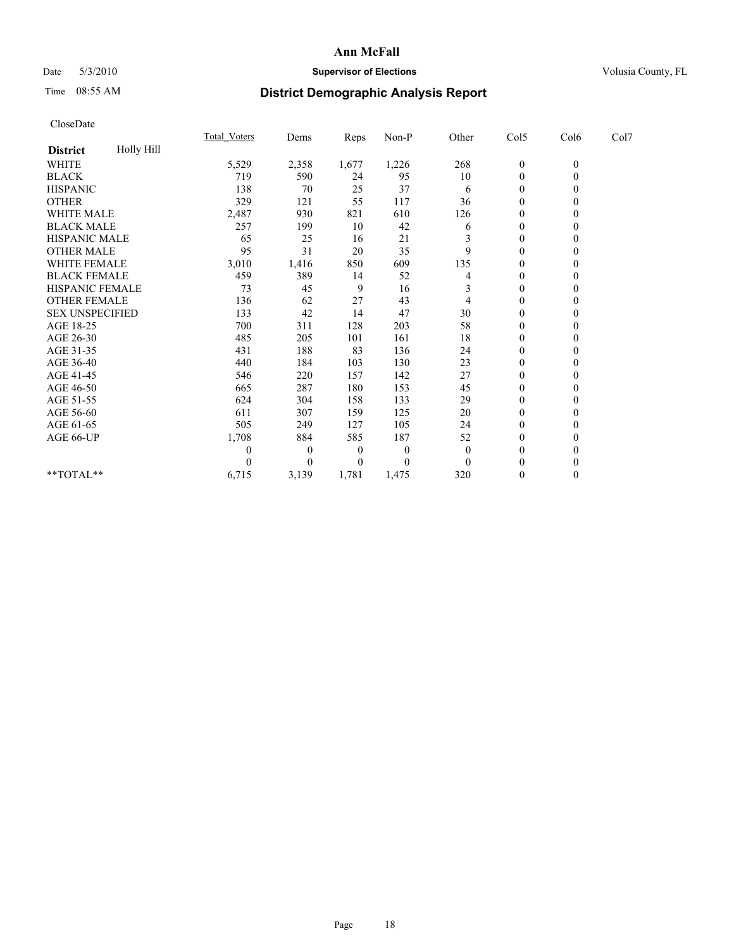## Date 5/3/2010 **Supervisor of Elections Supervisor of Elections** Volusia County, FL

# Time 08:55 AM **District Demographic Analysis Report**

| CloseDate              |            |                     |                  |          |          |          |                  |              |      |  |
|------------------------|------------|---------------------|------------------|----------|----------|----------|------------------|--------------|------|--|
|                        |            | <b>Total Voters</b> | Dems             | Reps     | Non-P    | Other    | Col5             | Col6         | Col7 |  |
| <b>District</b>        | Holly Hill |                     |                  |          |          |          |                  |              |      |  |
| <b>WHITE</b>           |            | 5,529               | 2,358            | 1,677    | 1,226    | 268      | $\boldsymbol{0}$ | $\mathbf{0}$ |      |  |
| <b>BLACK</b>           |            | 719                 | 590              | 24       | 95       | 10       | $\boldsymbol{0}$ | $\mathbf{0}$ |      |  |
| <b>HISPANIC</b>        |            | 138                 | 70               | 25       | 37       | 6        | $\theta$         | $\Omega$     |      |  |
| <b>OTHER</b>           |            | 329                 | 121              | 55       | 117      | 36       | $\mathbf{0}$     | $\mathbf{0}$ |      |  |
| WHITE MALE             |            | 2,487               | 930              | 821      | 610      | 126      | 0                | $\Omega$     |      |  |
| <b>BLACK MALE</b>      |            | 257                 | 199              | 10       | 42       | 6        | $\overline{0}$   | $\theta$     |      |  |
| <b>HISPANIC MALE</b>   |            | 65                  | 25               | 16       | 21       | 3        | $\boldsymbol{0}$ | $\Omega$     |      |  |
| <b>OTHER MALE</b>      |            | 95                  | 31               | 20       | 35       | 9        | $\theta$         | $\Omega$     |      |  |
| <b>WHITE FEMALE</b>    |            | 3,010               | 1,416            | 850      | 609      | 135      | $\boldsymbol{0}$ | $\mathbf{0}$ |      |  |
| <b>BLACK FEMALE</b>    |            | 459                 | 389              | 14       | 52       | 4        | 0                | $\Omega$     |      |  |
| <b>HISPANIC FEMALE</b> |            | 73                  | 45               | 9        | 16       | 3        | $\mathbf{0}$     | $\mathbf{0}$ |      |  |
| <b>OTHER FEMALE</b>    |            | 136                 | 62               | 27       | 43       | 4        | $\boldsymbol{0}$ | $\mathbf{0}$ |      |  |
| <b>SEX UNSPECIFIED</b> |            | 133                 | 42               | 14       | 47       | 30       | $\boldsymbol{0}$ | $\Omega$     |      |  |
| AGE 18-25              |            | 700                 | 311              | 128      | 203      | 58       | $\overline{0}$   | $\Omega$     |      |  |
| AGE 26-30              |            | 485                 | 205              | 101      | 161      | 18       | $\boldsymbol{0}$ | $\theta$     |      |  |
| AGE 31-35              |            | 431                 | 188              | 83       | 136      | 24       | $\boldsymbol{0}$ | $\theta$     |      |  |
| AGE 36-40              |            | 440                 | 184              | 103      | 130      | 23       | $\boldsymbol{0}$ | $\Omega$     |      |  |
| AGE 41-45              |            | 546                 | 220              | 157      | 142      | 27       | $\boldsymbol{0}$ | $\theta$     |      |  |
| AGE 46-50              |            | 665                 | 287              | 180      | 153      | 45       | $\boldsymbol{0}$ | $\mathbf{0}$ |      |  |
| AGE 51-55              |            | 624                 | 304              | 158      | 133      | 29       | 0                | $\Omega$     |      |  |
| AGE 56-60              |            | 611                 | 307              | 159      | 125      | 20       | $\overline{0}$   | $\Omega$     |      |  |
| AGE 61-65              |            | 505                 | 249              | 127      | 105      | 24       | $\boldsymbol{0}$ | $\theta$     |      |  |
| AGE 66-UP              |            | 1,708               | 884              | 585      | 187      | 52       | 0                | $\theta$     |      |  |
|                        |            | $\theta$            | $\boldsymbol{0}$ | $\theta$ | $\theta$ | $\theta$ | $\overline{0}$   | $\Omega$     |      |  |
|                        |            | $\theta$            | $\theta$         | 0        | $\Omega$ | $\theta$ | $\boldsymbol{0}$ | $\theta$     |      |  |
| **TOTAL**              |            | 6,715               | 3,139            | 1,781    | 1,475    | 320      | $\overline{0}$   | $\mathbf{0}$ |      |  |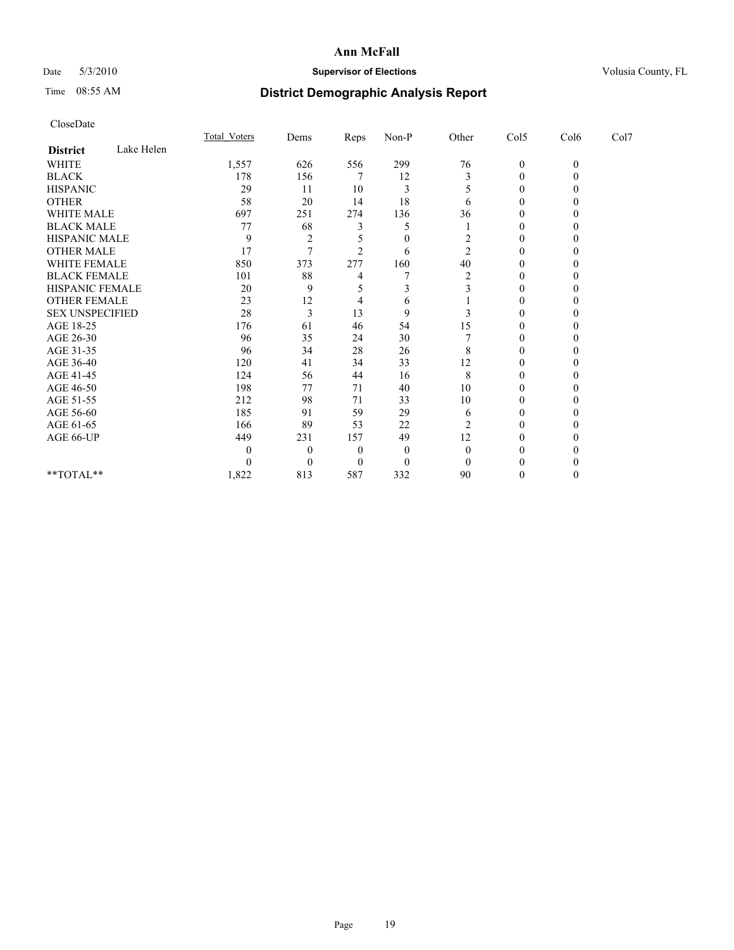# Date 5/3/2010 **Supervisor of Elections Supervisor of Elections** Volusia County, FL

# Time 08:55 AM **District Demographic Analysis Report**

|                        |            | Total Voters | Dems           | <b>Reps</b>    | $Non-P$      | Other          | Col5         | Col6         | Col7 |  |
|------------------------|------------|--------------|----------------|----------------|--------------|----------------|--------------|--------------|------|--|
| <b>District</b>        | Lake Helen |              |                |                |              |                |              |              |      |  |
| <b>WHITE</b>           |            | 1,557        | 626            | 556            | 299          | 76             | $\mathbf{0}$ | $\mathbf{0}$ |      |  |
| <b>BLACK</b>           |            | 178          | 156            |                | 12           | 3              | $\theta$     |              |      |  |
| <b>HISPANIC</b>        |            | 29           | 11             | 10             | 3            | 5              | $\Omega$     |              |      |  |
| <b>OTHER</b>           |            | 58           | 20             | 14             | 18           | 6              | $\Omega$     |              |      |  |
| <b>WHITE MALE</b>      |            | 697          | 251            | 274            | 136          | 36             | 0            |              |      |  |
| <b>BLACK MALE</b>      |            | 77           | 68             |                | 5            |                | 0            |              |      |  |
| HISPANIC MALE          |            | 9            | $\overline{2}$ |                | $\theta$     | 2              | $\Omega$     |              |      |  |
| <b>OTHER MALE</b>      |            | 17           | $\tau$         | $\mathfrak{D}$ | 6            | $\overline{c}$ | 0            |              |      |  |
| WHITE FEMALE           |            | 850          | 373            | 277            | 160          | 40             | 0            |              |      |  |
| <b>BLACK FEMALE</b>    |            | 101          | 88             |                |              | $\overline{2}$ | $\Omega$     |              |      |  |
| HISPANIC FEMALE        |            | 20           | 9              |                |              |                | 0            |              |      |  |
| <b>OTHER FEMALE</b>    |            | 23           | 12             |                | 6            |                | 0            |              |      |  |
| <b>SEX UNSPECIFIED</b> |            | 28           | 3              | 13             | 9            |                | $\theta$     |              |      |  |
| AGE 18-25              |            | 176          | 61             | 46             | 54           | 15             | 0            |              |      |  |
| AGE 26-30              |            | 96           | 35             | 24             | 30           |                | $\Omega$     |              |      |  |
| AGE 31-35              |            | 96           | 34             | 28             | 26           | 8              | $\Omega$     |              |      |  |
| AGE 36-40              |            | 120          | 41             | 34             | 33           | 12             | 0            |              |      |  |
| AGE 41-45              |            | 124          | 56             | 44             | 16           | 8              | $\Omega$     |              |      |  |
| AGE 46-50              |            | 198          | 77             | 71             | 40           | 10             | 0            |              |      |  |
| AGE 51-55              |            | 212          | 98             | 71             | 33           | 10             | 0            |              |      |  |
| AGE 56-60              |            | 185          | 91             | 59             | 29           | 6              | $\Omega$     |              |      |  |
| AGE 61-65              |            | 166          | 89             | 53             | 22           | $\overline{c}$ | 0            |              |      |  |
| AGE 66-UP              |            | 449          | 231            | 157            | 49           | 12             | 0            |              |      |  |
|                        |            | $\mathbf{0}$ | $\Omega$       | $\theta$       | $\mathbf{0}$ | $\theta$       | 0            |              |      |  |
|                        |            |              | $\Omega$       | $\theta$       | $\theta$     | 0              |              |              |      |  |
| **TOTAL**              |            | 1,822        | 813            | 587            | 332          | 90             | 0            |              |      |  |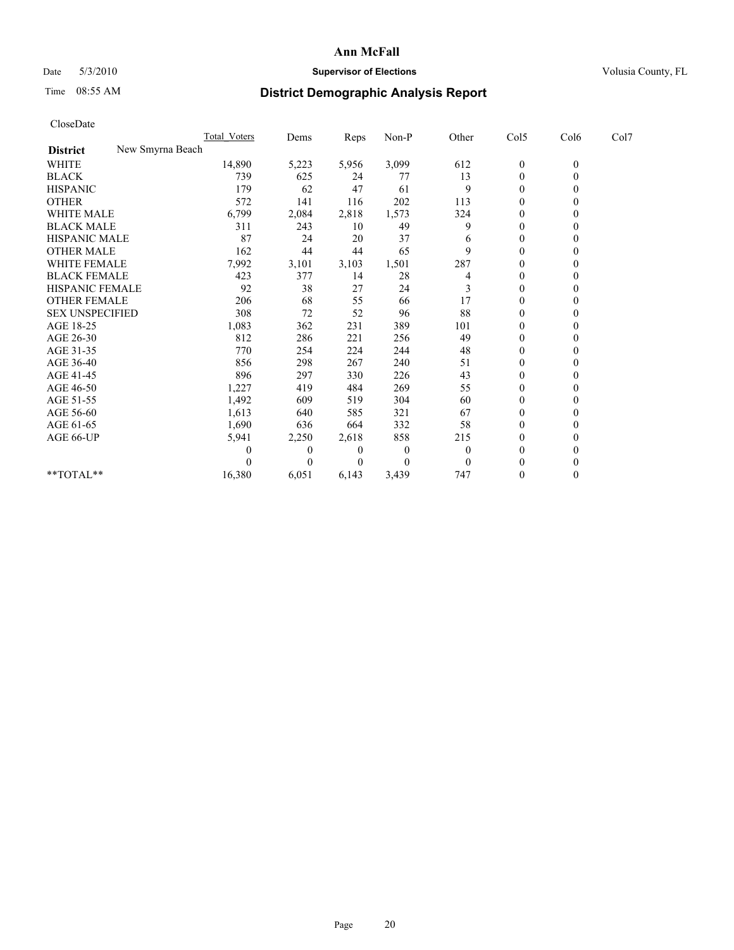# Date 5/3/2010 **Supervisor of Elections Supervisor of Elections** Volusia County, FL

# Time 08:55 AM **District Demographic Analysis Report**

|                                     | <b>Total Voters</b> | Dems           | <b>Reps</b>    | $Non-P$        | Other        | Col5             | Col6         | Col7 |  |
|-------------------------------------|---------------------|----------------|----------------|----------------|--------------|------------------|--------------|------|--|
| New Smyrna Beach<br><b>District</b> |                     |                |                |                |              |                  |              |      |  |
| <b>WHITE</b>                        | 14,890              | 5,223          | 5,956          | 3,099          | 612          | $\boldsymbol{0}$ | $\mathbf{0}$ |      |  |
| <b>BLACK</b>                        | 739                 | 625            | 24             | 77             | 13           | $\mathbf{0}$     |              |      |  |
| <b>HISPANIC</b>                     | 179                 | 62             | 47             | 61             | 9            | $\theta$         |              |      |  |
| <b>OTHER</b>                        | 572                 | 141            | 116            | 202            | 113          | $\theta$         |              |      |  |
| <b>WHITE MALE</b>                   | 6,799               | 2,084          | 2,818          | 1,573          | 324          | 0                |              |      |  |
| <b>BLACK MALE</b>                   | 311                 | 243            | 10             | 49             | 9            | $\theta$         |              |      |  |
| HISPANIC MALE                       | 87                  | 24             | 20             | 37             | 6            | $\overline{0}$   |              |      |  |
| <b>OTHER MALE</b>                   | 162                 | 44             | 44             | 65             | 9            | $\Omega$         |              |      |  |
| <b>WHITE FEMALE</b>                 | 7,992               | 3,101          | 3,103          | 1,501          | 287          | $\theta$         |              |      |  |
| <b>BLACK FEMALE</b>                 | 423                 | 377            | 14             | 28             | 4            | $\theta$         |              |      |  |
| HISPANIC FEMALE                     | 92                  | 38             | 27             | 24             | 3            | $\theta$         |              |      |  |
| <b>OTHER FEMALE</b>                 | 206                 | 68             | 55             | 66             | 17           | $\theta$         |              |      |  |
| <b>SEX UNSPECIFIED</b>              | 308                 | 72             | 52             | 96             | 88           | $\Omega$         |              |      |  |
| AGE 18-25                           | 1,083               | 362            | 231            | 389            | 101          | $\theta$         |              |      |  |
| AGE 26-30                           | 812                 | 286            | 221            | 256            | 49           | $\theta$         |              |      |  |
| AGE 31-35                           | 770                 | 254            | 224            | 244            | 48           | $\Omega$         |              |      |  |
| AGE 36-40                           | 856                 | 298            | 267            | 240            | 51           | $\overline{0}$   |              |      |  |
| AGE 41-45                           | 896                 | 297            | 330            | 226            | 43           | $\theta$         |              |      |  |
| AGE 46-50                           | 1,227               | 419            | 484            | 269            | 55           | $\theta$         |              |      |  |
| AGE 51-55                           | 1,492               | 609            | 519            | 304            | 60           | $\theta$         |              |      |  |
| AGE 56-60                           | 1,613               | 640            | 585            | 321            | 67           | $\theta$         |              |      |  |
| AGE 61-65                           | 1,690               | 636            | 664            | 332            | 58           | $\Omega$         |              |      |  |
| AGE 66-UP                           | 5,941               | 2,250          | 2,618          | 858            | 215          | $\mathbf{0}$     |              |      |  |
|                                     | 0                   | $\overline{0}$ | $\overline{0}$ | $\mathbf{0}$   | $\mathbf{0}$ | $\theta$         |              |      |  |
|                                     |                     | $\Omega$       | $\theta$       | $\overline{0}$ | $\mathbf{0}$ | $\theta$         |              |      |  |
| $**TOTAL**$                         | 16,380              | 6,051          | 6,143          | 3,439          | 747          | $\mathbf{0}$     |              |      |  |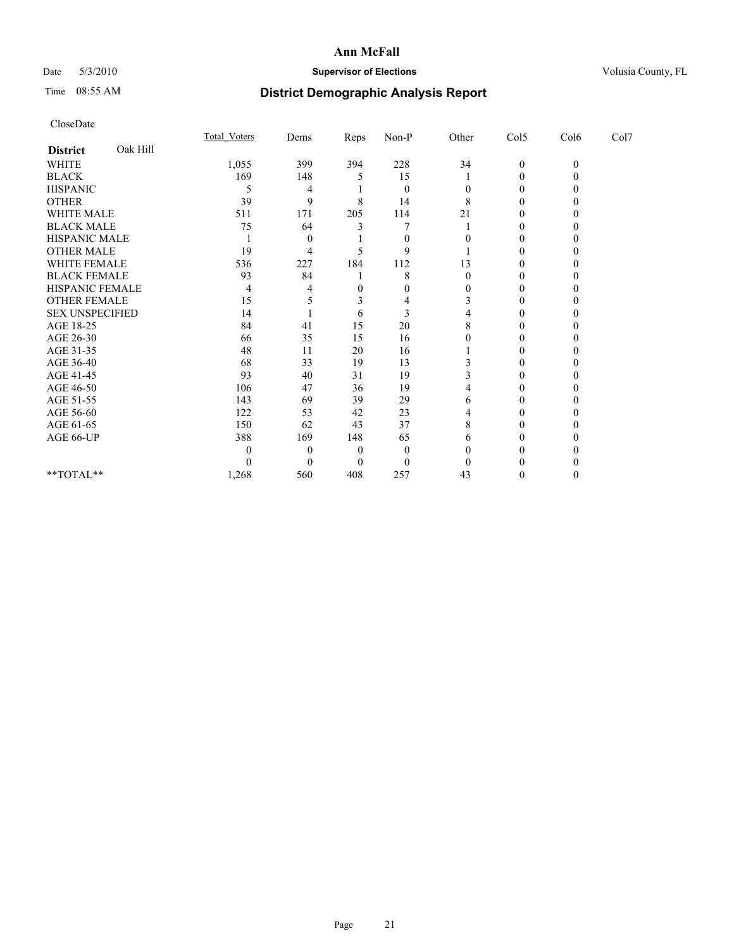# Date 5/3/2010 **Supervisor of Elections Supervisor of Elections** Volusia County, FL

# Time 08:55 AM **District Demographic Analysis Report**

|                        |          | Total Voters | Dems           | Reps     | $Non-P$      | Other | Col5         | Col6         | Col7 |  |
|------------------------|----------|--------------|----------------|----------|--------------|-------|--------------|--------------|------|--|
| <b>District</b>        | Oak Hill |              |                |          |              |       |              |              |      |  |
| <b>WHITE</b>           |          | 1,055        | 399            | 394      | 228          | 34    | $\mathbf{0}$ | $\mathbf{0}$ |      |  |
| <b>BLACK</b>           |          | 169          | 148            |          | 15           |       | 0            |              |      |  |
| <b>HISPANIC</b>        |          | 5            | 4              |          | $\mathbf{0}$ |       | 0            |              |      |  |
| <b>OTHER</b>           |          | 39           | 9              | 8        | 14           | 8     | 0            |              |      |  |
| <b>WHITE MALE</b>      |          | 511          | 171            | 205      | 114          | 21    |              |              |      |  |
| <b>BLACK MALE</b>      |          | 75           | 64             |          |              |       | 0            |              |      |  |
| HISPANIC MALE          |          |              | $\overline{0}$ |          | $\theta$     |       | 0            |              |      |  |
| <b>OTHER MALE</b>      |          | 19           | 4              |          | 9            |       | 0            |              |      |  |
| WHITE FEMALE           |          | 536          | 227            | 184      | 112          | 13    | 0            |              |      |  |
| <b>BLACK FEMALE</b>    |          | 93           | 84             |          | 8            | 0     | 0            |              |      |  |
| HISPANIC FEMALE        |          | 4            |                | 0        |              |       |              |              |      |  |
| <b>OTHER FEMALE</b>    |          | 15           |                | 3        | 4            | 3     | 0            |              |      |  |
| <b>SEX UNSPECIFIED</b> |          | 14           |                | 6        | 3            |       | 0            |              |      |  |
| AGE 18-25              |          | 84           | 41             | 15       | 20           |       | 0            |              |      |  |
| AGE 26-30              |          | 66           | 35             | 15       | 16           |       | 0            |              |      |  |
| AGE 31-35              |          | 48           | 11             | 20       | 16           |       | 0            |              |      |  |
| AGE 36-40              |          | 68           | 33             | 19       | 13           |       | 0            |              |      |  |
| AGE 41-45              |          | 93           | 40             | 31       | 19           |       | 0            |              |      |  |
| AGE 46-50              |          | 106          | 47             | 36       | 19           |       | 0            |              |      |  |
| AGE 51-55              |          | 143          | 69             | 39       | 29           | 6     | 0            |              |      |  |
| AGE 56-60              |          | 122          | 53             | 42       | 23           |       | 0            |              |      |  |
| AGE 61-65              |          | 150          | 62             | 43       | 37           | 8     | 0            |              |      |  |
| AGE 66-UP              |          | 388          | 169            | 148      | 65           | 6     |              |              |      |  |
|                        |          |              | $\Omega$       | $\theta$ | $\theta$     |       | 0            |              |      |  |
|                        |          |              |                | $\theta$ | $\theta$     |       |              |              |      |  |
| **TOTAL**              |          | 1,268        | 560            | 408      | 257          | 43    | 0            |              |      |  |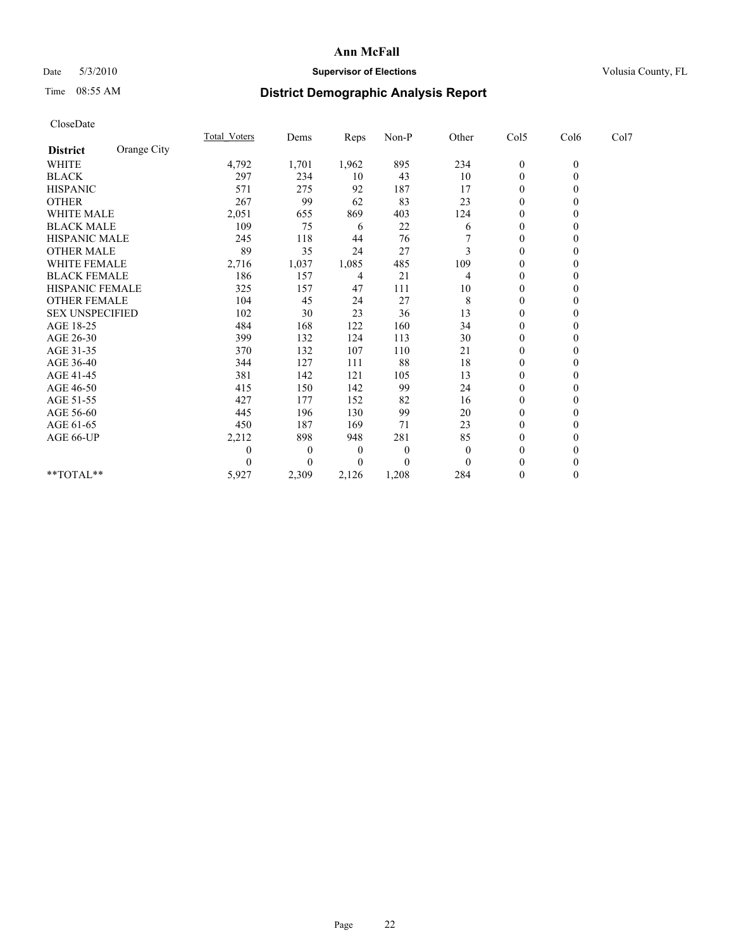## Date 5/3/2010 **Supervisor of Elections Supervisor of Elections** Volusia County, FL

# Time 08:55 AM **District Demographic Analysis Report**

| CloseDate              |             |              |              |          |                  |          |                  |                  |      |  |
|------------------------|-------------|--------------|--------------|----------|------------------|----------|------------------|------------------|------|--|
|                        |             | Total Voters | Dems         | Reps     | $Non-P$          | Other    | Col5             | Col6             | Col7 |  |
| <b>District</b>        | Orange City |              |              |          |                  |          |                  |                  |      |  |
| <b>WHITE</b>           |             | 4,792        | 1,701        | 1,962    | 895              | 234      | $\boldsymbol{0}$ | $\boldsymbol{0}$ |      |  |
| <b>BLACK</b>           |             | 297          | 234          | 10       | 43               | 10       | $\boldsymbol{0}$ | $\mathbf{0}$     |      |  |
| <b>HISPANIC</b>        |             | 571          | 275          | 92       | 187              | 17       | $\boldsymbol{0}$ | $\theta$         |      |  |
| <b>OTHER</b>           |             | 267          | 99           | 62       | 83               | 23       | $\boldsymbol{0}$ | $\theta$         |      |  |
| WHITE MALE             |             | 2,051        | 655          | 869      | 403              | 124      | 0                | $\mathbf{0}$     |      |  |
| <b>BLACK MALE</b>      |             | 109          | 75           | 6        | 22               | 6        | $\boldsymbol{0}$ | $\theta$         |      |  |
| HISPANIC MALE          |             | 245          | 118          | 44       | 76               |          | $\boldsymbol{0}$ | $\mathbf{0}$     |      |  |
| <b>OTHER MALE</b>      |             | 89           | 35           | 24       | 27               | 3        | $\mathbf{0}$     | $\mathbf{0}$     |      |  |
| WHITE FEMALE           |             | 2,716        | 1,037        | 1,085    | 485              | 109      | $\mathbf{0}$     | $\mathbf{0}$     |      |  |
| <b>BLACK FEMALE</b>    |             | 186          | 157          | 4        | 21               | 4        | $\boldsymbol{0}$ | $\theta$         |      |  |
| <b>HISPANIC FEMALE</b> |             | 325          | 157          | 47       | 111              | 10       | $\overline{0}$   | $\theta$         |      |  |
| <b>OTHER FEMALE</b>    |             | 104          | 45           | 24       | 27               | 8        | $\boldsymbol{0}$ | $\mathbf{0}$     |      |  |
| <b>SEX UNSPECIFIED</b> |             | 102          | 30           | 23       | 36               | 13       | $\overline{0}$   | $\Omega$         |      |  |
| AGE 18-25              |             | 484          | 168          | 122      | 160              | 34       | $\mathbf{0}$     | $\Omega$         |      |  |
| AGE 26-30              |             | 399          | 132          | 124      | 113              | 30       | $\boldsymbol{0}$ | $\mathbf{0}$     |      |  |
| AGE 31-35              |             | 370          | 132          | 107      | 110              | 21       | $\mathbf{0}$     | $\mathbf{0}$     |      |  |
| AGE 36-40              |             | 344          | 127          | 111      | 88               | 18       | $\boldsymbol{0}$ | $\theta$         |      |  |
| AGE 41-45              |             | 381          | 142          | 121      | 105              | 13       | $\boldsymbol{0}$ | $\Omega$         |      |  |
| AGE 46-50              |             | 415          | 150          | 142      | 99               | 24       | $\boldsymbol{0}$ | $\mathbf{0}$     |      |  |
| AGE 51-55              |             | 427          | 177          | 152      | 82               | 16       | 0                | $\Omega$         |      |  |
| AGE 56-60              |             | 445          | 196          | 130      | 99               | 20       | 0                | $\Omega$         |      |  |
| AGE 61-65              |             | 450          | 187          | 169      | 71               | 23       | $\theta$         | $\theta$         |      |  |
| AGE 66-UP              |             | 2,212        | 898          | 948      | 281              | 85       | $\mathbf{0}$     | $\theta$         |      |  |
|                        |             | 0            | $\mathbf{0}$ | $\theta$ | $\boldsymbol{0}$ | $\theta$ | $\boldsymbol{0}$ | $\theta$         |      |  |
|                        |             | $\Omega$     | $\theta$     | 0        | $\theta$         | $\Omega$ | $\boldsymbol{0}$ | $\theta$         |      |  |
| $*$ TOTAL $*$          |             | 5,927        | 2,309        | 2,126    | 1,208            | 284      | $\boldsymbol{0}$ | $\mathbf{0}$     |      |  |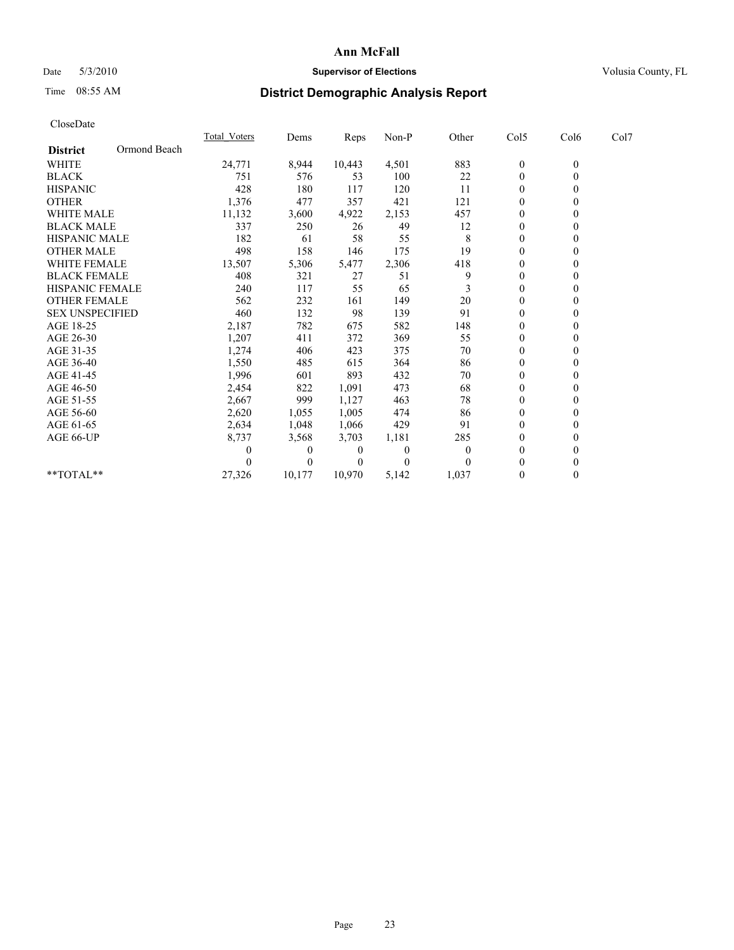## Date 5/3/2010 **Supervisor of Elections Supervisor of Elections** Volusia County, FL

# Time 08:55 AM **District Demographic Analysis Report**

| CloseDate              |              |                     |        |        |          |              |                  |                  |      |  |
|------------------------|--------------|---------------------|--------|--------|----------|--------------|------------------|------------------|------|--|
|                        |              | <b>Total Voters</b> | Dems   | Reps   | Non-P    | Other        | Col5             | Col6             | Col7 |  |
| <b>District</b>        | Ormond Beach |                     |        |        |          |              |                  |                  |      |  |
| <b>WHITE</b>           |              | 24,771              | 8,944  | 10,443 | 4,501    | 883          | $\overline{0}$   | $\mathbf{0}$     |      |  |
| <b>BLACK</b>           |              | 751                 | 576    | 53     | 100      | 22           | $\boldsymbol{0}$ | $\theta$         |      |  |
| <b>HISPANIC</b>        |              | 428                 | 180    | 117    | 120      | 11           | $\Omega$         | 0                |      |  |
| <b>OTHER</b>           |              | 1,376               | 477    | 357    | 421      | 121          | $\theta$         | 0                |      |  |
| <b>WHITE MALE</b>      |              | 11,132              | 3,600  | 4,922  | 2,153    | 457          | $\Omega$         | 0                |      |  |
| <b>BLACK MALE</b>      |              | 337                 | 250    | 26     | 49       | 12           | $\mathbf{0}$     | 0                |      |  |
| <b>HISPANIC MALE</b>   |              | 182                 | 61     | 58     | 55       | 8            | $\mathbf{0}$     | 0                |      |  |
| <b>OTHER MALE</b>      |              | 498                 | 158    | 146    | 175      | 19           | $\theta$         | 0                |      |  |
| WHITE FEMALE           |              | 13,507              | 5,306  | 5,477  | 2,306    | 418          | $\theta$         | 0                |      |  |
| <b>BLACK FEMALE</b>    |              | 408                 | 321    | 27     | 51       | 9            | $\Omega$         | 0                |      |  |
| <b>HISPANIC FEMALE</b> |              | 240                 | 117    | 55     | 65       | 3            | $\theta$         | 0                |      |  |
| <b>OTHER FEMALE</b>    |              | 562                 | 232    | 161    | 149      | 20           | $\Omega$         | 0                |      |  |
| <b>SEX UNSPECIFIED</b> |              | 460                 | 132    | 98     | 139      | 91           | $\theta$         | 0                |      |  |
| AGE 18-25              |              | 2,187               | 782    | 675    | 582      | 148          | $\mathbf{0}$     | 0                |      |  |
| AGE 26-30              |              | 1,207               | 411    | 372    | 369      | 55           | $\theta$         | 0                |      |  |
| AGE 31-35              |              | 1,274               | 406    | 423    | 375      | 70           | $\theta$         | 0                |      |  |
| AGE 36-40              |              | 1,550               | 485    | 615    | 364      | 86           | $\Omega$         | 0                |      |  |
| AGE 41-45              |              | 1,996               | 601    | 893    | 432      | 70           | $\theta$         | 0                |      |  |
| AGE 46-50              |              | 2,454               | 822    | 1,091  | 473      | 68           | $\mathbf{0}$     | 0                |      |  |
| AGE 51-55              |              | 2,667               | 999    | 1,127  | 463      | 78           | 0                | 0                |      |  |
| AGE 56-60              |              | 2,620               | 1,055  | 1.005  | 474      | 86           | $\mathbf{0}$     | 0                |      |  |
| AGE 61-65              |              | 2,634               | 1,048  | 1,066  | 429      | 91           | $\theta$         | $\theta$         |      |  |
| AGE 66-UP              |              | 8,737               | 3,568  | 3,703  | 1,181    | 285          | $\theta$         | $\boldsymbol{0}$ |      |  |
|                        |              |                     | 0      | 0      | $\theta$ | $\mathbf{0}$ | $\theta$         | 0                |      |  |
|                        |              |                     | 0      | 0      | $\theta$ | $\Omega$     | 0                | 0                |      |  |
| **TOTAL**              |              | 27,326              | 10,177 | 10,970 | 5,142    | 1,037        | 0                | $\theta$         |      |  |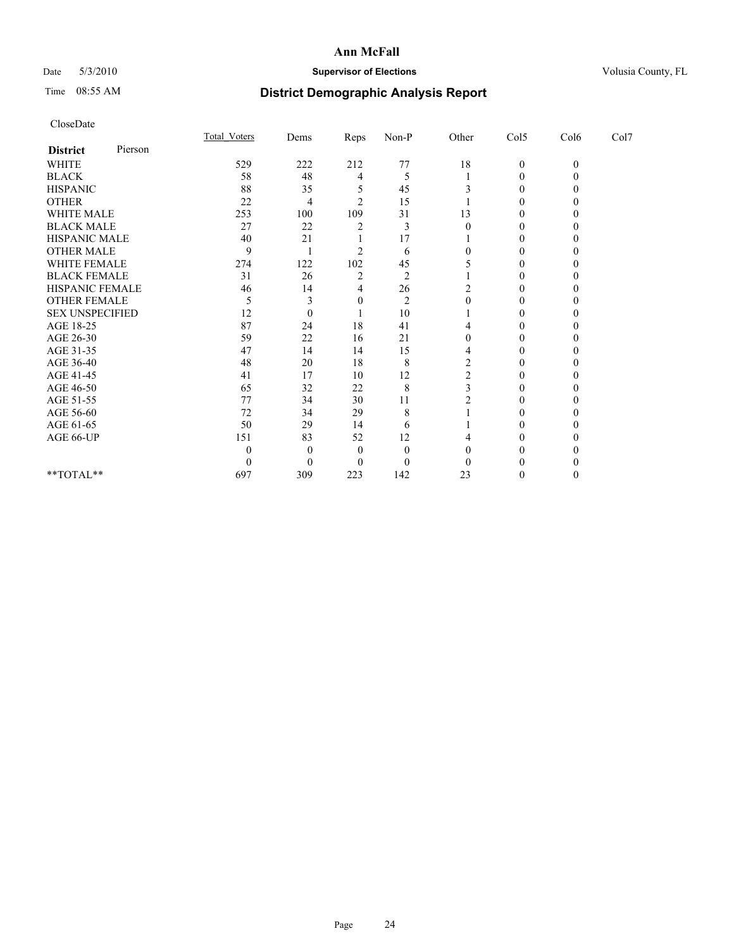# Date 5/3/2010 **Supervisor of Elections Supervisor of Elections** Volusia County, FL

# Time 08:55 AM **District Demographic Analysis Report**

|                        |         | Total Voters | Dems     | <b>Reps</b>    | $Non-P$        | Other  | Col5         | Col6         | Col7 |  |
|------------------------|---------|--------------|----------|----------------|----------------|--------|--------------|--------------|------|--|
| <b>District</b>        | Pierson |              |          |                |                |        |              |              |      |  |
| <b>WHITE</b>           |         | 529          | 222      | 212            | 77             | $18\,$ | $\mathbf{0}$ | $\mathbf{0}$ |      |  |
| <b>BLACK</b>           |         | 58           | 48       | 4              | 5              |        | $\Omega$     |              |      |  |
| <b>HISPANIC</b>        |         | 88           | 35       |                | 45             |        | 0            |              |      |  |
| <b>OTHER</b>           |         | 22           | 4        | $\mathfrak{D}$ | 15             |        | 0            |              |      |  |
| <b>WHITE MALE</b>      |         | 253          | 100      | 109            | 31             | 13     |              |              |      |  |
| <b>BLACK MALE</b>      |         | 27           | 22       |                | 3              |        | 0            |              |      |  |
| HISPANIC MALE          |         | 40           | 21       |                | 17             |        | 0            |              |      |  |
| <b>OTHER MALE</b>      |         | 9            |          | $\mathfrak{D}$ | 6              |        | 0            |              |      |  |
| WHITE FEMALE           |         | 274          | 122      | 102            | 45             |        | 0            |              |      |  |
| <b>BLACK FEMALE</b>    |         | 31           | 26       | $\overline{2}$ | $\overline{2}$ |        | 0            |              |      |  |
| HISPANIC FEMALE        |         | 46           | 14       | 4              | 26             |        | 0            |              |      |  |
| <b>OTHER FEMALE</b>    |         | 5            | 3        | $\theta$       | $\overline{2}$ | 0      | 0            |              |      |  |
| <b>SEX UNSPECIFIED</b> |         | 12           | $\theta$ |                | 10             |        | $\Omega$     |              |      |  |
| AGE 18-25              |         | 87           | 24       | 18             | 41             |        | 0            |              |      |  |
| AGE 26-30              |         | 59           | 22       | 16             | 21             | 0      | $\Omega$     |              |      |  |
| AGE 31-35              |         | 47           | 14       | 14             | 15             |        | $\Omega$     |              |      |  |
| AGE 36-40              |         | 48           | 20       | 18             | 8              | 2      | 0            |              |      |  |
| AGE 41-45              |         | 41           | 17       | 10             | 12             |        | 0            |              |      |  |
| AGE 46-50              |         | 65           | 32       | $22\,$         | 8              |        | 0            |              |      |  |
| AGE 51-55              |         | 77           | 34       | 30             | 11             |        | 0            |              |      |  |
| AGE 56-60              |         | 72           | 34       | 29             | 8              |        | 0            |              |      |  |
| AGE 61-65              |         | 50           | 29       | 14             | 6              |        | 0            |              |      |  |
| AGE 66-UP              |         | 151          | 83       | 52             | 12             |        |              |              |      |  |
|                        |         |              | $\Omega$ | $\Omega$       | $\theta$       |        | 0            |              |      |  |
|                        |         |              | $\Omega$ | $\Omega$       | $\theta$       |        |              |              |      |  |
| **TOTAL**              |         | 697          | 309      | 223            | 142            | 23     | 0            |              |      |  |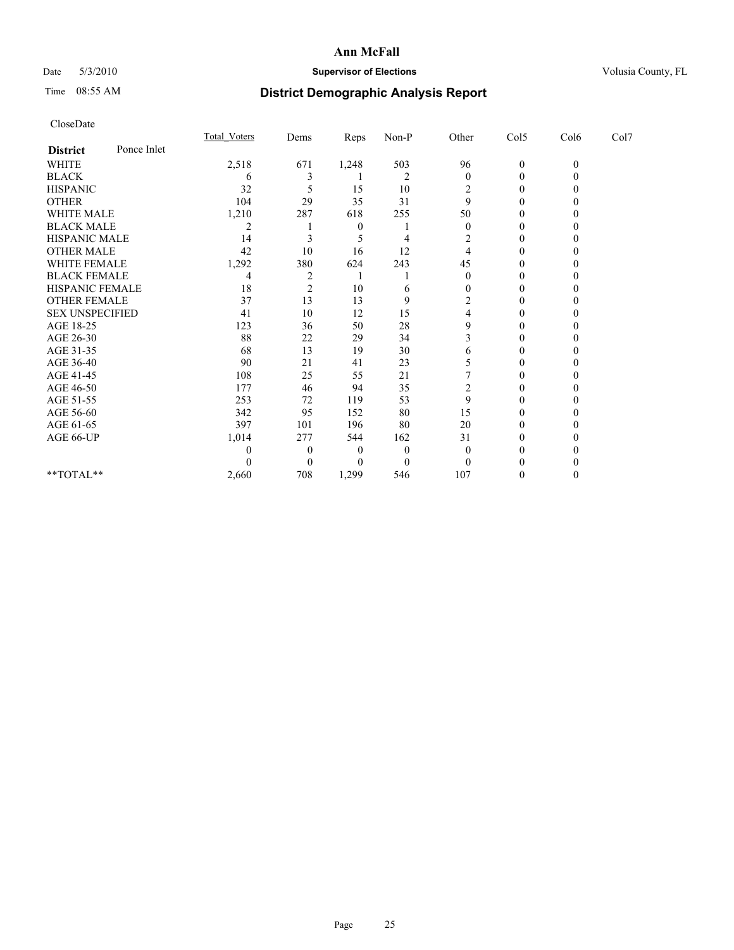# Date 5/3/2010 **Supervisor of Elections Supervisor of Elections** Volusia County, FL

# Time 08:55 AM **District Demographic Analysis Report**

|                        |             | Total Voters | Dems           | Reps             | $Non-P$        | Other    | Col5         | Col6         | Col7 |  |
|------------------------|-------------|--------------|----------------|------------------|----------------|----------|--------------|--------------|------|--|
| <b>District</b>        | Ponce Inlet |              |                |                  |                |          |              |              |      |  |
| <b>WHITE</b>           |             | 2,518        | 671            | 1,248            | 503            | 96       | $\mathbf{0}$ | $\mathbf{0}$ |      |  |
| <b>BLACK</b>           |             | 6            |                |                  | $\overline{2}$ | $\theta$ | 0            |              |      |  |
| <b>HISPANIC</b>        |             | 32           |                | 15               | 10             | 2        | $\Omega$     |              |      |  |
| <b>OTHER</b>           |             | 104          | 29             | 35               | 31             | 9        | 0            |              |      |  |
| <b>WHITE MALE</b>      |             | 1,210        | 287            | 618              | 255            | 50       | 0            |              |      |  |
| <b>BLACK MALE</b>      |             |              |                | 0                |                | $\theta$ | 0            |              |      |  |
| HISPANIC MALE          |             | 14           |                |                  | 4              | 2        | $\Omega$     |              |      |  |
| <b>OTHER MALE</b>      |             | 42           | 10             | 16               | 12             | 4        | 0            |              |      |  |
| WHITE FEMALE           |             | 1,292        | 380            | 624              | 243            | 45       | 0            |              |      |  |
| <b>BLACK FEMALE</b>    |             | 4            | $\overline{2}$ |                  |                | 0        | 0            |              |      |  |
| HISPANIC FEMALE        |             | 18           | $\overline{c}$ | 10               | 6              | 0        | 0            |              |      |  |
| <b>OTHER FEMALE</b>    |             | 37           | 13             | 13               | 9              | 2        | 0            |              |      |  |
| <b>SEX UNSPECIFIED</b> |             | 41           | 10             | 12               | 15             | 4        | 0            |              |      |  |
| AGE 18-25              |             | 123          | 36             | 50               | 28             | 9        | 0            |              |      |  |
| AGE 26-30              |             | 88           | 22             | 29               | 34             |          | $\Omega$     |              |      |  |
| AGE 31-35              |             | 68           | 13             | 19               | 30             | 6        | $\Omega$     |              |      |  |
| AGE 36-40              |             | 90           | 21             | 41               | 23             | 5        | 0            |              |      |  |
| AGE 41-45              |             | 108          | 25             | 55               | 21             |          | $\Omega$     |              |      |  |
| AGE 46-50              |             | 177          | 46             | 94               | 35             | 2        | 0            |              |      |  |
| AGE 51-55              |             | 253          | 72             | 119              | 53             | 9        | 0            |              |      |  |
| AGE 56-60              |             | 342          | 95             | 152              | 80             | 15       | 0            |              |      |  |
| AGE 61-65              |             | 397          | 101            | 196              | 80             | 20       | 0            |              |      |  |
| AGE 66-UP              |             | 1,014        | 277            | 544              | 162            | 31       | 0            |              |      |  |
|                        |             |              | $\theta$       | $\boldsymbol{0}$ | $\theta$       | 0        | 0            |              |      |  |
|                        |             |              | $\Omega$       | 0                | $\theta$       | 0        |              |              |      |  |
| **TOTAL**              |             | 2,660        | 708            | 1,299            | 546            | 107      | 0            |              |      |  |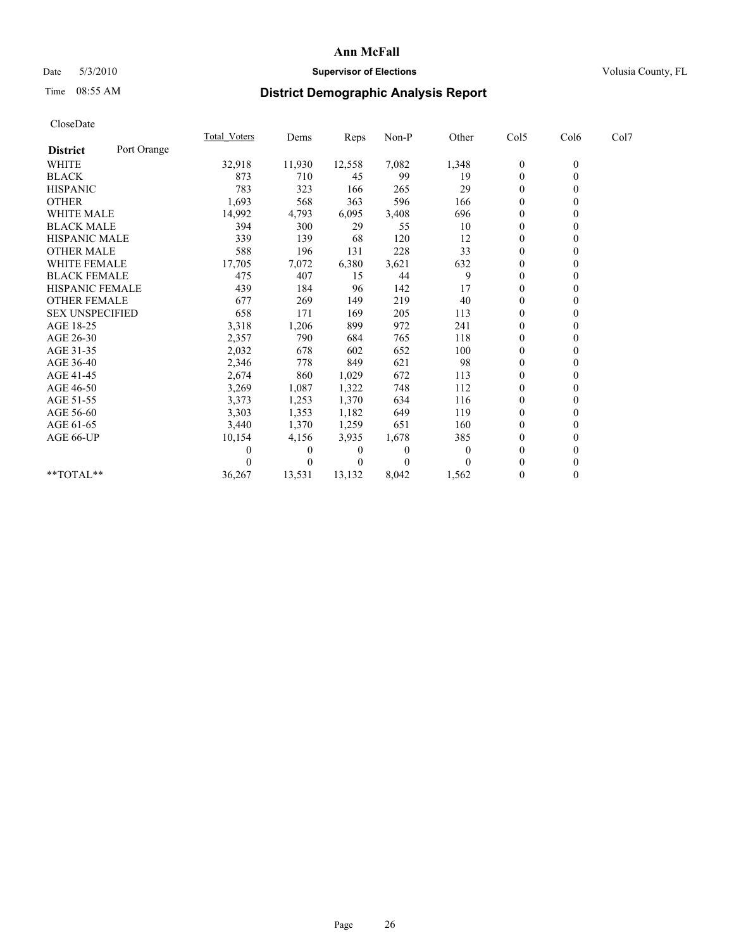# Date 5/3/2010 **Supervisor of Elections Supervisor of Elections** Volusia County, FL

# Time 08:55 AM **District Demographic Analysis Report**

|                        |             | <b>Total Voters</b> | Dems     | <b>Reps</b> | Non-P    | Other    | Col5             | Col6         | Col7 |  |
|------------------------|-------------|---------------------|----------|-------------|----------|----------|------------------|--------------|------|--|
| <b>District</b>        | Port Orange |                     |          |             |          |          |                  |              |      |  |
| <b>WHITE</b>           |             | 32,918              | 11,930   | 12,558      | 7,082    | 1,348    | $\boldsymbol{0}$ | $\mathbf{0}$ |      |  |
| <b>BLACK</b>           |             | 873                 | 710      | 45          | 99       | 19       | $\mathbf{0}$     |              |      |  |
| <b>HISPANIC</b>        |             | 783                 | 323      | 166         | 265      | 29       | $\Omega$         |              |      |  |
| <b>OTHER</b>           |             | 1,693               | 568      | 363         | 596      | 166      | $\Omega$         |              |      |  |
| WHITE MALE             |             | 14,992              | 4,793    | 6,095       | 3,408    | 696      | 0                |              |      |  |
| <b>BLACK MALE</b>      |             | 394                 | 300      | 29          | 55       | 10       | $\theta$         |              |      |  |
| <b>HISPANIC MALE</b>   |             | 339                 | 139      | 68          | 120      | 12       | $\theta$         |              |      |  |
| <b>OTHER MALE</b>      |             | 588                 | 196      | 131         | 228      | 33       | $\Omega$         |              |      |  |
| <b>WHITE FEMALE</b>    |             | 17,705              | 7,072    | 6,380       | 3,621    | 632      | $\theta$         |              |      |  |
| <b>BLACK FEMALE</b>    |             | 475                 | 407      | 15          | 44       | 9        | $\theta$         |              |      |  |
| HISPANIC FEMALE        |             | 439                 | 184      | 96          | 142      | 17       | $\theta$         |              |      |  |
| <b>OTHER FEMALE</b>    |             | 677                 | 269      | 149         | 219      | 40       | $\theta$         |              |      |  |
| <b>SEX UNSPECIFIED</b> |             | 658                 | 171      | 169         | 205      | 113      | $\overline{0}$   |              |      |  |
| AGE 18-25              |             | 3,318               | 1,206    | 899         | 972      | 241      | $\theta$         |              |      |  |
| AGE 26-30              |             | 2,357               | 790      | 684         | 765      | 118      | $\theta$         |              |      |  |
| AGE 31-35              |             | 2,032               | 678      | 602         | 652      | 100      | $\Omega$         |              |      |  |
| AGE 36-40              |             | 2,346               | 778      | 849         | 621      | 98       | 0                |              |      |  |
| AGE 41-45              |             | 2,674               | 860      | 1,029       | 672      | 113      | $\theta$         |              |      |  |
| AGE 46-50              |             | 3,269               | 1,087    | 1,322       | 748      | 112      | $\Omega$         |              |      |  |
| AGE 51-55              |             | 3,373               | 1,253    | 1,370       | 634      | 116      | $\Omega$         |              |      |  |
| AGE 56-60              |             | 3,303               | 1,353    | 1,182       | 649      | 119      | $\theta$         |              |      |  |
| AGE 61-65              |             | 3,440               | 1,370    | 1,259       | 651      | 160      | $\theta$         |              |      |  |
| AGE 66-UP              |             | 10,154              | 4,156    | 3,935       | 1,678    | 385      | $\theta$         |              |      |  |
|                        |             |                     | $\theta$ | 0           | $\Omega$ | $\theta$ | $\theta$         |              |      |  |
|                        |             |                     | $\Omega$ | $\theta$    | $\Omega$ | $\Omega$ | $\Omega$         |              |      |  |
| **TOTAL**              |             | 36,267              | 13,531   | 13,132      | 8,042    | 1,562    | $\mathbf{0}$     | 0            |      |  |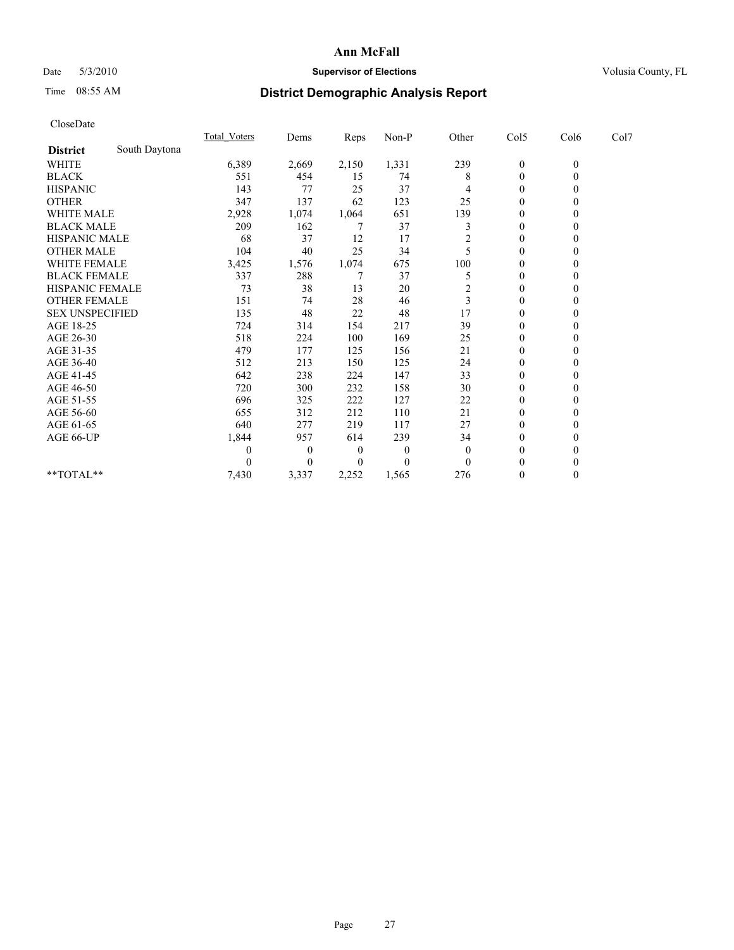## Date 5/3/2010 **Supervisor of Elections Supervisor of Elections** Volusia County, FL

# Time 08:55 AM **District Demographic Analysis Report**

| CloseDate              |               |                     |       |       |          |                |                  |                  |      |  |
|------------------------|---------------|---------------------|-------|-------|----------|----------------|------------------|------------------|------|--|
|                        |               | <b>Total Voters</b> | Dems  | Reps  | Non-P    | Other          | Col5             | Col6             | Col7 |  |
| <b>District</b>        | South Daytona |                     |       |       |          |                |                  |                  |      |  |
| WHITE                  |               | 6,389               | 2,669 | 2,150 | 1,331    | 239            | $\boldsymbol{0}$ | $\overline{0}$   |      |  |
| <b>BLACK</b>           |               | 551                 | 454   | 15    | 74       | 8              | $\boldsymbol{0}$ | $\overline{0}$   |      |  |
| <b>HISPANIC</b>        |               | 143                 | 77    | 25    | 37       | 4              | $\theta$         | 0                |      |  |
| <b>OTHER</b>           |               | 347                 | 137   | 62    | 123      | 25             | $\boldsymbol{0}$ | $\theta$         |      |  |
| <b>WHITE MALE</b>      |               | 2,928               | 1,074 | 1,064 | 651      | 139            | $\boldsymbol{0}$ | 0                |      |  |
| <b>BLACK MALE</b>      |               | 209                 | 162   | 7     | 37       | 3              | $\theta$         | 0                |      |  |
| HISPANIC MALE          |               | 68                  | 37    | 12    | 17       | $\overline{c}$ | $\boldsymbol{0}$ | 0                |      |  |
| <b>OTHER MALE</b>      |               | 104                 | 40    | 25    | 34       |                | $\mathbf{0}$     | 0                |      |  |
| WHITE FEMALE           |               | 3,425               | 1,576 | 1,074 | 675      | 100            | 0                | 0                |      |  |
| <b>BLACK FEMALE</b>    |               | 337                 | 288   | 7     | 37       | 5              | $\theta$         | 0                |      |  |
| <b>HISPANIC FEMALE</b> |               | 73                  | 38    | 13    | 20       | $\overline{2}$ | $\boldsymbol{0}$ | 0                |      |  |
| <b>OTHER FEMALE</b>    |               | 151                 | 74    | 28    | 46       | 3              | $\theta$         | 0                |      |  |
| <b>SEX UNSPECIFIED</b> |               | 135                 | 48    | 22    | 48       | 17             | $\theta$         | 0                |      |  |
| AGE 18-25              |               | 724                 | 314   | 154   | 217      | 39             | $\boldsymbol{0}$ | 0                |      |  |
| AGE 26-30              |               | 518                 | 224   | 100   | 169      | 25             | $\theta$         | 0                |      |  |
| AGE 31-35              |               | 479                 | 177   | 125   | 156      | 21             | $\theta$         | 0                |      |  |
| AGE 36-40              |               | 512                 | 213   | 150   | 125      | 24             | $\theta$         | 0                |      |  |
| AGE 41-45              |               | 642                 | 238   | 224   | 147      | 33             | $\boldsymbol{0}$ | 0                |      |  |
| AGE 46-50              |               | 720                 | 300   | 232   | 158      | 30             | $\theta$         | 0                |      |  |
| AGE 51-55              |               | 696                 | 325   | 222   | 127      | 22             | $\boldsymbol{0}$ | 0                |      |  |
| AGE 56-60              |               | 655                 | 312   | 212   | 110      | 21             | $\boldsymbol{0}$ | 0                |      |  |
| AGE 61-65              |               | 640                 | 277   | 219   | 117      | 27             | $\theta$         | 0                |      |  |
| AGE 66-UP              |               | 1,844               | 957   | 614   | 239      | 34             | $\boldsymbol{0}$ | 0                |      |  |
|                        |               | 0                   | 0     | 0     | $\theta$ | $\mathbf{0}$   | 0                | 0                |      |  |
|                        |               | 0                   | 0     | 0     | $\theta$ | $\theta$       | 0                | 0                |      |  |
| **TOTAL**              |               | 7,430               | 3,337 | 2,252 | 1,565    | 276            | 0                | $\boldsymbol{0}$ |      |  |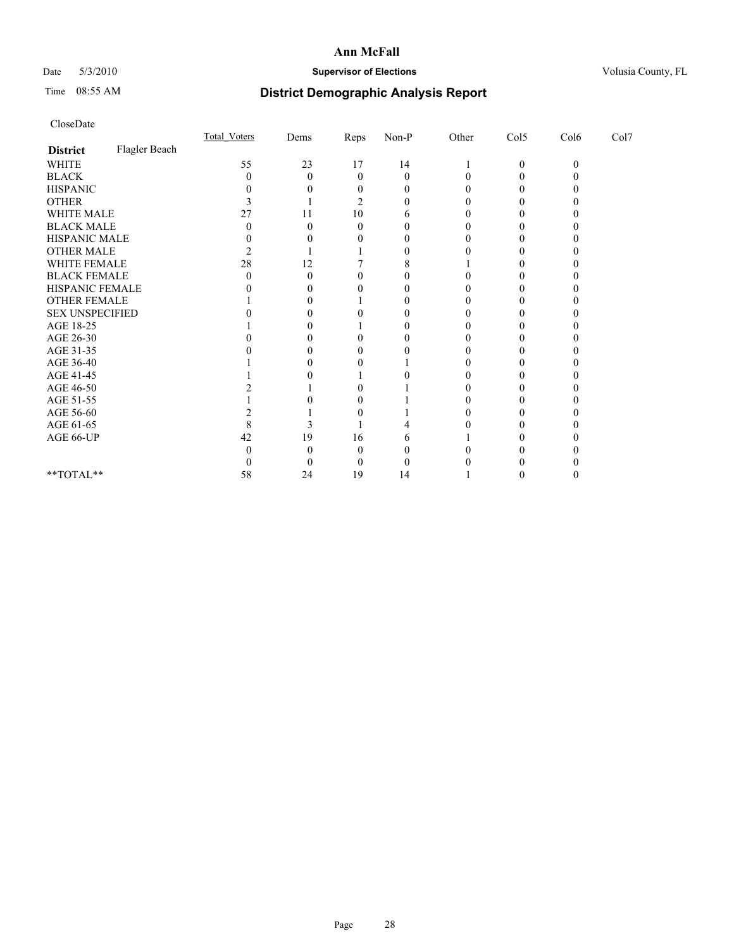# Date 5/3/2010 **Supervisor of Elections Supervisor of Elections** Volusia County, FL

# Time 08:55 AM **District Demographic Analysis Report**

|                        |               | <b>Total Voters</b> | Dems | Reps | $Non-P$      | Other | Col5         | Col6     | Col7 |  |
|------------------------|---------------|---------------------|------|------|--------------|-------|--------------|----------|------|--|
| <b>District</b>        | Flagler Beach |                     |      |      |              |       |              |          |      |  |
| WHITE                  |               | 55                  | 23   | 17   | 14           |       | $\mathbf{0}$ | $\theta$ |      |  |
| <b>BLACK</b>           |               |                     | 0    | 0    | $\Omega$     |       |              |          |      |  |
| <b>HISPANIC</b>        |               |                     |      |      | $\mathbf{0}$ |       |              |          |      |  |
| <b>OTHER</b>           |               |                     |      |      |              |       |              |          |      |  |
| WHITE MALE             |               |                     | 11   | 10   |              |       |              |          |      |  |
| <b>BLACK MALE</b>      |               |                     |      |      |              |       |              |          |      |  |
| HISPANIC MALE          |               |                     |      |      |              |       |              |          |      |  |
| <b>OTHER MALE</b>      |               |                     |      |      |              |       |              |          |      |  |
| WHITE FEMALE           |               | 28                  | 12   |      |              |       |              |          |      |  |
| <b>BLACK FEMALE</b>    |               |                     |      |      |              |       |              |          |      |  |
| HISPANIC FEMALE        |               |                     |      |      |              |       |              |          |      |  |
| OTHER FEMALE           |               |                     |      |      |              |       |              |          |      |  |
| <b>SEX UNSPECIFIED</b> |               |                     |      |      |              |       |              |          |      |  |
| AGE 18-25              |               |                     |      |      |              |       |              |          |      |  |
| AGE 26-30              |               |                     |      |      |              |       |              |          |      |  |
| AGE 31-35              |               |                     |      |      |              |       |              |          |      |  |
| AGE 36-40              |               |                     |      |      |              |       |              |          |      |  |
| AGE 41-45              |               |                     |      |      |              |       |              |          |      |  |
| AGE 46-50              |               |                     |      |      |              |       |              |          |      |  |
| AGE 51-55              |               |                     |      |      |              |       |              |          |      |  |
| AGE 56-60              |               |                     |      |      |              |       |              |          |      |  |
| AGE 61-65              |               |                     |      |      |              |       |              |          |      |  |
| AGE 66-UP              |               | 42                  | 19   | 16   |              |       |              |          |      |  |
|                        |               |                     |      |      |              |       |              |          |      |  |
|                        |               |                     |      |      |              |       |              |          |      |  |
| $**TOTAL**$            |               | 58                  | 24   | 19   | 14           |       |              |          |      |  |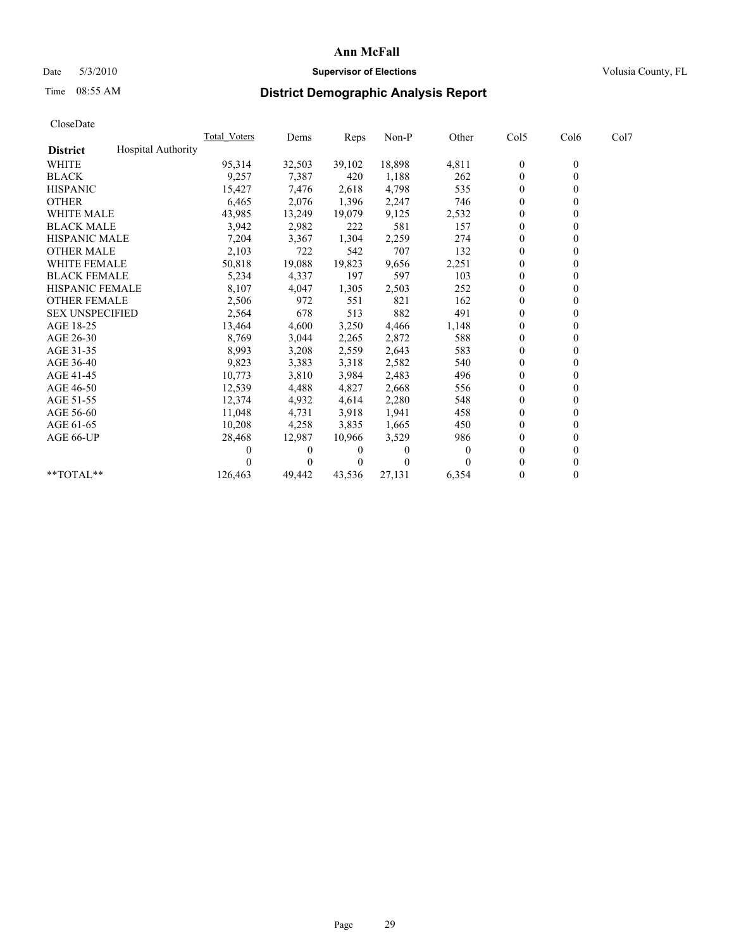# Date 5/3/2010 **Supervisor of Elections Supervisor of Elections** Volusia County, FL

# Time 08:55 AM **District Demographic Analysis Report**

|                                              | <b>Total Voters</b> | Dems     | <b>Reps</b> | Non-P    | Other    | Col5             | Col6         | Col7 |  |
|----------------------------------------------|---------------------|----------|-------------|----------|----------|------------------|--------------|------|--|
| <b>Hospital Authority</b><br><b>District</b> |                     |          |             |          |          |                  |              |      |  |
| <b>WHITE</b>                                 | 95,314              | 32,503   | 39,102      | 18,898   | 4,811    | $\boldsymbol{0}$ | $\mathbf{0}$ |      |  |
| <b>BLACK</b>                                 | 9,257               | 7,387    | 420         | 1,188    | 262      | $\mathbf{0}$     |              |      |  |
| <b>HISPANIC</b>                              | 15,427              | 7,476    | 2,618       | 4,798    | 535      | $\theta$         |              |      |  |
| <b>OTHER</b>                                 | 6,465               | 2,076    | 1,396       | 2,247    | 746      | $\theta$         |              |      |  |
| <b>WHITE MALE</b>                            | 43,985              | 13,249   | 19,079      | 9,125    | 2,532    | $\Omega$         |              |      |  |
| <b>BLACK MALE</b>                            | 3,942               | 2,982    | 222         | 581      | 157      | $\mathbf{0}$     |              |      |  |
| <b>HISPANIC MALE</b>                         | 7,204               | 3,367    | 1,304       | 2,259    | 274      | $\overline{0}$   |              |      |  |
| <b>OTHER MALE</b>                            | 2,103               | 722      | 542         | 707      | 132      | $\mathbf{0}$     |              |      |  |
| <b>WHITE FEMALE</b>                          | 50,818              | 19,088   | 19,823      | 9,656    | 2,251    | $\theta$         |              |      |  |
| <b>BLACK FEMALE</b>                          | 5,234               | 4,337    | 197         | 597      | 103      | $\theta$         |              |      |  |
| HISPANIC FEMALE                              | 8,107               | 4,047    | 1,305       | 2,503    | 252      | $\mathbf{0}$     |              |      |  |
| <b>OTHER FEMALE</b>                          | 2,506               | 972      | 551         | 821      | 162      | $\theta$         |              |      |  |
| <b>SEX UNSPECIFIED</b>                       | 2,564               | 678      | 513         | 882      | 491      | $\overline{0}$   |              |      |  |
| AGE 18-25                                    | 13,464              | 4,600    | 3,250       | 4,466    | 1,148    | 0                |              |      |  |
| AGE 26-30                                    | 8,769               | 3,044    | 2,265       | 2,872    | 588      | $\theta$         |              |      |  |
| AGE 31-35                                    | 8,993               | 3,208    | 2,559       | 2,643    | 583      | $\overline{0}$   |              |      |  |
| AGE 36-40                                    | 9,823               | 3,383    | 3,318       | 2,582    | 540      | $\overline{0}$   |              |      |  |
| AGE 41-45                                    | 10,773              | 3,810    | 3,984       | 2,483    | 496      | $\theta$         |              |      |  |
| AGE 46-50                                    | 12,539              | 4,488    | 4,827       | 2,668    | 556      | $\theta$         |              |      |  |
| AGE 51-55                                    | 12,374              | 4,932    | 4,614       | 2,280    | 548      | $\mathbf{0}$     |              |      |  |
| AGE 56-60                                    | 11,048              | 4,731    | 3,918       | 1,941    | 458      | $\theta$         |              |      |  |
| AGE 61-65                                    | 10,208              | 4,258    | 3,835       | 1,665    | 450      | $\mathbf{0}$     |              |      |  |
| AGE 66-UP                                    | 28,468              | 12,987   | 10,966      | 3,529    | 986      | $\mathbf{0}$     |              |      |  |
|                                              | 0                   | $\theta$ | 0           | $\Omega$ | $\theta$ | $\theta$         |              |      |  |
|                                              |                     | $\Omega$ | $\theta$    | $\theta$ |          | $\Omega$         |              |      |  |
| **TOTAL**                                    | 126,463             | 49,442   | 43,536      | 27,131   | 6,354    | $\mathbf{0}$     | 0            |      |  |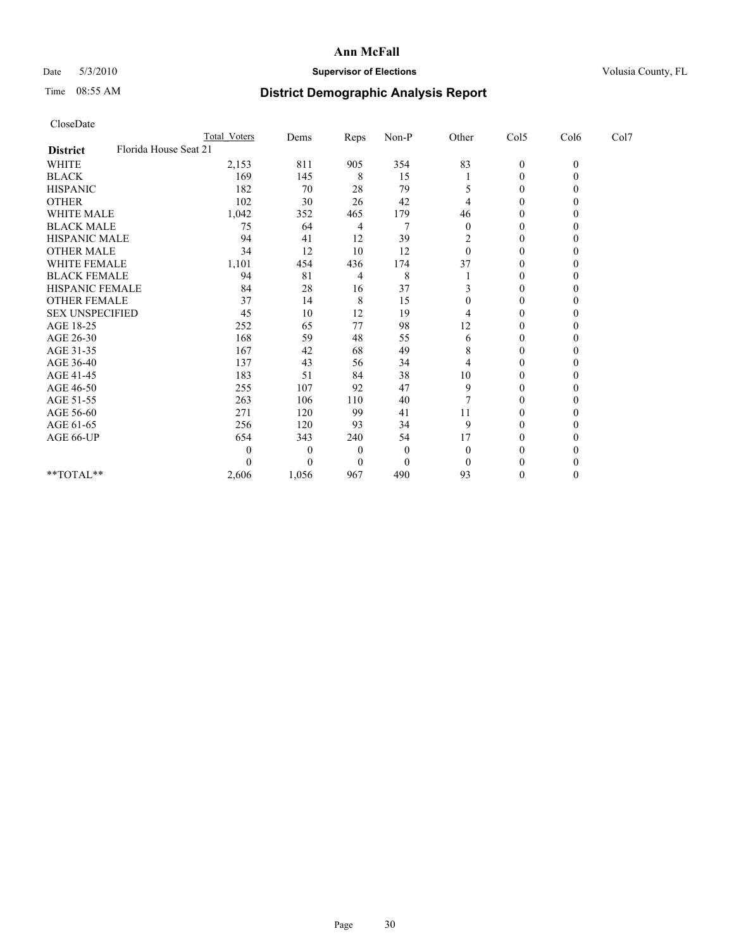# Date 5/3/2010 **Supervisor of Elections Supervisor of Elections** Volusia County, FL

# Time 08:55 AM **District Demographic Analysis Report**

|                                          | Total Voters | Dems     | <b>Reps</b>    | Non-P    | Other          | Col5             | Col6         | Col7 |  |
|------------------------------------------|--------------|----------|----------------|----------|----------------|------------------|--------------|------|--|
| Florida House Seat 21<br><b>District</b> |              |          |                |          |                |                  |              |      |  |
| WHITE                                    | 2,153        | 811      | 905            | 354      | 83             | $\overline{0}$   | $\mathbf{0}$ |      |  |
| <b>BLACK</b>                             | 169          | 145      | 8              | 15       |                | $\boldsymbol{0}$ | 0            |      |  |
| <b>HISPANIC</b>                          | 182          | 70       | 28             | 79       |                | $\theta$         |              |      |  |
| <b>OTHER</b>                             | 102          | 30       | 26             | 42       |                | 0                |              |      |  |
| <b>WHITE MALE</b>                        | 1,042        | 352      | 465            | 179      | 46             | 0                |              |      |  |
| <b>BLACK MALE</b>                        | 75           | 64       | 4              |          | $\mathbf{0}$   | $\theta$         |              |      |  |
| <b>HISPANIC MALE</b>                     | 94           | 41       | 12             | 39       | $\overline{c}$ | $\boldsymbol{0}$ |              |      |  |
| <b>OTHER MALE</b>                        | 34           | 12       | 10             | 12       | $\theta$       | 0                |              |      |  |
| WHITE FEMALE                             | 1,101        | 454      | 436            | 174      | 37             | $\theta$         |              |      |  |
| <b>BLACK FEMALE</b>                      | 94           | 81       | 4              | 8        |                | $\mathbf{0}$     |              |      |  |
| HISPANIC FEMALE                          | 84           | 28       | 16             | 37       |                | $\theta$         |              |      |  |
| <b>OTHER FEMALE</b>                      | 37           | 14       | 8              | 15       | 0              | 0                |              |      |  |
| <b>SEX UNSPECIFIED</b>                   | 45           | 10       | 12             | 19       | 4              | 0                |              |      |  |
| AGE 18-25                                | 252          | 65       | 77             | 98       | 12             | $\theta$         |              |      |  |
| AGE 26-30                                | 168          | 59       | 48             | 55       | 6              | $\theta$         |              |      |  |
| AGE 31-35                                | 167          | 42       | 68             | 49       | 8              | 0                |              |      |  |
| AGE 36-40                                | 137          | 43       | 56             | 34       | 4              | 0                |              |      |  |
| AGE 41-45                                | 183          | 51       | 84             | 38       | 10             | $\theta$         |              |      |  |
| AGE 46-50                                | 255          | 107      | 92             | 47       | 9              | $\theta$         |              |      |  |
| AGE 51-55                                | 263          | 106      | 110            | 40       | 7              | 0                |              |      |  |
| AGE 56-60                                | 271          | 120      | 99             | 41       | 11             | $\Omega$         |              |      |  |
| AGE 61-65                                | 256          | 120      | 93             | 34       | 9              | 0                |              |      |  |
| AGE 66-UP                                | 654          | 343      | 240            | 54       | 17             | 0                |              |      |  |
|                                          | $\theta$     | $\theta$ | $\overline{0}$ | $\theta$ | $\mathbf{0}$   | $\Omega$         |              |      |  |
|                                          | 0            |          | $\theta$       | $\theta$ | $\Omega$       | 0                |              |      |  |
| $**TOTAL**$                              | 2,606        | 1,056    | 967            | 490      | 93             | $\theta$         |              |      |  |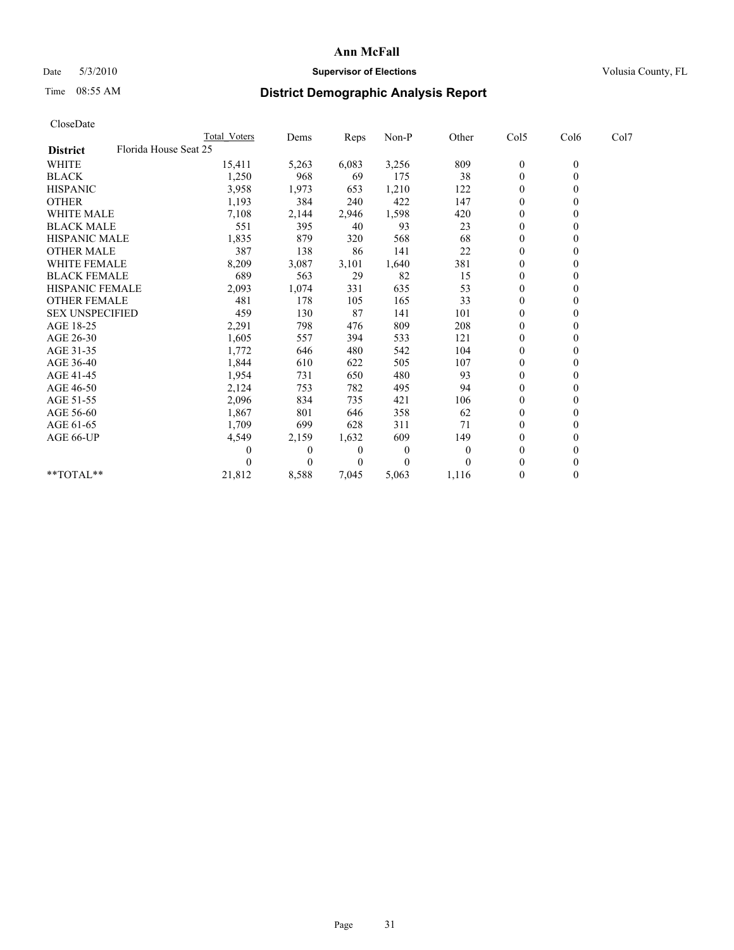# Date 5/3/2010 **Supervisor of Elections Supervisor of Elections** Volusia County, FL

# Time 08:55 AM **District Demographic Analysis Report**

|                                          | Total Voters | Dems     | <b>Reps</b> | Non-P    | Other    | Col5             | Col6         | Col7 |  |
|------------------------------------------|--------------|----------|-------------|----------|----------|------------------|--------------|------|--|
| Florida House Seat 25<br><b>District</b> |              |          |             |          |          |                  |              |      |  |
| <b>WHITE</b>                             | 15,411       | 5,263    | 6,083       | 3,256    | 809      | $\boldsymbol{0}$ | $\mathbf{0}$ |      |  |
| <b>BLACK</b>                             | 1,250        | 968      | 69          | 175      | 38       | $\theta$         |              |      |  |
| <b>HISPANIC</b>                          | 3,958        | 1,973    | 653         | 1,210    | 122      | $\theta$         |              |      |  |
| <b>OTHER</b>                             | 1,193        | 384      | 240         | 422      | 147      | $\overline{0}$   |              |      |  |
| <b>WHITE MALE</b>                        | 7,108        | 2,144    | 2,946       | 1,598    | 420      | 0                |              |      |  |
| <b>BLACK MALE</b>                        | 551          | 395      | 40          | 93       | 23       | $\theta$         |              |      |  |
| <b>HISPANIC MALE</b>                     | 1,835        | 879      | 320         | 568      | 68       | $\theta$         |              |      |  |
| <b>OTHER MALE</b>                        | 387          | 138      | 86          | 141      | 22       | 0                |              |      |  |
| <b>WHITE FEMALE</b>                      | 8,209        | 3,087    | 3,101       | 1,640    | 381      | $\theta$         |              |      |  |
| <b>BLACK FEMALE</b>                      | 689          | 563      | 29          | 82       | 15       | $\overline{0}$   |              |      |  |
| HISPANIC FEMALE                          | 2,093        | 1,074    | 331         | 635      | 53       | $\mathbf{0}$     |              |      |  |
| <b>OTHER FEMALE</b>                      | 481          | 178      | 105         | 165      | 33       | $\theta$         |              |      |  |
| <b>SEX UNSPECIFIED</b>                   | 459          | 130      | 87          | 141      | 101      | $\overline{0}$   |              |      |  |
| AGE 18-25                                | 2,291        | 798      | 476         | 809      | 208      | $\Omega$         |              |      |  |
| AGE 26-30                                | 1,605        | 557      | 394         | 533      | 121      | $\theta$         |              |      |  |
| AGE 31-35                                | 1,772        | 646      | 480         | 542      | 104      | $\overline{0}$   |              |      |  |
| AGE 36-40                                | 1,844        | 610      | 622         | 505      | 107      | 0                |              |      |  |
| AGE 41-45                                | 1,954        | 731      | 650         | 480      | 93       | $\theta$         |              |      |  |
| AGE 46-50                                | 2,124        | 753      | 782         | 495      | 94       | $\overline{0}$   |              |      |  |
| AGE 51-55                                | 2,096        | 834      | 735         | 421      | 106      | 0                |              |      |  |
| AGE 56-60                                | 1,867        | 801      | 646         | 358      | 62       | $\theta$         |              |      |  |
| AGE 61-65                                | 1,709        | 699      | 628         | 311      | 71       | $\Omega$         |              |      |  |
| AGE 66-UP                                | 4,549        | 2,159    | 1,632       | 609      | 149      | $\overline{0}$   |              |      |  |
|                                          | 0            | $\theta$ | 0           | $\theta$ | $\theta$ | $\theta$         |              |      |  |
|                                          |              | $\Omega$ | $\Omega$    | $\theta$ | $\Omega$ | $\Omega$         |              |      |  |
| **TOTAL**                                | 21,812       | 8,588    | 7,045       | 5,063    | 1,116    | $\mathbf{0}$     | 0            |      |  |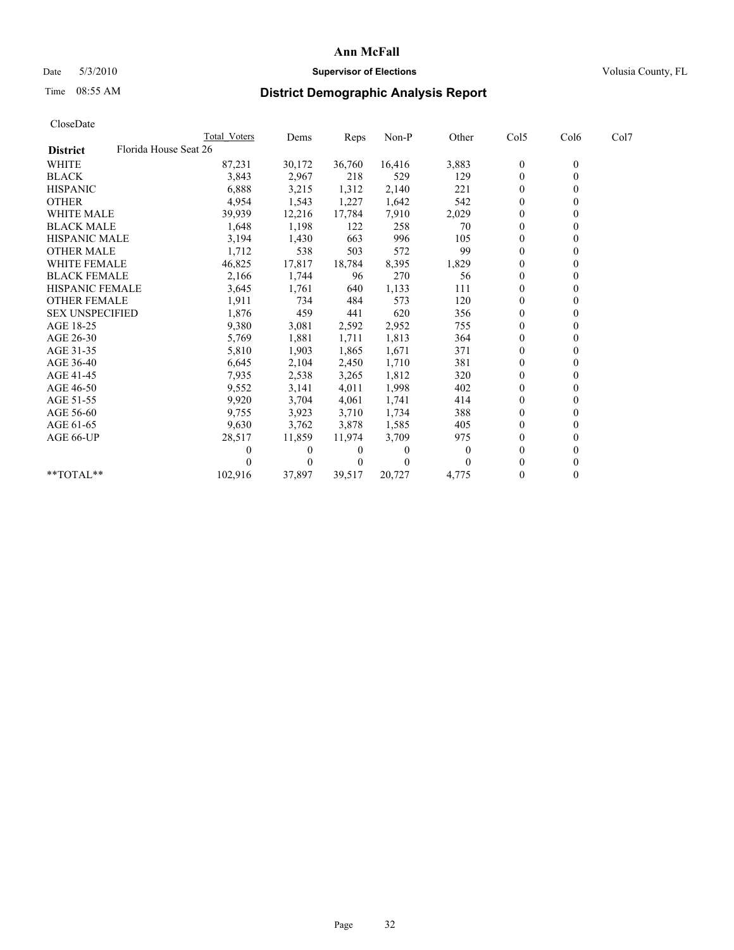# Date 5/3/2010 **Supervisor of Elections Supervisor of Elections** Volusia County, FL

# Time 08:55 AM **District Demographic Analysis Report**

|                                          | <b>Total Voters</b> | Dems     | <b>Reps</b>    | Non-P    | Other    | Col5             | Col6         | Col7 |
|------------------------------------------|---------------------|----------|----------------|----------|----------|------------------|--------------|------|
| Florida House Seat 26<br><b>District</b> |                     |          |                |          |          |                  |              |      |
| <b>WHITE</b>                             | 87,231              | 30,172   | 36,760         | 16,416   | 3,883    | $\boldsymbol{0}$ | $\mathbf{0}$ |      |
| <b>BLACK</b>                             | 3,843               | 2,967    | 218            | 529      | 129      | $\overline{0}$   |              |      |
| <b>HISPANIC</b>                          | 6,888               | 3,215    | 1,312          | 2,140    | 221      | $\Omega$         |              |      |
| <b>OTHER</b>                             | 4,954               | 1,543    | 1,227          | 1,642    | 542      | $\overline{0}$   |              |      |
| <b>WHITE MALE</b>                        | 39,939              | 12,216   | 17,784         | 7,910    | 2,029    | 0                |              |      |
| <b>BLACK MALE</b>                        | 1,648               | 1,198    | 122            | 258      | 70       | $\theta$         |              |      |
| <b>HISPANIC MALE</b>                     | 3,194               | 1,430    | 663            | 996      | 105      | $\overline{0}$   |              |      |
| <b>OTHER MALE</b>                        | 1,712               | 538      | 503            | 572      | 99       | $\overline{0}$   |              |      |
| <b>WHITE FEMALE</b>                      | 46,825              | 17,817   | 18,784         | 8,395    | 1,829    | $\theta$         |              |      |
| <b>BLACK FEMALE</b>                      | 2,166               | 1,744    | 96             | 270      | 56       | $\overline{0}$   |              |      |
| HISPANIC FEMALE                          | 3,645               | 1,761    | 640            | 1,133    | 111      | $\Omega$         |              |      |
| <b>OTHER FEMALE</b>                      | 1,911               | 734      | 484            | 573      | 120      | $\theta$         |              |      |
| <b>SEX UNSPECIFIED</b>                   | 1,876               | 459      | 441            | 620      | 356      | $\overline{0}$   |              |      |
| AGE 18-25                                | 9,380               | 3,081    | 2,592          | 2,952    | 755      | 0                |              |      |
| AGE 26-30                                | 5,769               | 1,881    | 1,711          | 1,813    | 364      | $\Omega$         |              |      |
| AGE 31-35                                | 5,810               | 1,903    | 1,865          | 1,671    | 371      | $\Omega$         |              |      |
| AGE 36-40                                | 6,645               | 2,104    | 2,450          | 1,710    | 381      | 0                |              |      |
| AGE 41-45                                | 7,935               | 2,538    | 3,265          | 1,812    | 320      | $\Omega$         |              |      |
| AGE 46-50                                | 9,552               | 3,141    | 4,011          | 1,998    | 402      | $\overline{0}$   |              |      |
| AGE 51-55                                | 9,920               | 3,704    | 4,061          | 1,741    | 414      | $\theta$         |              |      |
| AGE 56-60                                | 9,755               | 3,923    | 3,710          | 1,734    | 388      | $\theta$         |              |      |
| AGE 61-65                                | 9,630               | 3,762    | 3,878          | 1,585    | 405      | $\overline{0}$   |              |      |
| AGE 66-UP                                | 28,517              | 11,859   | 11,974         | 3,709    | 975      | $\overline{0}$   |              |      |
|                                          | $\mathbf{0}$        | $\Omega$ | 0              | $\Omega$ | $\theta$ | $\Omega$         |              |      |
|                                          |                     | $\Omega$ | $\overline{0}$ | $\theta$ |          | $\Omega$         |              |      |
| **TOTAL**                                | 102,916             | 37,897   | 39,517         | 20,727   | 4,775    | $\mathbf{0}$     |              |      |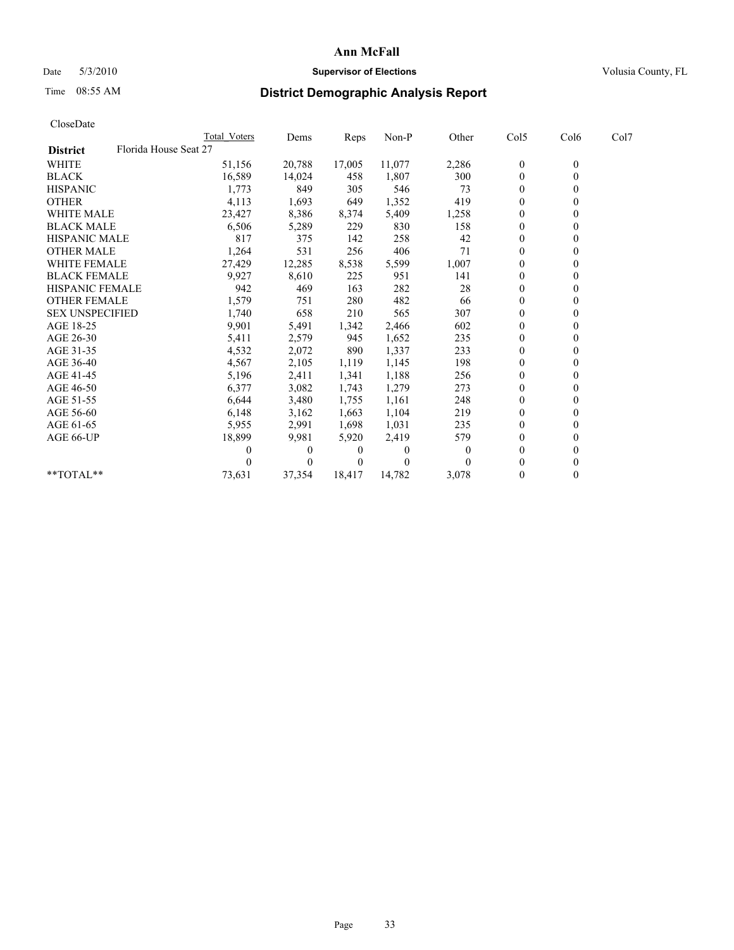# Date 5/3/2010 **Supervisor of Elections Supervisor of Elections** Volusia County, FL

# Time 08:55 AM **District Demographic Analysis Report**

|                                          | Total Voters | Dems     | Reps         | Non-P    | Other    | Col5           | Col6         | Col7 |  |
|------------------------------------------|--------------|----------|--------------|----------|----------|----------------|--------------|------|--|
| Florida House Seat 27<br><b>District</b> |              |          |              |          |          |                |              |      |  |
| <b>WHITE</b>                             | 51,156       | 20,788   | 17,005       | 11,077   | 2,286    | $\mathbf{0}$   | $\mathbf{0}$ |      |  |
| <b>BLACK</b>                             | 16,589       | 14,024   | 458          | 1,807    | 300      | $\mathbf{0}$   |              |      |  |
| <b>HISPANIC</b>                          | 1,773        | 849      | 305          | 546      | 73       | $\theta$       |              |      |  |
| <b>OTHER</b>                             | 4,113        | 1,693    | 649          | 1,352    | 419      | $\mathbf{0}$   |              |      |  |
| WHITE MALE                               | 23,427       | 8,386    | 8,374        | 5,409    | 1,258    | $\theta$       |              |      |  |
| <b>BLACK MALE</b>                        | 6,506        | 5,289    | 229          | 830      | 158      | $\Omega$       |              |      |  |
| <b>HISPANIC MALE</b>                     | 817          | 375      | 142          | 258      | 42       | $\theta$       |              |      |  |
| <b>OTHER MALE</b>                        | 1,264        | 531      | 256          | 406      | 71       | $\Omega$       |              |      |  |
| WHITE FEMALE                             | 27,429       | 12,285   | 8,538        | 5,599    | 1,007    | $\theta$       |              |      |  |
| <b>BLACK FEMALE</b>                      | 9,927        | 8,610    | 225          | 951      | 141      | $\mathbf{0}$   |              |      |  |
| HISPANIC FEMALE                          | 942          | 469      | 163          | 282      | 28       | $\theta$       |              |      |  |
| <b>OTHER FEMALE</b>                      | 1,579        | 751      | 280          | 482      | 66       | $\Omega$       |              |      |  |
| <b>SEX UNSPECIFIED</b>                   | 1,740        | 658      | 210          | 565      | 307      | $\mathbf{0}$   |              |      |  |
| AGE 18-25                                | 9,901        | 5,491    | 1,342        | 2,466    | 602      | $\theta$       |              |      |  |
| AGE 26-30                                | 5,411        | 2,579    | 945          | 1,652    | 235      | $\Omega$       |              |      |  |
| AGE 31-35                                | 4,532        | 2,072    | 890          | 1,337    | 233      | $\mathbf{0}$   |              |      |  |
| AGE 36-40                                | 4,567        | 2,105    | 1,119        | 1,145    | 198      | $\Omega$       |              |      |  |
| AGE 41-45                                | 5,196        | 2,411    | 1,341        | 1,188    | 256      | $\theta$       |              |      |  |
| AGE 46-50                                | 6,377        | 3,082    | 1,743        | 1,279    | 273      | $\mathbf{0}$   |              |      |  |
| AGE 51-55                                | 6,644        | 3,480    | 1,755        | 1,161    | 248      | $\theta$       |              |      |  |
| AGE 56-60                                | 6,148        | 3,162    | 1,663        | 1,104    | 219      | $\theta$       |              |      |  |
| AGE 61-65                                | 5,955        | 2,991    | 1,698        | 1,031    | 235      | $\theta$       |              |      |  |
| AGE 66-UP                                | 18,899       | 9,981    | 5,920        | 2,419    | 579      | $\mathbf{0}$   |              |      |  |
|                                          | 0            | $\theta$ | $\theta$     | $\theta$ | $\theta$ | $\Omega$       |              |      |  |
|                                          |              | $\Omega$ | $\mathbf{0}$ | $\theta$ | $\theta$ | $\Omega$       |              |      |  |
| **TOTAL**                                | 73,631       | 37,354   | 18,417       | 14,782   | 3,078    | $\overline{0}$ | 0            |      |  |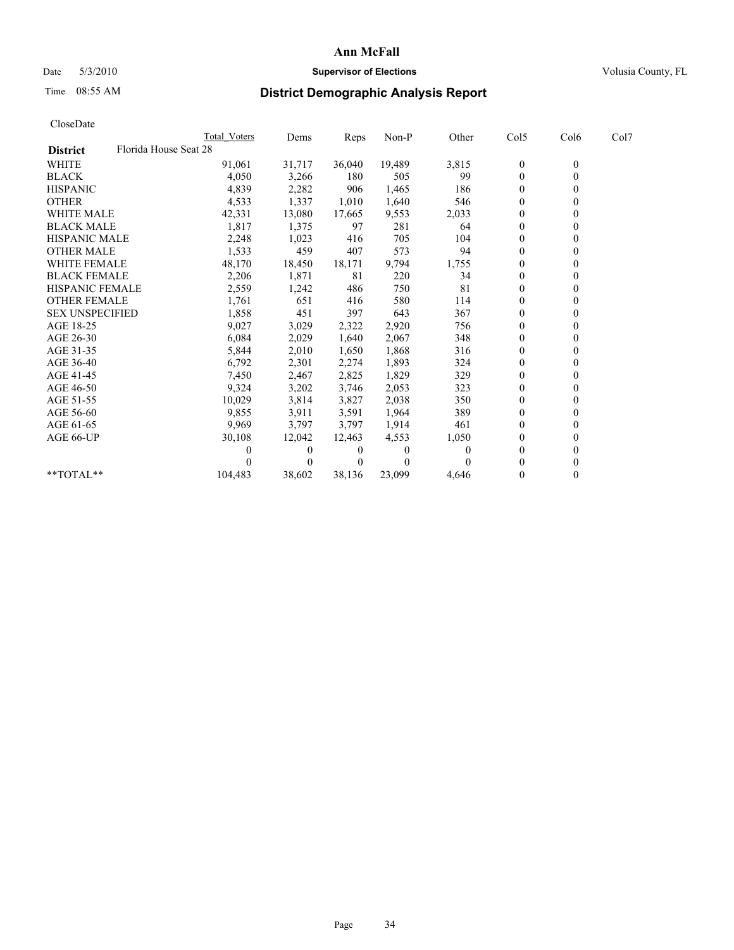# Date 5/3/2010 **Supervisor of Elections Supervisor of Elections** Volusia County, FL

# Time 08:55 AM **District Demographic Analysis Report**

|                                          | Total Voters | Dems     | <b>Reps</b> | Non-P    | Other | Col5           | Col6         | Col7 |  |
|------------------------------------------|--------------|----------|-------------|----------|-------|----------------|--------------|------|--|
| Florida House Seat 28<br><b>District</b> |              |          |             |          |       |                |              |      |  |
| <b>WHITE</b>                             | 91,061       | 31,717   | 36,040      | 19,489   | 3,815 | $\theta$       | $\mathbf{0}$ |      |  |
| <b>BLACK</b>                             | 4,050        | 3,266    | 180         | 505      | 99    | $\mathbf{0}$   |              |      |  |
| <b>HISPANIC</b>                          | 4,839        | 2,282    | 906         | 1,465    | 186   | $\theta$       |              |      |  |
| <b>OTHER</b>                             | 4,533        | 1,337    | 1,010       | 1,640    | 546   | $\Omega$       |              |      |  |
| <b>WHITE MALE</b>                        | 42,331       | 13,080   | 17,665      | 9,553    | 2,033 | 0              |              |      |  |
| <b>BLACK MALE</b>                        | 1,817        | 1,375    | 97          | 281      | 64    | $\theta$       |              |      |  |
| <b>HISPANIC MALE</b>                     | 2,248        | 1,023    | 416         | 705      | 104   | $\theta$       |              |      |  |
| <b>OTHER MALE</b>                        | 1,533        | 459      | 407         | 573      | 94    | $\Omega$       |              |      |  |
| <b>WHITE FEMALE</b>                      | 48,170       | 18,450   | 18,171      | 9,794    | 1,755 | $\theta$       |              |      |  |
| <b>BLACK FEMALE</b>                      | 2,206        | 1,871    | 81          | 220      | 34    | $\overline{0}$ |              |      |  |
| HISPANIC FEMALE                          | 2,559        | 1,242    | 486         | 750      | 81    | $\Omega$       |              |      |  |
| <b>OTHER FEMALE</b>                      | 1,761        | 651      | 416         | 580      | 114   | $\Omega$       |              |      |  |
| <b>SEX UNSPECIFIED</b>                   | 1,858        | 451      | 397         | 643      | 367   | $\theta$       |              |      |  |
| AGE 18-25                                | 9,027        | 3,029    | 2,322       | 2,920    | 756   | $\overline{0}$ |              |      |  |
| AGE 26-30                                | 6,084        | 2,029    | 1,640       | 2,067    | 348   | $\mathbf{0}$   |              |      |  |
| AGE 31-35                                | 5,844        | 2,010    | 1,650       | 1,868    | 316   | $\overline{0}$ |              |      |  |
| AGE 36-40                                | 6,792        | 2,301    | 2,274       | 1,893    | 324   | $\overline{0}$ |              |      |  |
| AGE 41-45                                | 7,450        | 2,467    | 2,825       | 1,829    | 329   | $\theta$       |              |      |  |
| AGE 46-50                                | 9,324        | 3,202    | 3,746       | 2,053    | 323   | $\theta$       |              |      |  |
| AGE 51-55                                | 10,029       | 3,814    | 3,827       | 2,038    | 350   | $\overline{0}$ |              |      |  |
| AGE 56-60                                | 9,855        | 3,911    | 3,591       | 1,964    | 389   | $\theta$       |              |      |  |
| AGE 61-65                                | 9,969        | 3,797    | 3,797       | 1,914    | 461   | $\Omega$       |              |      |  |
| AGE 66-UP                                | 30,108       | 12,042   | 12,463      | 4,553    | 1,050 | 0              |              |      |  |
|                                          |              | 0        | 0           | $\theta$ | 0     | $\theta$       |              |      |  |
|                                          |              | $\Omega$ | $\theta$    | $\theta$ |       | 0              |              |      |  |
| $*$ $TOTAI.**$                           | 104,483      | 38,602   | 38,136      | 23,099   | 4,646 | $\theta$       |              |      |  |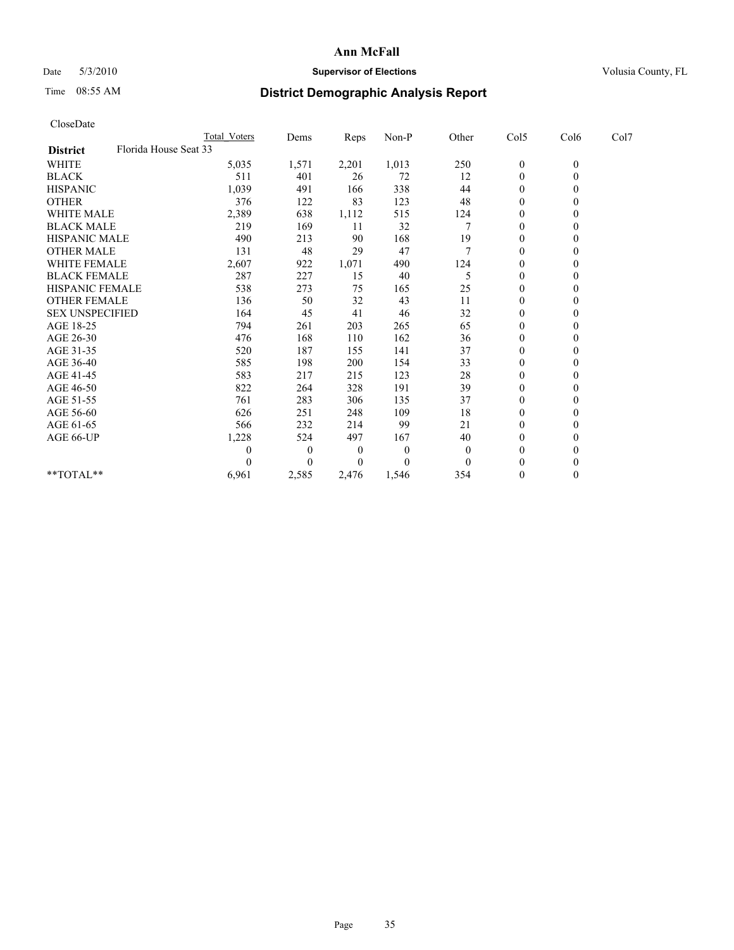## Date 5/3/2010 **Supervisor of Elections Supervisor of Elections** Volusia County, FL

# Time 08:55 AM **District Demographic Analysis Report**

| CloseDate              |                       |                     |                  |       |          |          |                  |              |      |
|------------------------|-----------------------|---------------------|------------------|-------|----------|----------|------------------|--------------|------|
|                        |                       | <b>Total Voters</b> | Dems             | Reps  | Non-P    | Other    | Col5             | Col6         | Col7 |
| <b>District</b>        | Florida House Seat 33 |                     |                  |       |          |          |                  |              |      |
| <b>WHITE</b>           |                       | 5,035               | 1,571            | 2,201 | 1,013    | 250      | $\boldsymbol{0}$ | $\mathbf{0}$ |      |
| <b>BLACK</b>           |                       | 511                 | 401              | 26    | 72       | 12       | $\boldsymbol{0}$ | $\mathbf{0}$ |      |
| <b>HISPANIC</b>        |                       | 1,039               | 491              | 166   | 338      | 44       | $\boldsymbol{0}$ | $\Omega$     |      |
| <b>OTHER</b>           |                       | 376                 | 122              | 83    | 123      | 48       | $\mathbf{0}$     | $\mathbf{0}$ |      |
| <b>WHITE MALE</b>      |                       | 2,389               | 638              | 1,112 | 515      | 124      | 0                | $\theta$     |      |
| <b>BLACK MALE</b>      |                       | 219                 | 169              | 11    | 32       |          | $\mathbf{0}$     | $\mathbf{0}$ |      |
| <b>HISPANIC MALE</b>   |                       | 490                 | 213              | 90    | 168      | 19       | 0                | $\Omega$     |      |
| <b>OTHER MALE</b>      |                       | 131                 | 48               | 29    | 47       | 7        | $\boldsymbol{0}$ | $\Omega$     |      |
| WHITE FEMALE           |                       | 2,607               | 922              | 1,071 | 490      | 124      | $\boldsymbol{0}$ | $\mathbf{0}$ |      |
| <b>BLACK FEMALE</b>    |                       | 287                 | 227              | 15    | 40       | 5        | 0                | $\theta$     |      |
| <b>HISPANIC FEMALE</b> |                       | 538                 | 273              | 75    | 165      | 25       | $\mathbf{0}$     | $\mathbf{0}$ |      |
| <b>OTHER FEMALE</b>    |                       | 136                 | 50               | 32    | 43       | 11       | $\boldsymbol{0}$ | $\Omega$     |      |
| <b>SEX UNSPECIFIED</b> |                       | 164                 | 45               | 41    | 46       | 32       | 0                | $\Omega$     |      |
| AGE 18-25              |                       | 794                 | 261              | 203   | 265      | 65       | $\overline{0}$   | $\Omega$     |      |
| AGE 26-30              |                       | 476                 | 168              | 110   | 162      | 36       | $\boldsymbol{0}$ | $\Omega$     |      |
| AGE 31-35              |                       | 520                 | 187              | 155   | 141      | 37       | $\boldsymbol{0}$ | $\mathbf{0}$ |      |
| AGE 36-40              |                       | 585                 | 198              | 200   | 154      | 33       | $\boldsymbol{0}$ | $\Omega$     |      |
| AGE 41-45              |                       | 583                 | 217              | 215   | 123      | 28       | 0                | $\Omega$     |      |
| AGE 46-50              |                       | 822                 | 264              | 328   | 191      | 39       | $\boldsymbol{0}$ | $\Omega$     |      |
| AGE 51-55              |                       | 761                 | 283              | 306   | 135      | 37       | 0                | $\Omega$     |      |
| AGE 56-60              |                       | 626                 | 251              | 248   | 109      | 18       | $\overline{0}$   | $\Omega$     |      |
| AGE 61-65              |                       | 566                 | 232              | 214   | 99       | 21       | $\boldsymbol{0}$ | $\Omega$     |      |
| AGE 66-UP              |                       | 1,228               | 524              | 497   | 167      | 40       | 0                | $\theta$     |      |
|                        |                       | 0                   | $\boldsymbol{0}$ | 0     | $\theta$ | $\theta$ | $\mathbf{0}$     | $\Omega$     |      |
|                        |                       | 0                   | $\theta$         | 0     | 0        | $\theta$ | $\theta$         | $\theta$     |      |
| $**TOTAL**$            |                       | 6,961               | 2,585            | 2,476 | 1,546    | 354      | $\boldsymbol{0}$ | $\mathbf{0}$ |      |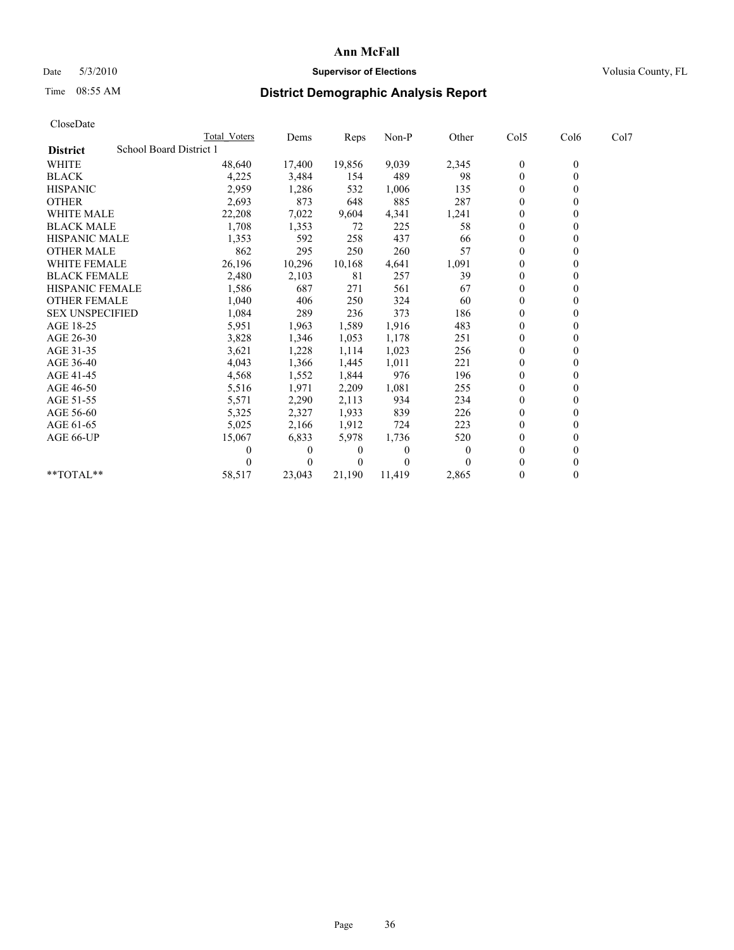# Date 5/3/2010 **Supervisor of Elections Supervisor of Elections** Volusia County, FL

# Time 08:55 AM **District Demographic Analysis Report**

|                        |                         | <b>Total Voters</b> | Dems     | Reps     | Non-P    | Other    | Col5         | Col6           | Col7 |  |  |
|------------------------|-------------------------|---------------------|----------|----------|----------|----------|--------------|----------------|------|--|--|
| <b>District</b>        | School Board District 1 |                     |          |          |          |          |              |                |      |  |  |
| <b>WHITE</b>           |                         | 48,640              | 17,400   | 19,856   | 9,039    | 2,345    | $\bf{0}$     | $\overline{0}$ |      |  |  |
| <b>BLACK</b>           |                         | 4,225               | 3,484    | 154      | 489      | 98       | $\theta$     |                |      |  |  |
| <b>HISPANIC</b>        |                         | 2,959               | 1,286    | 532      | 1,006    | 135      | $\theta$     |                |      |  |  |
| <b>OTHER</b>           |                         | 2,693               | 873      | 648      | 885      | 287      | $\theta$     |                |      |  |  |
| <b>WHITE MALE</b>      |                         | 22,208              | 7,022    | 9,604    | 4,341    | 1,241    | $\theta$     |                |      |  |  |
| <b>BLACK MALE</b>      |                         | 1,708               | 1,353    | 72       | 225      | 58       | $\theta$     |                |      |  |  |
| <b>HISPANIC MALE</b>   |                         | 1,353               | 592      | 258      | 437      | 66       | $\mathbf{0}$ |                |      |  |  |
| <b>OTHER MALE</b>      |                         | 862                 | 295      | 250      | 260      | 57       | $\theta$     |                |      |  |  |
| <b>WHITE FEMALE</b>    |                         | 26,196              | 10,296   | 10,168   | 4,641    | 1,091    | $\theta$     |                |      |  |  |
| <b>BLACK FEMALE</b>    |                         | 2,480               | 2,103    | 81       | 257      | 39       | $\theta$     |                |      |  |  |
| HISPANIC FEMALE        |                         | 1,586               | 687      | 271      | 561      | 67       | $\theta$     |                |      |  |  |
| <b>OTHER FEMALE</b>    |                         | 1,040               | 406      | 250      | 324      | 60       | $\theta$     |                |      |  |  |
| <b>SEX UNSPECIFIED</b> |                         | 1,084               | 289      | 236      | 373      | 186      | $\theta$     |                |      |  |  |
| AGE 18-25              |                         | 5,951               | 1,963    | 1,589    | 1,916    | 483      | $\theta$     |                |      |  |  |
| AGE 26-30              |                         | 3,828               | 1,346    | 1,053    | 1,178    | 251      | $\theta$     |                |      |  |  |
| AGE 31-35              |                         | 3,621               | 1,228    | 1,114    | 1,023    | 256      | $\theta$     |                |      |  |  |
| AGE 36-40              |                         | 4,043               | 1,366    | 1,445    | 1,011    | 221      | $\theta$     |                |      |  |  |
| AGE 41-45              |                         | 4,568               | 1,552    | 1,844    | 976      | 196      | $\theta$     |                |      |  |  |
| AGE 46-50              |                         | 5,516               | 1,971    | 2,209    | 1,081    | 255      | $\theta$     |                |      |  |  |
| AGE 51-55              |                         | 5,571               | 2,290    | 2,113    | 934      | 234      | $\theta$     |                |      |  |  |
| AGE 56-60              |                         | 5,325               | 2,327    | 1,933    | 839      | 226      | $\theta$     |                |      |  |  |
| AGE 61-65              |                         | 5,025               | 2,166    | 1,912    | 724      | 223      | $\theta$     |                |      |  |  |
| AGE 66-UP              |                         | 15,067              | 6,833    | 5,978    | 1,736    | 520      | $\theta$     |                |      |  |  |
|                        |                         |                     | $\theta$ | 0        | $\theta$ | $\theta$ | $\theta$     |                |      |  |  |
|                        |                         |                     | $\theta$ | $\theta$ | $\Omega$ |          | $\theta$     |                |      |  |  |
| **TOTAL**              |                         | 58,517              | 23,043   | 21,190   | 11,419   | 2,865    | $\mathbf{0}$ | $\Omega$       |      |  |  |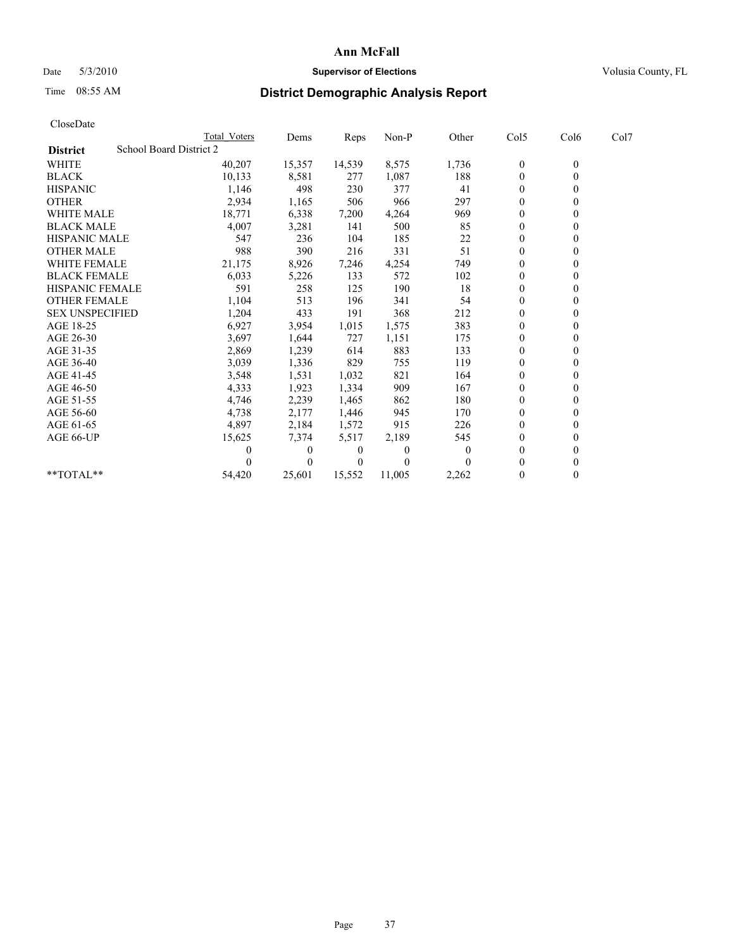## Date 5/3/2010 **Supervisor of Elections Supervisor of Elections** Volusia County, FL

# Time 08:55 AM **District Demographic Analysis Report**

| CloseDate              |                         |              |          |        |          |          |                  |                  |      |
|------------------------|-------------------------|--------------|----------|--------|----------|----------|------------------|------------------|------|
|                        |                         | Total Voters | Dems     | Reps   | Non-P    | Other    | Col5             | Col6             | Col7 |
| <b>District</b>        | School Board District 2 |              |          |        |          |          |                  |                  |      |
| <b>WHITE</b>           |                         | 40,207       | 15,357   | 14,539 | 8,575    | 1,736    | $\boldsymbol{0}$ | $\boldsymbol{0}$ |      |
| <b>BLACK</b>           |                         | 10,133       | 8,581    | 277    | 1,087    | 188      | $\boldsymbol{0}$ | $\mathbf{0}$     |      |
| <b>HISPANIC</b>        |                         | 1,146        | 498      | 230    | 377      | 41       | $\boldsymbol{0}$ | $\theta$         |      |
| <b>OTHER</b>           |                         | 2,934        | 1,165    | 506    | 966      | 297      | $\overline{0}$   | $\theta$         |      |
| WHITE MALE             |                         | 18,771       | 6,338    | 7,200  | 4,264    | 969      | 0                | $\mathbf{0}$     |      |
| <b>BLACK MALE</b>      |                         | 4,007        | 3,281    | 141    | 500      | 85       | 0                | $\theta$         |      |
| <b>HISPANIC MALE</b>   |                         | 547          | 236      | 104    | 185      | 22       | $\boldsymbol{0}$ | $\theta$         |      |
| <b>OTHER MALE</b>      |                         | 988          | 390      | 216    | 331      | 51       | $\overline{0}$   | $\mathbf{0}$     |      |
| <b>WHITE FEMALE</b>    |                         | 21,175       | 8,926    | 7,246  | 4,254    | 749      | $\boldsymbol{0}$ | $\theta$         |      |
| <b>BLACK FEMALE</b>    |                         | 6,033        | 5,226    | 133    | 572      | 102      | $\boldsymbol{0}$ | $\Omega$         |      |
| <b>HISPANIC FEMALE</b> |                         | 591          | 258      | 125    | 190      | 18       | $\overline{0}$   | $\theta$         |      |
| <b>OTHER FEMALE</b>    |                         | 1,104        | 513      | 196    | 341      | 54       | 0                | $\mathbf{0}$     |      |
| <b>SEX UNSPECIFIED</b> |                         | 1,204        | 433      | 191    | 368      | 212      | $\boldsymbol{0}$ | $\Omega$         |      |
| AGE 18-25              |                         | 6,927        | 3,954    | 1,015  | 1,575    | 383      | $\boldsymbol{0}$ | $\Omega$         |      |
| AGE 26-30              |                         | 3,697        | 1,644    | 727    | 1,151    | 175      | $\boldsymbol{0}$ | $\mathbf{0}$     |      |
| AGE 31-35              |                         | 2,869        | 1,239    | 614    | 883      | 133      | $\mathbf{0}$     | $\theta$         |      |
| AGE 36-40              |                         | 3,039        | 1,336    | 829    | 755      | 119      | 0                | $\Omega$         |      |
| AGE 41-45              |                         | 3,548        | 1,531    | 1,032  | 821      | 164      | $\boldsymbol{0}$ | $\Omega$         |      |
| AGE 46-50              |                         | 4,333        | 1,923    | 1,334  | 909      | 167      | $\boldsymbol{0}$ | 0                |      |
| AGE 51-55              |                         | 4,746        | 2,239    | 1,465  | 862      | 180      | 0                | $\Omega$         |      |
| AGE 56-60              |                         | 4,738        | 2,177    | 1,446  | 945      | 170      | 0                | $\Omega$         |      |
| AGE 61-65              |                         | 4,897        | 2,184    | 1,572  | 915      | 226      | $\boldsymbol{0}$ | $\theta$         |      |
| AGE 66-UP              |                         | 15,625       | 7,374    | 5,517  | 2,189    | 545      | $\mathbf{0}$     | $\mathbf{0}$     |      |
|                        |                         | 0            | $\Omega$ | 0      | $\theta$ | $\theta$ | $\boldsymbol{0}$ | $\theta$         |      |
|                        |                         | 0            | $\Omega$ | 0      | 0        |          | $\mathbf{0}$     | $\mathbf{0}$     |      |
| $*$ $TOTAI.**$         |                         | 54,420       | 25,601   | 15,552 | 11,005   | 2,262    | $\boldsymbol{0}$ | $\mathbf{0}$     |      |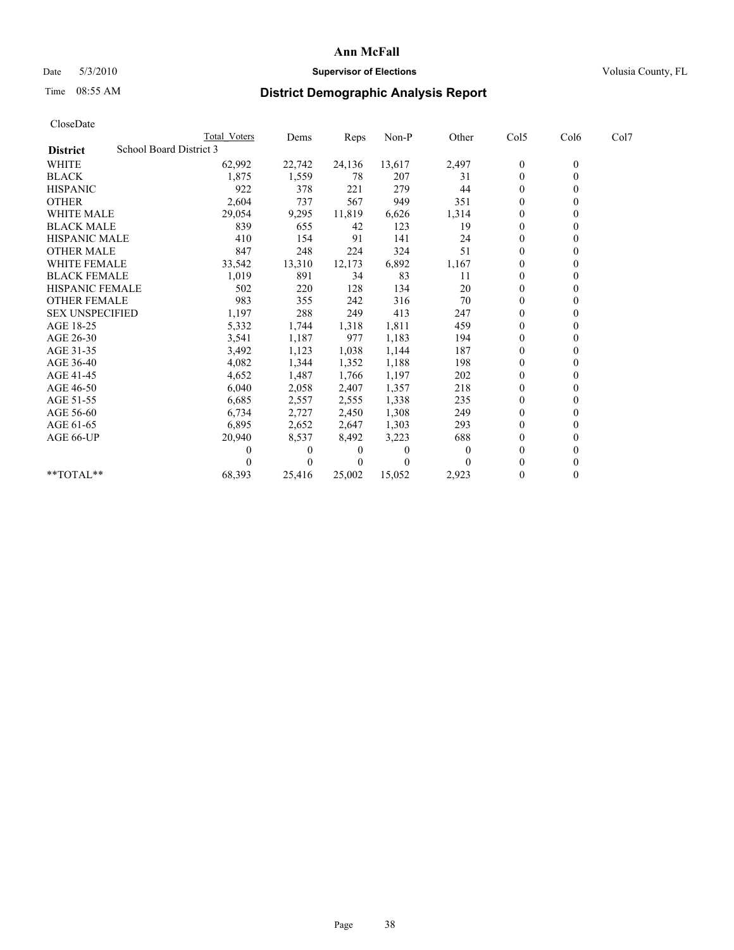## Date 5/3/2010 **Supervisor of Elections Supervisor of Elections** Volusia County, FL

## Time 08:55 AM **District Demographic Analysis Report**

| CloseDate              |                         |              |          |        |        |          |                  |                  |      |
|------------------------|-------------------------|--------------|----------|--------|--------|----------|------------------|------------------|------|
|                        |                         | Total Voters | Dems     | Reps   | Non-P  | Other    | Col5             | Col6             | Col7 |
| <b>District</b>        | School Board District 3 |              |          |        |        |          |                  |                  |      |
| <b>WHITE</b>           |                         | 62,992       | 22,742   | 24,136 | 13,617 | 2,497    | $\boldsymbol{0}$ | $\boldsymbol{0}$ |      |
| <b>BLACK</b>           |                         | 1,875        | 1,559    | 78     | 207    | 31       | $\boldsymbol{0}$ | $\theta$         |      |
| <b>HISPANIC</b>        |                         | 922          | 378      | 221    | 279    | 44       | $\boldsymbol{0}$ | $\theta$         |      |
| <b>OTHER</b>           |                         | 2,604        | 737      | 567    | 949    | 351      | $\boldsymbol{0}$ | $\theta$         |      |
| <b>WHITE MALE</b>      |                         | 29,054       | 9,295    | 11,819 | 6,626  | 1,314    | 0                | 0                |      |
| <b>BLACK MALE</b>      |                         | 839          | 655      | 42     | 123    | 19       | $\boldsymbol{0}$ | $\Omega$         |      |
| <b>HISPANIC MALE</b>   |                         | 410          | 154      | 91     | 141    | 24       | $\boldsymbol{0}$ | $\theta$         |      |
| <b>OTHER MALE</b>      |                         | 847          | 248      | 224    | 324    | 51       | $\boldsymbol{0}$ | $\mathbf{0}$     |      |
| <b>WHITE FEMALE</b>    |                         | 33,542       | 13,310   | 12,173 | 6,892  | 1,167    | $\boldsymbol{0}$ | $\mathbf{0}$     |      |
| <b>BLACK FEMALE</b>    |                         | 1,019        | 891      | 34     | 83     | 11       | $\boldsymbol{0}$ | 0                |      |
| <b>HISPANIC FEMALE</b> |                         | 502          | 220      | 128    | 134    | 20       | $\overline{0}$   | $\theta$         |      |
| <b>OTHER FEMALE</b>    |                         | 983          | 355      | 242    | 316    | 70       | $\boldsymbol{0}$ | $\mathbf{0}$     |      |
| <b>SEX UNSPECIFIED</b> |                         | 1,197        | 288      | 249    | 413    | 247      | $\boldsymbol{0}$ | $\Omega$         |      |
| AGE 18-25              |                         | 5,332        | 1,744    | 1,318  | 1,811  | 459      | $\mathbf{0}$     | $\theta$         |      |
| AGE 26-30              |                         | 3,541        | 1,187    | 977    | 1,183  | 194      | $\boldsymbol{0}$ | $\mathbf{0}$     |      |
| AGE 31-35              |                         | 3,492        | 1,123    | 1,038  | 1,144  | 187      | $\boldsymbol{0}$ | $\theta$         |      |
| AGE 36-40              |                         | 4,082        | 1,344    | 1,352  | 1,188  | 198      | $\boldsymbol{0}$ | $\theta$         |      |
| AGE 41-45              |                         | 4,652        | 1,487    | 1,766  | 1,197  | 202      | $\boldsymbol{0}$ | $\Omega$         |      |
| AGE 46-50              |                         | 6,040        | 2,058    | 2,407  | 1,357  | 218      | 0                | 0                |      |
| AGE 51-55              |                         | 6,685        | 2,557    | 2,555  | 1,338  | 235      | $\boldsymbol{0}$ | $\Omega$         |      |
| AGE 56-60              |                         | 6,734        | 2,727    | 2,450  | 1,308  | 249      | 0                | $\theta$         |      |
| AGE 61-65              |                         | 6,895        | 2,652    | 2,647  | 1,303  | 293      | $\boldsymbol{0}$ | $\Omega$         |      |
| AGE 66-UP              |                         | 20,940       | 8,537    | 8,492  | 3,223  | 688      | $\boldsymbol{0}$ | $\theta$         |      |
|                        |                         | 0            | $\theta$ | 0      | 0      | $\theta$ | $\theta$         | $\theta$         |      |
|                        |                         |              | $\theta$ |        | 0      |          | 0                | $\theta$         |      |
| $*$ TOTAL $*$          |                         | 68,393       | 25,416   | 25,002 | 15,052 | 2,923    | 0                | $\theta$         |      |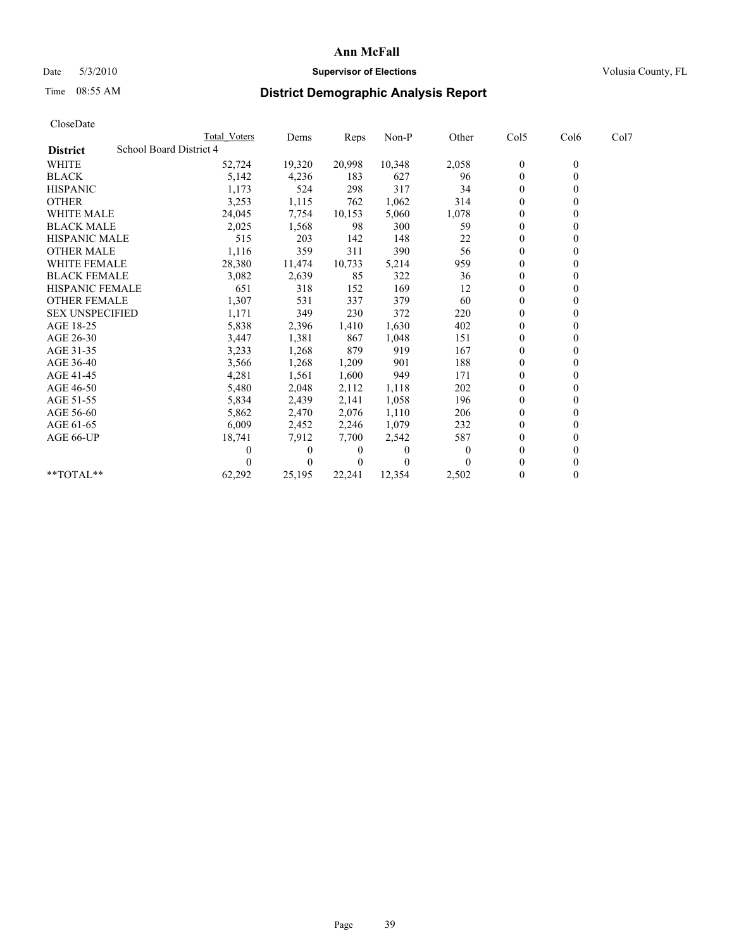## Date 5/3/2010 **Supervisor of Elections Supervisor of Elections** Volusia County, FL

## Time 08:55 AM **District Demographic Analysis Report**

|                        | Total Voters            | Dems         | Reps         | Non-P    | Other    | Col5         | Col6         | Col7 |  |
|------------------------|-------------------------|--------------|--------------|----------|----------|--------------|--------------|------|--|
| <b>District</b>        | School Board District 4 |              |              |          |          |              |              |      |  |
| WHITE                  | 52,724                  | 19,320       | 20,998       | 10,348   | 2,058    | $\mathbf{0}$ | $\mathbf{0}$ |      |  |
| <b>BLACK</b>           | 5,142                   | 4,236        | 183          | 627      | 96       | $\mathbf{0}$ |              |      |  |
| <b>HISPANIC</b>        | 1,173                   | 524          | 298          | 317      | 34       | $\theta$     |              |      |  |
| <b>OTHER</b>           | 3,253                   | 1,115        | 762          | 1,062    | 314      | $\theta$     |              |      |  |
| <b>WHITE MALE</b>      | 24,045                  | 7,754        | 10,153       | 5,060    | 1,078    | $\Omega$     |              |      |  |
| <b>BLACK MALE</b>      | 2,025                   | 1,568        | 98           | 300      | 59       | $\theta$     |              |      |  |
| <b>HISPANIC MALE</b>   | 515                     | 203          | 142          | 148      | 22       | $\mathbf{0}$ |              |      |  |
| <b>OTHER MALE</b>      | 1,116                   | 359          | 311          | 390      | 56       | $\mathbf{0}$ |              |      |  |
| WHITE FEMALE           | 28,380                  | 11,474       | 10,733       | 5,214    | 959      | $\Omega$     |              |      |  |
| <b>BLACK FEMALE</b>    | 3,082                   | 2,639        | 85           | 322      | 36       | $\theta$     |              |      |  |
| HISPANIC FEMALE        | 651                     | 318          | 152          | 169      | 12       | $\mathbf{0}$ |              |      |  |
| <b>OTHER FEMALE</b>    | 1,307                   | 531          | 337          | 379      | 60       | $\theta$     |              |      |  |
| <b>SEX UNSPECIFIED</b> | 1,171                   | 349          | 230          | 372      | 220      | $\Omega$     |              |      |  |
| AGE 18-25              | 5,838                   | 2,396        | 1,410        | 1,630    | 402      | $\theta$     |              |      |  |
| AGE 26-30              | 3,447                   | 1,381        | 867          | 1,048    | 151      | $\theta$     |              |      |  |
| AGE 31-35              | 3,233                   | 1,268        | 879          | 919      | 167      | $\Omega$     |              |      |  |
| AGE 36-40              | 3,566                   | 1,268        | 1,209        | 901      | 188      | $\mathbf{0}$ |              |      |  |
| AGE 41-45              | 4,281                   | 1,561        | 1,600        | 949      | 171      | $\theta$     |              |      |  |
| AGE 46-50              | 5,480                   | 2,048        | 2,112        | 1,118    | 202      | $\theta$     |              |      |  |
| AGE 51-55              | 5,834                   | 2,439        | 2,141        | 1,058    | 196      | $\mathbf{0}$ |              |      |  |
| AGE 56-60              | 5,862                   | 2,470        | 2,076        | 1,110    | 206      | $\Omega$     |              |      |  |
| AGE 61-65              | 6,009                   | 2,452        | 2,246        | 1,079    | 232      | $\mathbf{0}$ |              |      |  |
| AGE 66-UP              | 18,741                  | 7,912        | 7,700        | 2,542    | 587      | $\mathbf{0}$ |              |      |  |
|                        | 0                       | $\mathbf{0}$ | $\bf{0}$     | $\theta$ | $\theta$ | $\theta$     |              |      |  |
|                        |                         | $\Omega$     | $\mathbf{0}$ |          |          | $\theta$     |              |      |  |
| **TOTAL**              | 62,292                  | 25,195       | 22,241       | 12,354   | 2,502    | $\mathbf{0}$ | 0            |      |  |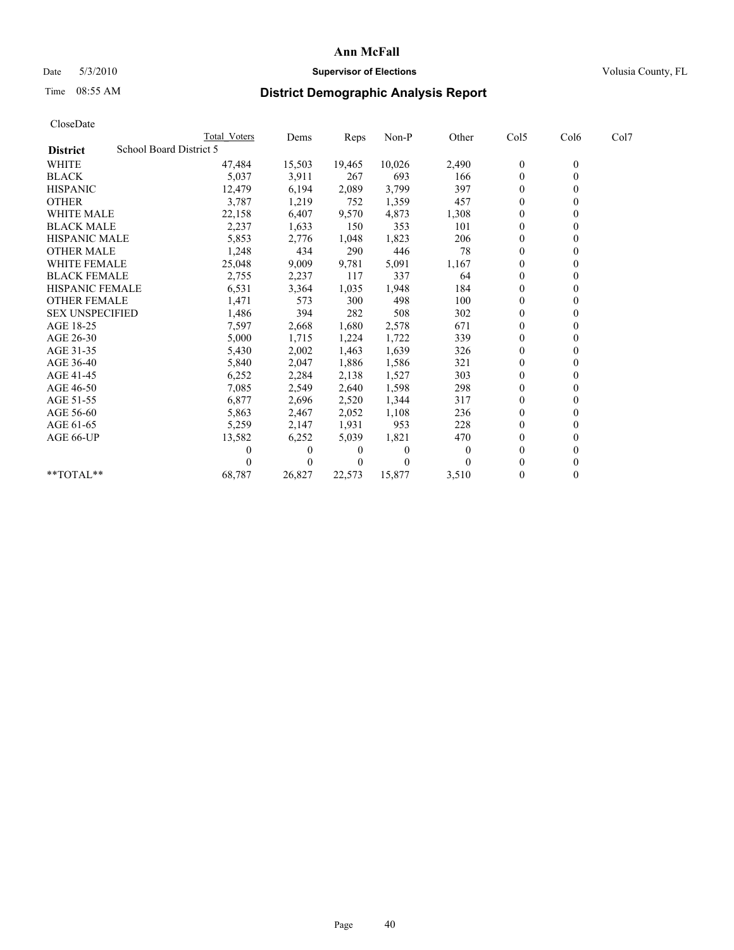## Date 5/3/2010 **Supervisor of Elections Supervisor of Elections** Volusia County, FL

## Time 08:55 AM **District Demographic Analysis Report**

| CloseDate              |                         |              |          |        |          |          |                  |                  |      |
|------------------------|-------------------------|--------------|----------|--------|----------|----------|------------------|------------------|------|
|                        |                         | Total Voters | Dems     | Reps   | Non-P    | Other    | Col5             | Col6             | Col7 |
| <b>District</b>        | School Board District 5 |              |          |        |          |          |                  |                  |      |
| <b>WHITE</b>           |                         | 47,484       | 15,503   | 19,465 | 10,026   | 2,490    | $\boldsymbol{0}$ | $\boldsymbol{0}$ |      |
| <b>BLACK</b>           |                         | 5,037        | 3,911    | 267    | 693      | 166      | $\boldsymbol{0}$ | $\mathbf{0}$     |      |
| <b>HISPANIC</b>        |                         | 12,479       | 6,194    | 2,089  | 3,799    | 397      | $\overline{0}$   | $\theta$         |      |
| <b>OTHER</b>           |                         | 3,787        | 1,219    | 752    | 1,359    | 457      | $\overline{0}$   | $\theta$         |      |
| <b>WHITE MALE</b>      |                         | 22,158       | 6,407    | 9,570  | 4,873    | 1,308    | 0                | $\mathbf{0}$     |      |
| <b>BLACK MALE</b>      |                         | 2,237        | 1,633    | 150    | 353      | 101      | $\boldsymbol{0}$ | $\theta$         |      |
| <b>HISPANIC MALE</b>   |                         | 5,853        | 2,776    | 1,048  | 1,823    | 206      | $\boldsymbol{0}$ | $\theta$         |      |
| <b>OTHER MALE</b>      |                         | 1,248        | 434      | 290    | 446      | 78       | $\overline{0}$   | $\mathbf{0}$     |      |
| <b>WHITE FEMALE</b>    |                         | 25,048       | 9,009    | 9,781  | 5,091    | 1,167    | $\mathbf{0}$     | $\theta$         |      |
| <b>BLACK FEMALE</b>    |                         | 2,755        | 2,237    | 117    | 337      | 64       | $\boldsymbol{0}$ | $\Omega$         |      |
| <b>HISPANIC FEMALE</b> |                         | 6,531        | 3,364    | 1,035  | 1,948    | 184      | $\overline{0}$   | $\theta$         |      |
| <b>OTHER FEMALE</b>    |                         | 1,471        | 573      | 300    | 498      | 100      | 0                | $\mathbf{0}$     |      |
| <b>SEX UNSPECIFIED</b> |                         | 1,486        | 394      | 282    | 508      | 302      | $\boldsymbol{0}$ | $\Omega$         |      |
| AGE 18-25              |                         | 7,597        | 2,668    | 1,680  | 2,578    | 671      | $\overline{0}$   | $\Omega$         |      |
| AGE 26-30              |                         | 5,000        | 1,715    | 1,224  | 1,722    | 339      | $\boldsymbol{0}$ | $\mathbf{0}$     |      |
| AGE 31-35              |                         | 5,430        | 2,002    | 1,463  | 1,639    | 326      | $\mathbf{0}$     | $\theta$         |      |
| AGE 36-40              |                         | 5,840        | 2,047    | 1,886  | 1,586    | 321      | 0                | $\Omega$         |      |
| AGE 41-45              |                         | 6,252        | 2,284    | 2,138  | 1,527    | 303      | $\boldsymbol{0}$ | $\Omega$         |      |
| AGE 46-50              |                         | 7,085        | 2,549    | 2,640  | 1,598    | 298      | $\boldsymbol{0}$ | 0                |      |
| AGE 51-55              |                         | 6,877        | 2,696    | 2,520  | 1,344    | 317      | $\boldsymbol{0}$ | $\Omega$         |      |
| AGE 56-60              |                         | 5,863        | 2,467    | 2,052  | 1,108    | 236      | 0                | $\Omega$         |      |
| AGE 61-65              |                         | 5,259        | 2,147    | 1,931  | 953      | 228      | $\boldsymbol{0}$ | $\mathbf{0}$     |      |
| AGE 66-UP              |                         | 13,582       | 6,252    | 5,039  | 1,821    | 470      | $\boldsymbol{0}$ | $\mathbf{0}$     |      |
|                        |                         | 0            | $\Omega$ | 0      | $\theta$ | $\theta$ | $\boldsymbol{0}$ | $\theta$         |      |
|                        |                         | 0            | $\Omega$ | 0      | 0        |          | $\boldsymbol{0}$ | $\mathbf{0}$     |      |
| $**TOTAI.**$           |                         | 68,787       | 26,827   | 22,573 | 15,877   | 3,510    | $\boldsymbol{0}$ | $\theta$         |      |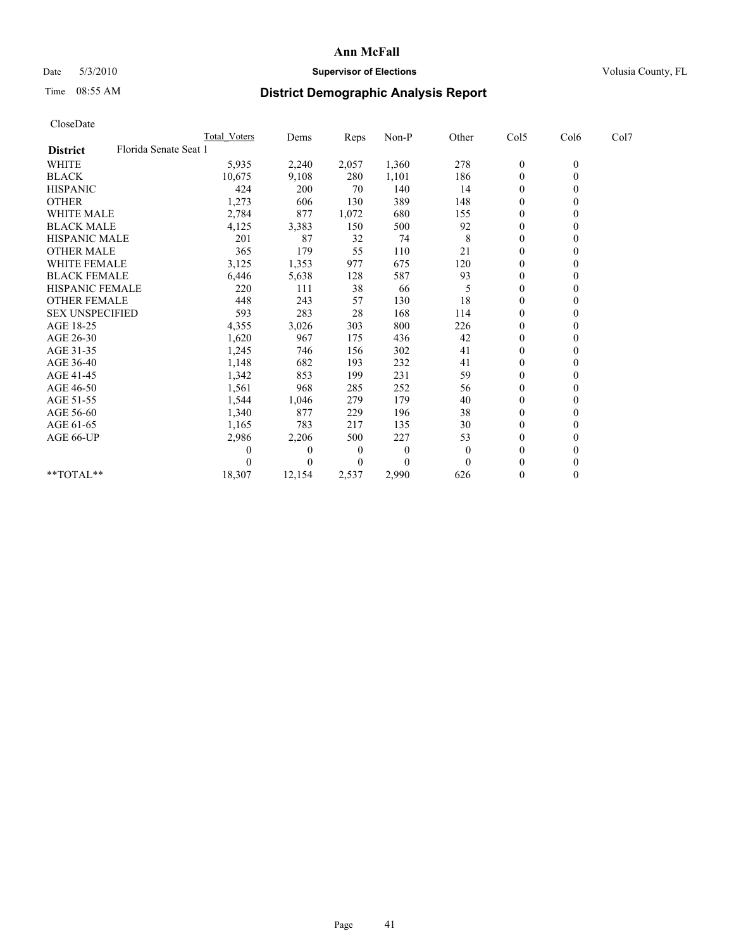## Date 5/3/2010 **Supervisor of Elections Supervisor of Elections** Volusia County, FL

# Time 08:55 AM **District Demographic Analysis Report**

| CloseDate              |                       |                     |          |       |          |          |                  |              |      |
|------------------------|-----------------------|---------------------|----------|-------|----------|----------|------------------|--------------|------|
|                        |                       | <b>Total Voters</b> | Dems     | Reps  | Non-P    | Other    | Col5             | Col6         | Col7 |
| <b>District</b>        | Florida Senate Seat 1 |                     |          |       |          |          |                  |              |      |
| WHITE                  |                       | 5,935               | 2,240    | 2,057 | 1,360    | 278      | $\boldsymbol{0}$ | $\mathbf{0}$ |      |
| <b>BLACK</b>           |                       | 10,675              | 9,108    | 280   | 1,101    | 186      | $\boldsymbol{0}$ | $\mathbf{0}$ |      |
| <b>HISPANIC</b>        |                       | 424                 | 200      | 70    | 140      | 14       | $\overline{0}$   | $\mathbf{0}$ |      |
| <b>OTHER</b>           |                       | 1,273               | 606      | 130   | 389      | 148      | $\mathbf{0}$     | $\theta$     |      |
| <b>WHITE MALE</b>      |                       | 2,784               | 877      | 1,072 | 680      | 155      | $\boldsymbol{0}$ | $\mathbf{0}$ |      |
| <b>BLACK MALE</b>      |                       | 4,125               | 3,383    | 150   | 500      | 92       | $\overline{0}$   | $\theta$     |      |
| <b>HISPANIC MALE</b>   |                       | 201                 | 87       | 32    | 74       | 8        | 0                | $\mathbf{0}$ |      |
| <b>OTHER MALE</b>      |                       | 365                 | 179      | 55    | 110      | 21       | $\boldsymbol{0}$ | $\mathbf{0}$ |      |
| <b>WHITE FEMALE</b>    |                       | 3,125               | 1,353    | 977   | 675      | 120      | $\boldsymbol{0}$ | $\theta$     |      |
| <b>BLACK FEMALE</b>    |                       | 6,446               | 5,638    | 128   | 587      | 93       | $\overline{0}$   | $\Omega$     |      |
| <b>HISPANIC FEMALE</b> |                       | 220                 | 111      | 38    | 66       | 5        | 0                | $\mathbf{0}$ |      |
| <b>OTHER FEMALE</b>    |                       | 448                 | 243      | 57    | 130      | 18       | $\boldsymbol{0}$ | 0            |      |
| <b>SEX UNSPECIFIED</b> |                       | 593                 | 283      | 28    | 168      | 114      | 0                | $\Omega$     |      |
| AGE 18-25              |                       | 4,355               | 3,026    | 303   | 800      | 226      | 0                | $\Omega$     |      |
| AGE 26-30              |                       | 1,620               | 967      | 175   | 436      | 42       | $\boldsymbol{0}$ | $\mathbf{0}$ |      |
| AGE 31-35              |                       | 1,245               | 746      | 156   | 302      | 41       | $\boldsymbol{0}$ | $\theta$     |      |
| AGE 36-40              |                       | 1,148               | 682      | 193   | 232      | 41       | $\boldsymbol{0}$ | $\Omega$     |      |
| AGE 41-45              |                       | 1,342               | 853      | 199   | 231      | 59       | $\boldsymbol{0}$ | $\Omega$     |      |
| AGE 46-50              |                       | 1,561               | 968      | 285   | 252      | 56       | $\boldsymbol{0}$ | $\mathbf{0}$ |      |
| AGE 51-55              |                       | 1,544               | 1,046    | 279   | 179      | 40       | $\boldsymbol{0}$ | $\Omega$     |      |
| AGE 56-60              |                       | 1,340               | 877      | 229   | 196      | 38       | $\boldsymbol{0}$ | $\mathbf{0}$ |      |
| AGE 61-65              |                       | 1,165               | 783      | 217   | 135      | 30       | $\mathbf{0}$     | $\mathbf{0}$ |      |
| AGE 66-UP              |                       | 2,986               | 2,206    | 500   | 227      | 53       | $\boldsymbol{0}$ | $\theta$     |      |
|                        |                       | 0                   | $\theta$ | 0     | $\theta$ | $\theta$ | $\overline{0}$   | $\Omega$     |      |
|                        |                       | 0                   | $\Omega$ | 0     | $\Omega$ | $\Omega$ | $\boldsymbol{0}$ | $\Omega$     |      |
| $*$ $TOTAI.**$         |                       | 18,307              | 12,154   | 2,537 | 2,990    | 626      | $\boldsymbol{0}$ | $\theta$     |      |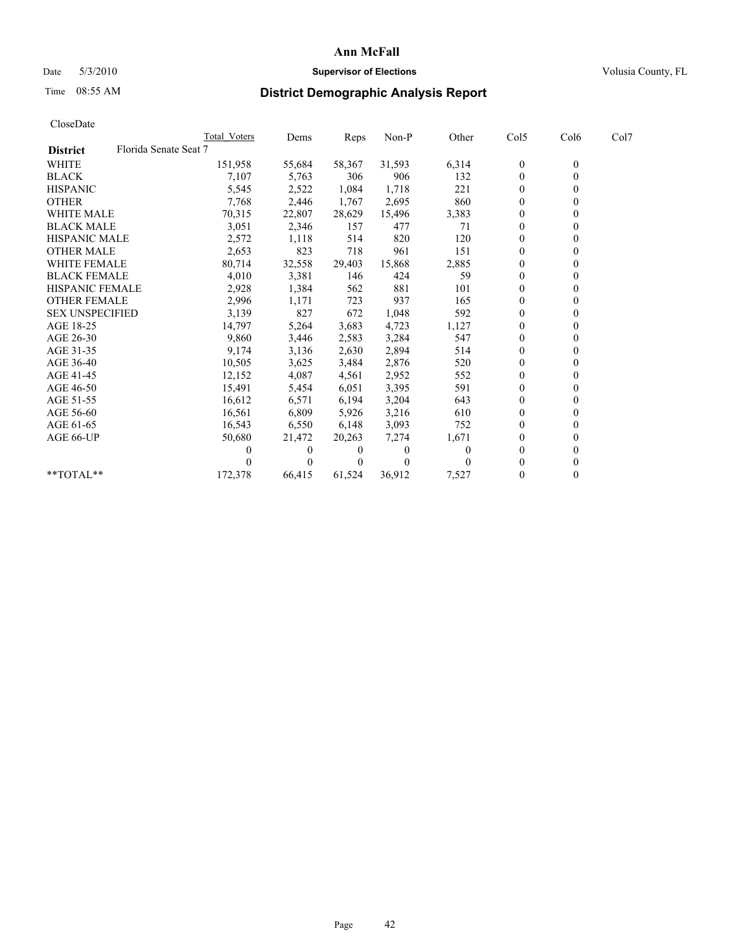## Date 5/3/2010 **Supervisor of Elections Supervisor of Elections** Volusia County, FL

## Time 08:55 AM **District Demographic Analysis Report**

|                                          | <b>Total Voters</b> | Dems     | <b>Reps</b> | Non-P    | Other | Col5           | Col6         | Col7 |
|------------------------------------------|---------------------|----------|-------------|----------|-------|----------------|--------------|------|
| Florida Senate Seat 7<br><b>District</b> |                     |          |             |          |       |                |              |      |
| <b>WHITE</b>                             | 151,958             | 55,684   | 58,367      | 31,593   | 6,314 | $\mathbf{0}$   | $\mathbf{0}$ |      |
| <b>BLACK</b>                             | 7,107               | 5,763    | 306         | 906      | 132   | $\overline{0}$ |              |      |
| <b>HISPANIC</b>                          | 5,545               | 2,522    | 1,084       | 1,718    | 221   | $\theta$       |              |      |
| <b>OTHER</b>                             | 7,768               | 2,446    | 1,767       | 2,695    | 860   | $\Omega$       |              |      |
| <b>WHITE MALE</b>                        | 70,315              | 22,807   | 28,629      | 15,496   | 3,383 | 0              |              |      |
| <b>BLACK MALE</b>                        | 3,051               | 2,346    | 157         | 477      | 71    | $\theta$       |              |      |
| <b>HISPANIC MALE</b>                     | 2,572               | 1,118    | 514         | 820      | 120   | $\theta$       |              |      |
| <b>OTHER MALE</b>                        | 2,653               | 823      | 718         | 961      | 151   | $\Omega$       |              |      |
| WHITE FEMALE                             | 80,714              | 32,558   | 29,403      | 15,868   | 2,885 | $\theta$       |              |      |
| <b>BLACK FEMALE</b>                      | 4,010               | 3,381    | 146         | 424      | 59    | $\overline{0}$ |              |      |
| HISPANIC FEMALE                          | 2,928               | 1,384    | 562         | 881      | 101   | 0              |              |      |
| <b>OTHER FEMALE</b>                      | 2,996               | 1,171    | 723         | 937      | 165   | $\Omega$       |              |      |
| <b>SEX UNSPECIFIED</b>                   | 3,139               | 827      | 672         | 1,048    | 592   | $\theta$       |              |      |
| AGE 18-25                                | 14,797              | 5,264    | 3,683       | 4,723    | 1,127 | $\overline{0}$ |              |      |
| AGE 26-30                                | 9,860               | 3,446    | 2,583       | 3,284    | 547   | $\mathbf{0}$   |              |      |
| AGE 31-35                                | 9,174               | 3,136    | 2,630       | 2,894    | 514   | $\overline{0}$ |              |      |
| AGE 36-40                                | 10,505              | 3,625    | 3,484       | 2,876    | 520   | $\overline{0}$ |              |      |
| AGE 41-45                                | 12,152              | 4,087    | 4,561       | 2,952    | 552   | $\theta$       |              |      |
| AGE 46-50                                | 15,491              | 5,454    | 6,051       | 3,395    | 591   | $\Omega$       |              |      |
| AGE 51-55                                | 16,612              | 6,571    | 6,194       | 3,204    | 643   | 0              |              |      |
| AGE 56-60                                | 16,561              | 6,809    | 5,926       | 3,216    | 610   | $\theta$       |              |      |
| AGE 61-65                                | 16,543              | 6,550    | 6,148       | 3,093    | 752   | $\Omega$       |              |      |
| AGE 66-UP                                | 50,680              | 21,472   | 20,263      | 7,274    | 1,671 | 0              |              |      |
|                                          |                     | $\theta$ | $\theta$    | $\theta$ | 0     | $\Omega$       |              |      |
|                                          |                     |          | 0           | $\theta$ |       | 0              |              |      |
| $*$ $TOTAI.**$                           | 172,378             | 66,415   | 61,524      | 36,912   | 7,527 | $\theta$       |              |      |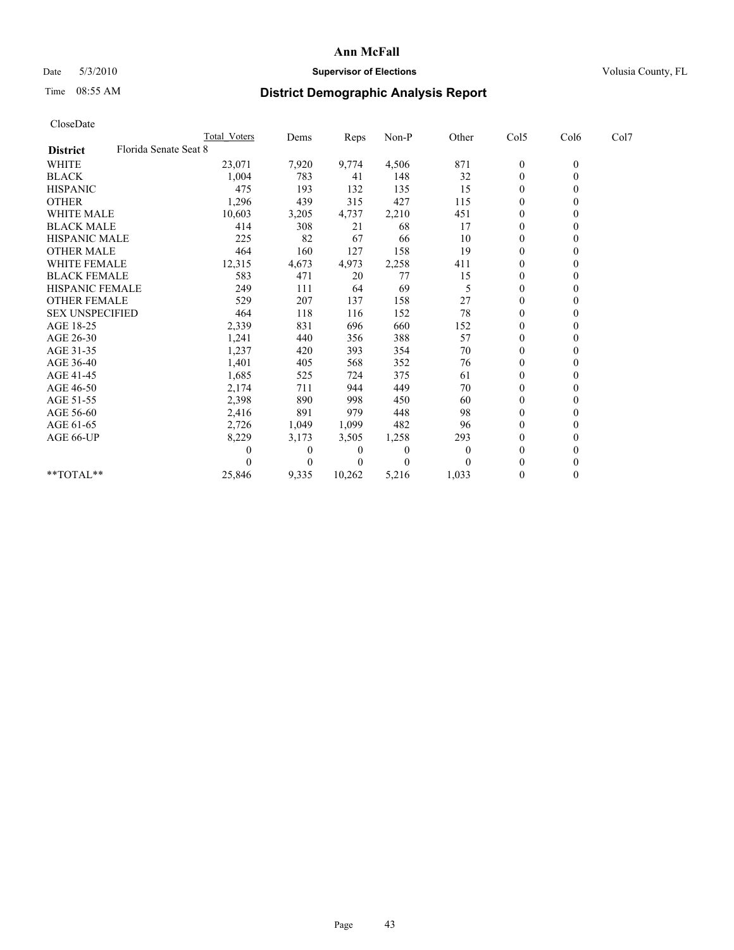## Date 5/3/2010 **Supervisor of Elections Supervisor of Elections** Volusia County, FL

# Time 08:55 AM **District Demographic Analysis Report**

|                                          | <b>Total Voters</b> | Dems         | <b>Reps</b>    | Non-P        | Other    | Col5             | Col6         | Col7 |  |
|------------------------------------------|---------------------|--------------|----------------|--------------|----------|------------------|--------------|------|--|
| Florida Senate Seat 8<br><b>District</b> |                     |              |                |              |          |                  |              |      |  |
| <b>WHITE</b>                             | 23,071              | 7,920        | 9,774          | 4,506        | 871      | $\boldsymbol{0}$ | $\mathbf{0}$ |      |  |
| <b>BLACK</b>                             | 1,004               | 783          | 41             | 148          | 32       | $\overline{0}$   |              |      |  |
| <b>HISPANIC</b>                          | 475                 | 193          | 132            | 135          | 15       | $\theta$         |              |      |  |
| <b>OTHER</b>                             | 1,296               | 439          | 315            | 427          | 115      | $\theta$         |              |      |  |
| <b>WHITE MALE</b>                        | 10,603              | 3,205        | 4,737          | 2,210        | 451      | 0                |              |      |  |
| <b>BLACK MALE</b>                        | 414                 | 308          | 21             | 68           | 17       | $\theta$         |              |      |  |
| <b>HISPANIC MALE</b>                     | 225                 | 82           | 67             | 66           | 10       | $\overline{0}$   |              |      |  |
| <b>OTHER MALE</b>                        | 464                 | 160          | 127            | 158          | 19       | $\overline{0}$   |              |      |  |
| <b>WHITE FEMALE</b>                      | 12,315              | 4,673        | 4,973          | 2,258        | 411      | $\theta$         |              |      |  |
| <b>BLACK FEMALE</b>                      | 583                 | 471          | 20             | 77           | 15       | $\theta$         |              |      |  |
| HISPANIC FEMALE                          | 249                 | 111          | 64             | 69           | 5        | $\overline{0}$   |              |      |  |
| <b>OTHER FEMALE</b>                      | 529                 | 207          | 137            | 158          | 27       | $\theta$         |              |      |  |
| <b>SEX UNSPECIFIED</b>                   | 464                 | 118          | 116            | 152          | 78       | $\Omega$         |              |      |  |
| AGE 18-25                                | 2,339               | 831          | 696            | 660          | 152      | 0                |              |      |  |
| AGE 26-30                                | 1,241               | 440          | 356            | 388          | 57       | $\Omega$         |              |      |  |
| AGE 31-35                                | 1,237               | 420          | 393            | 354          | 70       | $\overline{0}$   |              |      |  |
| AGE 36-40                                | 1,401               | 405          | 568            | 352          | 76       | $\Omega$         |              |      |  |
| AGE 41-45                                | 1,685               | 525          | 724            | 375          | 61       | $\theta$         |              |      |  |
| AGE 46-50                                | 2,174               | 711          | 944            | 449          | 70       | $\theta$         |              |      |  |
| AGE 51-55                                | 2,398               | 890          | 998            | 450          | 60       | $\overline{0}$   |              |      |  |
| AGE 56-60                                | 2,416               | 891          | 979            | 448          | 98       | $\theta$         |              |      |  |
| AGE 61-65                                | 2,726               | 1,049        | 1,099          | 482          | 96       | $\Omega$         |              |      |  |
| AGE 66-UP                                | 8,229               | 3,173        | 3,505          | 1,258        | 293      | $\overline{0}$   |              |      |  |
|                                          | $\mathcal{L}$       | $\mathbf{0}$ | $\overline{0}$ | $\mathbf{0}$ | $\theta$ | $\theta$         |              |      |  |
|                                          |                     | $\Omega$     | 0              | $\theta$     |          | $\theta$         |              |      |  |
| **TOTAL**                                | 25,846              | 9,335        | 10,262         | 5,216        | 1,033    | $\mathbf{0}$     | 0            |      |  |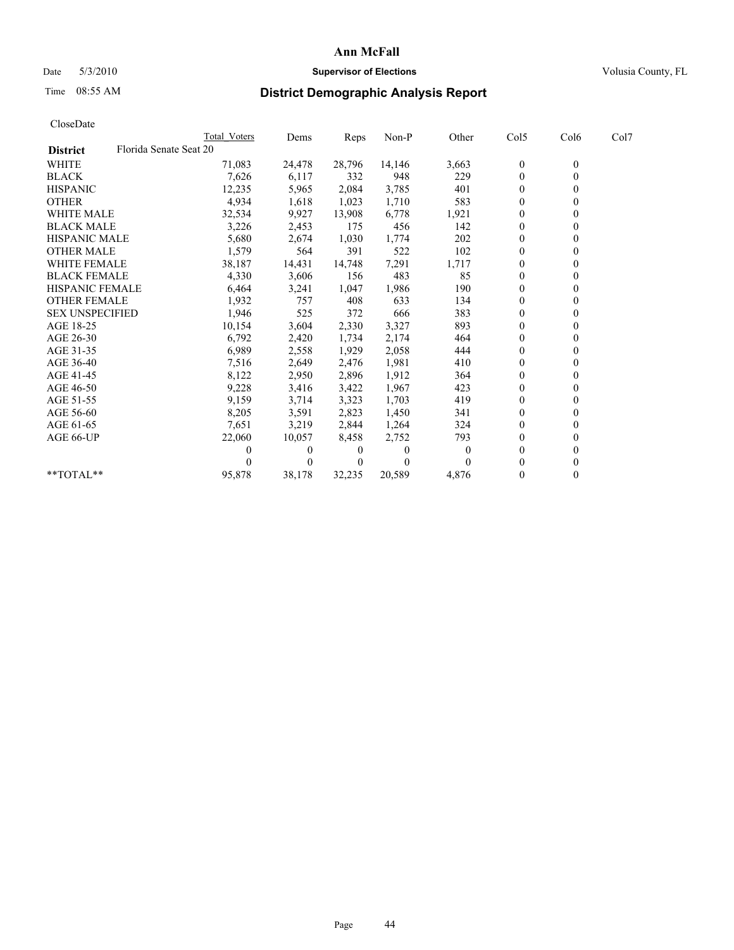## Date 5/3/2010 **Supervisor of Elections Supervisor of Elections** Volusia County, FL

## Time 08:55 AM **District Demographic Analysis Report**

|                        | <b>Total Voters</b>    | Dems     | <b>Reps</b>    | Non-P    | Other    | Col5             | Col6         | Col7 |  |
|------------------------|------------------------|----------|----------------|----------|----------|------------------|--------------|------|--|
| <b>District</b>        | Florida Senate Seat 20 |          |                |          |          |                  |              |      |  |
| <b>WHITE</b>           | 71,083                 | 24,478   | 28,796         | 14,146   | 3,663    | $\boldsymbol{0}$ | $\mathbf{0}$ |      |  |
| <b>BLACK</b>           | 7,626                  | 6,117    | 332            | 948      | 229      | $\overline{0}$   |              |      |  |
| <b>HISPANIC</b>        | 12,235                 | 5,965    | 2,084          | 3,785    | 401      | $\theta$         |              |      |  |
| <b>OTHER</b>           | 4,934                  | 1,618    | 1,023          | 1,710    | 583      | $\theta$         |              |      |  |
| <b>WHITE MALE</b>      | 32,534                 | 9,927    | 13,908         | 6,778    | 1,921    | 0                |              |      |  |
| <b>BLACK MALE</b>      | 3,226                  | 2,453    | 175            | 456      | 142      | $\theta$         |              |      |  |
| <b>HISPANIC MALE</b>   | 5,680                  | 2,674    | 1,030          | 1,774    | 202      | $\overline{0}$   |              |      |  |
| <b>OTHER MALE</b>      | 1,579                  | 564      | 391            | 522      | 102      | $\overline{0}$   |              |      |  |
| <b>WHITE FEMALE</b>    | 38,187                 | 14,431   | 14,748         | 7,291    | 1,717    | $\theta$         |              |      |  |
| <b>BLACK FEMALE</b>    | 4,330                  | 3,606    | 156            | 483      | 85       | $\theta$         |              |      |  |
| HISPANIC FEMALE        | 6,464                  | 3,241    | 1,047          | 1,986    | 190      | $\Omega$         |              |      |  |
| <b>OTHER FEMALE</b>    | 1,932                  | 757      | 408            | 633      | 134      | $\theta$         |              |      |  |
| <b>SEX UNSPECIFIED</b> | 1,946                  | 525      | 372            | 666      | 383      | $\overline{0}$   |              |      |  |
| AGE 18-25              | 10,154                 | 3,604    | 2,330          | 3,327    | 893      | 0                |              |      |  |
| AGE 26-30              | 6,792                  | 2,420    | 1,734          | 2,174    | 464      | $\Omega$         |              |      |  |
| AGE 31-35              | 6,989                  | 2,558    | 1,929          | 2,058    | 444      | $\overline{0}$   |              |      |  |
| AGE 36-40              | 7,516                  | 2,649    | 2,476          | 1,981    | 410      | $\overline{0}$   |              |      |  |
| AGE 41-45              | 8,122                  | 2,950    | 2,896          | 1,912    | 364      | $\theta$         |              |      |  |
| AGE 46-50              | 9,228                  | 3,416    | 3,422          | 1,967    | 423      | $\theta$         |              |      |  |
| AGE 51-55              | 9,159                  | 3,714    | 3,323          | 1,703    | 419      | $\theta$         |              |      |  |
| AGE 56-60              | 8,205                  | 3,591    | 2,823          | 1,450    | 341      | $\theta$         |              |      |  |
| AGE 61-65              | 7,651                  | 3,219    | 2,844          | 1,264    | 324      | $\overline{0}$   |              |      |  |
| AGE 66-UP              | 22,060                 | 10,057   | 8,458          | 2,752    | 793      | $\overline{0}$   |              |      |  |
|                        | 0                      | $\Omega$ | 0              | $\Omega$ | $\theta$ | $\Omega$         |              |      |  |
|                        |                        | $\Omega$ | $\overline{0}$ | $\theta$ |          | $\Omega$         |              |      |  |
| **TOTAL**              | 95,878                 | 38,178   | 32,235         | 20,589   | 4,876    | $\mathbf{0}$     | 0            |      |  |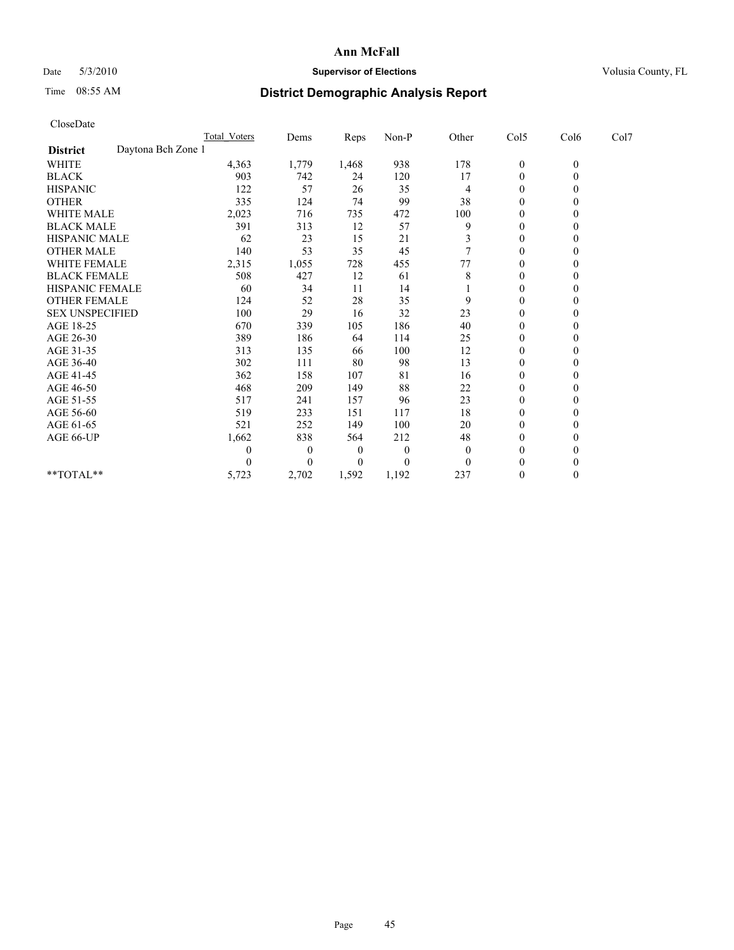## Date 5/3/2010 **Supervisor of Elections Supervisor of Elections** Volusia County, FL

# Time 08:55 AM **District Demographic Analysis Report**

| CloseDate              |                    |                     |                |       |          |          |                  |              |      |
|------------------------|--------------------|---------------------|----------------|-------|----------|----------|------------------|--------------|------|
|                        |                    | <b>Total Voters</b> | Dems           | Reps  | Non-P    | Other    | Col5             | Col6         | Col7 |
| <b>District</b>        | Daytona Bch Zone 1 |                     |                |       |          |          |                  |              |      |
| WHITE                  |                    | 4,363               | 1,779          | 1,468 | 938      | 178      | $\boldsymbol{0}$ | $\mathbf{0}$ |      |
| <b>BLACK</b>           |                    | 903                 | 742            | 24    | 120      | 17       | $\boldsymbol{0}$ | $\mathbf{0}$ |      |
| <b>HISPANIC</b>        |                    | 122                 | 57             | 26    | 35       | 4        | $\overline{0}$   | $\Omega$     |      |
| <b>OTHER</b>           |                    | 335                 | 124            | 74    | 99       | 38       | $\mathbf{0}$     | $\theta$     |      |
| <b>WHITE MALE</b>      |                    | 2,023               | 716            | 735   | 472      | 100      | $\overline{0}$   | $\Omega$     |      |
| <b>BLACK MALE</b>      |                    | 391                 | 313            | 12    | 57       | 9        | $\overline{0}$   | $\theta$     |      |
| HISPANIC MALE          |                    | 62                  | 23             | 15    | 21       | 3        | 0                | $\Omega$     |      |
| <b>OTHER MALE</b>      |                    | 140                 | 53             | 35    | 45       |          | $\mathbf{0}$     | $\mathbf{0}$ |      |
| WHITE FEMALE           |                    | 2,315               | 1,055          | 728   | 455      | 77       | $\boldsymbol{0}$ | $\theta$     |      |
| <b>BLACK FEMALE</b>    |                    | 508                 | 427            | 12    | 61       | 8        | $\boldsymbol{0}$ | $\Omega$     |      |
| HISPANIC FEMALE        |                    | 60                  | 34             | 11    | 14       |          | 0                | $\Omega$     |      |
| <b>OTHER FEMALE</b>    |                    | 124                 | 52             | 28    | 35       | 9        | $\boldsymbol{0}$ | $\theta$     |      |
| <b>SEX UNSPECIFIED</b> |                    | 100                 | 29             | 16    | 32       | 23       | $\boldsymbol{0}$ | $\Omega$     |      |
| AGE 18-25              |                    | 670                 | 339            | 105   | 186      | 40       | 0                | $\theta$     |      |
| AGE 26-30              |                    | 389                 | 186            | 64    | 114      | 25       | $\boldsymbol{0}$ | $\theta$     |      |
| AGE 31-35              |                    | 313                 | 135            | 66    | 100      | 12       | $\boldsymbol{0}$ | $\theta$     |      |
| AGE 36-40              |                    | 302                 | 111            | 80    | 98       | 13       | $\boldsymbol{0}$ | $\Omega$     |      |
| AGE 41-45              |                    | 362                 | 158            | 107   | 81       | 16       | 0                | $\Omega$     |      |
| AGE 46-50              |                    | 468                 | 209            | 149   | 88       | 22       | $\boldsymbol{0}$ | $\mathbf{0}$ |      |
| AGE 51-55              |                    | 517                 | 241            | 157   | 96       | 23       | $\boldsymbol{0}$ | $\Omega$     |      |
| AGE 56-60              |                    | 519                 | 233            | 151   | 117      | 18       | $\boldsymbol{0}$ | $\Omega$     |      |
| AGE 61-65              |                    | 521                 | 252            | 149   | 100      | 20       | $\mathbf{0}$     | $\mathbf{0}$ |      |
| AGE 66-UP              |                    | 1,662               | 838            | 564   | 212      | 48       | $\boldsymbol{0}$ | $\Omega$     |      |
|                        |                    | 0                   | $\overline{0}$ | 0     | $\theta$ | $\theta$ | $\boldsymbol{0}$ | $\theta$     |      |
|                        |                    | 0                   | $\Omega$       | 0     | $\Omega$ | $\Omega$ | $\boldsymbol{0}$ | $\Omega$     |      |
| $*$ $TOTAI.**$         |                    | 5,723               | 2,702          | 1,592 | 1,192    | 237      | $\boldsymbol{0}$ | $\theta$     |      |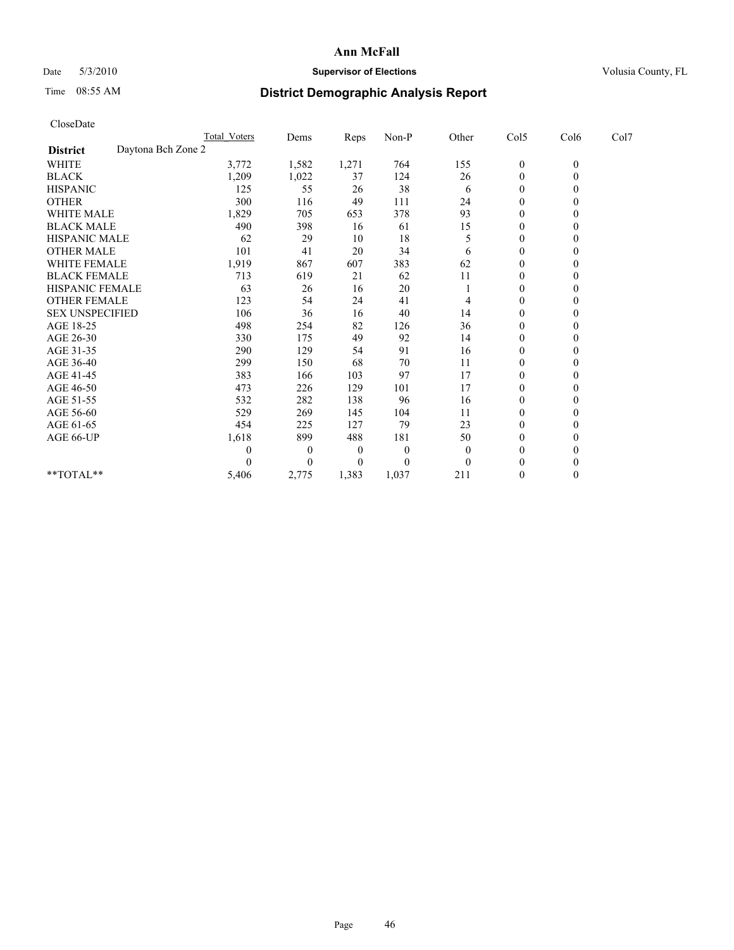## Date 5/3/2010 **Supervisor of Elections Supervisor of Elections** Volusia County, FL

# Time 08:55 AM **District Demographic Analysis Report**

|                        |       | Dems                | Reps  | Non-P    | Other    |                  | Col6         | Col7 |
|------------------------|-------|---------------------|-------|----------|----------|------------------|--------------|------|
| Daytona Bch Zone 2     |       |                     |       |          |          |                  |              |      |
|                        | 3,772 | 1,582               | 1,271 | 764      | 155      | $\boldsymbol{0}$ | $\mathbf{0}$ |      |
|                        | 1,209 | 1,022               | 37    | 124      | 26       | $\boldsymbol{0}$ | $\mathbf{0}$ |      |
|                        | 125   | 55                  | 26    | 38       | 6        | $\boldsymbol{0}$ | $\Omega$     |      |
|                        | 300   | 116                 | 49    | 111      | 24       | $\mathbf{0}$     | $\mathbf{0}$ |      |
|                        | 1,829 | 705                 | 653   | 378      | 93       | 0                | $\theta$     |      |
|                        | 490   | 398                 | 16    | 61       | 15       | $\overline{0}$   | $\mathbf{0}$ |      |
| <b>HISPANIC MALE</b>   | 62    | 29                  | 10    | 18       | 5        | 0                | $\Omega$     |      |
|                        | 101   | 41                  | 20    | 34       | 6        | $\boldsymbol{0}$ | $\Omega$     |      |
| <b>WHITE FEMALE</b>    | 1,919 | 867                 | 607   | 383      | 62       | $\boldsymbol{0}$ | $\mathbf{0}$ |      |
| <b>BLACK FEMALE</b>    | 713   | 619                 | 21    | 62       | 11       | 0                | $\theta$     |      |
| <b>HISPANIC FEMALE</b> | 63    | 26                  | 16    | 20       |          | $\mathbf{0}$     | $\mathbf{0}$ |      |
| <b>OTHER FEMALE</b>    | 123   | 54                  | 24    | 41       | 4        | $\boldsymbol{0}$ | $\Omega$     |      |
| <b>SEX UNSPECIFIED</b> | 106   | 36                  | 16    | 40       | 14       | $\boldsymbol{0}$ | $\Omega$     |      |
|                        | 498   | 254                 | 82    | 126      | 36       | $\overline{0}$   | $\Omega$     |      |
|                        | 330   | 175                 | 49    | 92       | 14       | $\boldsymbol{0}$ | $\Omega$     |      |
|                        | 290   | 129                 | 54    | 91       | 16       | $\boldsymbol{0}$ | $\mathbf{0}$ |      |
|                        | 299   | 150                 | 68    | 70       | 11       | $\boldsymbol{0}$ | $\Omega$     |      |
|                        | 383   | 166                 | 103   | 97       | 17       | 0                | $\Omega$     |      |
|                        | 473   | 226                 | 129   | 101      | 17       | $\boldsymbol{0}$ | $\Omega$     |      |
|                        | 532   | 282                 | 138   | 96       | 16       | 0                | $\Omega$     |      |
|                        | 529   | 269                 | 145   | 104      | 11       | $\boldsymbol{0}$ | $\Omega$     |      |
|                        | 454   | 225                 | 127   | 79       | 23       | $\boldsymbol{0}$ | $\Omega$     |      |
|                        | 1,618 | 899                 | 488   | 181      | 50       | 0                | $\theta$     |      |
|                        | 0     | $\overline{0}$      | 0     | $\theta$ | $\theta$ | $\overline{0}$   | $\Omega$     |      |
|                        | 0     | $\theta$            | 0     | $\theta$ | $\theta$ | $\theta$         | $\theta$     |      |
|                        | 5,406 | 2,775               | 1,383 | 1,037    | 211      | $\boldsymbol{0}$ | $\mathbf{0}$ |      |
|                        |       | <b>Total Voters</b> |       |          |          |                  | Col5         |      |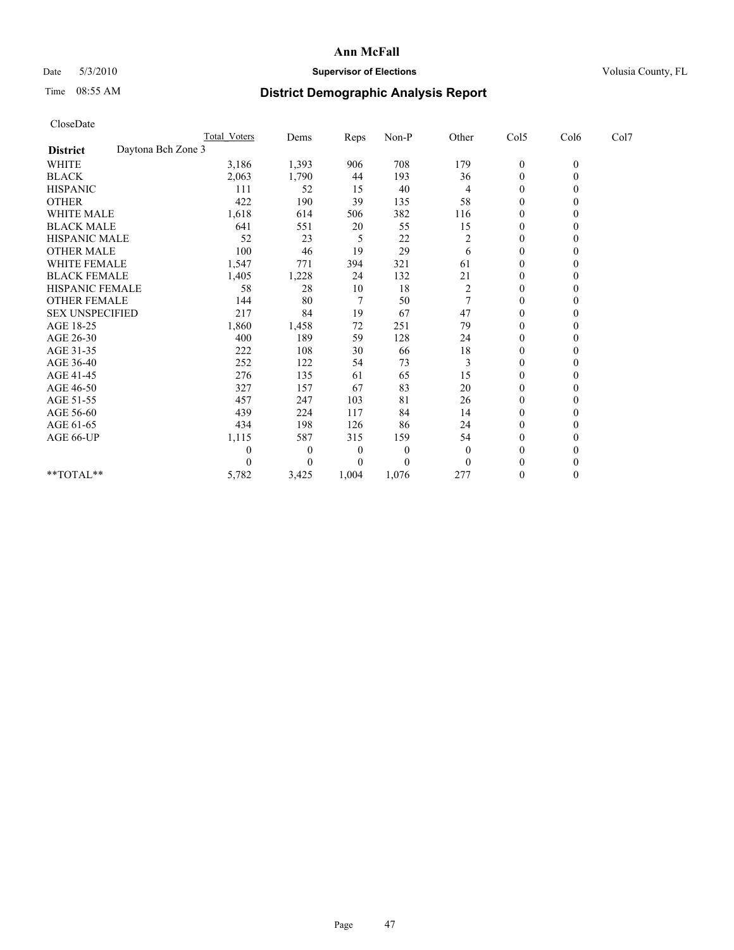## Date 5/3/2010 **Supervisor of Elections Supervisor of Elections** Volusia County, FL

# Time 08:55 AM **District Demographic Analysis Report**

| CloseDate                             |                     |                |       |              |                |                  |                  |      |  |
|---------------------------------------|---------------------|----------------|-------|--------------|----------------|------------------|------------------|------|--|
|                                       | <b>Total Voters</b> | Dems           | Reps  | Non-P        | Other          | Col5             | Col6             | Col7 |  |
| Daytona Bch Zone 3<br><b>District</b> |                     |                |       |              |                |                  |                  |      |  |
| <b>WHITE</b>                          | 3,186               | 1,393          | 906   | 708          | 179            | $\boldsymbol{0}$ | $\boldsymbol{0}$ |      |  |
| <b>BLACK</b>                          | 2,063               | 1,790          | 44    | 193          | 36             | $\boldsymbol{0}$ | $\mathbf{0}$     |      |  |
| <b>HISPANIC</b>                       | 111                 | 52             | 15    | 40           | 4              | $\boldsymbol{0}$ | $\mathbf{0}$     |      |  |
| <b>OTHER</b>                          | 422                 | 190            | 39    | 135          | 58             | 0                | $\Omega$         |      |  |
| <b>WHITE MALE</b>                     | 1,618               | 614            | 506   | 382          | 116            | 0                | $\theta$         |      |  |
| <b>BLACK MALE</b>                     | 641                 | 551            | 20    | 55           | 15             | $\overline{0}$   | $\Omega$         |      |  |
| <b>HISPANIC MALE</b>                  | 52                  | 23             | 5     | 22           | $\overline{c}$ | $\boldsymbol{0}$ | $\Omega$         |      |  |
| <b>OTHER MALE</b>                     | 100                 | 46             | 19    | 29           | 6              | $\boldsymbol{0}$ | $\theta$         |      |  |
| <b>WHITE FEMALE</b>                   | 1,547               | 771            | 394   | 321          | 61             | $\boldsymbol{0}$ | $\mathbf{0}$     |      |  |
| <b>BLACK FEMALE</b>                   | 1,405               | 1,228          | 24    | 132          | 21             | $\boldsymbol{0}$ | $\Omega$         |      |  |
| HISPANIC FEMALE                       | 58                  | 28             | 10    | 18           | $\overline{c}$ | $\overline{0}$   | $\theta$         |      |  |
| <b>OTHER FEMALE</b>                   | 144                 | 80             | 7     | 50           | 7              | 0                | $\mathbf{0}$     |      |  |
| <b>SEX UNSPECIFIED</b>                | 217                 | 84             | 19    | 67           | 47             | $\boldsymbol{0}$ | $\Omega$         |      |  |
| AGE 18-25                             | 1,860               | 1,458          | 72    | 251          | 79             | 0                | $\Omega$         |      |  |
| AGE 26-30                             | 400                 | 189            | 59    | 128          | 24             | 0                | $\mathbf{0}$     |      |  |
| AGE 31-35                             | 222                 | 108            | 30    | 66           | $18\,$         | $\mathbf{0}$     | $\mathbf{0}$     |      |  |
| AGE 36-40                             | 252                 | 122            | 54    | 73           | 3              | $\overline{0}$   | $\Omega$         |      |  |
| AGE 41-45                             | 276                 | 135            | 61    | 65           | 15             | 0                | $\Omega$         |      |  |
| AGE 46-50                             | 327                 | 157            | 67    | 83           | 20             | $\boldsymbol{0}$ | $\mathbf{0}$     |      |  |
| AGE 51-55                             | 457                 | 247            | 103   | 81           | 26             | $\overline{0}$   | $\Omega$         |      |  |
| AGE 56-60                             | 439                 | 224            | 117   | 84           | 14             | $\boldsymbol{0}$ | $\theta$         |      |  |
| AGE 61-65                             | 434                 | 198            | 126   | 86           | 24             | $\boldsymbol{0}$ | $\mathbf{0}$     |      |  |
| AGE 66-UP                             | 1,115               | 587            | 315   | 159          | 54             | $\mathbf{0}$     | $\Omega$         |      |  |
|                                       | 0                   | $\overline{0}$ | 0     | $\mathbf{0}$ | $\overline{0}$ | $\boldsymbol{0}$ | $\theta$         |      |  |
|                                       | 0                   | $\Omega$       | 0     | $\theta$     | $\theta$       | $\boldsymbol{0}$ | $\Omega$         |      |  |
| **TOTAL**                             | 5,782               | 3,425          | 1,004 | 1,076        | 277            | $\boldsymbol{0}$ | $\boldsymbol{0}$ |      |  |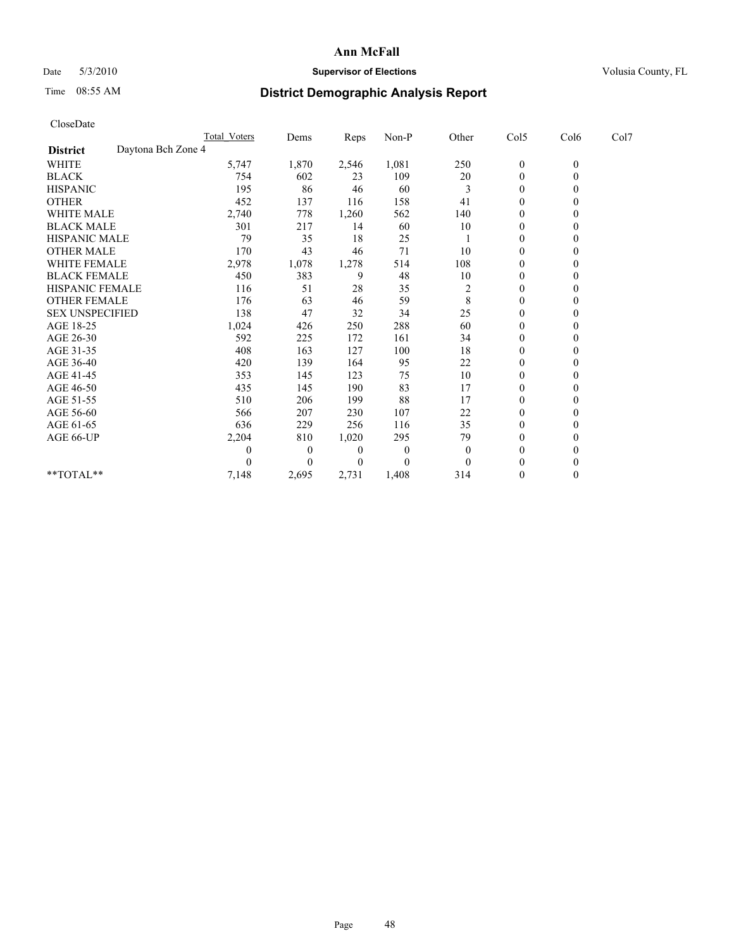## Date 5/3/2010 **Supervisor of Elections Supervisor of Elections** Volusia County, FL

# Time 08:55 AM **District Demographic Analysis Report**

| CloseDate              |                    |                     |                |       |          |                |                  |                  |      |  |
|------------------------|--------------------|---------------------|----------------|-------|----------|----------------|------------------|------------------|------|--|
|                        |                    | <b>Total Voters</b> | Dems           | Reps  | Non-P    | Other          | Col5             | Col6             | Col7 |  |
| <b>District</b>        | Daytona Bch Zone 4 |                     |                |       |          |                |                  |                  |      |  |
| <b>WHITE</b>           |                    | 5,747               | 1,870          | 2,546 | 1,081    | 250            | $\boldsymbol{0}$ | $\boldsymbol{0}$ |      |  |
| <b>BLACK</b>           |                    | 754                 | 602            | 23    | 109      | $20\,$         | $\boldsymbol{0}$ | $\mathbf{0}$     |      |  |
| <b>HISPANIC</b>        |                    | 195                 | 86             | 46    | 60       | 3              | $\boldsymbol{0}$ | $\mathbf{0}$     |      |  |
| <b>OTHER</b>           |                    | 452                 | 137            | 116   | 158      | 41             | 0                | $\Omega$         |      |  |
| <b>WHITE MALE</b>      |                    | 2,740               | 778            | 1,260 | 562      | 140            | 0                | $\theta$         |      |  |
| <b>BLACK MALE</b>      |                    | 301                 | 217            | 14    | 60       | 10             | $\overline{0}$   | $\Omega$         |      |  |
| <b>HISPANIC MALE</b>   |                    | 79                  | 35             | 18    | 25       |                | $\boldsymbol{0}$ | $\Omega$         |      |  |
| <b>OTHER MALE</b>      |                    | 170                 | 43             | 46    | 71       | 10             | $\boldsymbol{0}$ | $\mathbf{0}$     |      |  |
| <b>WHITE FEMALE</b>    |                    | 2,978               | 1,078          | 1,278 | 514      | 108            | $\boldsymbol{0}$ | $\mathbf{0}$     |      |  |
| <b>BLACK FEMALE</b>    |                    | 450                 | 383            | 9     | 48       | 10             | $\boldsymbol{0}$ | $\Omega$         |      |  |
| HISPANIC FEMALE        |                    | 116                 | 51             | 28    | 35       | $\overline{c}$ | $\overline{0}$   | $\theta$         |      |  |
| <b>OTHER FEMALE</b>    |                    | 176                 | 63             | 46    | 59       | 8              | 0                | $\mathbf{0}$     |      |  |
| <b>SEX UNSPECIFIED</b> |                    | 138                 | 47             | 32    | 34       | 25             | $\boldsymbol{0}$ | $\Omega$         |      |  |
| AGE 18-25              |                    | 1,024               | 426            | 250   | 288      | 60             | 0                | $\Omega$         |      |  |
| AGE 26-30              |                    | 592                 | 225            | 172   | 161      | 34             | 0                | $\mathbf{0}$     |      |  |
| AGE 31-35              |                    | 408                 | 163            | 127   | 100      | 18             | $\mathbf{0}$     | $\theta$         |      |  |
| AGE 36-40              |                    | 420                 | 139            | 164   | 95       | 22             | $\overline{0}$   | $\Omega$         |      |  |
| AGE 41-45              |                    | 353                 | 145            | 123   | 75       | 10             | 0                | $\Omega$         |      |  |
| AGE 46-50              |                    | 435                 | 145            | 190   | 83       | 17             | $\boldsymbol{0}$ | $\mathbf{0}$     |      |  |
| AGE 51-55              |                    | 510                 | 206            | 199   | 88       | 17             | $\overline{0}$   | $\Omega$         |      |  |
| AGE 56-60              |                    | 566                 | 207            | 230   | 107      | 22             | $\boldsymbol{0}$ | $\theta$         |      |  |
| AGE 61-65              |                    | 636                 | 229            | 256   | 116      | 35             | $\overline{0}$   | $\mathbf{0}$     |      |  |
| AGE 66-UP              |                    | 2,204               | 810            | 1,020 | 295      | 79             | $\mathbf{0}$     | $\Omega$         |      |  |
|                        |                    | 0                   | $\overline{0}$ | 0     | $\theta$ | $\theta$       | $\boldsymbol{0}$ | $\theta$         |      |  |
|                        |                    | 0                   | $\Omega$       | 0     | $\theta$ | $\theta$       | $\boldsymbol{0}$ | $\Omega$         |      |  |
| **TOTAL**              |                    | 7,148               | 2,695          | 2,731 | 1,408    | 314            | $\boldsymbol{0}$ | $\theta$         |      |  |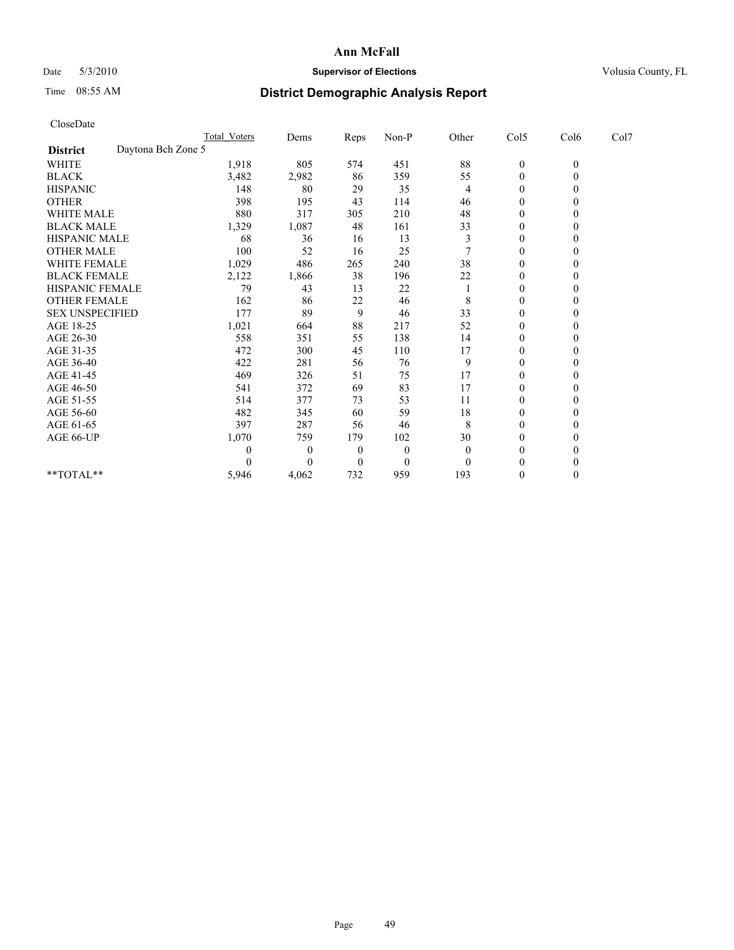## Date 5/3/2010 **Supervisor of Elections Supervisor of Elections** Volusia County, FL

# Time 08:55 AM **District Demographic Analysis Report**

| CloseDate              |                    |                     |                  |          |          |          |                  |                  |      |
|------------------------|--------------------|---------------------|------------------|----------|----------|----------|------------------|------------------|------|
|                        |                    | <b>Total Voters</b> | Dems             | Reps     | Non-P    | Other    | Col5             | Col6             | Col7 |
| <b>District</b>        | Daytona Bch Zone 5 |                     |                  |          |          |          |                  |                  |      |
| <b>WHITE</b>           |                    | 1,918               | 805              | 574      | 451      | 88       | $\boldsymbol{0}$ | $\boldsymbol{0}$ |      |
| <b>BLACK</b>           |                    | 3,482               | 2,982            | 86       | 359      | 55       | $\boldsymbol{0}$ | $\theta$         |      |
| <b>HISPANIC</b>        |                    | 148                 | 80               | 29       | 35       | 4        | $\boldsymbol{0}$ | $\Omega$         |      |
| <b>OTHER</b>           |                    | 398                 | 195              | 43       | 114      | 46       | $\boldsymbol{0}$ | $\theta$         |      |
| WHITE MALE             |                    | 880                 | 317              | 305      | 210      | 48       | 0                | $\theta$         |      |
| <b>BLACK MALE</b>      |                    | 1,329               | 1,087            | 48       | 161      | 33       | $\overline{0}$   | $\theta$         |      |
| <b>HISPANIC MALE</b>   |                    | 68                  | 36               | 16       | 13       | 3        | 0                | $\theta$         |      |
| <b>OTHER MALE</b>      |                    | 100                 | 52               | 16       | 25       |          | $\boldsymbol{0}$ | $\Omega$         |      |
| <b>WHITE FEMALE</b>    |                    | 1,029               | 486              | 265      | 240      | 38       | $\mathbf{0}$     | $\theta$         |      |
| <b>BLACK FEMALE</b>    |                    | 2,122               | 1,866            | 38       | 196      | 22       | $\boldsymbol{0}$ | $\Omega$         |      |
| HISPANIC FEMALE        |                    | 79                  | 43               | 13       | 22       |          | $\overline{0}$   | $\theta$         |      |
| <b>OTHER FEMALE</b>    |                    | 162                 | 86               | 22       | 46       | 8        | 0                | $\mathbf{0}$     |      |
| <b>SEX UNSPECIFIED</b> |                    | 177                 | 89               | 9        | 46       | 33       | $\boldsymbol{0}$ | $\Omega$         |      |
| AGE 18-25              |                    | 1,021               | 664              | 88       | 217      | 52       | 0                | $\theta$         |      |
| AGE 26-30              |                    | 558                 | 351              | 55       | 138      | 14       | $\theta$         | $\Omega$         |      |
| AGE 31-35              |                    | 472                 | 300              | 45       | 110      | 17       | $\mathbf{0}$     | $\mathbf{0}$     |      |
| AGE 36-40              |                    | 422                 | 281              | 56       | 76       | 9        | $\overline{0}$   | $\theta$         |      |
| AGE 41-45              |                    | 469                 | 326              | 51       | 75       | 17       | $\theta$         | $\Omega$         |      |
| AGE 46-50              |                    | 541                 | 372              | 69       | 83       | 17       | 0                | $\mathbf{0}$     |      |
| AGE 51-55              |                    | 514                 | 377              | 73       | 53       | 11       | $\overline{0}$   | $\Omega$         |      |
| AGE 56-60              |                    | 482                 | 345              | 60       | 59       | 18       | $\mathbf{0}$     | $\Omega$         |      |
| AGE 61-65              |                    | 397                 | 287              | 56       | 46       | 8        | $\boldsymbol{0}$ | $\mathbf{0}$     |      |
| AGE 66-UP              |                    | 1,070               | 759              | 179      | 102      | 30       | $\mathbf{0}$     | $\theta$         |      |
|                        |                    | $\theta$            | $\boldsymbol{0}$ | $\Omega$ | $\theta$ | $\theta$ | $\boldsymbol{0}$ | $\theta$         |      |
|                        |                    | $\Omega$            | $\theta$         | $\theta$ | $\theta$ | $\theta$ | $\theta$         | $\theta$         |      |
| **TOTAL**              |                    | 5,946               | 4,062            | 732      | 959      | 193      | $\boldsymbol{0}$ | $\theta$         |      |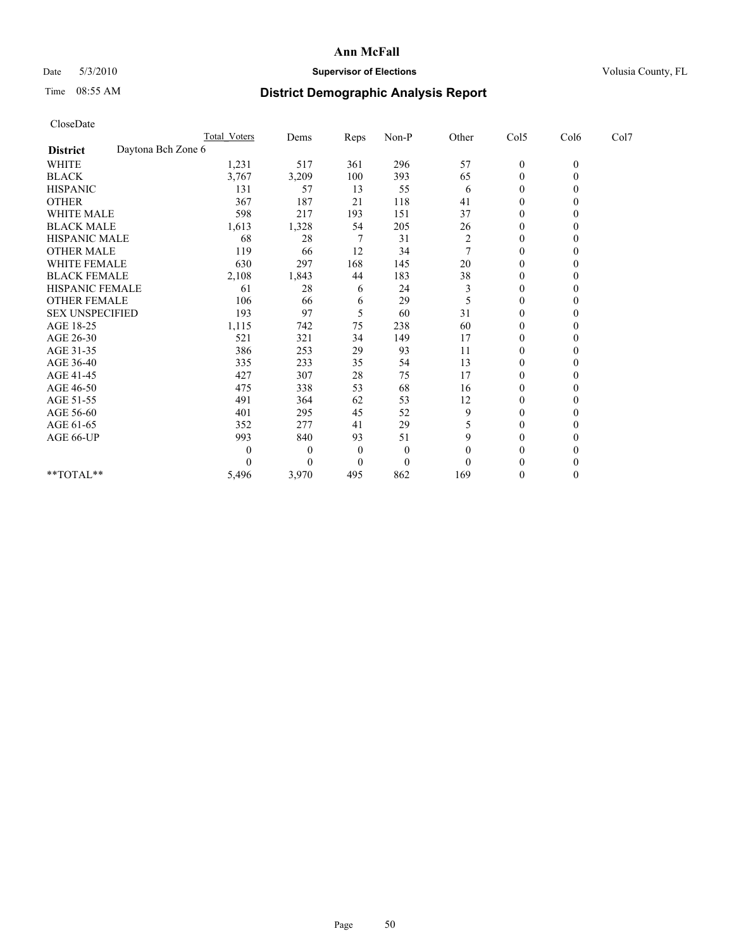## Date 5/3/2010 **Supervisor of Elections Supervisor of Elections** Volusia County, FL

# Time 08:55 AM **District Demographic Analysis Report**

|                                       | <b>Total Voters</b> | Dems     | <b>Reps</b> | $Non-P$      | Other          | Col5           | Col6         | Col7 |
|---------------------------------------|---------------------|----------|-------------|--------------|----------------|----------------|--------------|------|
| Daytona Bch Zone 6<br><b>District</b> |                     |          |             |              |                |                |              |      |
| <b>WHITE</b>                          | 1,231               | 517      | 361         | 296          | 57             | $\mathbf{0}$   | $\mathbf{0}$ |      |
| <b>BLACK</b>                          | 3,767               | 3,209    | 100         | 393          | 65             | $\Omega$       |              |      |
| <b>HISPANIC</b>                       | 131                 | 57       | 13          | 55           | 6              | $\Omega$       |              |      |
| <b>OTHER</b>                          | 367                 | 187      | 21          | 118          | 41             | $\Omega$       |              |      |
| <b>WHITE MALE</b>                     | 598                 | 217      | 193         | 151          | 37             | 0              |              |      |
| <b>BLACK MALE</b>                     | 1,613               | 1,328    | 54          | 205          | 26             | $\Omega$       |              |      |
| HISPANIC MALE                         | 68                  | 28       |             | 31           | $\overline{2}$ | $\theta$       |              |      |
| <b>OTHER MALE</b>                     | 119                 | 66       | 12          | 34           |                | 0              |              |      |
| WHITE FEMALE                          | 630                 | 297      | 168         | 145          | 20             | $\Omega$       |              |      |
| <b>BLACK FEMALE</b>                   | 2,108               | 1,843    | 44          | 183          | 38             | $\Omega$       |              |      |
| HISPANIC FEMALE                       | 61                  | 28       | 6           | 24           | 3              | $\theta$       |              |      |
| <b>OTHER FEMALE</b>                   | 106                 | 66       | 6           | 29           | 5              | $\theta$       |              |      |
| <b>SEX UNSPECIFIED</b>                | 193                 | 97       | 5           | 60           | 31             | $\overline{0}$ |              |      |
| AGE 18-25                             | 1,115               | 742      | 75          | 238          | 60             | $\Omega$       |              |      |
| AGE 26-30                             | 521                 | 321      | 34          | 149          | 17             | $\Omega$       |              |      |
| AGE 31-35                             | 386                 | 253      | 29          | 93           | 11             | $\Omega$       |              |      |
| AGE 36-40                             | 335                 | 233      | 35          | 54           | 13             | 0              |              |      |
| AGE 41-45                             | 427                 | 307      | 28          | 75           | 17             | $\theta$       |              |      |
| AGE 46-50                             | 475                 | 338      | 53          | 68           | 16             | $\Omega$       |              |      |
| AGE 51-55                             | 491                 | 364      | 62          | 53           | 12             | 0              |              |      |
| AGE 56-60                             | 401                 | 295      | 45          | 52           | 9              | $\Omega$       |              |      |
| AGE 61-65                             | 352                 | 277      | 41          | 29           | 5              | $\Omega$       |              |      |
| AGE 66-UP                             | 993                 | 840      | 93          | 51           | 9              | 0              |              |      |
|                                       | 0                   | $\theta$ | $\theta$    | $\theta$     | 0              | $\theta$       |              |      |
|                                       |                     | $\Omega$ | $\Omega$    | $\mathbf{0}$ | 0              | $\Omega$       |              |      |
| **TOTAL**                             | 5,496               | 3,970    | 495         | 862          | 169            | $\mathbf{0}$   | 0            |      |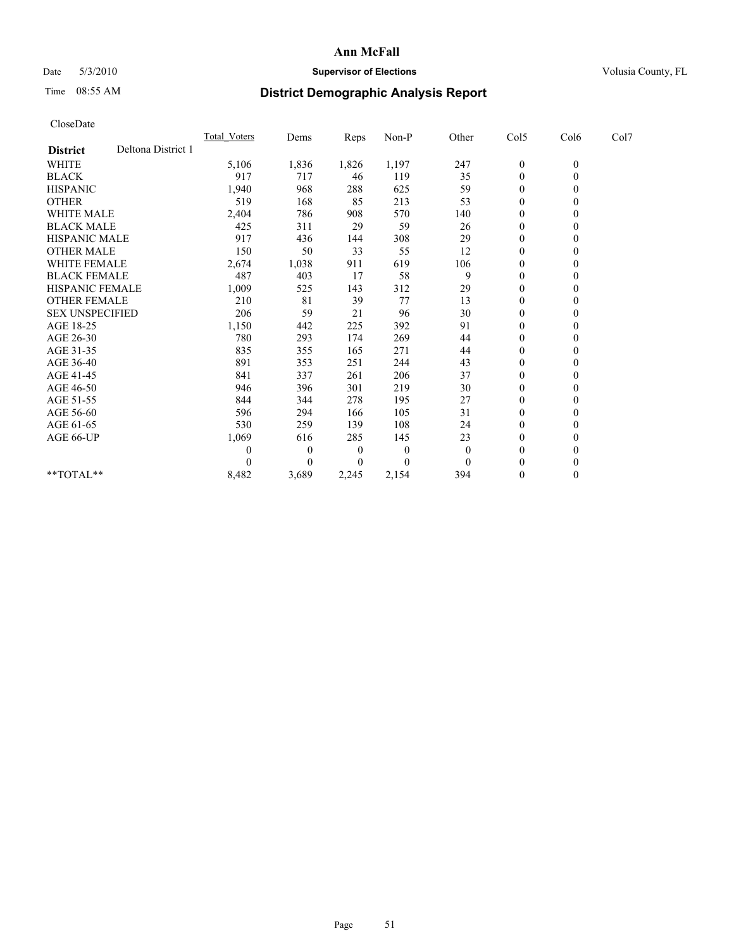## Date 5/3/2010 **Supervisor of Elections Supervisor of Elections** Volusia County, FL

# Time 08:55 AM **District Demographic Analysis Report**

| CloseDate              |                    |              |                |          |          |              |                  |                  |      |
|------------------------|--------------------|--------------|----------------|----------|----------|--------------|------------------|------------------|------|
|                        |                    | Total Voters | Dems           | Reps     | $Non-P$  | Other        | Col5             | Col6             | Col7 |
| <b>District</b>        | Deltona District 1 |              |                |          |          |              |                  |                  |      |
| <b>WHITE</b>           |                    | 5,106        | 1,836          | 1,826    | 1,197    | 247          | $\boldsymbol{0}$ | $\boldsymbol{0}$ |      |
| <b>BLACK</b>           |                    | 917          | 717            | 46       | 119      | 35           | $\boldsymbol{0}$ | $\mathbf{0}$     |      |
| <b>HISPANIC</b>        |                    | 1,940        | 968            | 288      | 625      | 59           | $\overline{0}$   | $\Omega$         |      |
| <b>OTHER</b>           |                    | 519          | 168            | 85       | 213      | 53           | $\overline{0}$   | $\theta$         |      |
| <b>WHITE MALE</b>      |                    | 2,404        | 786            | 908      | 570      | 140          | $\boldsymbol{0}$ | $\mathbf{0}$     |      |
| <b>BLACK MALE</b>      |                    | 425          | 311            | 29       | 59       | 26           | $\overline{0}$   | $\mathbf{0}$     |      |
| <b>HISPANIC MALE</b>   |                    | 917          | 436            | 144      | 308      | 29           | $\boldsymbol{0}$ | $\Omega$         |      |
| <b>OTHER MALE</b>      |                    | 150          | 50             | 33       | 55       | 12           | $\boldsymbol{0}$ | $\mathbf{0}$     |      |
| <b>WHITE FEMALE</b>    |                    | 2,674        | 1,038          | 911      | 619      | 106          | $\boldsymbol{0}$ | $\theta$         |      |
| <b>BLACK FEMALE</b>    |                    | 487          | 403            | 17       | 58       | 9            | $\boldsymbol{0}$ | $\Omega$         |      |
| <b>HISPANIC FEMALE</b> |                    | 1,009        | 525            | 143      | 312      | 29           | $\overline{0}$   | $\theta$         |      |
| <b>OTHER FEMALE</b>    |                    | 210          | 81             | 39       | 77       | 13           | 0                | $\mathbf{0}$     |      |
| <b>SEX UNSPECIFIED</b> |                    | 206          | 59             | 21       | 96       | 30           | $\overline{0}$   | $\mathbf{0}$     |      |
| AGE 18-25              |                    | 1,150        | 442            | 225      | 392      | 91           | $\boldsymbol{0}$ | $\mathbf{0}$     |      |
| AGE 26-30              |                    | 780          | 293            | 174      | 269      | 44           | $\boldsymbol{0}$ | $\mathbf{0}$     |      |
| AGE 31-35              |                    | 835          | 355            | 165      | 271      | 44           | $\boldsymbol{0}$ | $\theta$         |      |
| AGE 36-40              |                    | 891          | 353            | 251      | 244      | 43           | $\boldsymbol{0}$ | $\Omega$         |      |
| AGE 41-45              |                    | 841          | 337            | 261      | 206      | 37           | $\boldsymbol{0}$ | $\theta$         |      |
| AGE 46-50              |                    | 946          | 396            | 301      | 219      | 30           | $\boldsymbol{0}$ | $\mathbf{0}$     |      |
| AGE 51-55              |                    | 844          | 344            | 278      | 195      | 27           | 0                | $\theta$         |      |
| AGE 56-60              |                    | 596          | 294            | 166      | 105      | 31           | 0                | $\Omega$         |      |
| AGE 61-65              |                    | 530          | 259            | 139      | 108      | 24           | $\mathbf{0}$     | $\mathbf{0}$     |      |
| AGE 66-UP              |                    | 1,069        | 616            | 285      | 145      | 23           | $\boldsymbol{0}$ | $\theta$         |      |
|                        |                    | 0            | $\overline{0}$ | $\theta$ | $\theta$ | $\mathbf{0}$ | $\overline{0}$   | $\mathbf{0}$     |      |
|                        |                    | 0            | $\theta$       | 0        | $\theta$ | $\theta$     | $\mathbf{0}$     | $\theta$         |      |
| $**TOTAL**$            |                    | 8,482        | 3,689          | 2,245    | 2,154    | 394          | $\boldsymbol{0}$ | $\theta$         |      |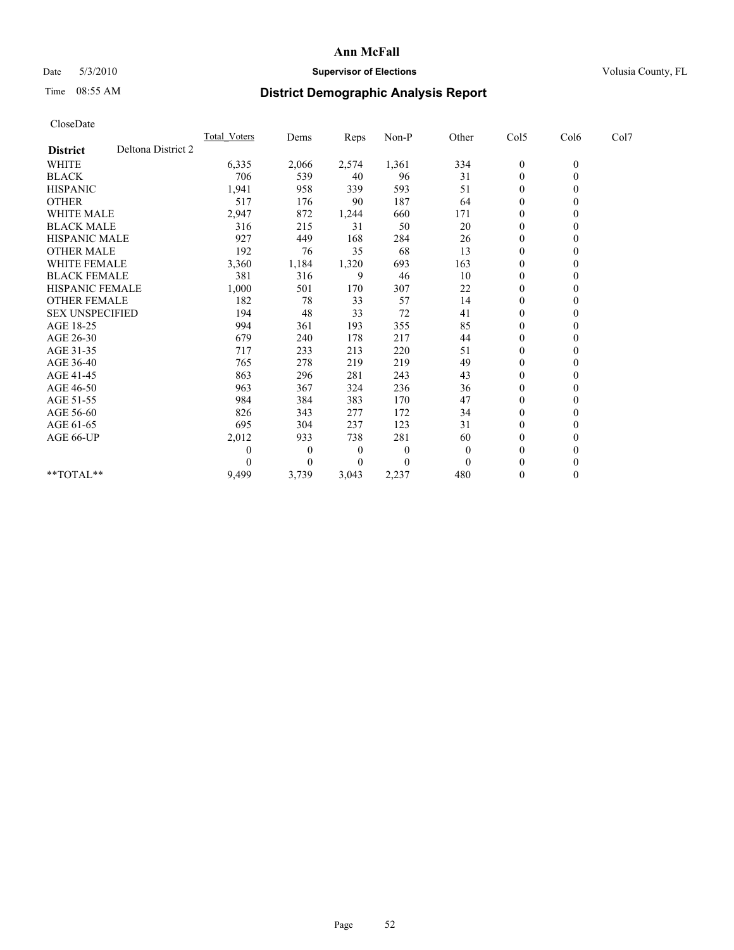## Date 5/3/2010 **Supervisor of Elections Supervisor of Elections** Volusia County, FL

## Time 08:55 AM **District Demographic Analysis Report**

| CloseDate              |                    |                     |          |       |                |              |                  |                  |      |
|------------------------|--------------------|---------------------|----------|-------|----------------|--------------|------------------|------------------|------|
|                        |                    | <b>Total Voters</b> | Dems     | Reps  | $Non-P$        | Other        | Col5             | Col6             | Col7 |
| <b>District</b>        | Deltona District 2 |                     |          |       |                |              |                  |                  |      |
| <b>WHITE</b>           |                    | 6,335               | 2,066    | 2,574 | 1,361          | 334          | $\boldsymbol{0}$ | $\boldsymbol{0}$ |      |
| <b>BLACK</b>           |                    | 706                 | 539      | 40    | 96             | 31           | $\boldsymbol{0}$ | $\theta$         |      |
| <b>HISPANIC</b>        |                    | 1,941               | 958      | 339   | 593            | 51           | 0                | $\theta$         |      |
| <b>OTHER</b>           |                    | 517                 | 176      | 90    | 187            | 64           | $\overline{0}$   | $\mathbf{0}$     |      |
| <b>WHITE MALE</b>      |                    | 2,947               | 872      | 1,244 | 660            | 171          | 0                | $\theta$         |      |
| <b>BLACK MALE</b>      |                    | 316                 | 215      | 31    | 50             | 20           | 0                | $\theta$         |      |
| <b>HISPANIC MALE</b>   |                    | 927                 | 449      | 168   | 284            | 26           | $\boldsymbol{0}$ | $\theta$         |      |
| <b>OTHER MALE</b>      |                    | 192                 | 76       | 35    | 68             | 13           | $\overline{0}$   | $\theta$         |      |
| <b>WHITE FEMALE</b>    |                    | 3,360               | 1,184    | 1,320 | 693            | 163          | $\boldsymbol{0}$ | $\mathbf{0}$     |      |
| <b>BLACK FEMALE</b>    |                    | 381                 | 316      | 9     | 46             | 10           | $\boldsymbol{0}$ | $\theta$         |      |
| <b>HISPANIC FEMALE</b> |                    | 1,000               | 501      | 170   | 307            | 22           | 0                | $\theta$         |      |
| <b>OTHER FEMALE</b>    |                    | 182                 | 78       | 33    | 57             | 14           | 0                | $\theta$         |      |
| <b>SEX UNSPECIFIED</b> |                    | 194                 | 48       | 33    | 72             | 41           | $\overline{0}$   | $\theta$         |      |
| AGE 18-25              |                    | 994                 | 361      | 193   | 355            | 85           | 0                | $\theta$         |      |
| AGE 26-30              |                    | 679                 | 240      | 178   | 217            | 44           | $\boldsymbol{0}$ | $\mathbf{0}$     |      |
| AGE 31-35              |                    | 717                 | 233      | 213   | 220            | 51           | $\mathbf{0}$     | $\mathbf{0}$     |      |
| AGE 36-40              |                    | 765                 | 278      | 219   | 219            | 49           | $\overline{0}$   | $\theta$         |      |
| AGE 41-45              |                    | 863                 | 296      | 281   | 243            | 43           | $\mathbf{0}$     | $\theta$         |      |
| AGE 46-50              |                    | 963                 | 367      | 324   | 236            | 36           | $\boldsymbol{0}$ | $\theta$         |      |
| AGE 51-55              |                    | 984                 | 384      | 383   | 170            | 47           | $\overline{0}$   | $\theta$         |      |
| AGE 56-60              |                    | 826                 | 343      | 277   | 172            | 34           | 0                | $\theta$         |      |
| AGE 61-65              |                    | 695                 | 304      | 237   | 123            | 31           | $\mathbf{0}$     | $\mathbf{0}$     |      |
| AGE 66-UP              |                    | 2,012               | 933      | 738   | 281            | 60           | 0                | $\mathbf{0}$     |      |
|                        |                    | 0                   | $\theta$ | 0     | $\overline{0}$ | $\mathbf{0}$ | $\theta$         | $\theta$         |      |
|                        |                    | 0                   | $\theta$ | 0     | $\theta$       | $\theta$     | $\theta$         | $\theta$         |      |
| $**TOTAL**$            |                    | 9,499               | 3,739    | 3,043 | 2,237          | 480          | 0                | $\mathbf{0}$     |      |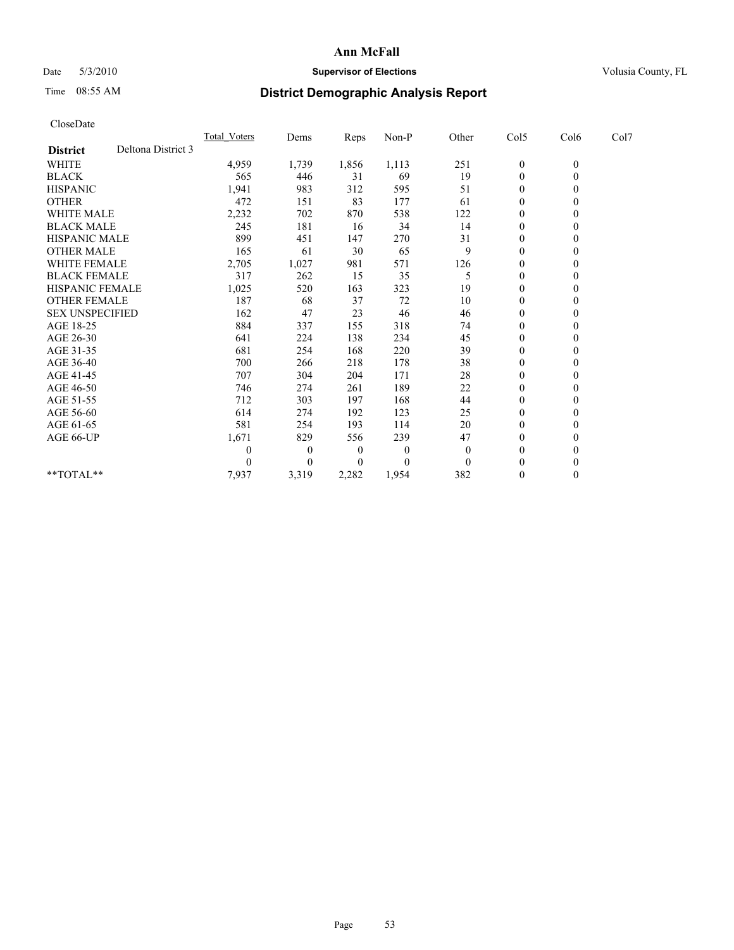## Date 5/3/2010 **Supervisor of Elections Supervisor of Elections** Volusia County, FL

# Time 08:55 AM **District Demographic Analysis Report**

|                    | <b>Total Voters</b>                                                                                                                                                                                          |          | Reps  | Non-P    |              |                  |                  |      |      |
|--------------------|--------------------------------------------------------------------------------------------------------------------------------------------------------------------------------------------------------------|----------|-------|----------|--------------|------------------|------------------|------|------|
| Deltona District 3 |                                                                                                                                                                                                              |          |       |          |              |                  |                  |      |      |
|                    | 4,959                                                                                                                                                                                                        | 1,739    | 1,856 | 1,113    | 251          | $\boldsymbol{0}$ | $\boldsymbol{0}$ |      |      |
|                    | 565                                                                                                                                                                                                          | 446      | 31    | 69       | 19           | $\boldsymbol{0}$ | $\theta$         |      |      |
|                    | 1,941                                                                                                                                                                                                        | 983      | 312   | 595      | 51           | 0                | $\theta$         |      |      |
|                    | 472                                                                                                                                                                                                          | 151      | 83    | 177      | 61           | 0                | $\theta$         |      |      |
|                    | 2,232                                                                                                                                                                                                        | 702      | 870   | 538      | 122          | $\overline{0}$   | $\theta$         |      |      |
|                    | 245                                                                                                                                                                                                          | 181      | 16    | 34       | 14           | 0                | $\theta$         |      |      |
|                    | 899                                                                                                                                                                                                          | 451      | 147   | 270      | 31           | $\mathbf{0}$     | $\theta$         |      |      |
|                    | 165                                                                                                                                                                                                          | 61       | 30    | 65       | 9            | $\mathbf{0}$     | $\theta$         |      |      |
|                    | 2,705                                                                                                                                                                                                        | 1,027    | 981   | 571      | 126          | 0                | $\theta$         |      |      |
|                    | 317                                                                                                                                                                                                          | 262      | 15    | 35       | 5            | 0                | $\theta$         |      |      |
|                    | 1,025                                                                                                                                                                                                        | 520      | 163   | 323      | 19           | 0                | $\theta$         |      |      |
|                    | 187                                                                                                                                                                                                          | 68       | 37    | 72       | 10           | $\overline{0}$   | $\theta$         |      |      |
|                    | 162                                                                                                                                                                                                          | 47       | 23    | 46       | 46           | 0                | $\mathbf{0}$     |      |      |
|                    | 884                                                                                                                                                                                                          | 337      | 155   | 318      | 74           | 0                | $\Omega$         |      |      |
|                    | 641                                                                                                                                                                                                          | 224      | 138   | 234      | 45           | $\overline{0}$   | $\theta$         |      |      |
|                    | 681                                                                                                                                                                                                          | 254      | 168   | 220      | 39           | 0                | 0                |      |      |
|                    | 700                                                                                                                                                                                                          | 266      | 218   | 178      | 38           | 0                | $\theta$         |      |      |
|                    | 707                                                                                                                                                                                                          | 304      | 204   | 171      | 28           | 0                | $\theta$         |      |      |
|                    | 746                                                                                                                                                                                                          | 274      | 261   | 189      | 22           | $\overline{0}$   | $\theta$         |      |      |
|                    | 712                                                                                                                                                                                                          | 303      | 197   | 168      | 44           | $\mathbf{0}$     | $\theta$         |      |      |
|                    | 614                                                                                                                                                                                                          | 274      | 192   | 123      | 25           | 0                | $\theta$         |      |      |
|                    | 581                                                                                                                                                                                                          | 254      | 193   | 114      | 20           | $\boldsymbol{0}$ | $\theta$         |      |      |
|                    | 1,671                                                                                                                                                                                                        | 829      | 556   | 239      | 47           | 0                | $\theta$         |      |      |
|                    | 0                                                                                                                                                                                                            | $\theta$ | 0     | $\theta$ | $\mathbf{0}$ | $\mathbf{0}$     | $\theta$         |      |      |
|                    | 0                                                                                                                                                                                                            | $\theta$ | 0     | 0        | $\Omega$     | $\mathbf{0}$     | $\theta$         |      |      |
|                    | 7,937                                                                                                                                                                                                        | 3,319    | 2,282 | 1,954    | 382          | 0                | $\theta$         |      |      |
|                    | <b>WHITE MALE</b><br><b>BLACK MALE</b><br><b>HISPANIC MALE</b><br><b>OTHER MALE</b><br><b>WHITE FEMALE</b><br><b>BLACK FEMALE</b><br><b>HISPANIC FEMALE</b><br><b>OTHER FEMALE</b><br><b>SEX UNSPECIFIED</b> |          | Dems  |          |              | Other            | Col5             | Col6 | Col7 |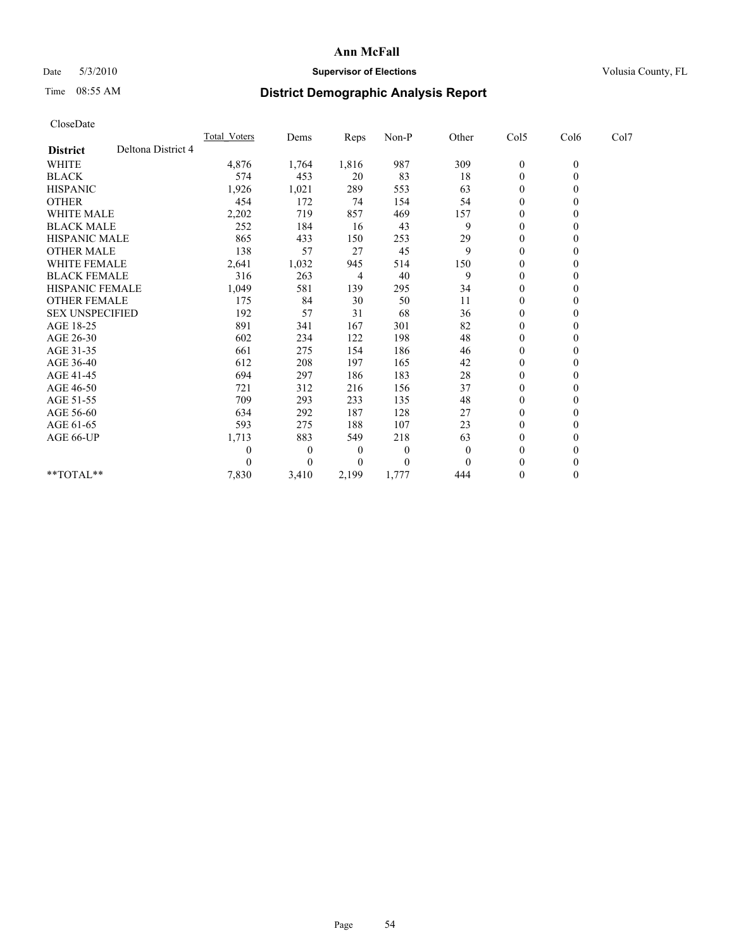## Date 5/3/2010 **Supervisor of Elections Supervisor of Elections** Volusia County, FL

## Time 08:55 AM **District Demographic Analysis Report**

| CloseDate              |                    |                     |          |       |          |                |                  |                |      |  |
|------------------------|--------------------|---------------------|----------|-------|----------|----------------|------------------|----------------|------|--|
|                        |                    | <b>Total Voters</b> | Dems     | Reps  | Non-P    | Other          | Col5             | Col6           | Col7 |  |
| <b>District</b>        | Deltona District 4 |                     |          |       |          |                |                  |                |      |  |
| WHITE                  |                    | 4,876               | 1,764    | 1,816 | 987      | 309            | $\boldsymbol{0}$ | $\overline{0}$ |      |  |
| <b>BLACK</b>           |                    | 574                 | 453      | 20    | 83       | 18             | $\boldsymbol{0}$ | $\overline{0}$ |      |  |
| <b>HISPANIC</b>        |                    | 1,926               | 1,021    | 289   | 553      | 63             | $\mathbf{0}$     | $\theta$       |      |  |
| <b>OTHER</b>           |                    | 454                 | 172      | 74    | 154      | 54             | $\mathbf{0}$     | $\mathbf{0}$   |      |  |
| <b>WHITE MALE</b>      |                    | 2,202               | 719      | 857   | 469      | 157            | 0                | $\theta$       |      |  |
| <b>BLACK MALE</b>      |                    | 252                 | 184      | 16    | 43       | 9              | $\mathbf{0}$     | $\theta$       |      |  |
| <b>HISPANIC MALE</b>   |                    | 865                 | 433      | 150   | 253      | 29             | 0                | $\theta$       |      |  |
| <b>OTHER MALE</b>      |                    | 138                 | 57       | 27    | 45       | 9              | $\overline{0}$   | $\Omega$       |      |  |
| WHITE FEMALE           |                    | 2,641               | 1,032    | 945   | 514      | 150            | $\boldsymbol{0}$ | $\theta$       |      |  |
| <b>BLACK FEMALE</b>    |                    | 316                 | 263      | 4     | 40       | 9              | $\mathbf{0}$     | $\theta$       |      |  |
| <b>HISPANIC FEMALE</b> |                    | 1,049               | 581      | 139   | 295      | 34             | $\mathbf{0}$     | $\theta$       |      |  |
| <b>OTHER FEMALE</b>    |                    | 175                 | 84       | 30    | 50       | 11             | $\boldsymbol{0}$ | $\theta$       |      |  |
| <b>SEX UNSPECIFIED</b> |                    | 192                 | 57       | 31    | 68       | 36             | $\mathbf{0}$     | $\theta$       |      |  |
| AGE 18-25              |                    | 891                 | 341      | 167   | 301      | 82             | 0                | $\theta$       |      |  |
| AGE 26-30              |                    | 602                 | 234      | 122   | 198      | 48             | $\boldsymbol{0}$ | $\theta$       |      |  |
| AGE 31-35              |                    | 661                 | 275      | 154   | 186      | 46             | $\boldsymbol{0}$ | $\theta$       |      |  |
| AGE 36-40              |                    | 612                 | 208      | 197   | 165      | 42             | $\boldsymbol{0}$ | $\theta$       |      |  |
| AGE 41-45              |                    | 694                 | 297      | 186   | 183      | 28             | $\boldsymbol{0}$ | $\theta$       |      |  |
| AGE 46-50              |                    | 721                 | 312      | 216   | 156      | 37             | $\boldsymbol{0}$ | $\theta$       |      |  |
| AGE 51-55              |                    | 709                 | 293      | 233   | 135      | 48             | $\boldsymbol{0}$ | $\theta$       |      |  |
| AGE 56-60              |                    | 634                 | 292      | 187   | 128      | 27             | 0                | $\theta$       |      |  |
| AGE 61-65              |                    | 593                 | 275      | 188   | 107      | 23             | $\overline{0}$   | $\theta$       |      |  |
| AGE 66-UP              |                    | 1,713               | 883      | 549   | 218      | 63             | 0                | $\mathbf{0}$   |      |  |
|                        |                    | 0                   | $\theta$ | 0     | $\theta$ | $\overline{0}$ | $\theta$         | $\theta$       |      |  |
|                        |                    | 0                   | $\theta$ | 0     | $\theta$ | $\Omega$       | $\theta$         | $\theta$       |      |  |
| $**TOTAL**$            |                    | 7,830               | 3,410    | 2,199 | 1,777    | 444            | 0                | $\mathbf{0}$   |      |  |
|                        |                    |                     |          |       |          |                |                  |                |      |  |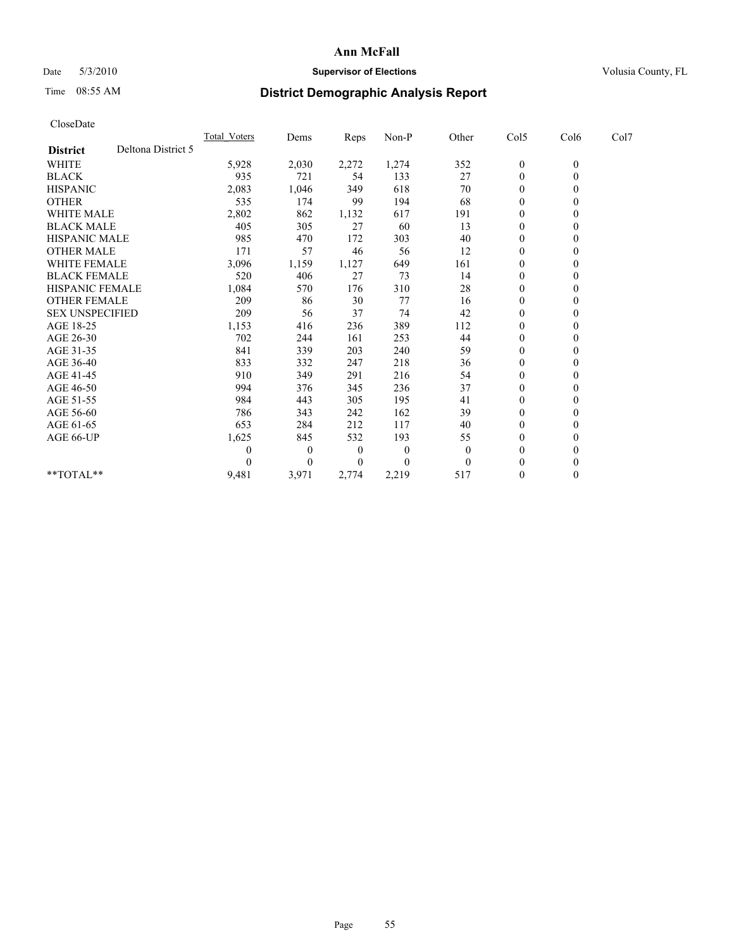## Date 5/3/2010 **Supervisor of Elections Supervisor of Elections** Volusia County, FL

# Time 08:55 AM **District Demographic Analysis Report**

| CloseDate              |                    |              |          |          |          |          |                  |              |      |  |
|------------------------|--------------------|--------------|----------|----------|----------|----------|------------------|--------------|------|--|
|                        |                    | Total Voters | Dems     | Reps     | Non-P    | Other    | Col5             | Col6         | Col7 |  |
| <b>District</b>        | Deltona District 5 |              |          |          |          |          |                  |              |      |  |
| <b>WHITE</b>           |                    | 5,928        | 2,030    | 2,272    | 1,274    | 352      | $\boldsymbol{0}$ | $\mathbf{0}$ |      |  |
| <b>BLACK</b>           |                    | 935          | 721      | 54       | 133      | 27       | $\boldsymbol{0}$ | $\mathbf{0}$ |      |  |
| <b>HISPANIC</b>        |                    | 2,083        | 1,046    | 349      | 618      | 70       | $\boldsymbol{0}$ | $\mathbf{0}$ |      |  |
| <b>OTHER</b>           |                    | 535          | 174      | 99       | 194      | 68       | $\mathbf{0}$     | $\theta$     |      |  |
| <b>WHITE MALE</b>      |                    | 2,802        | 862      | 1,132    | 617      | 191      | 0                | $\mathbf{0}$ |      |  |
| <b>BLACK MALE</b>      |                    | 405          | 305      | 27       | 60       | 13       | $\overline{0}$   | $\theta$     |      |  |
| <b>HISPANIC MALE</b>   |                    | 985          | 470      | 172      | 303      | 40       | 0                | $\Omega$     |      |  |
| <b>OTHER MALE</b>      |                    | 171          | 57       | 46       | 56       | 12       | $\boldsymbol{0}$ | $\mathbf{0}$ |      |  |
| <b>WHITE FEMALE</b>    |                    | 3,096        | 1,159    | 1,127    | 649      | 161      | $\boldsymbol{0}$ | $\theta$     |      |  |
| <b>BLACK FEMALE</b>    |                    | 520          | 406      | 27       | 73       | 14       | 0                | $\Omega$     |      |  |
| <b>HISPANIC FEMALE</b> |                    | 1,084        | 570      | 176      | 310      | 28       | $\mathbf{0}$     | $\theta$     |      |  |
| <b>OTHER FEMALE</b>    |                    | 209          | 86       | 30       | 77       | 16       | $\boldsymbol{0}$ | $\mathbf{0}$ |      |  |
| <b>SEX UNSPECIFIED</b> |                    | 209          | 56       | 37       | 74       | 42       | $\boldsymbol{0}$ | $\theta$     |      |  |
| AGE 18-25              |                    | 1,153        | 416      | 236      | 389      | 112      | $\overline{0}$   | $\Omega$     |      |  |
| AGE 26-30              |                    | 702          | 244      | 161      | 253      | 44       | $\boldsymbol{0}$ | $\mathbf{0}$ |      |  |
| AGE 31-35              |                    | 841          | 339      | 203      | 240      | 59       | $\boldsymbol{0}$ | $\theta$     |      |  |
| AGE 36-40              |                    | 833          | 332      | 247      | 218      | 36       | $\boldsymbol{0}$ | $\Omega$     |      |  |
| AGE 41-45              |                    | 910          | 349      | 291      | 216      | 54       | $\boldsymbol{0}$ | $\theta$     |      |  |
| AGE 46-50              |                    | 994          | 376      | 345      | 236      | 37       | $\boldsymbol{0}$ | $\mathbf{0}$ |      |  |
| AGE 51-55              |                    | 984          | 443      | 305      | 195      | 41       | 0                | $\theta$     |      |  |
| AGE 56-60              |                    | 786          | 343      | 242      | 162      | 39       | $\overline{0}$   | $\Omega$     |      |  |
| AGE 61-65              |                    | 653          | 284      | 212      | 117      | 40       | $\boldsymbol{0}$ | $\mathbf{0}$ |      |  |
| AGE 66-UP              |                    | 1,625        | 845      | 532      | 193      | 55       | 0                | $\theta$     |      |  |
|                        |                    | $\theta$     | $\theta$ | $\theta$ | $\theta$ | $\theta$ | $\mathbf{0}$     | $\mathbf{0}$ |      |  |
|                        |                    | $\theta$     | $\theta$ | 0        | $\theta$ | $\theta$ | $\boldsymbol{0}$ | $\theta$     |      |  |
| **TOTAL**              |                    | 9,481        | 3,971    | 2,774    | 2,219    | 517      | $\overline{0}$   | $\mathbf{0}$ |      |  |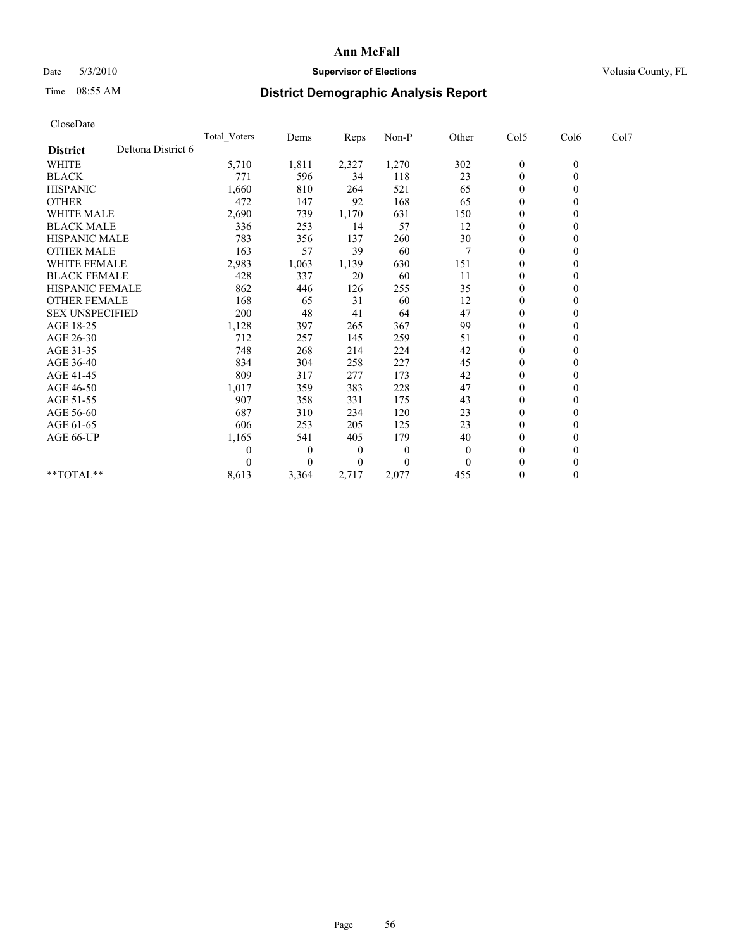## Date 5/3/2010 **Supervisor of Elections Supervisor of Elections** Volusia County, FL

## Time 08:55 AM **District Demographic Analysis Report**

| CloseDate              |                    |                     |                  |       |          |          |                  |              |      |  |
|------------------------|--------------------|---------------------|------------------|-------|----------|----------|------------------|--------------|------|--|
|                        |                    | <b>Total Voters</b> | Dems             | Reps  | Non-P    | Other    | Col5             | Col6         | Col7 |  |
| <b>District</b>        | Deltona District 6 |                     |                  |       |          |          |                  |              |      |  |
| <b>WHITE</b>           |                    | 5,710               | 1,811            | 2,327 | 1,270    | 302      | $\boldsymbol{0}$ | $\mathbf{0}$ |      |  |
| <b>BLACK</b>           |                    | 771                 | 596              | 34    | 118      | 23       | $\boldsymbol{0}$ | $\mathbf{0}$ |      |  |
| <b>HISPANIC</b>        |                    | 1,660               | 810              | 264   | 521      | 65       | $\boldsymbol{0}$ | $\mathbf{0}$ |      |  |
| <b>OTHER</b>           |                    | 472                 | 147              | 92    | 168      | 65       | $\mathbf{0}$     | $\mathbf{0}$ |      |  |
| <b>WHITE MALE</b>      |                    | 2,690               | 739              | 1,170 | 631      | 150      | 0                | $\Omega$     |      |  |
| <b>BLACK MALE</b>      |                    | 336                 | 253              | 14    | 57       | 12       | $\overline{0}$   | $\theta$     |      |  |
| <b>HISPANIC MALE</b>   |                    | 783                 | 356              | 137   | 260      | 30       | 0                | $\Omega$     |      |  |
| <b>OTHER MALE</b>      |                    | 163                 | 57               | 39    | 60       | 7        | $\boldsymbol{0}$ | $\Omega$     |      |  |
| <b>WHITE FEMALE</b>    |                    | 2,983               | 1,063            | 1,139 | 630      | 151      | $\boldsymbol{0}$ | $\theta$     |      |  |
| <b>BLACK FEMALE</b>    |                    | 428                 | 337              | 20    | 60       | 11       | 0                | $\Omega$     |      |  |
| <b>HISPANIC FEMALE</b> |                    | 862                 | 446              | 126   | 255      | 35       | $\mathbf{0}$     | $\mathbf{0}$ |      |  |
| <b>OTHER FEMALE</b>    |                    | 168                 | 65               | 31    | 60       | 12       | $\boldsymbol{0}$ | $\mathbf{0}$ |      |  |
| <b>SEX UNSPECIFIED</b> |                    | 200                 | 48               | 41    | 64       | 47       | 0                | $\Omega$     |      |  |
| AGE 18-25              |                    | 1,128               | 397              | 265   | 367      | 99       | $\overline{0}$   | $\Omega$     |      |  |
| AGE 26-30              |                    | 712                 | 257              | 145   | 259      | 51       | $\boldsymbol{0}$ | $\theta$     |      |  |
| AGE 31-35              |                    | 748                 | 268              | 214   | 224      | 42       | $\boldsymbol{0}$ | $\theta$     |      |  |
| AGE 36-40              |                    | 834                 | 304              | 258   | 227      | 45       | $\boldsymbol{0}$ | $\Omega$     |      |  |
| AGE 41-45              |                    | 809                 | 317              | 277   | 173      | 42       | 0                | $\Omega$     |      |  |
| AGE 46-50              |                    | 1,017               | 359              | 383   | 228      | 47       | $\boldsymbol{0}$ | $\Omega$     |      |  |
| AGE 51-55              |                    | 907                 | 358              | 331   | 175      | 43       | 0                | $\Omega$     |      |  |
| AGE 56-60              |                    | 687                 | 310              | 234   | 120      | 23       | $\overline{0}$   | $\Omega$     |      |  |
| AGE 61-65              |                    | 606                 | 253              | 205   | 125      | 23       | $\boldsymbol{0}$ | $\theta$     |      |  |
| AGE 66-UP              |                    | 1,165               | 541              | 405   | 179      | 40       | 0                | $\theta$     |      |  |
|                        |                    | 0                   | $\boldsymbol{0}$ | 0     | $\theta$ | $\theta$ | $\overline{0}$   | $\Omega$     |      |  |
|                        |                    | 0                   | $\theta$         | 0     | $\Omega$ | $\theta$ | $\mathbf{0}$     | $\theta$     |      |  |
| $**TOTAL**$            |                    | 8,613               | 3,364            | 2,717 | 2,077    | 455      | $\boldsymbol{0}$ | $\mathbf{0}$ |      |  |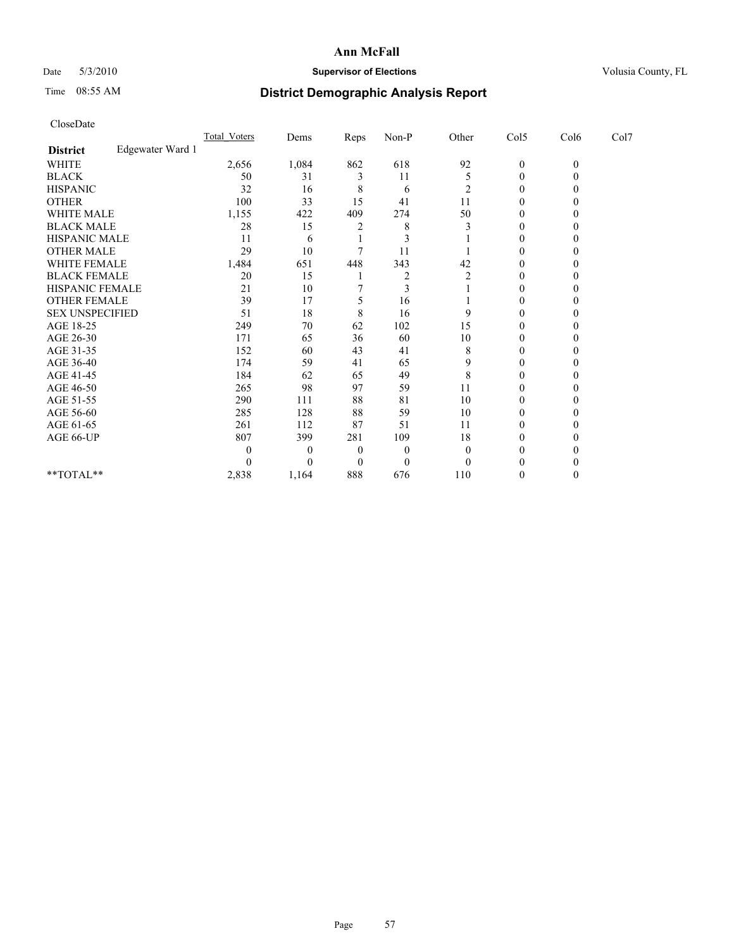## Date 5/3/2010 **Supervisor of Elections Supervisor of Elections** Volusia County, FL

# Time 08:55 AM **District Demographic Analysis Report**

| CloseDate              |                  |                     |          |          |                  |                |                  |              |      |  |
|------------------------|------------------|---------------------|----------|----------|------------------|----------------|------------------|--------------|------|--|
|                        |                  | <b>Total Voters</b> | Dems     | Reps     | Non-P            | Other          | Col5             | Col6         | Col7 |  |
| <b>District</b>        | Edgewater Ward 1 |                     |          |          |                  |                |                  |              |      |  |
| <b>WHITE</b>           |                  | 2,656               | 1,084    | 862      | 618              | 92             | $\boldsymbol{0}$ | $\mathbf{0}$ |      |  |
| <b>BLACK</b>           |                  | 50                  | 31       | 3        | 11               | 5              | $\mathbf{0}$     | $\theta$     |      |  |
| <b>HISPANIC</b>        |                  | 32                  | 16       | 8        | 6                | $\overline{c}$ | $\mathbf{0}$     | $\Omega$     |      |  |
| <b>OTHER</b>           |                  | 100                 | 33       | 15       | 41               | 11             | $\mathbf{0}$     | 0            |      |  |
| <b>WHITE MALE</b>      |                  | 1,155               | 422      | 409      | 274              | 50             | $\mathbf{0}$     | 0            |      |  |
| <b>BLACK MALE</b>      |                  | 28                  | 15       | 2        | 8                | 3              | $\theta$         | 0            |      |  |
| HISPANIC MALE          |                  | 11                  | 6        |          | 3                |                | $\mathbf{0}$     | 0            |      |  |
| <b>OTHER MALE</b>      |                  | 29                  | 10       |          | 11               |                | $\boldsymbol{0}$ | $\theta$     |      |  |
| WHITE FEMALE           |                  | 1,484               | 651      | 448      | 343              | 42             | $\mathbf{0}$     | $\theta$     |      |  |
| <b>BLACK FEMALE</b>    |                  | 20                  | 15       |          | $\overline{c}$   | 2              | $\theta$         | 0            |      |  |
| HISPANIC FEMALE        |                  | 21                  | 10       |          | $\mathfrak{Z}$   |                | $\mathbf{0}$     | 0            |      |  |
| <b>OTHER FEMALE</b>    |                  | 39                  | 17       | 5        | 16               |                | $\boldsymbol{0}$ | 0            |      |  |
| <b>SEX UNSPECIFIED</b> |                  | 51                  | 18       | 8        | 16               | 9              | $\theta$         | 0            |      |  |
| AGE 18-25              |                  | 249                 | 70       | 62       | 102              | 15             | $\mathbf{0}$     | 0            |      |  |
| AGE 26-30              |                  | 171                 | 65       | 36       | 60               | 10             | $\boldsymbol{0}$ | $\theta$     |      |  |
| AGE 31-35              |                  | 152                 | 60       | 43       | 41               | 8              | $\mathbf{0}$     | $\theta$     |      |  |
| AGE 36-40              |                  | 174                 | 59       | 41       | 65               | 9              | $\mathbf{0}$     | 0            |      |  |
| AGE 41-45              |                  | 184                 | 62       | 65       | 49               | 8              | $\mathbf{0}$     | 0            |      |  |
| AGE 46-50              |                  | 265                 | 98       | 97       | 59               | 11             | $\boldsymbol{0}$ | 0            |      |  |
| AGE 51-55              |                  | 290                 | 111      | 88       | 81               | 10             | $\mathbf{0}$     | 0            |      |  |
| AGE 56-60              |                  | 285                 | 128      | 88       | 59               | 10             | $\mathbf{0}$     | 0            |      |  |
| AGE 61-65              |                  | 261                 | 112      | 87       | 51               | 11             | $\boldsymbol{0}$ | $\Omega$     |      |  |
| AGE 66-UP              |                  | 807                 | 399      | 281      | 109              | 18             | 0                | 0            |      |  |
|                        |                  | $\boldsymbol{0}$    | $\theta$ | $\theta$ | $\boldsymbol{0}$ | $\overline{0}$ | 0                |              |      |  |
|                        |                  | $\Omega$            | $\theta$ | $\theta$ | $\theta$         | $\Omega$       | 0                | 0            |      |  |
| $*$ TOTAL $*$          |                  | 2,838               | 1,164    | 888      | 676              | 110            | 0                | $\theta$     |      |  |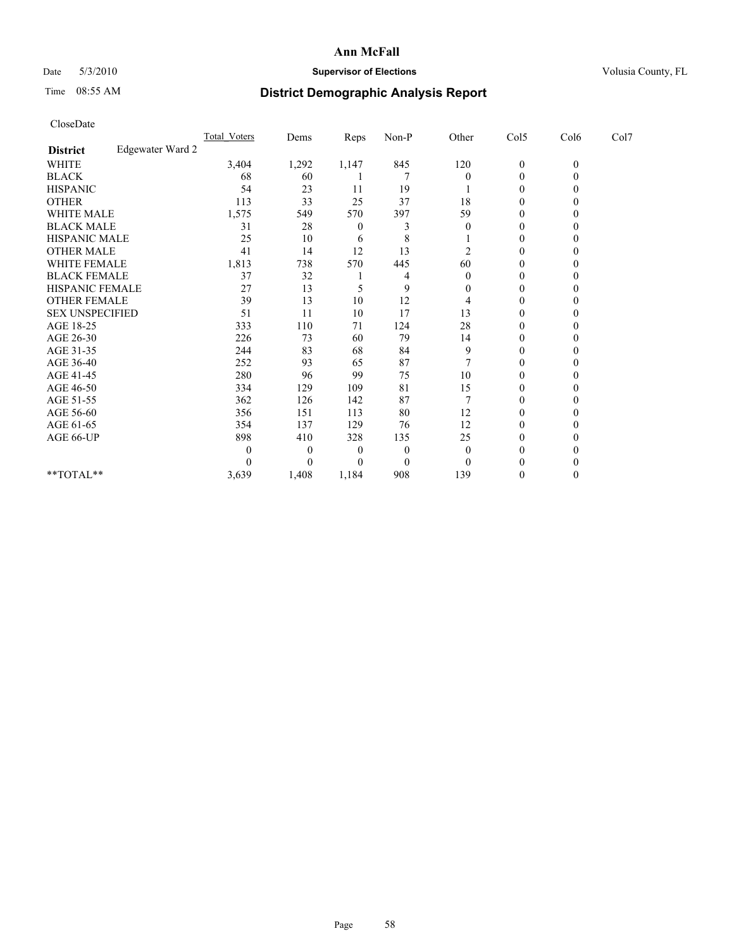## Date 5/3/2010 **Supervisor of Elections Supervisor of Elections** Volusia County, FL

# Time 08:55 AM **District Demographic Analysis Report**

| CloseDate              |                  |                     |          |       |       |                |                  |                |      |
|------------------------|------------------|---------------------|----------|-------|-------|----------------|------------------|----------------|------|
|                        |                  | <b>Total Voters</b> | Dems     | Reps  | Non-P | Other          | Col5             | Col6           | Col7 |
| <b>District</b>        | Edgewater Ward 2 |                     |          |       |       |                |                  |                |      |
| WHITE                  |                  | 3,404               | 1,292    | 1,147 | 845   | 120            | $\boldsymbol{0}$ | $\overline{0}$ |      |
| <b>BLACK</b>           |                  | 68                  | 60       |       | 7     | $\theta$       | $\boldsymbol{0}$ | $\theta$       |      |
| <b>HISPANIC</b>        |                  | 54                  | 23       | 11    | 19    |                | 0                | 0              |      |
| <b>OTHER</b>           |                  | 113                 | 33       | 25    | 37    | 18             | $\boldsymbol{0}$ | 0              |      |
| <b>WHITE MALE</b>      |                  | 1,575               | 549      | 570   | 397   | 59             | $\boldsymbol{0}$ | 0              |      |
| <b>BLACK MALE</b>      |                  | 31                  | 28       | 0     | 3     | $\theta$       | $\theta$         | 0              |      |
| HISPANIC MALE          |                  | 25                  | 10       | 6     | 8     |                | $\boldsymbol{0}$ | 0              |      |
| <b>OTHER MALE</b>      |                  | 41                  | 14       | 12    | 13    | $\overline{c}$ | $\overline{0}$   | $\Omega$       |      |
| WHITE FEMALE           |                  | 1,813               | 738      | 570   | 445   | 60             | $\boldsymbol{0}$ | $\theta$       |      |
| <b>BLACK FEMALE</b>    |                  | 37                  | 32       |       | 4     | $\Omega$       | $\theta$         | 0              |      |
| HISPANIC FEMALE        |                  | 27                  | 13       | 5     | 9     | 0              | $\boldsymbol{0}$ | 0              |      |
| <b>OTHER FEMALE</b>    |                  | 39                  | 13       | 10    | 12    | 4              | 0                | 0              |      |
| <b>SEX UNSPECIFIED</b> |                  | 51                  | 11       | 10    | 17    | 13             | $\theta$         | 0              |      |
| AGE 18-25              |                  | 333                 | 110      | 71    | 124   | 28             | $\boldsymbol{0}$ | 0              |      |
| AGE 26-30              |                  | 226                 | 73       | 60    | 79    | 14             | $\overline{0}$   | $\theta$       |      |
| AGE 31-35              |                  | 244                 | 83       | 68    | 84    | 9              | $\boldsymbol{0}$ | $\Omega$       |      |
| AGE 36-40              |                  | 252                 | 93       | 65    | 87    | 7              | $\theta$         | 0              |      |
| AGE 41-45              |                  | 280                 | 96       | 99    | 75    | 10             | $\theta$         | 0              |      |
| AGE 46-50              |                  | 334                 | 129      | 109   | 81    | 15             | 0                | 0              |      |
| AGE 51-55              |                  | 362                 | 126      | 142   | 87    |                | $\mathbf{0}$     | 0              |      |
| AGE 56-60              |                  | 356                 | 151      | 113   | 80    | 12             | $\mathbf{0}$     | 0              |      |
| AGE 61-65              |                  | 354                 | 137      | 129   | 76    | 12             | $\overline{0}$   | 0              |      |
| AGE 66-UP              |                  | 898                 | 410      | 328   | 135   | 25             | $\mathbf{0}$     | 0              |      |
|                        |                  | 0                   | $\theta$ | 0     | 0     | $\overline{0}$ | 0                |                |      |
|                        |                  | 0                   | $\theta$ | 0     | 0     | $\Omega$       |                  |                |      |
| $*$ TOTAL $*$          |                  | 3,639               | 1,408    | 1,184 | 908   | 139            | 0                | $\theta$       |      |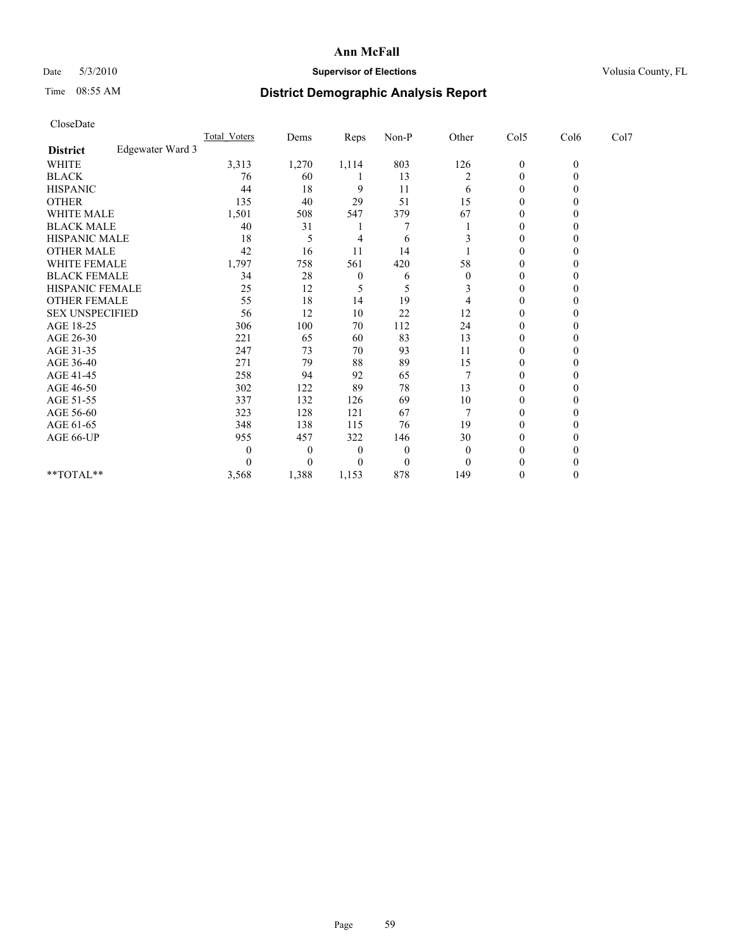## Date 5/3/2010 **Supervisor of Elections Supervisor of Elections** Volusia County, FL

# Time 08:55 AM **District Demographic Analysis Report**

| CloseDate              |                  |                     |          |          |                  |                |                  |              |      |
|------------------------|------------------|---------------------|----------|----------|------------------|----------------|------------------|--------------|------|
|                        |                  | <b>Total Voters</b> | Dems     | Reps     | Non-P            | Other          | Col5             | Col6         | Col7 |
| <b>District</b>        | Edgewater Ward 3 |                     |          |          |                  |                |                  |              |      |
| <b>WHITE</b>           |                  | 3,313               | 1,270    | 1,114    | 803              | 126            | $\boldsymbol{0}$ | $\mathbf{0}$ |      |
| <b>BLACK</b>           |                  | 76                  | 60       |          | 13               | $\overline{c}$ | $\boldsymbol{0}$ | $\theta$     |      |
| <b>HISPANIC</b>        |                  | 44                  | 18       | 9        | 11               | 6              | $\mathbf{0}$     | $\Omega$     |      |
| <b>OTHER</b>           |                  | 135                 | 40       | 29       | 51               | 15             | $\mathbf{0}$     | 0            |      |
| <b>WHITE MALE</b>      |                  | 1,501               | 508      | 547      | 379              | 67             | $\mathbf{0}$     | 0            |      |
| <b>BLACK MALE</b>      |                  | 40                  | 31       |          | 7                |                | $\theta$         | 0            |      |
| HISPANIC MALE          |                  | 18                  | 5        | 4        | 6                |                | $\mathbf{0}$     | 0            |      |
| <b>OTHER MALE</b>      |                  | 42                  | 16       | 11       | 14               |                | $\theta$         | $\Omega$     |      |
| WHITE FEMALE           |                  | 1,797               | 758      | 561      | 420              | 58             | 0                | $\theta$     |      |
| <b>BLACK FEMALE</b>    |                  | 34                  | 28       | 0        | 6                | $\theta$       | $\theta$         | 0            |      |
| HISPANIC FEMALE        |                  | 25                  | 12       | 5        | 5                | 3              | $\mathbf{0}$     | 0            |      |
| <b>OTHER FEMALE</b>    |                  | 55                  | 18       | 14       | 19               | 4              | $\boldsymbol{0}$ | $\theta$     |      |
| <b>SEX UNSPECIFIED</b> |                  | 56                  | 12       | 10       | 22               | 12             | $\mathbf{0}$     | 0            |      |
| AGE 18-25              |                  | 306                 | 100      | 70       | 112              | 24             | 0                | 0            |      |
| AGE 26-30              |                  | 221                 | 65       | 60       | 83               | 13             | $\theta$         | $\theta$     |      |
| AGE 31-35              |                  | 247                 | 73       | 70       | 93               | 11             | $\mathbf{0}$     | $\theta$     |      |
| AGE 36-40              |                  | 271                 | 79       | 88       | 89               | 15             | $\boldsymbol{0}$ | 0            |      |
| AGE 41-45              |                  | 258                 | 94       | 92       | 65               |                | $\mathbf{0}$     | 0            |      |
| AGE 46-50              |                  | 302                 | 122      | 89       | 78               | 13             | $\boldsymbol{0}$ | 0            |      |
| AGE 51-55              |                  | 337                 | 132      | 126      | 69               | 10             | $\mathbf{0}$     | 0            |      |
| AGE 56-60              |                  | 323                 | 128      | 121      | 67               | 7              | $\mathbf{0}$     | 0            |      |
| AGE 61-65              |                  | 348                 | 138      | 115      | 76               | 19             | $\theta$         | $\Omega$     |      |
| AGE 66-UP              |                  | 955                 | 457      | 322      | 146              | 30             | 0                | 0            |      |
|                        |                  | $\boldsymbol{0}$    | $\theta$ | $\theta$ | $\boldsymbol{0}$ | $\overline{0}$ | $\theta$         | $_{0}$       |      |
|                        |                  | $\Omega$            | $\theta$ | 0        | $\theta$         | $\Omega$       | 0                | 0            |      |
| $*$ TOTAL $*$          |                  | 3,568               | 1,388    | 1,153    | 878              | 149            | $\theta$         | $\theta$     |      |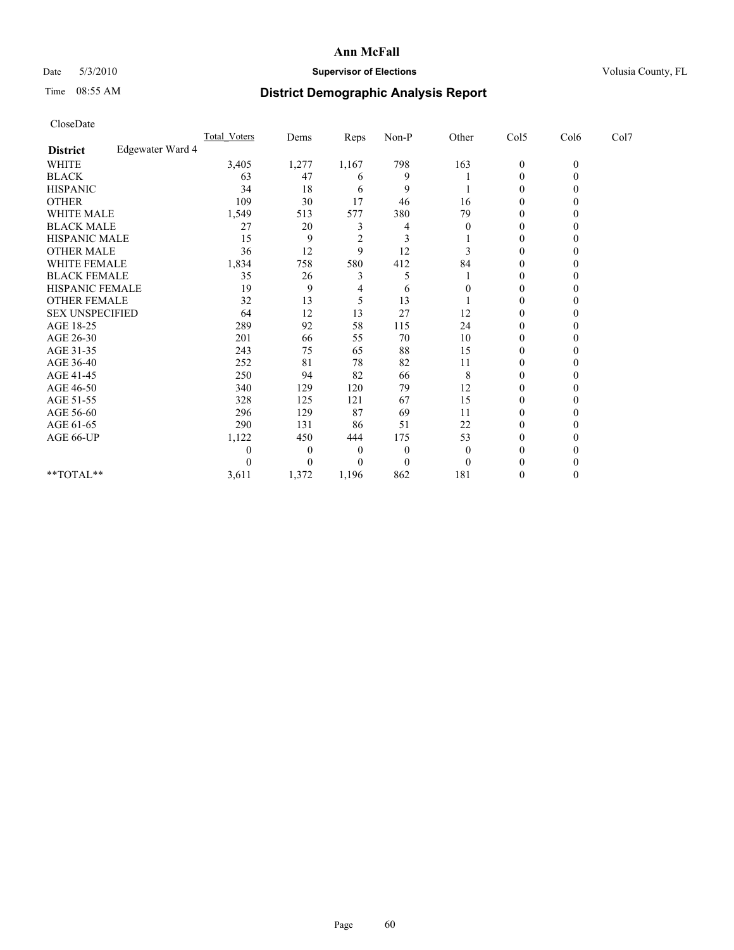## Date 5/3/2010 **Supervisor of Elections Supervisor of Elections** Volusia County, FL

# Time 08:55 AM **District Demographic Analysis Report**

| Total Voters                                                                                                                                                                                   | Dems             |                | Non-P    |                |                  |              |      |      |
|------------------------------------------------------------------------------------------------------------------------------------------------------------------------------------------------|------------------|----------------|----------|----------------|------------------|--------------|------|------|
|                                                                                                                                                                                                |                  |                |          |                |                  |              |      |      |
| 3,405                                                                                                                                                                                          | 1,277            | 1,167          | 798      | 163            | $\boldsymbol{0}$ | $\mathbf{0}$ |      |      |
| 63                                                                                                                                                                                             | 47               | 6              | 9        |                | 0                | $\theta$     |      |      |
| 34                                                                                                                                                                                             | 18               | 6              | 9        |                | $\theta$         | $\theta$     |      |      |
| 109                                                                                                                                                                                            | 30               | 17             | 46       | 16             | $\mathbf{0}$     | 0            |      |      |
| 1,549                                                                                                                                                                                          | 513              | 577            | 380      | 79             | $\mathbf{0}$     | 0            |      |      |
| 27                                                                                                                                                                                             | 20               | 3              | 4        | $\overline{0}$ | $\mathbf{0}$     | 0            |      |      |
| 15                                                                                                                                                                                             | 9                | $\overline{2}$ | 3        |                | 0                | 0            |      |      |
| 36                                                                                                                                                                                             | 12               | 9              | 12       | 3              | $\boldsymbol{0}$ | $\theta$     |      |      |
| 1,834                                                                                                                                                                                          | 758              | 580            | 412      | 84             | $\mathbf{0}$     | $\Omega$     |      |      |
| 35                                                                                                                                                                                             | 26               | 3              | 5        |                | $\theta$         | 0            |      |      |
| 19                                                                                                                                                                                             | 9                | 4              | 6        | $\theta$       | $\mathbf{0}$     | 0            |      |      |
| 32                                                                                                                                                                                             | 13               | 5              | 13       |                | $\boldsymbol{0}$ | 0            |      |      |
| 64                                                                                                                                                                                             | 12               | 13             | 27       | 12             | 0                | 0            |      |      |
| 289                                                                                                                                                                                            | 92               | 58             | 115      | 24             | $\mathbf{0}$     | 0            |      |      |
| 201                                                                                                                                                                                            | 66               | 55             | 70       | 10             | $\theta$         | $\theta$     |      |      |
| 243                                                                                                                                                                                            | 75               | 65             | 88       | 15             | $\mathbf{0}$     | $\Omega$     |      |      |
| 252                                                                                                                                                                                            | 81               | 78             | 82       | 11             | $\mathbf{0}$     | 0            |      |      |
| 250                                                                                                                                                                                            | 94               | 82             | 66       | 8              | $\mathbf{0}$     | 0            |      |      |
| 340                                                                                                                                                                                            | 129              | 120            | 79       | 12             | $\boldsymbol{0}$ | $\theta$     |      |      |
| 328                                                                                                                                                                                            | 125              | 121            | 67       | 15             | 0                | 0            |      |      |
| 296                                                                                                                                                                                            | 129              | 87             | 69       | 11             | $\mathbf{0}$     | 0            |      |      |
| 290                                                                                                                                                                                            | 131              | 86             | 51       | 22             | $\boldsymbol{0}$ | $\theta$     |      |      |
| 1,122                                                                                                                                                                                          | 450              | 444            | 175      | 53             | $\mathbf{0}$     | 0            |      |      |
| $\theta$                                                                                                                                                                                       | $\theta$         | 0              | $\theta$ | $\Omega$       | $\theta$         | 0            |      |      |
| 0                                                                                                                                                                                              | $\theta$         | 0              | $\theta$ | $\Omega$       |                  |              |      |      |
| 3,611                                                                                                                                                                                          | 1,372            | 1,196          | 862      | 181            | 0                | $\theta$     |      |      |
| <b>WHITE MALE</b><br><b>BLACK MALE</b><br>HISPANIC MALE<br><b>OTHER MALE</b><br>WHITE FEMALE<br><b>BLACK FEMALE</b><br><b>HISPANIC FEMALE</b><br><b>OTHER FEMALE</b><br><b>SEX UNSPECIFIED</b> | Edgewater Ward 4 |                | Reps     |                | Other            | Col5         | Col6 | Col7 |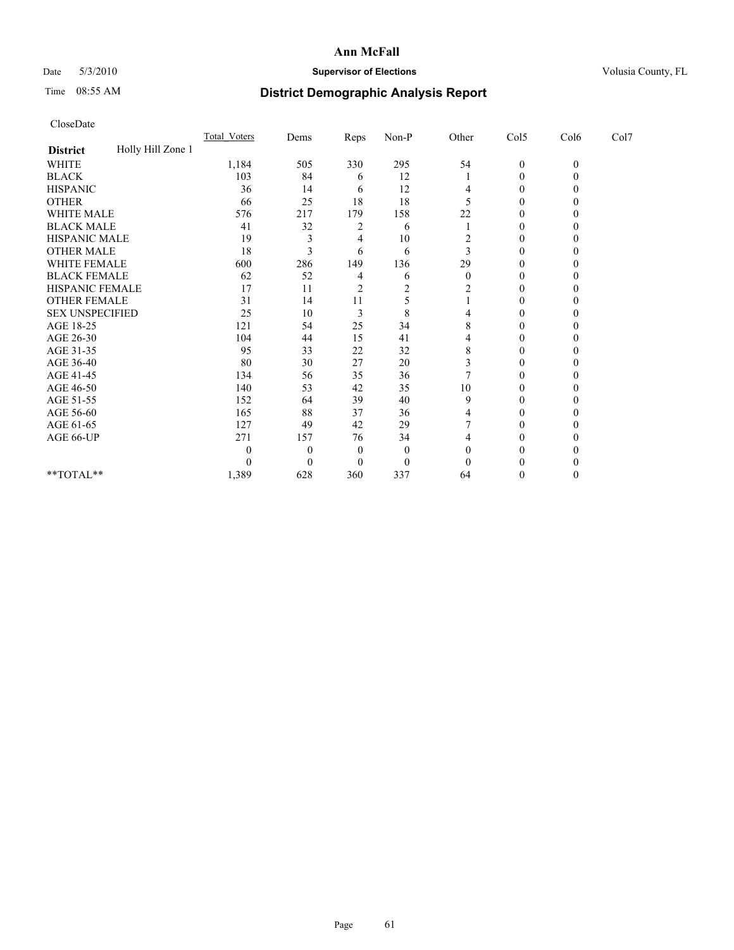## Date 5/3/2010 **Supervisor of Elections Supervisor of Elections** Volusia County, FL

# Time 08:55 AM **District Demographic Analysis Report**

| CloseDate              |                   |                     |          |                |                |          |                  |              |      |  |
|------------------------|-------------------|---------------------|----------|----------------|----------------|----------|------------------|--------------|------|--|
|                        |                   | <b>Total Voters</b> | Dems     | Reps           | Non-P          | Other    | Col5             | Col6         | Col7 |  |
| <b>District</b>        | Holly Hill Zone 1 |                     |          |                |                |          |                  |              |      |  |
| <b>WHITE</b>           |                   | 1,184               | 505      | 330            | 295            | 54       | $\boldsymbol{0}$ | $\mathbf{0}$ |      |  |
| <b>BLACK</b>           |                   | 103                 | 84       | 6              | 12             |          | $\mathbf{0}$     | $\theta$     |      |  |
| <b>HISPANIC</b>        |                   | 36                  | 14       | 6              | 12             | 4        | 0                | 0            |      |  |
| <b>OTHER</b>           |                   | 66                  | 25       | 18             | 18             | 5        | $\mathbf{0}$     | 0            |      |  |
| <b>WHITE MALE</b>      |                   | 576                 | 217      | 179            | 158            | 22       | 0                | $_{0}$       |      |  |
| <b>BLACK MALE</b>      |                   | 41                  | 32       | 2              | 6              |          | $\theta$         | 0            |      |  |
| HISPANIC MALE          |                   | 19                  | 3        | 4              | 10             | 2        | $\mathbf{0}$     | 0            |      |  |
| <b>OTHER MALE</b>      |                   | 18                  | 3        | 6              | 6              | 3        | $\boldsymbol{0}$ | $\theta$     |      |  |
| WHITE FEMALE           |                   | 600                 | 286      | 149            | 136            | 29       | $\mathbf{0}$     | $\theta$     |      |  |
| <b>BLACK FEMALE</b>    |                   | 62                  | 52       | 4              | 6              | $\theta$ | $\theta$         | 0            |      |  |
| HISPANIC FEMALE        |                   | 17                  | 11       | $\overline{c}$ | $\overline{2}$ | 2        | $\mathbf{0}$     | 0            |      |  |
| <b>OTHER FEMALE</b>    |                   | 31                  | 14       | 11             | 5              |          | $\mathbf{0}$     | 0            |      |  |
| <b>SEX UNSPECIFIED</b> |                   | 25                  | 10       | 3              | 8              | 4        | $\theta$         | 0            |      |  |
| AGE 18-25              |                   | 121                 | 54       | 25             | 34             | 8        | $\mathbf{0}$     | 0            |      |  |
| AGE 26-30              |                   | 104                 | 44       | 15             | 41             | 4        | $\mathbf{0}$     | $\theta$     |      |  |
| AGE 31-35              |                   | 95                  | 33       | 22             | 32             | 8        | $\mathbf{0}$     | $\Omega$     |      |  |
| AGE 36-40              |                   | 80                  | 30       | 27             | 20             | 3        | 0                | $_{0}$       |      |  |
| AGE 41-45              |                   | 134                 | 56       | 35             | 36             |          | $\theta$         | 0            |      |  |
| AGE 46-50              |                   | 140                 | 53       | 42             | 35             | 10       | $\boldsymbol{0}$ | 0            |      |  |
| AGE 51-55              |                   | 152                 | 64       | 39             | 40             | 9        | $\boldsymbol{0}$ | 0            |      |  |
| AGE 56-60              |                   | 165                 | 88       | 37             | 36             | 4        | 0                | 0            |      |  |
| AGE 61-65              |                   | 127                 | 49       | 42             | 29             |          | $\boldsymbol{0}$ | 0            |      |  |
| AGE 66-UP              |                   | 271                 | 157      | 76             | 34             | 4        | $\boldsymbol{0}$ | 0            |      |  |
|                        |                   | $\theta$            | $\theta$ | $\Omega$       | $\theta$       | $\theta$ | 0                |              |      |  |
|                        |                   | $\theta$            | $\theta$ | $\theta$       | $\theta$       | $\Omega$ |                  |              |      |  |
| **TOTAL**              |                   | 1,389               | 628      | 360            | 337            | 64       | 0                | $\theta$     |      |  |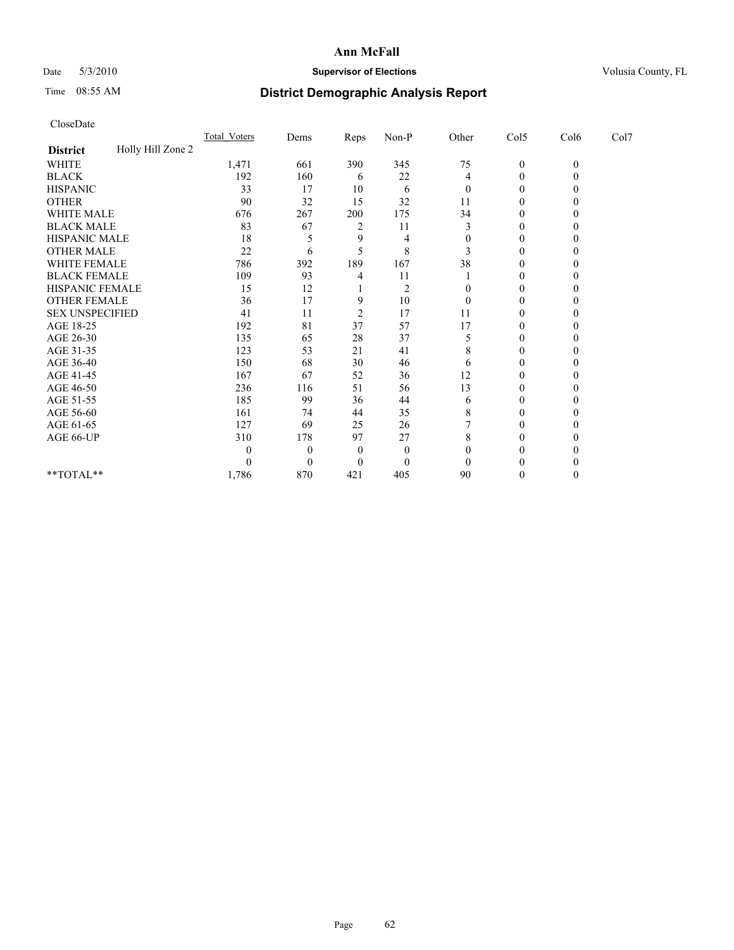## Date 5/3/2010 **Supervisor of Elections Supervisor of Elections** Volusia County, FL

# Time 08:55 AM **District Demographic Analysis Report**

| CloseDate              |                   |                     |              |                |                |                |                  |              |      |  |
|------------------------|-------------------|---------------------|--------------|----------------|----------------|----------------|------------------|--------------|------|--|
|                        |                   | <b>Total Voters</b> | Dems         | Reps           | Non-P          | Other          | Col5             | Col6         | Col7 |  |
| <b>District</b>        | Holly Hill Zone 2 |                     |              |                |                |                |                  |              |      |  |
| <b>WHITE</b>           |                   | 1,471               | 661          | 390            | 345            | 75             | $\boldsymbol{0}$ | $\mathbf{0}$ |      |  |
| <b>BLACK</b>           |                   | 192                 | 160          | 6              | 22             | 4              | 0                | $\theta$     |      |  |
| <b>HISPANIC</b>        |                   | 33                  | 17           | 10             | 6              | $\overline{0}$ | 0                | 0            |      |  |
| <b>OTHER</b>           |                   | 90                  | 32           | 15             | 32             | 11             | $\boldsymbol{0}$ | 0            |      |  |
| WHITE MALE             |                   | 676                 | 267          | 200            | 175            | 34             | $\boldsymbol{0}$ | 0            |      |  |
| <b>BLACK MALE</b>      |                   | 83                  | 67           | 2              | 11             | 3              | $\mathbf{0}$     | 0            |      |  |
| HISPANIC MALE          |                   | 18                  | 5            | 9              | 4              | $\theta$       | 0                | 0            |      |  |
| <b>OTHER MALE</b>      |                   | 22                  | 6            | 5              | 8              | 3              | $\theta$         | $\theta$     |      |  |
| WHITE FEMALE           |                   | 786                 | 392          | 189            | 167            | 38             | $\mathbf{0}$     | $\theta$     |      |  |
| <b>BLACK FEMALE</b>    |                   | 109                 | 93           | 4              | 11             |                | 0                | $_{0}$       |      |  |
| HISPANIC FEMALE        |                   | 15                  | 12           |                | $\overline{2}$ | $\theta$       | $\mathbf{0}$     | 0            |      |  |
| <b>OTHER FEMALE</b>    |                   | 36                  | 17           | 9              | 10             | $\mathbf{0}$   | $\boldsymbol{0}$ | 0            |      |  |
| <b>SEX UNSPECIFIED</b> |                   | 41                  | 11           | $\overline{2}$ | 17             | 11             | 0                | 0            |      |  |
| AGE 18-25              |                   | 192                 | 81           | 37             | 57             | 17             | $\mathbf{0}$     | 0            |      |  |
| AGE 26-30              |                   | 135                 | 65           | 28             | 37             | 5              | $\boldsymbol{0}$ | $\theta$     |      |  |
| AGE 31-35              |                   | 123                 | 53           | 21             | 41             | 8              | $\boldsymbol{0}$ | 0            |      |  |
| AGE 36-40              |                   | 150                 | 68           | 30             | 46             | 6              | 0                | 0            |      |  |
| AGE 41-45              |                   | 167                 | 67           | 52             | 36             | 12             | $\boldsymbol{0}$ | 0            |      |  |
| AGE 46-50              |                   | 236                 | 116          | 51             | 56             | 13             | 0                | 0            |      |  |
| AGE 51-55              |                   | 185                 | 99           | 36             | 44             | 6              | $\boldsymbol{0}$ | 0            |      |  |
| AGE 56-60              |                   | 161                 | 74           | 44             | 35             | 8              | $\boldsymbol{0}$ | 0            |      |  |
| AGE 61-65              |                   | 127                 | 69           | 25             | 26             |                | $\boldsymbol{0}$ | $\theta$     |      |  |
| AGE 66-UP              |                   | 310                 | 178          | 97             | 27             | 8              | $\boldsymbol{0}$ | 0            |      |  |
|                        |                   | $\theta$            | 0            | $\mathbf{0}$   | $\theta$       | $\theta$       | $\theta$         |              |      |  |
|                        |                   | $\theta$            | $\mathbf{0}$ | $\theta$       | $\theta$       | $\Omega$       | 0                | 0            |      |  |
| **TOTAL**              |                   | 1,786               | 870          | 421            | 405            | 90             | $\boldsymbol{0}$ | $\theta$     |      |  |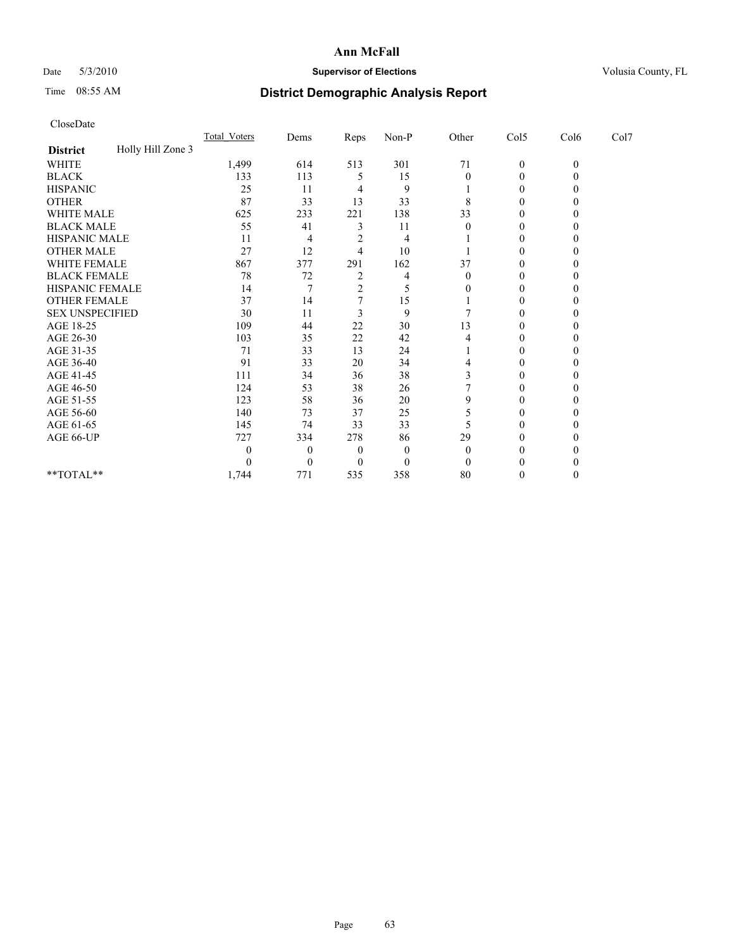## Date 5/3/2010 **Supervisor of Elections Supervisor of Elections** Volusia County, FL

# Time 08:55 AM **District Demographic Analysis Report**

| CloseDate              |                   |              |                  |                |          |          |                  |          |      |  |
|------------------------|-------------------|--------------|------------------|----------------|----------|----------|------------------|----------|------|--|
|                        |                   | Total Voters | Dems             | Reps           | $Non-P$  | Other    | Col5             | Col6     | Col7 |  |
| <b>District</b>        | Holly Hill Zone 3 |              |                  |                |          |          |                  |          |      |  |
| <b>WHITE</b>           |                   | 1,499        | 614              | 513            | 301      | 71       | $\boldsymbol{0}$ | $\theta$ |      |  |
| <b>BLACK</b>           |                   | 133          | 113              | 5              | 15       | $\Omega$ | $\boldsymbol{0}$ | $\theta$ |      |  |
| <b>HISPANIC</b>        |                   | 25           | 11               | 4              | 9        |          | $\theta$         | 0        |      |  |
| <b>OTHER</b>           |                   | 87           | 33               | 13             | 33       | 8        | $\boldsymbol{0}$ | 0        |      |  |
| <b>WHITE MALE</b>      |                   | 625          | 233              | 221            | 138      | 33       | 0                | 0        |      |  |
| <b>BLACK MALE</b>      |                   | 55           | 41               | 3              | 11       | $\theta$ | $\theta$         | 0        |      |  |
| HISPANIC MALE          |                   | 11           | 4                | $\overline{2}$ | 4        |          | $\mathbf{0}$     |          |      |  |
| <b>OTHER MALE</b>      |                   | 27           | 12               | 4              | 10       |          | 0                | $_{0}$   |      |  |
| <b>WHITE FEMALE</b>    |                   | 867          | 377              | 291            | 162      | 37       | 0                | 0        |      |  |
| <b>BLACK FEMALE</b>    |                   | 78           | 72               | 2              | 4        | $\Omega$ | $\theta$         | 0        |      |  |
| HISPANIC FEMALE        |                   | 14           | 7                | $\overline{c}$ | 5        | 0        | 0                | 0        |      |  |
| <b>OTHER FEMALE</b>    |                   | 37           | 14               | 7              | 15       |          | $\boldsymbol{0}$ | 0        |      |  |
| <b>SEX UNSPECIFIED</b> |                   | 30           | 11               | 3              | 9        |          | 0                | 0        |      |  |
| AGE 18-25              |                   | 109          | 44               | 22             | 30       | 13       | 0                | 0        |      |  |
| AGE 26-30              |                   | 103          | 35               | 22             | 42       | 4        | $\boldsymbol{0}$ | 0        |      |  |
| AGE 31-35              |                   | 71           | 33               | 13             | 24       |          | $\mathbf{0}$     | $\Omega$ |      |  |
| AGE 36-40              |                   | 91           | 33               | 20             | 34       | 4        | 0                | 0        |      |  |
| AGE 41-45              |                   | 111          | 34               | 36             | 38       | 3        | $\mathbf{0}$     | 0        |      |  |
| AGE 46-50              |                   | 124          | 53               | 38             | 26       | 7        | $\boldsymbol{0}$ | $_{0}$   |      |  |
| AGE 51-55              |                   | 123          | 58               | 36             | 20       | 9        | 0                | 0        |      |  |
| AGE 56-60              |                   | 140          | 73               | 37             | 25       | 5        | $\boldsymbol{0}$ | 0        |      |  |
| AGE 61-65              |                   | 145          | 74               | 33             | 33       |          | $\theta$         | $\theta$ |      |  |
| AGE 66-UP              |                   | 727          | 334              | 278            | 86       | 29       | $\boldsymbol{0}$ | 0        |      |  |
|                        |                   | $\theta$     | $\theta$         | 0              | $\theta$ | $\theta$ | 0                |          |      |  |
|                        |                   | $\Omega$     | $\boldsymbol{0}$ | 0              | $\theta$ | $\Omega$ |                  |          |      |  |
| **TOTAL**              |                   | 1,744        | 771              | 535            | 358      | 80       | 0                | $\theta$ |      |  |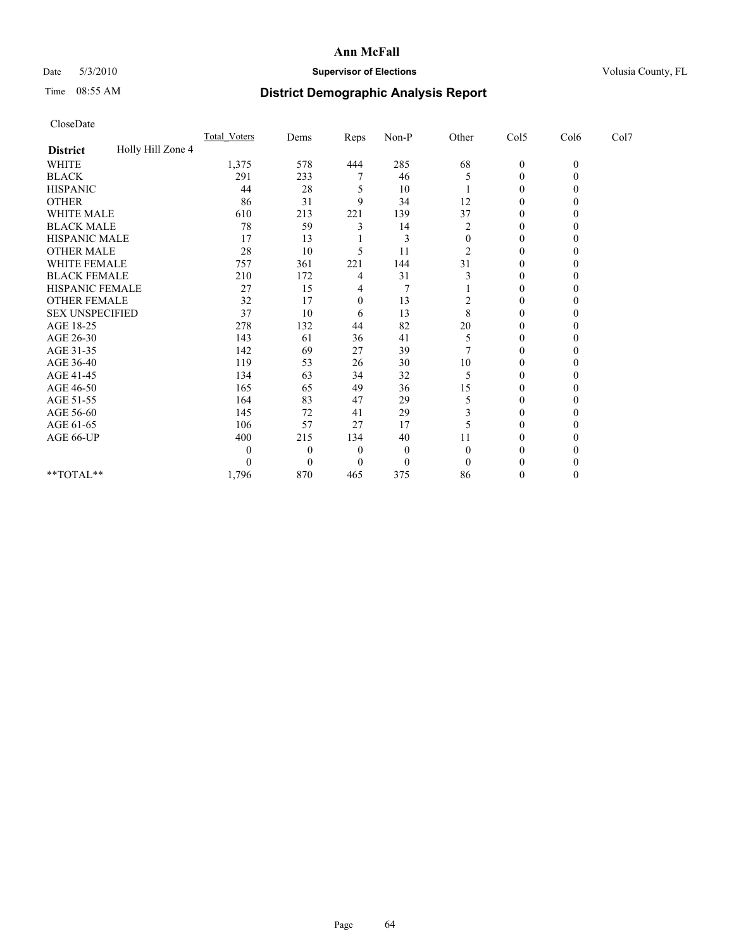## Date 5/3/2010 **Supervisor of Elections Supervisor of Elections** Volusia County, FL

# Time 08:55 AM **District Demographic Analysis Report**

| CloseDate              |                   |              |                  |          |          |                  |                  |              |      |  |
|------------------------|-------------------|--------------|------------------|----------|----------|------------------|------------------|--------------|------|--|
|                        |                   | Total Voters | Dems             | Reps     | Non-P    | Other            | Col5             | Col6         | Col7 |  |
| <b>District</b>        | Holly Hill Zone 4 |              |                  |          |          |                  |                  |              |      |  |
| <b>WHITE</b>           |                   | 1,375        | 578              | 444      | 285      | 68               | $\boldsymbol{0}$ | $\mathbf{0}$ |      |  |
| <b>BLACK</b>           |                   | 291          | 233              | 7        | 46       | 5                | $\boldsymbol{0}$ | $\theta$     |      |  |
| <b>HISPANIC</b>        |                   | 44           | 28               | 5        | 10       |                  | 0                | 0            |      |  |
| <b>OTHER</b>           |                   | 86           | 31               | 9        | 34       | 12               | $\boldsymbol{0}$ | 0            |      |  |
| WHITE MALE             |                   | 610          | 213              | 221      | 139      | 37               | $\boldsymbol{0}$ | 0            |      |  |
| <b>BLACK MALE</b>      |                   | 78           | 59               | 3        | 14       | $\overline{c}$   | $\boldsymbol{0}$ | 0            |      |  |
| HISPANIC MALE          |                   | 17           | 13               |          | 3        | $\boldsymbol{0}$ | 0                | 0            |      |  |
| <b>OTHER MALE</b>      |                   | 28           | 10               | 5        | 11       | 2                | $\theta$         | $\theta$     |      |  |
| WHITE FEMALE           |                   | 757          | 361              | 221      | 144      | 31               | $\mathbf{0}$     | $\theta$     |      |  |
| <b>BLACK FEMALE</b>    |                   | 210          | 172              | 4        | 31       |                  | $\mathbf{0}$     | 0            |      |  |
| HISPANIC FEMALE        |                   | 27           | 15               | 4        | 7        |                  | $\mathbf{0}$     | 0            |      |  |
| <b>OTHER FEMALE</b>    |                   | 32           | 17               | $\theta$ | 13       | 2                | $\boldsymbol{0}$ | 0            |      |  |
| <b>SEX UNSPECIFIED</b> |                   | 37           | 10               | 6        | 13       | 8                | 0                | 0            |      |  |
| AGE 18-25              |                   | 278          | 132              | 44       | 82       | 20               | $\mathbf{0}$     | 0            |      |  |
| AGE 26-30              |                   | 143          | 61               | 36       | 41       | 5                | $\boldsymbol{0}$ | $\theta$     |      |  |
| AGE 31-35              |                   | 142          | 69               | 27       | 39       |                  | $\mathbf{0}$     | 0            |      |  |
| AGE 36-40              |                   | 119          | 53               | 26       | 30       | 10               | $\mathbf{0}$     | $_{0}$       |      |  |
| AGE 41-45              |                   | 134          | 63               | 34       | 32       | 5                | $\mathbf{0}$     | 0            |      |  |
| AGE 46-50              |                   | 165          | 65               | 49       | 36       | 15               | $\mathbf{0}$     | 0            |      |  |
| AGE 51-55              |                   | 164          | 83               | 47       | 29       | 5                | $\mathbf{0}$     | 0            |      |  |
| AGE 56-60              |                   | 145          | 72               | 41       | 29       | 3                | $\mathbf{0}$     | $\theta$     |      |  |
| AGE 61-65              |                   | 106          | 57               | 27       | 17       | 5                | $\boldsymbol{0}$ | $\theta$     |      |  |
| AGE 66-UP              |                   | 400          | 215              | 134      | 40       | 11               | 0                | 0            |      |  |
|                        |                   | $\theta$     | $\theta$         | 0        | 0        | $\Omega$         | $\theta$         | 0            |      |  |
|                        |                   | $\theta$     | $\boldsymbol{0}$ | 0        | $\theta$ | $\theta$         | $\theta$         | 0            |      |  |
| **TOTAL**              |                   | 1,796        | 870              | 465      | 375      | 86               | $\mathbf{0}$     | $\theta$     |      |  |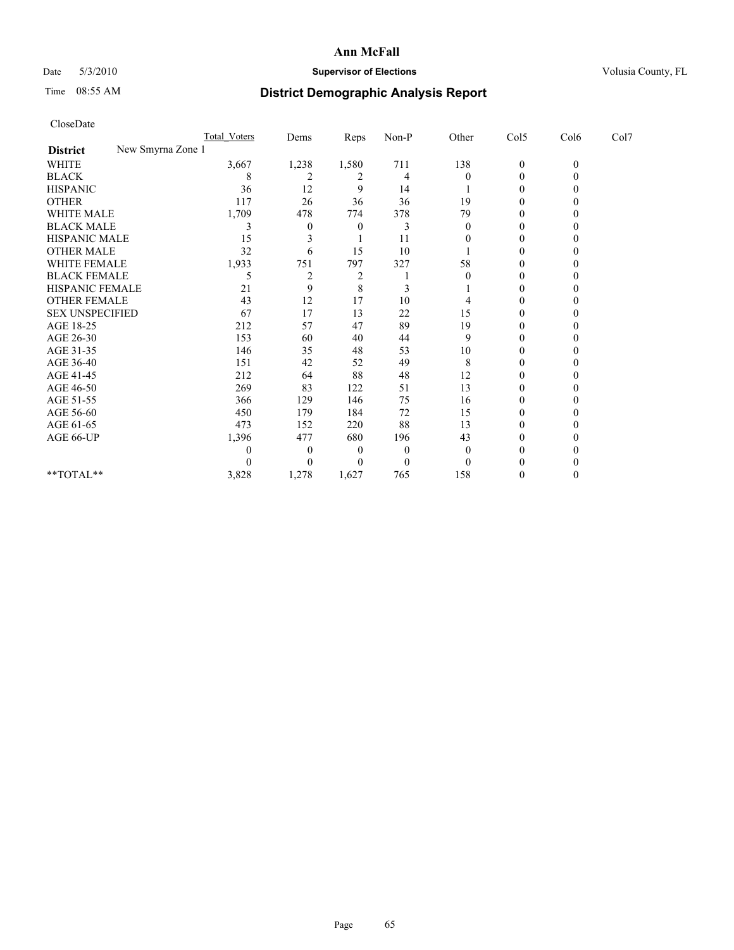## Date 5/3/2010 **Supervisor of Elections Supervisor of Elections** Volusia County, FL

# Time 08:55 AM **District Demographic Analysis Report**

|                                      | Total Voters  | Dems           | <b>Reps</b>    | $Non-P$      | Other    | Col5             | Col6         | Col7 |
|--------------------------------------|---------------|----------------|----------------|--------------|----------|------------------|--------------|------|
| New Smyrna Zone 1<br><b>District</b> |               |                |                |              |          |                  |              |      |
| <b>WHITE</b>                         | 3,667         | 1,238          | 1,580          | 711          | 138      | $\boldsymbol{0}$ | $\mathbf{0}$ |      |
| <b>BLACK</b>                         | 8             | 2              | 2              | 4            | 0        | 0                |              |      |
| <b>HISPANIC</b>                      | 36            | 12             | 9              | 14           |          | 0                |              |      |
| <b>OTHER</b>                         | 117           | 26             | 36             | 36           | 19       | 0                |              |      |
| <b>WHITE MALE</b>                    | 1,709         | 478            | 774            | 378          | 79       |                  |              |      |
| <b>BLACK MALE</b>                    | 3             | $\theta$       | $\Omega$       | 3            | $\Omega$ | 0                |              |      |
| HISPANIC MALE                        | 15            |                |                | 11           |          | 0                |              |      |
| <b>OTHER MALE</b>                    | 32            | 6              | 15             | 10           |          | 0                |              |      |
| WHITE FEMALE                         | 1,933         | 751            | 797            | 327          | 58       | 0                |              |      |
| <b>BLACK FEMALE</b>                  | 5             | $\overline{2}$ | $\overline{c}$ |              |          | $\Omega$         |              |      |
| HISPANIC FEMALE                      | 21            | 9              | 8              | 3            |          | 0                |              |      |
| <b>OTHER FEMALE</b>                  | 43            | 12             | 17             | 10           |          | 0                |              |      |
| <b>SEX UNSPECIFIED</b>               | 67            | 17             | 13             | $22\,$       | 15       | $\Omega$         |              |      |
| AGE 18-25                            | 212           | 57             | 47             | 89           | 19       | 0                |              |      |
| AGE 26-30                            | 153           | 60             | 40             | 44           | 9        | 0                |              |      |
| AGE 31-35                            | 146           | 35             | 48             | 53           | 10       | 0                |              |      |
| AGE 36-40                            | 151           | 42             | 52             | 49           | 8        | 0                |              |      |
| AGE 41-45                            | 212           | 64             | 88             | 48           | 12       | 0                |              |      |
| AGE 46-50                            | 269           | 83             | 122            | 51           | 13       | $\Omega$         |              |      |
| AGE 51-55                            | 366           | 129            | 146            | 75           | 16       | 0                |              |      |
| AGE 56-60                            | 450           | 179            | 184            | 72           | 15       | 0                |              |      |
| AGE 61-65                            | 473           | 152            | 220            | 88           | 13       | $\Omega$         |              |      |
| AGE 66-UP                            | 1,396         | 477            | 680            | 196          | 43       | 0                |              |      |
|                                      | $\mathcal{L}$ | $\left($       | $\theta$       | $\mathbf{0}$ | $\theta$ | 0                |              |      |
|                                      |               | $\Omega$       | $\theta$       | $\theta$     | $\Omega$ | 0                |              |      |
| **TOTAL**                            | 3,828         | 1,278          | 1,627          | 765          | 158      | $\theta$         |              |      |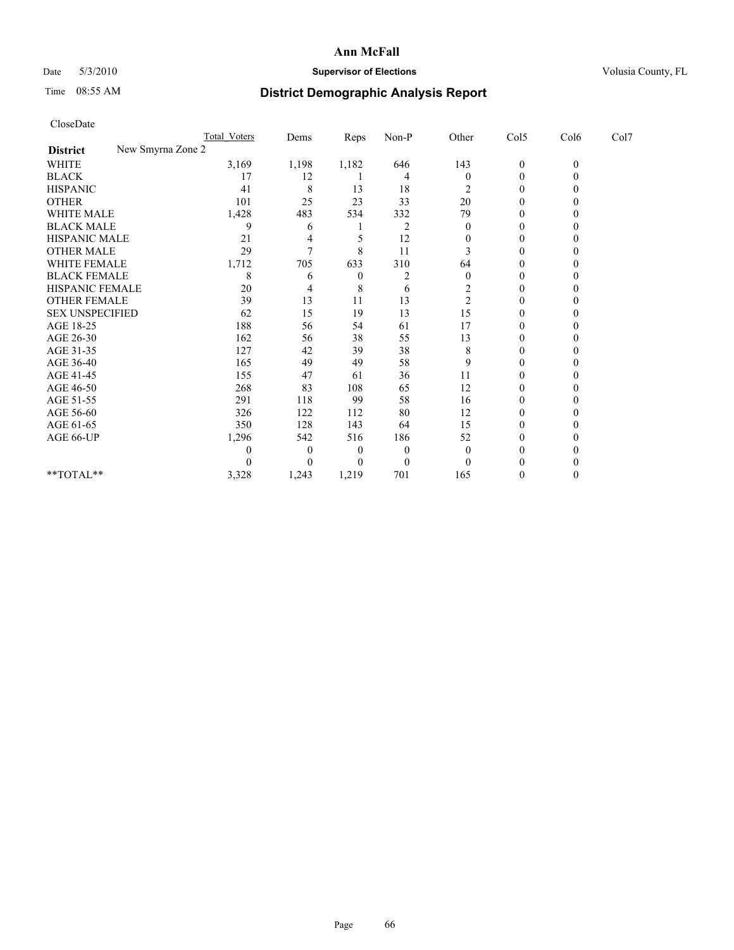## Date 5/3/2010 **Supervisor of Elections Supervisor of Elections** Volusia County, FL

# Time 08:55 AM **District Demographic Analysis Report**

|                                      | Total Voters | Dems           | Reps         | $Non-P$  | Other          | Col5             | Col6         | Col7 |  |
|--------------------------------------|--------------|----------------|--------------|----------|----------------|------------------|--------------|------|--|
| New Smyrna Zone 2<br><b>District</b> |              |                |              |          |                |                  |              |      |  |
| <b>WHITE</b>                         | 3,169        | 1,198          | 1,182        | 646      | 143            | $\boldsymbol{0}$ | $\mathbf{0}$ |      |  |
| <b>BLACK</b>                         | 17           | 12             |              | 4        | $\theta$       | $\Omega$         |              |      |  |
| <b>HISPANIC</b>                      | 41           | 8              | 13           | 18       | 2              | $\Omega$         |              |      |  |
| <b>OTHER</b>                         | 101          | 25             | 23           | 33       | 20             | $\theta$         |              |      |  |
| <b>WHITE MALE</b>                    | 1,428        | 483            | 534          | 332      | 79             |                  |              |      |  |
| <b>BLACK MALE</b>                    | 9            | 6              |              | 2        | $\theta$       | 0                |              |      |  |
| HISPANIC MALE                        | 21           | 4              |              | 12       | 0              | $\Omega$         |              |      |  |
| <b>OTHER MALE</b>                    | 29           | $\overline{7}$ | 8            | 11       |                | 0                |              |      |  |
| WHITE FEMALE                         | 1,712        | 705            | 633          | 310      | 64             | $\Omega$         |              |      |  |
| <b>BLACK FEMALE</b>                  | 8            | 6              | $\mathbf{0}$ | 2        | $\mathbf{0}$   | $\Omega$         |              |      |  |
| HISPANIC FEMALE                      | 20           | 4              | 8            | 6        | $\overline{c}$ | $\theta$         |              |      |  |
| <b>OTHER FEMALE</b>                  | 39           | 13             | 11           | 13       | $\overline{c}$ | $\Omega$         |              |      |  |
| <b>SEX UNSPECIFIED</b>               | 62           | 15             | 19           | 13       | 15             | $\mathbf{0}$     |              |      |  |
| AGE 18-25                            | 188          | 56             | 54           | 61       | 17             | $\Omega$         |              |      |  |
| AGE 26-30                            | 162          | 56             | 38           | 55       | 13             | $\Omega$         |              |      |  |
| AGE 31-35                            | 127          | 42             | 39           | 38       | 8              | $\Omega$         |              |      |  |
| AGE 36-40                            | 165          | 49             | 49           | 58       | 9              | 0                |              |      |  |
| AGE 41-45                            | 155          | 47             | 61           | 36       | 11             | $\Omega$         |              |      |  |
| AGE 46-50                            | 268          | 83             | 108          | 65       | 12             | $\Omega$         |              |      |  |
| AGE 51-55                            | 291          | 118            | 99           | 58       | 16             | 0                |              |      |  |
| AGE 56-60                            | 326          | 122            | 112          | 80       | 12             | $\Omega$         |              |      |  |
| AGE 61-65                            | 350          | 128            | 143          | 64       | 15             | $\Omega$         |              |      |  |
| AGE 66-UP                            | 1,296        | 542            | 516          | 186      | 52             | 0                |              |      |  |
|                                      | $\theta$     | $\theta$       | $\theta$     | $\theta$ | $\theta$       | $\Omega$         |              |      |  |
|                                      | 0            | $\Omega$       | $\theta$     | $\Omega$ | $\theta$       | $\theta$         |              |      |  |
| **TOTAL**                            | 3,328        | 1,243          | 1,219        | 701      | 165            | $\theta$         |              |      |  |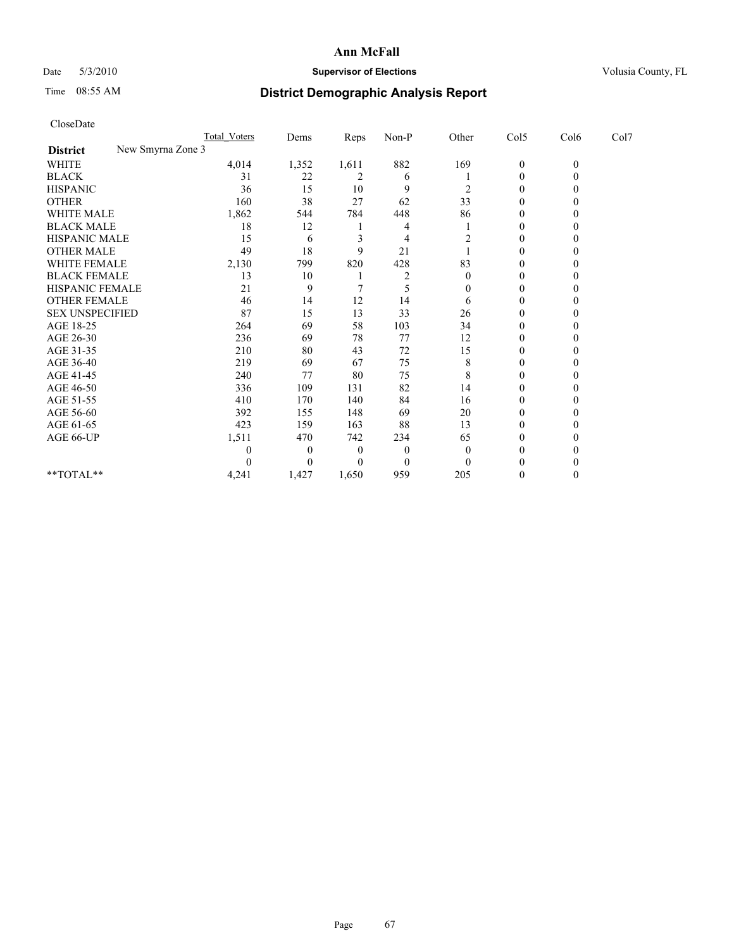## Date 5/3/2010 **Supervisor of Elections Supervisor of Elections** Volusia County, FL

# Time 08:55 AM **District Demographic Analysis Report**

|                                      | Total Voters | Dems         | <b>Reps</b>    | $Non-P$      | Other            | Col5             | Col6         | Col7 |  |
|--------------------------------------|--------------|--------------|----------------|--------------|------------------|------------------|--------------|------|--|
| New Smyrna Zone 3<br><b>District</b> |              |              |                |              |                  |                  |              |      |  |
| <b>WHITE</b>                         | 4,014        | 1,352        | 1,611          | 882          | 169              | $\boldsymbol{0}$ | $\mathbf{0}$ |      |  |
| <b>BLACK</b>                         | 31           | 22           | 2              | 6            |                  | $\Omega$         |              |      |  |
| <b>HISPANIC</b>                      | 36           | 15           | 10             | 9            | 2                | $\Omega$         |              |      |  |
| <b>OTHER</b>                         | 160          | 38           | 27             | 62           | 33               | $\Omega$         |              |      |  |
| WHITE MALE                           | 1,862        | 544          | 784            | 448          | 86               | 0                |              |      |  |
| <b>BLACK MALE</b>                    | 18           | 12           |                | 4            |                  | 0                |              |      |  |
| HISPANIC MALE                        | 15           | 6            | 3              | 4            |                  | $\Omega$         |              |      |  |
| <b>OTHER MALE</b>                    | 49           | 18           | 9              | 21           |                  | 0                |              |      |  |
| WHITE FEMALE                         | 2,130        | 799          | 820            | 428          | 83               | $\theta$         |              |      |  |
| <b>BLACK FEMALE</b>                  | 13           | 10           |                | 2            | $\boldsymbol{0}$ | $\overline{0}$   |              |      |  |
| HISPANIC FEMALE                      | 21           | 9            |                | 5            | 0                | 0                |              |      |  |
| <b>OTHER FEMALE</b>                  | 46           | 14           | 12             | 14           | 6                | $\Omega$         |              |      |  |
| <b>SEX UNSPECIFIED</b>               | 87           | 15           | 13             | 33           | 26               | $\Omega$         |              |      |  |
| AGE 18-25                            | 264          | 69           | 58             | 103          | 34               | 0                |              |      |  |
| AGE 26-30                            | 236          | 69           | 78             | 77           | 12               | $\Omega$         |              |      |  |
| AGE 31-35                            | 210          | 80           | 43             | 72           | 15               | $\Omega$         |              |      |  |
| AGE 36-40                            | 219          | 69           | 67             | 75           | 8                | 0                |              |      |  |
| AGE 41-45                            | 240          | 77           | 80             | 75           | 8                | $\Omega$         |              |      |  |
| AGE 46-50                            | 336          | 109          | 131            | 82           | 14               | $\Omega$         |              |      |  |
| AGE 51-55                            | 410          | 170          | 140            | 84           | 16               | 0                |              |      |  |
| AGE 56-60                            | 392          | 155          | 148            | 69           | 20               | $\theta$         |              |      |  |
| AGE 61-65                            | 423          | 159          | 163            | 88           | 13               | $\Omega$         |              |      |  |
| AGE 66-UP                            | 1,511        | 470          | 742            | 234          | 65               | 0                |              |      |  |
|                                      |              | $\mathbf{0}$ | $\overline{0}$ | $\mathbf{0}$ | $\Omega$         | $\Omega$         |              |      |  |
|                                      |              | $\Omega$     | 0              | $\theta$     | $\Omega$         | 0                |              |      |  |
| **TOTAL**                            | 4,241        | 1,427        | 1,650          | 959          | 205              | 0                |              |      |  |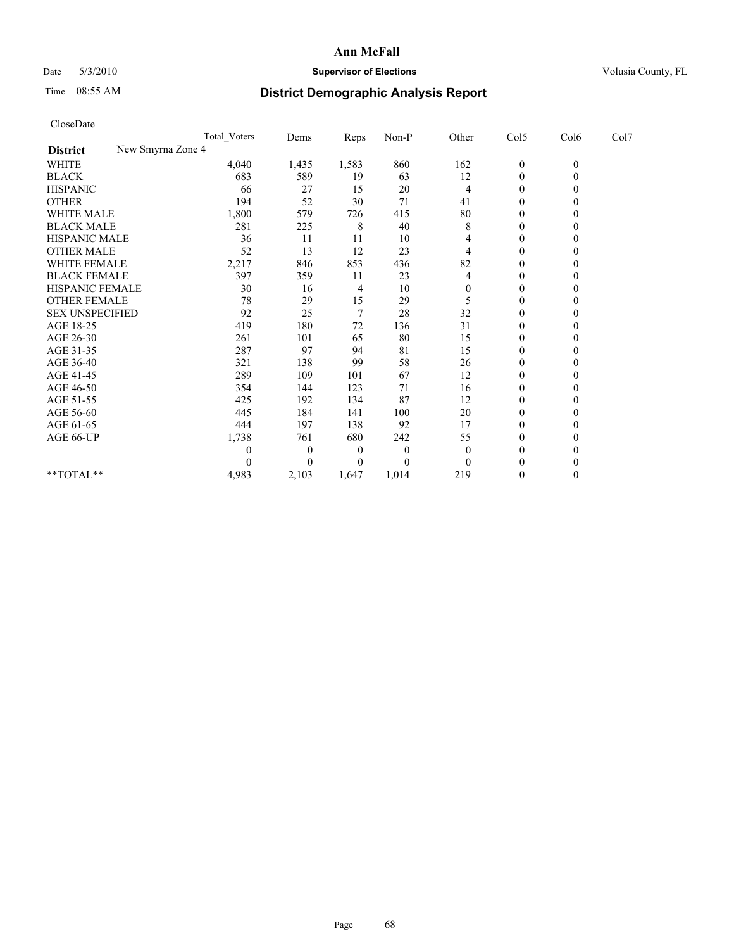## Date 5/3/2010 **Supervisor of Elections Supervisor of Elections** Volusia County, FL

## Time 08:55 AM **District Demographic Analysis Report**

| CloseDate              |                     |                  |       |          |                |                  |              |      |
|------------------------|---------------------|------------------|-------|----------|----------------|------------------|--------------|------|
|                        | <b>Total Voters</b> | Dems             | Reps  | Non-P    | Other          | Col5             | Col6         | Col7 |
| <b>District</b>        | New Smyrna Zone 4   |                  |       |          |                |                  |              |      |
| <b>WHITE</b>           | 4,040               | 1,435            | 1,583 | 860      | 162            | $\boldsymbol{0}$ | $\mathbf{0}$ |      |
| <b>BLACK</b>           | 683                 | 589              | 19    | 63       | 12             | $\boldsymbol{0}$ | $\mathbf{0}$ |      |
| <b>HISPANIC</b>        | 66                  | 27               | 15    | 20       | 4              | $\boldsymbol{0}$ | $\Omega$     |      |
| <b>OTHER</b>           | 194                 | 52               | 30    | 71       | 41             | $\mathbf{0}$     | $\mathbf{0}$ |      |
| <b>WHITE MALE</b>      | 1,800               | 579              | 726   | 415      | 80             | 0                | $\theta$     |      |
| <b>BLACK MALE</b>      | 281                 | 225              | 8     | 40       | 8              | $\mathbf{0}$     | $\Omega$     |      |
| <b>HISPANIC MALE</b>   | 36                  | 11               | 11    | 10       | 4              | 0                | $\Omega$     |      |
| <b>OTHER MALE</b>      | 52                  | 13               | 12    | 23       | $\overline{4}$ | $\boldsymbol{0}$ | $\Omega$     |      |
| <b>WHITE FEMALE</b>    | 2,217               | 846              | 853   | 436      | 82             | $\boldsymbol{0}$ | $\mathbf{0}$ |      |
| <b>BLACK FEMALE</b>    | 397                 | 359              | 11    | 23       | 4              | $\boldsymbol{0}$ | $\theta$     |      |
| <b>HISPANIC FEMALE</b> | 30                  | 16               | 4     | 10       | $\theta$       | $\mathbf{0}$     | $\mathbf{0}$ |      |
| <b>OTHER FEMALE</b>    | 78                  | 29               | 15    | 29       | 5              | $\boldsymbol{0}$ | $\Omega$     |      |
| <b>SEX UNSPECIFIED</b> | 92                  | 25               | 7     | 28       | 32             | $\boldsymbol{0}$ | $\Omega$     |      |
| AGE 18-25              | 419                 | 180              | 72    | 136      | 31             | $\boldsymbol{0}$ | $\Omega$     |      |
| AGE 26-30              | 261                 | 101              | 65    | 80       | 15             | $\boldsymbol{0}$ | $\Omega$     |      |
| AGE 31-35              | 287                 | 97               | 94    | 81       | 15             | $\boldsymbol{0}$ | $\Omega$     |      |
| AGE 36-40              | 321                 | 138              | 99    | 58       | 26             | $\overline{0}$   | $\Omega$     |      |
| AGE 41-45              | 289                 | 109              | 101   | 67       | 12             | 0                | $\Omega$     |      |
| AGE 46-50              | 354                 | 144              | 123   | 71       | 16             | $\boldsymbol{0}$ | $\Omega$     |      |
| AGE 51-55              | 425                 | 192              | 134   | 87       | 12             | 0                | $\Omega$     |      |
| AGE 56-60              | 445                 | 184              | 141   | 100      | 20             | $\boldsymbol{0}$ | $\Omega$     |      |
| AGE 61-65              | 444                 | 197              | 138   | 92       | 17             | $\boldsymbol{0}$ | $\Omega$     |      |
| AGE 66-UP              | 1,738               | 761              | 680   | 242      | 55             | 0                | $\theta$     |      |
|                        | 0                   | $\boldsymbol{0}$ | 0     | $\theta$ | $\theta$       | $\overline{0}$   | $\Omega$     |      |
|                        | 0                   | $\theta$         | 0     | $\theta$ | $\theta$       | $\theta$         | $\theta$     |      |
| **TOTAL**              | 4,983               | 2,103            | 1,647 | 1,014    | 219            | $\mathbf{0}$     | $\mathbf{0}$ |      |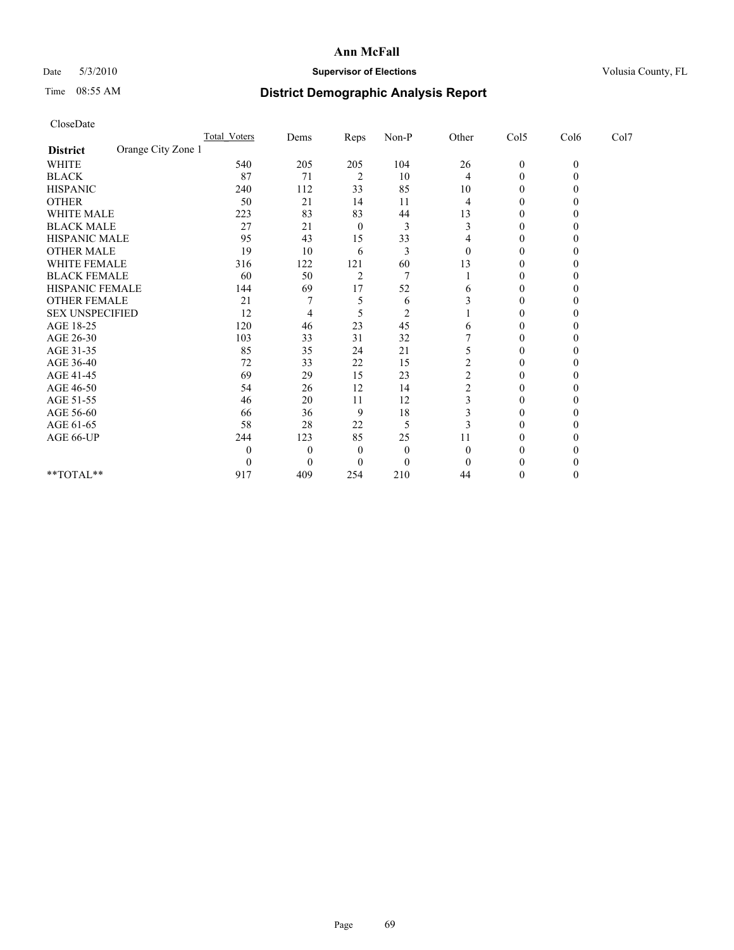## Date 5/3/2010 **Supervisor of Elections Supervisor of Elections** Volusia County, FL

# Time 08:55 AM **District Demographic Analysis Report**

| CloseDate              |                    |                     |                |                |                |                |                  |              |      |  |
|------------------------|--------------------|---------------------|----------------|----------------|----------------|----------------|------------------|--------------|------|--|
|                        |                    | <b>Total Voters</b> | Dems           | Reps           | Non-P          | Other          | Col5             | Col6         | Col7 |  |
| <b>District</b>        | Orange City Zone 1 |                     |                |                |                |                |                  |              |      |  |
| <b>WHITE</b>           |                    | 540                 | 205            | 205            | 104            | 26             | $\boldsymbol{0}$ | $\mathbf{0}$ |      |  |
| <b>BLACK</b>           |                    | 87                  | 71             | $\overline{2}$ | 10             | 4              | 0                | $\mathbf{0}$ |      |  |
| <b>HISPANIC</b>        |                    | 240                 | 112            | 33             | 85             | 10             | 0                | 0            |      |  |
| <b>OTHER</b>           |                    | 50                  | 21             | 14             | 11             | 4              | $\mathbf{0}$     | 0            |      |  |
| WHITE MALE             |                    | 223                 | 83             | 83             | 44             | 13             | $\mathbf{0}$     | 0            |      |  |
| <b>BLACK MALE</b>      |                    | 27                  | 21             | $\theta$       | 3              | 3              | $\theta$         | 0            |      |  |
| HISPANIC MALE          |                    | 95                  | 43             | 15             | 33             | 4              | 0                | 0            |      |  |
| <b>OTHER MALE</b>      |                    | 19                  | 10             | 6              | 3              | $\theta$       | $\boldsymbol{0}$ | $\theta$     |      |  |
| <b>WHITE FEMALE</b>    |                    | 316                 | 122            | 121            | 60             | 13             | $\mathbf{0}$     | 0            |      |  |
| <b>BLACK FEMALE</b>    |                    | 60                  | 50             | $\overline{2}$ | $\overline{7}$ |                | 0                | $\theta$     |      |  |
| HISPANIC FEMALE        |                    | 144                 | 69             | 17             | 52             | 6              | $\mathbf{0}$     | 0            |      |  |
| <b>OTHER FEMALE</b>    |                    | 21                  | 7              | 5              | 6              | 3              | $\mathbf{0}$     | 0            |      |  |
| <b>SEX UNSPECIFIED</b> |                    | 12                  | 4              | 5              | $\overline{2}$ |                | 0                | $\theta$     |      |  |
| AGE 18-25              |                    | 120                 | 46             | 23             | 45             | 6              | $\boldsymbol{0}$ | 0            |      |  |
| AGE 26-30              |                    | 103                 | 33             | 31             | 32             |                | $\boldsymbol{0}$ | $\theta$     |      |  |
| AGE 31-35              |                    | 85                  | 35             | 24             | 21             | 5              | $\boldsymbol{0}$ | 0            |      |  |
| AGE 36-40              |                    | 72                  | 33             | 22             | 15             | $\overline{c}$ | 0                |              |      |  |
| AGE 41-45              |                    | 69                  | 29             | 15             | 23             | $\overline{c}$ | $\boldsymbol{0}$ | 0            |      |  |
| AGE 46-50              |                    | 54                  | 26             | 12             | 14             | $\overline{c}$ | 0                | 0            |      |  |
| AGE 51-55              |                    | 46                  | 20             | 11             | 12             | 3              | $\boldsymbol{0}$ | 0            |      |  |
| AGE 56-60              |                    | 66                  | 36             | 9              | 18             | 3              | $\boldsymbol{0}$ | 0            |      |  |
| AGE 61-65              |                    | 58                  | 28             | 22             | 5              | 3              | $\boldsymbol{0}$ | 0            |      |  |
| AGE 66-UP              |                    | 244                 | 123            | 85             | 25             | 11             | 0                | 0            |      |  |
|                        |                    | $\theta$            | $\overline{0}$ | 0              | $\mathbf{0}$   | $\theta$       | $\theta$         |              |      |  |
|                        |                    | $\theta$            | $\Omega$       | 0              | $\theta$       | $\Omega$       | 0                | 0            |      |  |
| $**TOTAL**$            |                    | 917                 | 409            | 254            | 210            | 44             | 0                | $\theta$     |      |  |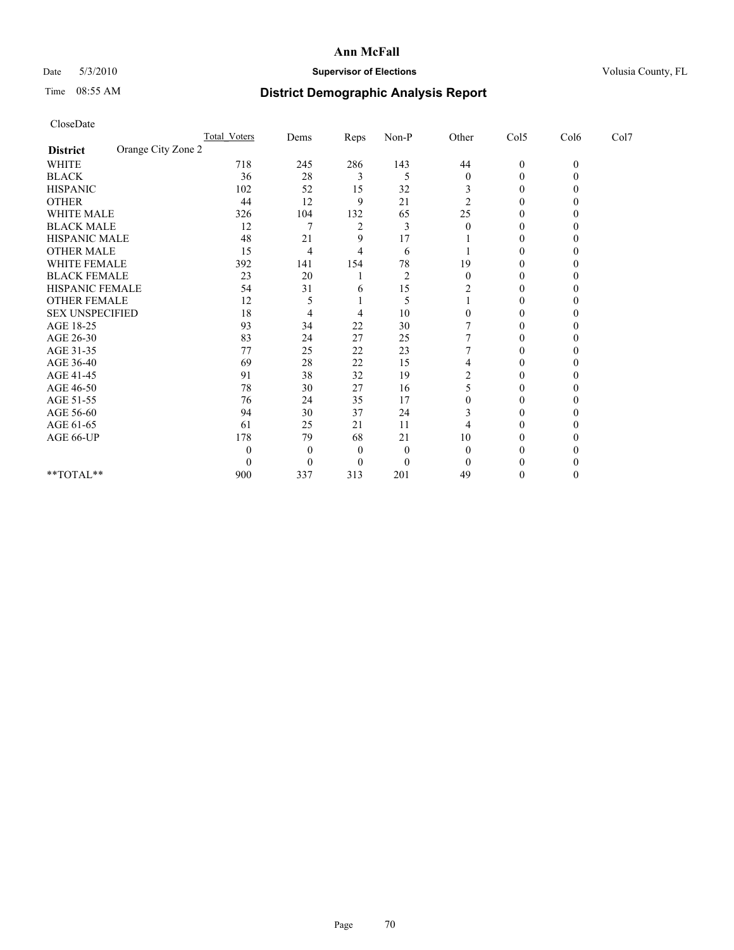## Date 5/3/2010 **Supervisor of Elections Supervisor of Elections** Volusia County, FL

# Time 08:55 AM **District Demographic Analysis Report**

|                                       | Total Voters | Dems     | Reps           | $Non-P$        | Other          | Col5         | Col6     | Col7 |  |
|---------------------------------------|--------------|----------|----------------|----------------|----------------|--------------|----------|------|--|
| Orange City Zone 2<br><b>District</b> |              |          |                |                |                |              |          |      |  |
| <b>WHITE</b>                          | 718          | 245      | 286            | 143            | 44             | $\mathbf{0}$ | $\theta$ |      |  |
| <b>BLACK</b>                          | 36           | 28       | 3              | 5              | $\theta$       | $\theta$     |          |      |  |
| <b>HISPANIC</b>                       | 102          | 52       | 15             | 32             |                | $\Omega$     |          |      |  |
| <b>OTHER</b>                          | 44           | 12       | 9              | 21             | $\overline{c}$ | 0            |          |      |  |
| WHITE MALE                            | 326          | 104      | 132            | 65             | 25             |              |          |      |  |
| <b>BLACK MALE</b>                     | 12           |          | $\overline{2}$ |                | 0              | 0            |          |      |  |
| HISPANIC MALE                         | 48           | 21       | 9              | 17             |                | 0            |          |      |  |
| <b>OTHER MALE</b>                     | 15           | 4        | $\overline{4}$ | 6              |                | 0            |          |      |  |
| WHITE FEMALE                          | 392          | 141      | 154            | 78             | 19             | $\Omega$     |          |      |  |
| <b>BLACK FEMALE</b>                   | 23           | 20       |                | $\overline{2}$ | $\mathbf{0}$   | $\Omega$     |          |      |  |
| HISPANIC FEMALE                       | 54           | 31       | 6              | 15             |                |              |          |      |  |
| <b>OTHER FEMALE</b>                   | 12           |          |                | 5              |                | 0            |          |      |  |
| <b>SEX UNSPECIFIED</b>                | 18           | 4        |                | 10             |                | 0            |          |      |  |
| AGE 18-25                             | 93           | 34       | 22             | 30             |                |              |          |      |  |
| AGE 26-30                             | 83           | 24       | 27             | 25             |                | 0            |          |      |  |
| AGE 31-35                             | 77           | 25       | 22             | 23             |                | 0            |          |      |  |
| AGE 36-40                             | 69           | 28       | 22             | 15             |                |              |          |      |  |
| AGE 41-45                             | 91           | 38       | 32             | 19             |                | 0            |          |      |  |
| AGE 46-50                             | 78           | 30       | 27             | 16             |                | $\theta$     |          |      |  |
| AGE 51-55                             | 76           | 24       | 35             | 17             |                | 0            |          |      |  |
| AGE 56-60                             | 94           | 30       | 37             | 24             |                | $\Omega$     |          |      |  |
| AGE 61-65                             | 61           | 25       | 21             | 11             |                | 0            |          |      |  |
| AGE 66-UP                             | 178          | 79       | 68             | 21             | 10             |              |          |      |  |
|                                       | 0            | $\Omega$ | $\theta$       | $\theta$       | 0              | 0            |          |      |  |
|                                       | 0            | $\Omega$ | $\Omega$       | $\Omega$       |                |              |          |      |  |
| **TOTAL**                             | 900          | 337      | 313            | 201            | 49             | 0            |          |      |  |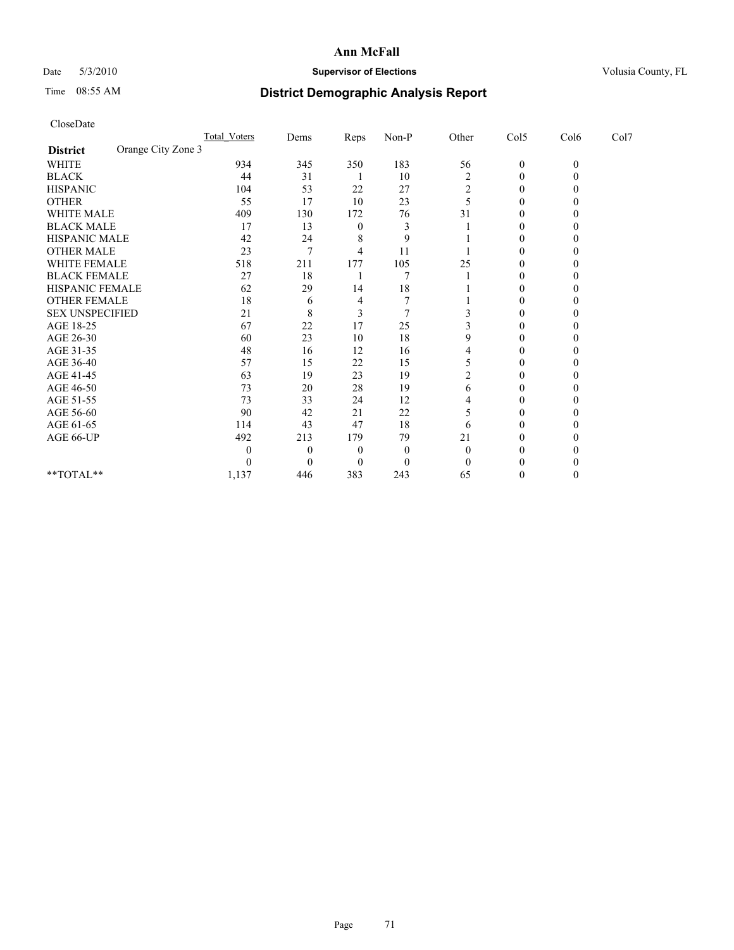## Date 5/3/2010 **Supervisor of Elections Supervisor of Elections** Volusia County, FL

# Time 08:55 AM **District Demographic Analysis Report**

| CloseDate              |                    |                     |                |                  |              |                |                  |              |      |  |
|------------------------|--------------------|---------------------|----------------|------------------|--------------|----------------|------------------|--------------|------|--|
|                        |                    | <b>Total Voters</b> | Dems           | Reps             | Non-P        | Other          | Col5             | Col6         | Col7 |  |
| <b>District</b>        | Orange City Zone 3 |                     |                |                  |              |                |                  |              |      |  |
| WHITE                  |                    | 934                 | 345            | 350              | 183          | 56             | $\boldsymbol{0}$ | $\mathbf{0}$ |      |  |
| <b>BLACK</b>           |                    | 44                  | 31             |                  | 10           | $\overline{c}$ | $\boldsymbol{0}$ | $\Omega$     |      |  |
| <b>HISPANIC</b>        |                    | 104                 | 53             | 22               | 27           | 2              | 0                | 0            |      |  |
| <b>OTHER</b>           |                    | 55                  | 17             | 10               | 23           | 5              | $\boldsymbol{0}$ | 0            |      |  |
| <b>WHITE MALE</b>      |                    | 409                 | 130            | 172              | 76           | 31             | 0                | $\theta$     |      |  |
| <b>BLACK MALE</b>      |                    | 17                  | 13             | 0                | 3            |                | $\theta$         | 0            |      |  |
| HISPANIC MALE          |                    | 42                  | 24             | 8                | 9            |                | $\boldsymbol{0}$ | 0            |      |  |
| <b>OTHER MALE</b>      |                    | 23                  | $\tau$         | 4                | 11           |                | $\boldsymbol{0}$ | $\theta$     |      |  |
| WHITE FEMALE           |                    | 518                 | 211            | 177              | 105          | 25             | $\boldsymbol{0}$ | $\theta$     |      |  |
| <b>BLACK FEMALE</b>    |                    | 27                  | 18             |                  | 7            |                | $\theta$         | 0            |      |  |
| HISPANIC FEMALE        |                    | 62                  | 29             | 14               | 18           |                | $\boldsymbol{0}$ | 0            |      |  |
| <b>OTHER FEMALE</b>    |                    | 18                  | 6              | 4                | 7            |                | $\boldsymbol{0}$ | 0            |      |  |
| <b>SEX UNSPECIFIED</b> |                    | 21                  | 8              | 3                | 7            | 3              | $\theta$         | 0            |      |  |
| AGE 18-25              |                    | 67                  | 22             | 17               | 25           |                | $\boldsymbol{0}$ | 0            |      |  |
| AGE 26-30              |                    | 60                  | 23             | 10               | 18           | 9              | $\boldsymbol{0}$ | $\theta$     |      |  |
| AGE 31-35              |                    | 48                  | 16             | 12               | 16           | 4              | $\boldsymbol{0}$ | $\theta$     |      |  |
| AGE 36-40              |                    | 57                  | 15             | 22               | 15           | 5              | 0                | $\theta$     |      |  |
| AGE 41-45              |                    | 63                  | 19             | 23               | 19           | 2              | $\boldsymbol{0}$ | 0            |      |  |
| AGE 46-50              |                    | 73                  | 20             | 28               | 19           | 6              | $\boldsymbol{0}$ | 0            |      |  |
| AGE 51-55              |                    | 73                  | 33             | 24               | 12           | 4              | 0                | 0            |      |  |
| AGE 56-60              |                    | 90                  | 42             | 21               | 22           |                | 0                | $\theta$     |      |  |
| AGE 61-65              |                    | 114                 | 43             | 47               | 18           | 6              | $\boldsymbol{0}$ | 0            |      |  |
| AGE 66-UP              |                    | 492                 | 213            | 179              | 79           | 21             | 0                | 0            |      |  |
|                        |                    | 0                   | $\overline{0}$ | 0                | $\mathbf{0}$ | $\theta$       | 0                |              |      |  |
|                        |                    | 0                   | $\theta$       | $\boldsymbol{0}$ | $\theta$     | $\Omega$       | 0                |              |      |  |
| $*$ $TOTAI.**$         |                    | 1,137               | 446            | 383              | 243          | 65             | 0                | $\theta$     |      |  |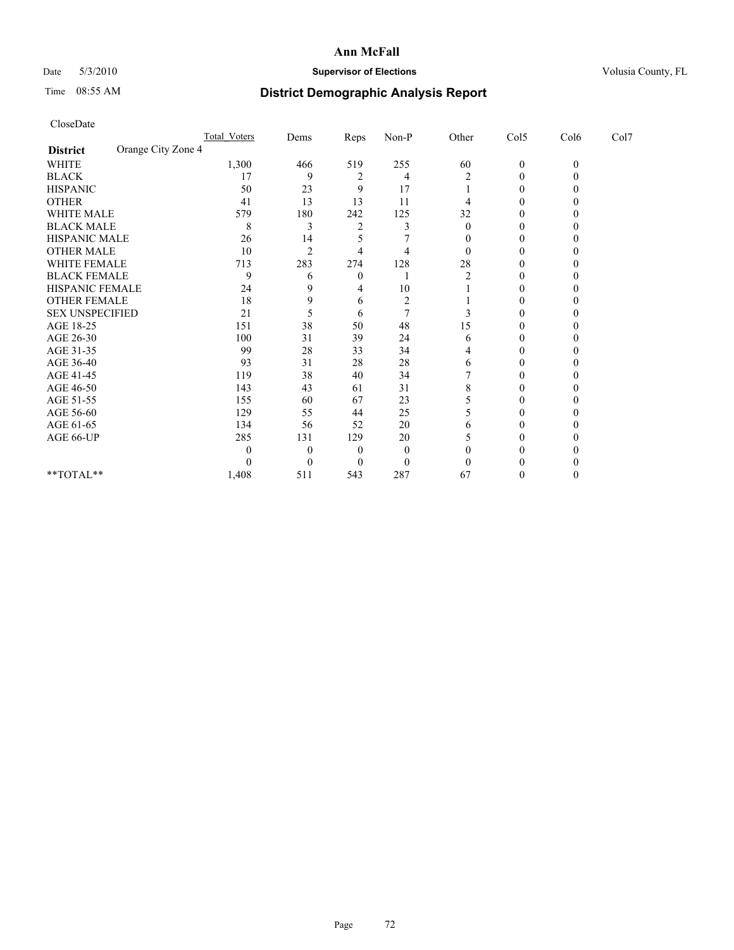## Date 5/3/2010 **Supervisor of Elections Supervisor of Elections** Volusia County, FL

# Time 08:55 AM **District Demographic Analysis Report**

|                        |                    | Total Voters | Dems           | Reps           | $Non-P$        | Other          | Col5             | Col6     | Col7 |  |
|------------------------|--------------------|--------------|----------------|----------------|----------------|----------------|------------------|----------|------|--|
| <b>District</b>        | Orange City Zone 4 |              |                |                |                |                |                  |          |      |  |
| <b>WHITE</b>           |                    | 1,300        | 466            | 519            | 255            | 60             | $\boldsymbol{0}$ | $\theta$ |      |  |
| <b>BLACK</b>           |                    | 17           | 9              |                | 4              | 2              | 0                |          |      |  |
| <b>HISPANIC</b>        |                    | 50           | 23             | 9              | 17             |                | 0                |          |      |  |
| <b>OTHER</b>           |                    | 41           | 13             | 13             | 11             |                | 0                |          |      |  |
| WHITE MALE             |                    | 579          | 180            | 242            | 125            | 32             |                  |          |      |  |
| <b>BLACK MALE</b>      |                    | 8            | 3              | $\overline{c}$ |                | 0              | 0                |          |      |  |
| HISPANIC MALE          |                    | 26           | 14             |                |                |                | 0                |          |      |  |
| <b>OTHER MALE</b>      |                    | 10           | $\overline{2}$ |                |                | 0              |                  |          |      |  |
| WHITE FEMALE           |                    | 713          | 283            | 274            | 128            | 28             | 0                |          |      |  |
| <b>BLACK FEMALE</b>    |                    | 9            | 6              | $\mathbf{0}$   |                | $\overline{c}$ | $\theta$         |          |      |  |
| HISPANIC FEMALE        |                    | 24           | 9              | 4              | 10             |                | 0                |          |      |  |
| <b>OTHER FEMALE</b>    |                    | 18           | 9              | 6              | $\overline{2}$ |                | 0                |          |      |  |
| <b>SEX UNSPECIFIED</b> |                    | 21           |                | 6              |                |                | $\theta$         |          |      |  |
| AGE 18-25              |                    | 151          | 38             | 50             | 48             | 15             |                  |          |      |  |
| AGE 26-30              |                    | 100          | 31             | 39             | 24             | 6              | 0                |          |      |  |
| AGE 31-35              |                    | 99           | 28             | 33             | 34             |                | 0                |          |      |  |
| AGE 36-40              |                    | 93           | 31             | 28             | 28             | 6              |                  |          |      |  |
| AGE 41-45              |                    | 119          | 38             | 40             | 34             |                | 0                |          |      |  |
| AGE 46-50              |                    | 143          | 43             | 61             | 31             | 8              | 0                |          |      |  |
| AGE 51-55              |                    | 155          | 60             | 67             | 23             |                | 0                |          |      |  |
| AGE 56-60              |                    | 129          | 55             | 44             | 25             | 5              | $\Omega$         |          |      |  |
| AGE 61-65              |                    | 134          | 56             | 52             | 20             | 6              | $\theta$         |          |      |  |
| AGE 66-UP              |                    | 285          | 131            | 129            | 20             |                | 0                |          |      |  |
|                        |                    | 0            | $\Omega$       | $\theta$       | $\Omega$       |                | 0                |          |      |  |
|                        |                    |              | $\Omega$       | $\Omega$       | $\theta$       |                |                  |          |      |  |
| **TOTAL**              |                    | 1,408        | 511            | 543            | 287            | 67             | 0                |          |      |  |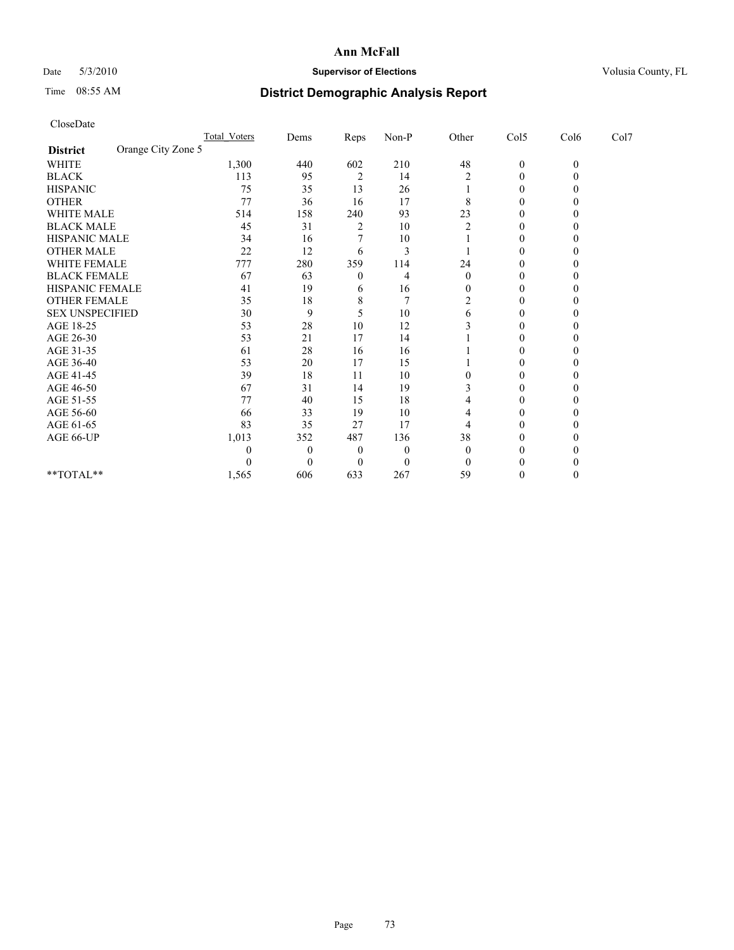## Date 5/3/2010 **Supervisor of Elections Supervisor of Elections** Volusia County, FL

## Time 08:55 AM **District Demographic Analysis Report**

|                        | Total Voters       | Dems     | Reps           | $Non-P$          | Other          | Col5         | Col6     | Col7 |  |
|------------------------|--------------------|----------|----------------|------------------|----------------|--------------|----------|------|--|
| <b>District</b>        | Orange City Zone 5 |          |                |                  |                |              |          |      |  |
| <b>WHITE</b>           | 1,300              | 440      | 602            | 210              | 48             | $\mathbf{0}$ | $\theta$ |      |  |
| <b>BLACK</b>           | 113                | 95       | $\overline{2}$ | 14               | 2              | 0            |          |      |  |
| <b>HISPANIC</b>        | 75                 | 35       | 13             | 26               |                | 0            |          |      |  |
| <b>OTHER</b>           | 77                 | 36       | 16             | 17               | 8              | $\theta$     |          |      |  |
| WHITE MALE             | 514                | 158      | 240            | 93               | 23             |              |          |      |  |
| <b>BLACK MALE</b>      | 45                 | 31       | 2              | 10               | $\overline{2}$ | 0            |          |      |  |
| HISPANIC MALE          | 34                 | 16       |                | 10               |                | $\Omega$     |          |      |  |
| <b>OTHER MALE</b>      | 22                 | 12       | 6              | 3                |                | 0            |          |      |  |
| WHITE FEMALE           | 777                | 280      | 359            | 114              | 24             | $\Omega$     |          |      |  |
| <b>BLACK FEMALE</b>    | 67                 | 63       | $\theta$       | 4                | $\theta$       | $\Omega$     |          |      |  |
| HISPANIC FEMALE        | 41                 | 19       | 6              | 16               | 0              | 0            |          |      |  |
| <b>OTHER FEMALE</b>    | 35                 | 18       | 8              |                  | 2              | 0            |          |      |  |
| <b>SEX UNSPECIFIED</b> | 30                 | 9        | 5              | 10               | 6              | $\theta$     |          |      |  |
| AGE 18-25              | 53                 | 28       | 10             | 12               |                |              |          |      |  |
| AGE 26-30              | 53                 | 21       | 17             | 14               |                | 0            |          |      |  |
| AGE 31-35              | 61                 | 28       | 16             | 16               |                | 0            |          |      |  |
| AGE 36-40              | 53                 | 20       | 17             | 15               |                | 0            |          |      |  |
| AGE 41-45              | 39                 | 18       | 11             | 10               | 0              | $\Omega$     |          |      |  |
| AGE 46-50              | 67                 | 31       | 14             | 19               |                | $\theta$     |          |      |  |
| AGE 51-55              | 77                 | 40       | 15             | 18               |                | 0            |          |      |  |
| AGE 56-60              | 66                 | 33       | 19             | 10               |                | $\Omega$     |          |      |  |
| AGE 61-65              | 83                 | 35       | 27             | 17               |                | 0            |          |      |  |
| AGE 66-UP              | 1,013              | 352      | 487            | 136              | 38             | 0            |          |      |  |
|                        |                    | $\Omega$ | $\mathbf{0}$   | $\boldsymbol{0}$ | $\theta$       | 0            |          |      |  |
|                        |                    | 0        | $\Omega$       | $\Omega$         | $\theta$       |              |          |      |  |
| **TOTAL**              | 1,565              | 606      | 633            | 267              | 59             | 0            |          |      |  |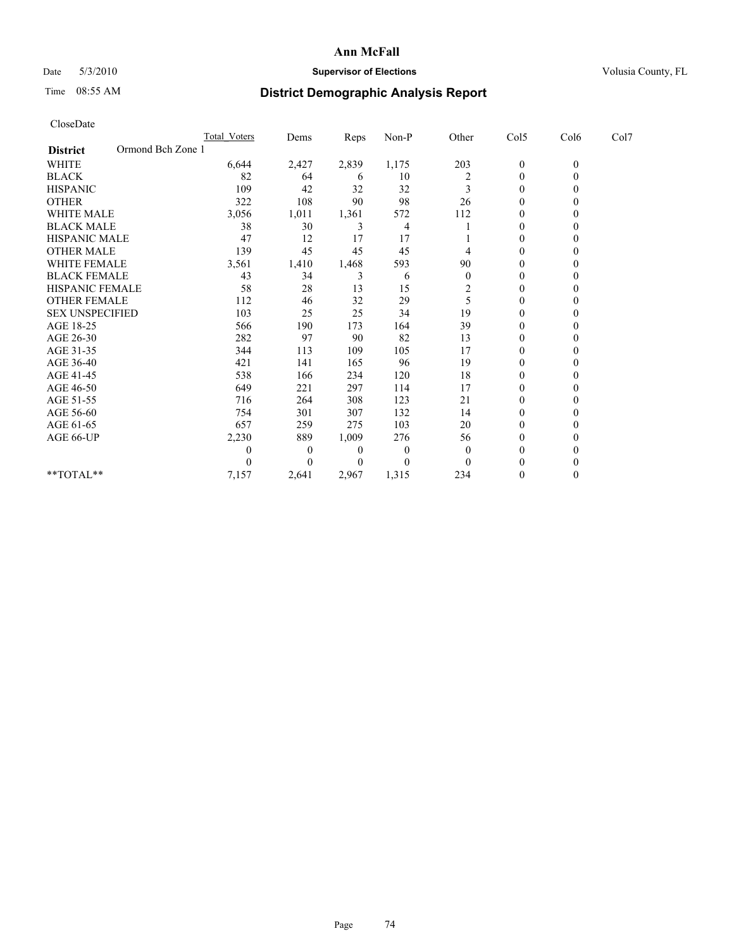## Date 5/3/2010 **Supervisor of Elections Supervisor of Elections** Volusia County, FL

## Time 08:55 AM **District Demographic Analysis Report**

| CloseDate                            |                  |          |       |          |                  |                  |                |      |  |
|--------------------------------------|------------------|----------|-------|----------|------------------|------------------|----------------|------|--|
|                                      | Total Voters     | Dems     | Reps  | Non-P    | Other            | Col5             | Col6           | Col7 |  |
| Ormond Bch Zone 1<br><b>District</b> |                  |          |       |          |                  |                  |                |      |  |
| <b>WHITE</b>                         | 6,644            | 2,427    | 2,839 | 1,175    | 203              | $\boldsymbol{0}$ | $\mathbf{0}$   |      |  |
| <b>BLACK</b>                         | 82               | 64       | 6     | 10       | $\overline{c}$   | 0                | $\overline{0}$ |      |  |
| <b>HISPANIC</b>                      | 109              | 42       | 32    | 32       | 3                | $\mathbf{0}$     | $\theta$       |      |  |
| <b>OTHER</b>                         | 322              | 108      | 90    | 98       | 26               | $\mathbf{0}$     | $\theta$       |      |  |
| <b>WHITE MALE</b>                    | 3,056            | 1,011    | 1,361 | 572      | 112              | $\mathbf{0}$     | $\theta$       |      |  |
| <b>BLACK MALE</b>                    | 38               | 30       | 3     | 4        |                  | $\mathbf{0}$     | 0              |      |  |
| <b>HISPANIC MALE</b>                 | 47               | 12       | 17    | 17       |                  | 0                | 0              |      |  |
| <b>OTHER MALE</b>                    | 139              | 45       | 45    | 45       | 4                | $\boldsymbol{0}$ | $\Omega$       |      |  |
| <b>WHITE FEMALE</b>                  | 3,561            | 1,410    | 1,468 | 593      | 90               | $\boldsymbol{0}$ | $\theta$       |      |  |
| <b>BLACK FEMALE</b>                  | 43               | 34       | 3     | 6        | $\boldsymbol{0}$ | $\boldsymbol{0}$ | $\theta$       |      |  |
| HISPANIC FEMALE                      | 58               | 28       | 13    | 15       | $\overline{2}$   | $\boldsymbol{0}$ | $\theta$       |      |  |
| <b>OTHER FEMALE</b>                  | 112              | 46       | 32    | 29       | 5                | $\boldsymbol{0}$ | $\theta$       |      |  |
| <b>SEX UNSPECIFIED</b>               | 103              | 25       | 25    | 34       | 19               | $\boldsymbol{0}$ | 0              |      |  |
| AGE 18-25                            | 566              | 190      | 173   | 164      | 39               | $\boldsymbol{0}$ | 0              |      |  |
| AGE 26-30                            | 282              | 97       | 90    | 82       | 13               | $\theta$         | $\Omega$       |      |  |
| AGE 31-35                            | 344              | 113      | 109   | 105      | 17               | $\boldsymbol{0}$ | $\theta$       |      |  |
| AGE 36-40                            | 421              | 141      | 165   | 96       | 19               | $\boldsymbol{0}$ | $\theta$       |      |  |
| AGE 41-45                            | 538              | 166      | 234   | 120      | 18               | $\boldsymbol{0}$ | 0              |      |  |
| AGE 46-50                            | 649              | 221      | 297   | 114      | 17               | $\boldsymbol{0}$ | $\theta$       |      |  |
| AGE 51-55                            | 716              | 264      | 308   | 123      | 21               | $\boldsymbol{0}$ | 0              |      |  |
| AGE 56-60                            | 754              | 301      | 307   | 132      | 14               | $\boldsymbol{0}$ | 0              |      |  |
| AGE 61-65                            | 657              | 259      | 275   | 103      | 20               | $\boldsymbol{0}$ | $\Omega$       |      |  |
| AGE 66-UP                            | 2,230            | 889      | 1,009 | 276      | 56               | $\boldsymbol{0}$ | $\theta$       |      |  |
|                                      | $\boldsymbol{0}$ | $\theta$ | 0     | $\theta$ | $\theta$         | $\theta$         | $\theta$       |      |  |
|                                      | $\theta$         | $\theta$ | 0     | 0        | $\Omega$         | $\Omega$         | 0              |      |  |
| **TOTAL**                            | 7,157            | 2,641    | 2,967 | 1,315    | 234              | 0                | $\theta$       |      |  |
|                                      |                  |          |       |          |                  |                  |                |      |  |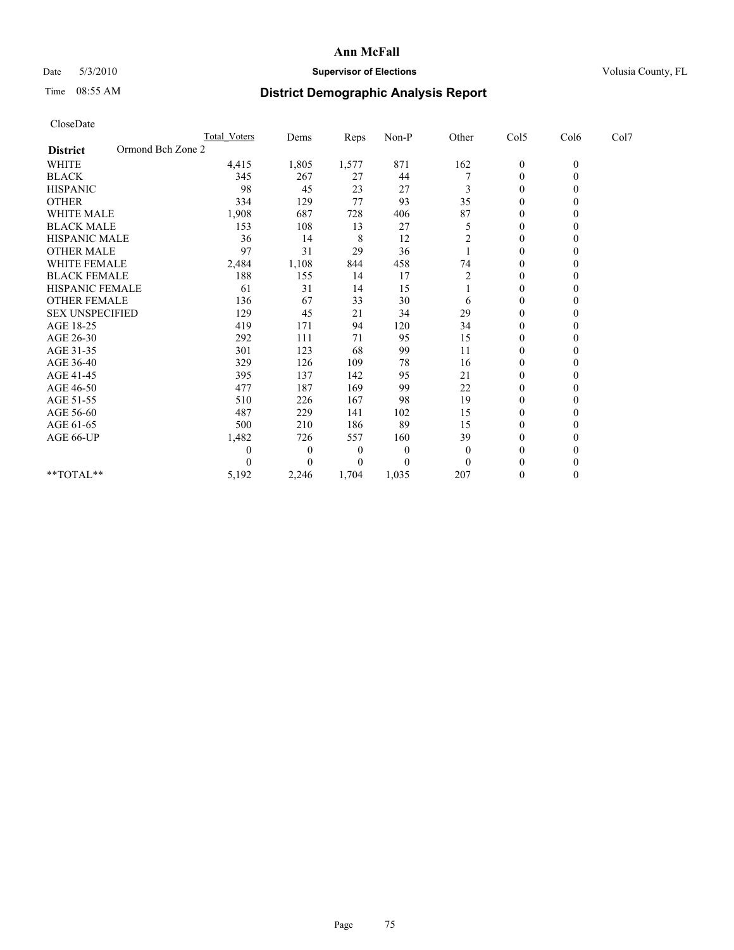## Date 5/3/2010 **Supervisor of Elections Supervisor of Elections** Volusia County, FL

# Time 08:55 AM **District Demographic Analysis Report**

| CloseDate              |                   |                     |                |       |          |                |                  |              |      |
|------------------------|-------------------|---------------------|----------------|-------|----------|----------------|------------------|--------------|------|
|                        |                   | <b>Total Voters</b> | Dems           | Reps  | Non-P    | Other          | Col5             | Col6         | Col7 |
| <b>District</b>        | Ormond Bch Zone 2 |                     |                |       |          |                |                  |              |      |
| WHITE                  |                   | 4,415               | 1,805          | 1,577 | 871      | 162            | $\boldsymbol{0}$ | $\mathbf{0}$ |      |
| <b>BLACK</b>           |                   | 345                 | 267            | 27    | 44       |                | $\boldsymbol{0}$ | $\mathbf{0}$ |      |
| <b>HISPANIC</b>        |                   | 98                  | 45             | 23    | 27       | 3              | $\overline{0}$   | $\Omega$     |      |
| <b>OTHER</b>           |                   | 334                 | 129            | 77    | 93       | 35             | $\boldsymbol{0}$ | $\mathbf{0}$ |      |
| <b>WHITE MALE</b>      |                   | 1,908               | 687            | 728   | 406      | 87             | $\boldsymbol{0}$ | $\theta$     |      |
| <b>BLACK MALE</b>      |                   | 153                 | 108            | 13    | 27       | 5              | $\mathbf{0}$     | $\theta$     |      |
| HISPANIC MALE          |                   | 36                  | 14             | 8     | 12       | $\overline{c}$ | $\boldsymbol{0}$ | $\theta$     |      |
| <b>OTHER MALE</b>      |                   | 97                  | 31             | 29    | 36       |                | $\mathbf{0}$     | $\Omega$     |      |
| WHITE FEMALE           |                   | 2,484               | 1,108          | 844   | 458      | 74             | 0                | $\theta$     |      |
| <b>BLACK FEMALE</b>    |                   | 188                 | 155            | 14    | 17       | 2              | $\mathbf{0}$     | $\theta$     |      |
| HISPANIC FEMALE        |                   | 61                  | 31             | 14    | 15       |                | 0                | $\Omega$     |      |
| <b>OTHER FEMALE</b>    |                   | 136                 | 67             | 33    | 30       | 6              | 0                | $\theta$     |      |
| <b>SEX UNSPECIFIED</b> |                   | 129                 | 45             | 21    | 34       | 29             | $\boldsymbol{0}$ | $\Omega$     |      |
| AGE 18-25              |                   | 419                 | 171            | 94    | 120      | 34             | 0                | $\theta$     |      |
| AGE 26-30              |                   | 292                 | 111            | 71    | 95       | 15             | $\boldsymbol{0}$ | $\Omega$     |      |
| AGE 31-35              |                   | 301                 | 123            | 68    | 99       | 11             | $\overline{0}$   | $\mathbf{0}$ |      |
| AGE 36-40              |                   | 329                 | 126            | 109   | 78       | 16             | $\boldsymbol{0}$ | $\Omega$     |      |
| AGE 41-45              |                   | 395                 | 137            | 142   | 95       | 21             | $\boldsymbol{0}$ | $\Omega$     |      |
| AGE 46-50              |                   | 477                 | 187            | 169   | 99       | 22             | $\overline{0}$   | $\Omega$     |      |
| AGE 51-55              |                   | 510                 | 226            | 167   | 98       | 19             | $\boldsymbol{0}$ | $\Omega$     |      |
| AGE 56-60              |                   | 487                 | 229            | 141   | 102      | 15             | $\boldsymbol{0}$ | $\Omega$     |      |
| AGE 61-65              |                   | 500                 | 210            | 186   | 89       | 15             | $\mathbf{0}$     | $\Omega$     |      |
| AGE 66-UP              |                   | 1,482               | 726            | 557   | 160      | 39             | $\boldsymbol{0}$ | $\Omega$     |      |
|                        |                   | 0                   | $\overline{0}$ | 0     | $\theta$ | $\theta$       | $\mathbf{0}$     | 0            |      |
|                        |                   | 0                   | $\Omega$       | 0     | 0        | $\Omega$       | $\theta$         | 0            |      |
| $*$ $TOTAI.**$         |                   | 5,192               | 2,246          | 1,704 | 1,035    | 207            | $\mathbf{0}$     | $\Omega$     |      |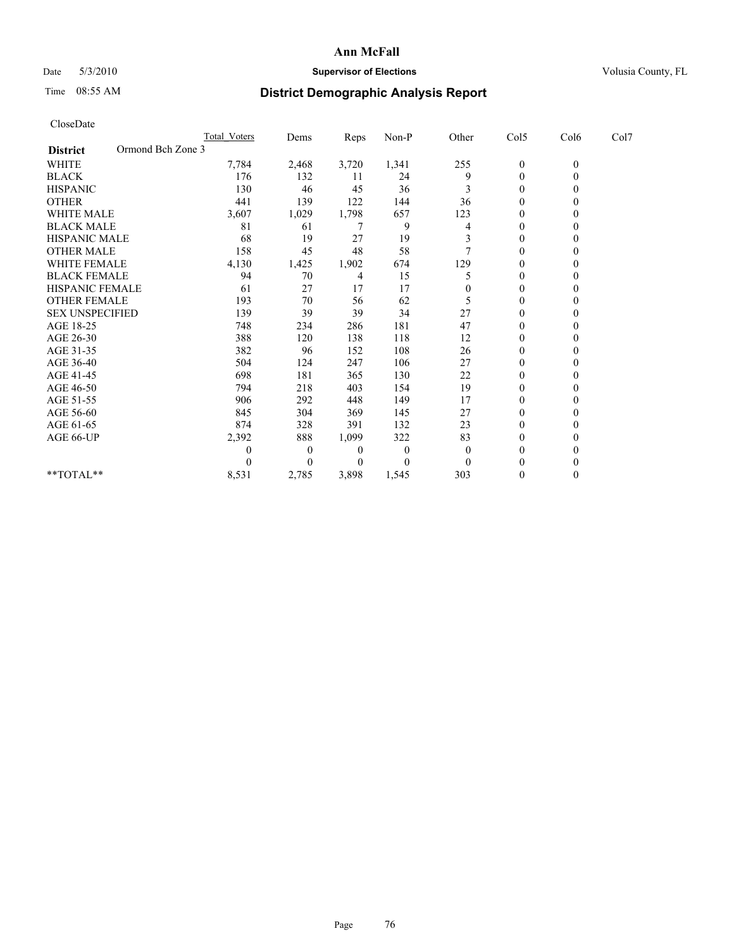## Date 5/3/2010 **Supervisor of Elections Supervisor of Elections** Volusia County, FL

## Time 08:55 AM **District Demographic Analysis Report**

| CloseDate              |                   |                     |                |       |          |                  |                  |              |      |
|------------------------|-------------------|---------------------|----------------|-------|----------|------------------|------------------|--------------|------|
|                        |                   | <b>Total Voters</b> | Dems           | Reps  | Non-P    | Other            | Col5             | Col6         | Col7 |
| <b>District</b>        | Ormond Bch Zone 3 |                     |                |       |          |                  |                  |              |      |
| <b>WHITE</b>           |                   | 7,784               | 2,468          | 3,720 | 1,341    | 255              | $\boldsymbol{0}$ | $\mathbf{0}$ |      |
| <b>BLACK</b>           |                   | 176                 | 132            | 11    | 24       | 9                | $\boldsymbol{0}$ | $\mathbf{0}$ |      |
| <b>HISPANIC</b>        |                   | 130                 | 46             | 45    | 36       | 3                | $\boldsymbol{0}$ | $\theta$     |      |
| <b>OTHER</b>           |                   | 441                 | 139            | 122   | 144      | 36               | $\mathbf{0}$     | $\Omega$     |      |
| <b>WHITE MALE</b>      |                   | 3,607               | 1,029          | 1,798 | 657      | 123              | $\mathbf{0}$     | $\theta$     |      |
| <b>BLACK MALE</b>      |                   | 81                  | 61             | 7     | 9        | 4                | $\mathbf{0}$     | $\Omega$     |      |
| <b>HISPANIC MALE</b>   |                   | 68                  | 19             | 27    | 19       | 3                | 0                | $\theta$     |      |
| <b>OTHER MALE</b>      |                   | 158                 | 45             | 48    | 58       |                  | $\boldsymbol{0}$ | $\Omega$     |      |
| WHITE FEMALE           |                   | 4,130               | 1,425          | 1,902 | 674      | 129              | $\mathbf{0}$     | $\Omega$     |      |
| <b>BLACK FEMALE</b>    |                   | 94                  | 70             | 4     | 15       | 5                | $\boldsymbol{0}$ | $\theta$     |      |
| <b>HISPANIC FEMALE</b> |                   | 61                  | 27             | 17    | 17       | $\boldsymbol{0}$ | $\mathbf{0}$     | $\Omega$     |      |
| <b>OTHER FEMALE</b>    |                   | 193                 | 70             | 56    | 62       | 5                | $\boldsymbol{0}$ | $\Omega$     |      |
| <b>SEX UNSPECIFIED</b> |                   | 139                 | 39             | 39    | 34       | 27               | $\mathbf{0}$     | $\theta$     |      |
| AGE 18-25              |                   | 748                 | 234            | 286   | 181      | 47               | $\mathbf{0}$     | 0            |      |
| AGE 26-30              |                   | 388                 | 120            | 138   | 118      | 12               | $\boldsymbol{0}$ | $\Omega$     |      |
| AGE 31-35              |                   | 382                 | 96             | 152   | 108      | 26               | $\boldsymbol{0}$ | $\Omega$     |      |
| AGE 36-40              |                   | 504                 | 124            | 247   | 106      | 27               | $\boldsymbol{0}$ | $\Omega$     |      |
| AGE 41-45              |                   | 698                 | 181            | 365   | 130      | 22               | $\mathbf{0}$     | $\Omega$     |      |
| AGE 46-50              |                   | 794                 | 218            | 403   | 154      | 19               | $\boldsymbol{0}$ | $\Omega$     |      |
| AGE 51-55              |                   | 906                 | 292            | 448   | 149      | 17               | $\boldsymbol{0}$ | $\theta$     |      |
| AGE 56-60              |                   | 845                 | 304            | 369   | 145      | 27               | $\boldsymbol{0}$ | 0            |      |
| AGE 61-65              |                   | 874                 | 328            | 391   | 132      | 23               | $\boldsymbol{0}$ | $\Omega$     |      |
| AGE 66-UP              |                   | 2,392               | 888            | 1,099 | 322      | 83               | 0                | $\Omega$     |      |
|                        |                   | 0                   | $\overline{0}$ | 0     | $\theta$ | $\theta$         | $\theta$         | $\Omega$     |      |
|                        |                   | 0                   | $\theta$       | 0     | 0        | $\theta$         | $\theta$         | 0            |      |
| **TOTAL**              |                   | 8,531               | 2,785          | 3,898 | 1,545    | 303              | $\boldsymbol{0}$ | $\mathbf{0}$ |      |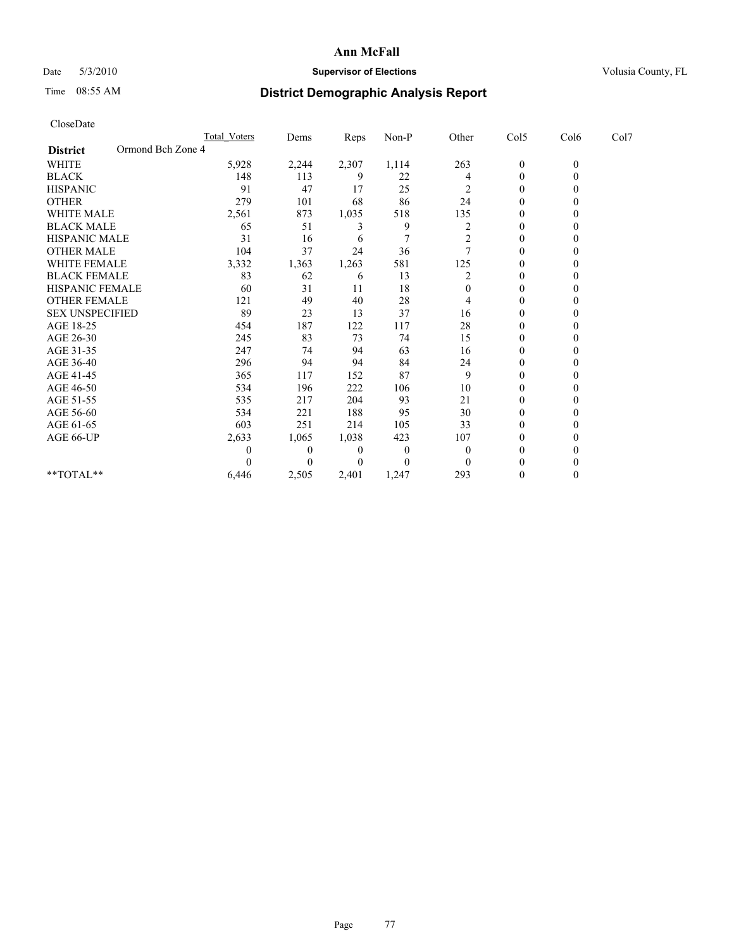## Date 5/3/2010 **Supervisor of Elections Supervisor of Elections** Volusia County, FL

## Time 08:55 AM **District Demographic Analysis Report**

| CloseDate              |                   |                     |                |       |          |          |                  |              |      |
|------------------------|-------------------|---------------------|----------------|-------|----------|----------|------------------|--------------|------|
|                        |                   | <b>Total Voters</b> | Dems           | Reps  | Non-P    | Other    | Col5             | Col6         | Col7 |
| <b>District</b>        | Ormond Bch Zone 4 |                     |                |       |          |          |                  |              |      |
| <b>WHITE</b>           |                   | 5,928               | 2,244          | 2,307 | 1,114    | 263      | $\boldsymbol{0}$ | $\mathbf{0}$ |      |
| <b>BLACK</b>           |                   | 148                 | 113            | 9     | 22       | 4        | $\boldsymbol{0}$ | $\mathbf{0}$ |      |
| <b>HISPANIC</b>        |                   | 91                  | 47             | 17    | 25       | 2        | $\boldsymbol{0}$ | $\theta$     |      |
| <b>OTHER</b>           |                   | 279                 | 101            | 68    | 86       | 24       | $\boldsymbol{0}$ | $\Omega$     |      |
| <b>WHITE MALE</b>      |                   | 2,561               | 873            | 1,035 | 518      | 135      | 0                | $\theta$     |      |
| <b>BLACK MALE</b>      |                   | 65                  | 51             | 3     | 9        | 2        | $\mathbf{0}$     | $\Omega$     |      |
| <b>HISPANIC MALE</b>   |                   | 31                  | 16             | 6     | 7        | 2        | 0                | $\theta$     |      |
| <b>OTHER MALE</b>      |                   | 104                 | 37             | 24    | 36       |          | $\mathbf{0}$     | $\theta$     |      |
| <b>WHITE FEMALE</b>    |                   | 3,332               | 1,363          | 1,263 | 581      | 125      | $\boldsymbol{0}$ | $\Omega$     |      |
| <b>BLACK FEMALE</b>    |                   | 83                  | 62             | 6     | 13       | 2        | $\boldsymbol{0}$ | 0            |      |
| HISPANIC FEMALE        |                   | 60                  | 31             | 11    | 18       | $\theta$ | $\boldsymbol{0}$ | $\Omega$     |      |
| <b>OTHER FEMALE</b>    |                   | 121                 | 49             | 40    | 28       | 4        | $\boldsymbol{0}$ | $\theta$     |      |
| <b>SEX UNSPECIFIED</b> |                   | 89                  | 23             | 13    | 37       | 16       | $\boldsymbol{0}$ | $\Omega$     |      |
| AGE 18-25              |                   | 454                 | 187            | 122   | 117      | 28       | 0                | $\theta$     |      |
| AGE 26-30              |                   | 245                 | 83             | 73    | 74       | 15       | $\boldsymbol{0}$ | $\theta$     |      |
| AGE 31-35              |                   | 247                 | 74             | 94    | 63       | 16       | $\boldsymbol{0}$ | $\Omega$     |      |
| AGE 36-40              |                   | 296                 | 94             | 94    | 84       | 24       | $\boldsymbol{0}$ | 0            |      |
| AGE 41-45              |                   | 365                 | 117            | 152   | 87       | 9        | $\boldsymbol{0}$ | $\theta$     |      |
| AGE 46-50              |                   | 534                 | 196            | 222   | 106      | 10       | $\boldsymbol{0}$ | $\theta$     |      |
| AGE 51-55              |                   | 535                 | 217            | 204   | 93       | 21       | $\boldsymbol{0}$ | $\Omega$     |      |
| AGE 56-60              |                   | 534                 | 221            | 188   | 95       | 30       | $\boldsymbol{0}$ | $\Omega$     |      |
| AGE 61-65              |                   | 603                 | 251            | 214   | 105      | 33       | $\boldsymbol{0}$ | $\theta$     |      |
| AGE 66-UP              |                   | 2,633               | 1,065          | 1,038 | 423      | 107      | $\boldsymbol{0}$ | 0            |      |
|                        |                   | 0                   | $\overline{0}$ | 0     | 0        | $\theta$ | $\boldsymbol{0}$ | $\theta$     |      |
|                        |                   | 0                   | $\Omega$       | 0     | $\theta$ | $\Omega$ | $\theta$         | 0            |      |
| **TOTAL**              |                   | 6,446               | 2,505          | 2,401 | 1,247    | 293      | $\boldsymbol{0}$ | $\theta$     |      |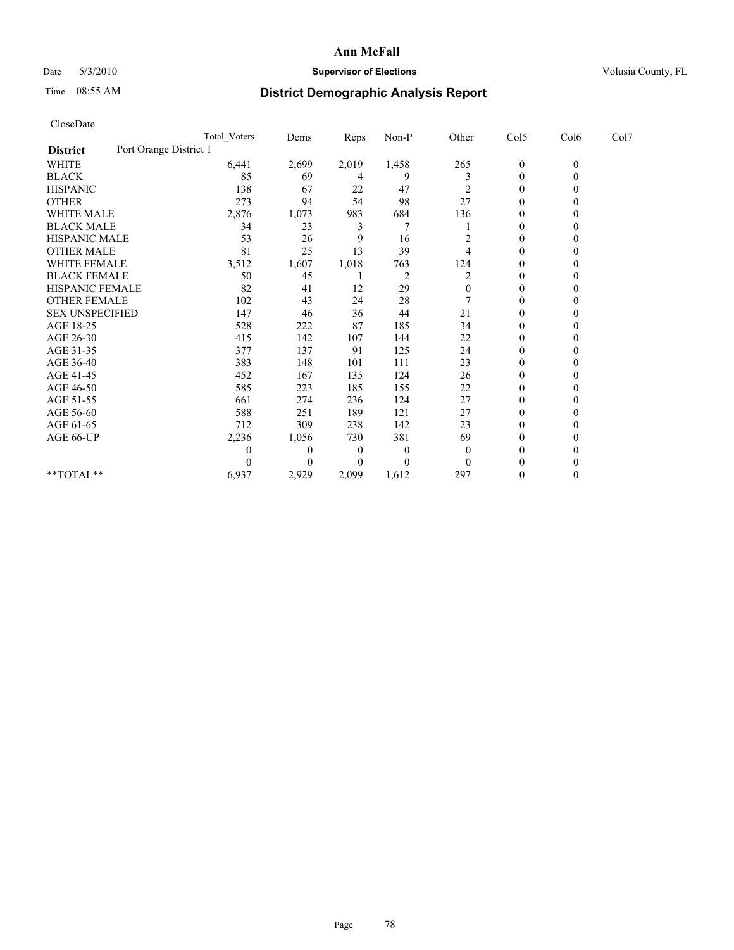## Date 5/3/2010 **Supervisor of Elections Supervisor of Elections** Volusia County, FL

# Time 08:55 AM **District Demographic Analysis Report**

| CloseDate              |                        |                |       |                |                |                  |              |      |
|------------------------|------------------------|----------------|-------|----------------|----------------|------------------|--------------|------|
|                        | <b>Total Voters</b>    | Dems           | Reps  | Non-P          | Other          | Col5             | Col6         | Col7 |
| <b>District</b>        | Port Orange District 1 |                |       |                |                |                  |              |      |
| <b>WHITE</b>           | 6,441                  | 2,699          | 2,019 | 1,458          | 265            | $\boldsymbol{0}$ | $\mathbf{0}$ |      |
| <b>BLACK</b>           | 85                     | 69             | 4     | 9              | 3              | $\boldsymbol{0}$ | $\mathbf{0}$ |      |
| <b>HISPANIC</b>        | 138                    | 67             | 22    | 47             | $\overline{c}$ | $\boldsymbol{0}$ | $\theta$     |      |
| <b>OTHER</b>           | 273                    | 94             | 54    | 98             | 27             | $\boldsymbol{0}$ | $\Omega$     |      |
| <b>WHITE MALE</b>      | 2,876                  | 1,073          | 983   | 684            | 136            | 0                | $\theta$     |      |
| <b>BLACK MALE</b>      | 34                     | 23             | 3     | 7              |                | $\overline{0}$   | $\Omega$     |      |
| HISPANIC MALE          | 53                     | 26             | 9     | 16             | 2              | 0                | $\Omega$     |      |
| <b>OTHER MALE</b>      | 81                     | 25             | 13    | 39             | 4              | $\boldsymbol{0}$ | $\theta$     |      |
| <b>WHITE FEMALE</b>    | 3,512                  | 1,607          | 1,018 | 763            | 124            | $\boldsymbol{0}$ | $\mathbf{0}$ |      |
| <b>BLACK FEMALE</b>    | 50                     | 45             |       | $\overline{2}$ | 2              | $\boldsymbol{0}$ | 0            |      |
| HISPANIC FEMALE        | 82                     | 41             | 12    | 29             | $\mathbf{0}$   | $\boldsymbol{0}$ | $\Omega$     |      |
| <b>OTHER FEMALE</b>    | 102                    | 43             | 24    | 28             |                | $\boldsymbol{0}$ | $\theta$     |      |
| <b>SEX UNSPECIFIED</b> | 147                    | 46             | 36    | 44             | 21             | $\boldsymbol{0}$ | $\Omega$     |      |
| AGE 18-25              | 528                    | 222            | 87    | 185            | 34             | 0                | $\Omega$     |      |
| AGE 26-30              | 415                    | 142            | 107   | 144            | 22             | $\boldsymbol{0}$ | $\theta$     |      |
| AGE 31-35              | 377                    | 137            | 91    | 125            | 24             | $\mathbf{0}$     | $\Omega$     |      |
| AGE 36-40              | 383                    | 148            | 101   | 111            | 23             | $\overline{0}$   | 0            |      |
| AGE 41-45              | 452                    | 167            | 135   | 124            | 26             | 0                | $\theta$     |      |
| AGE 46-50              | 585                    | 223            | 185   | 155            | 22             | 0                | $\Omega$     |      |
| AGE 51-55              | 661                    | 274            | 236   | 124            | 27             | $\mathbf{0}$     | $\Omega$     |      |
| AGE 56-60              | 588                    | 251            | 189   | 121            | 27             | $\boldsymbol{0}$ | $\Omega$     |      |
| AGE 61-65              | 712                    | 309            | 238   | 142            | 23             | $\boldsymbol{0}$ | $\mathbf{0}$ |      |
| AGE 66-UP              | 2,236                  | 1,056          | 730   | 381            | 69             | $\mathbf{0}$     | $\theta$     |      |
|                        | 0                      | $\overline{0}$ | 0     | $\theta$       | $\overline{0}$ | $\mathbf{0}$     | 0            |      |
|                        | 0                      | $\Omega$       | 0     | $\theta$       | $\Omega$       | $\theta$         | 0            |      |
| **TOTAL**              | 6,937                  | 2,929          | 2,099 | 1,612          | 297            | $\mathbf{0}$     | $\theta$     |      |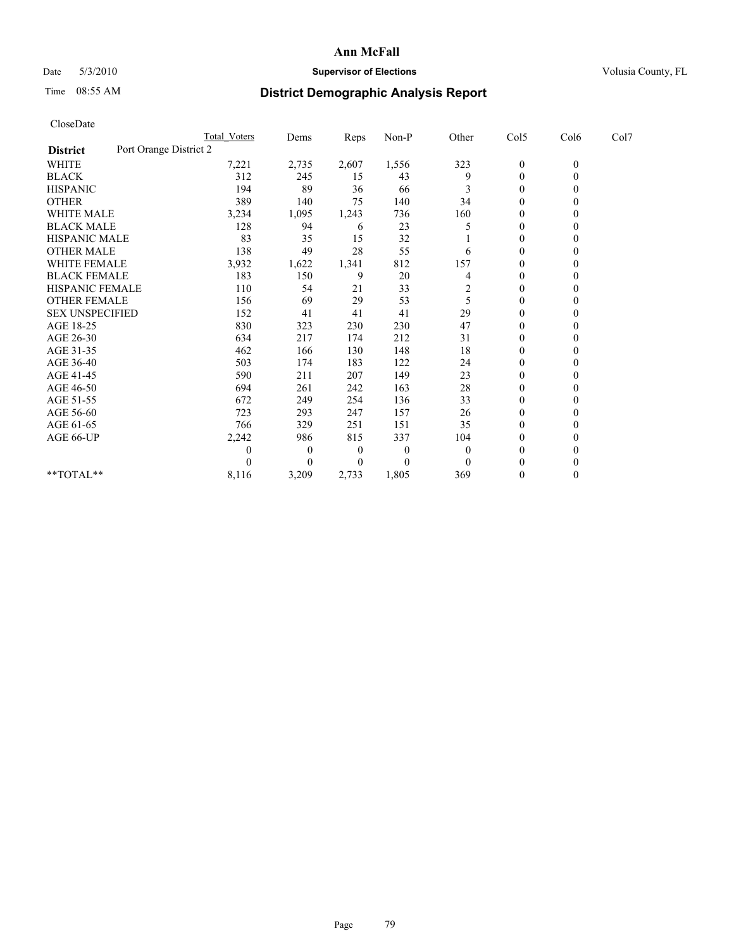## Date 5/3/2010 **Supervisor of Elections Supervisor of Elections** Volusia County, FL

## Time 08:55 AM **District Demographic Analysis Report**

|                                           | Total Voters | Dems         | Reps         | $Non-P$        | Other                   | Col5         | Col6         | Col7 |
|-------------------------------------------|--------------|--------------|--------------|----------------|-------------------------|--------------|--------------|------|
| Port Orange District 2<br><b>District</b> |              |              |              |                |                         |              |              |      |
| WHITE                                     | 7,221        | 2,735        | 2,607        | 1,556          | 323                     | $\mathbf{0}$ | $\mathbf{0}$ |      |
| <b>BLACK</b>                              | 312          | 245          | 15           | 43             | 9                       | $\theta$     |              |      |
| <b>HISPANIC</b>                           | 194          | 89           | 36           | 66             |                         | $\theta$     |              |      |
| <b>OTHER</b>                              | 389          | 140          | 75           | 140            | 34                      | $\theta$     |              |      |
| <b>WHITE MALE</b>                         | 3,234        | 1,095        | 1,243        | 736            | 160                     | 0            |              |      |
| <b>BLACK MALE</b>                         | 128          | 94           | 6            | 23             |                         | $\theta$     |              |      |
| <b>HISPANIC MALE</b>                      | 83           | 35           | 15           | 32             |                         | $\theta$     |              |      |
| <b>OTHER MALE</b>                         | 138          | 49           | 28           | 55             | 6                       | $\Omega$     |              |      |
| WHITE FEMALE                              | 3,932        | 1,622        | 1,341        | 812            | 157                     | $\theta$     |              |      |
| <b>BLACK FEMALE</b>                       | 183          | 150          | 9            | 20             | 4                       | $\theta$     |              |      |
| HISPANIC FEMALE                           | 110          | 54           | 21           | 33             | $\overline{\mathbf{c}}$ | $\theta$     |              |      |
| <b>OTHER FEMALE</b>                       | 156          | 69           | 29           | 53             | 5                       | $\theta$     |              |      |
| <b>SEX UNSPECIFIED</b>                    | 152          | 41           | 41           | 41             | 29                      | $\theta$     |              |      |
| AGE 18-25                                 | 830          | 323          | 230          | 230            | 47                      | $\theta$     |              |      |
| AGE 26-30                                 | 634          | 217          | 174          | 212            | 31                      | $\theta$     |              |      |
| AGE 31-35                                 | 462          | 166          | 130          | 148            | 18                      | $\theta$     |              |      |
| AGE 36-40                                 | 503          | 174          | 183          | 122            | 24                      | $\mathbf{0}$ |              |      |
| AGE 41-45                                 | 590          | 211          | 207          | 149            | 23                      | $\theta$     |              |      |
| AGE 46-50                                 | 694          | 261          | 242          | 163            | 28                      | $\theta$     |              |      |
| AGE 51-55                                 | 672          | 249          | 254          | 136            | 33                      | $\mathbf{0}$ |              |      |
| AGE 56-60                                 | 723          | 293          | 247          | 157            | 26                      | $\Omega$     |              |      |
| AGE 61-65                                 | 766          | 329          | 251          | 151            | 35                      | $\theta$     |              |      |
| AGE 66-UP                                 | 2,242        | 986          | 815          | 337            | 104                     | $\Omega$     |              |      |
|                                           | 0            | $\mathbf{0}$ | $\mathbf{0}$ | $\overline{0}$ | $\mathbf{0}$            | $\theta$     |              |      |
|                                           |              | $\Omega$     | $\theta$     | $\theta$       | $\theta$                | $\theta$     |              |      |
| **TOTAL**                                 | 8,116        | 3,209        | 2,733        | 1,805          | 369                     | $\Omega$     |              |      |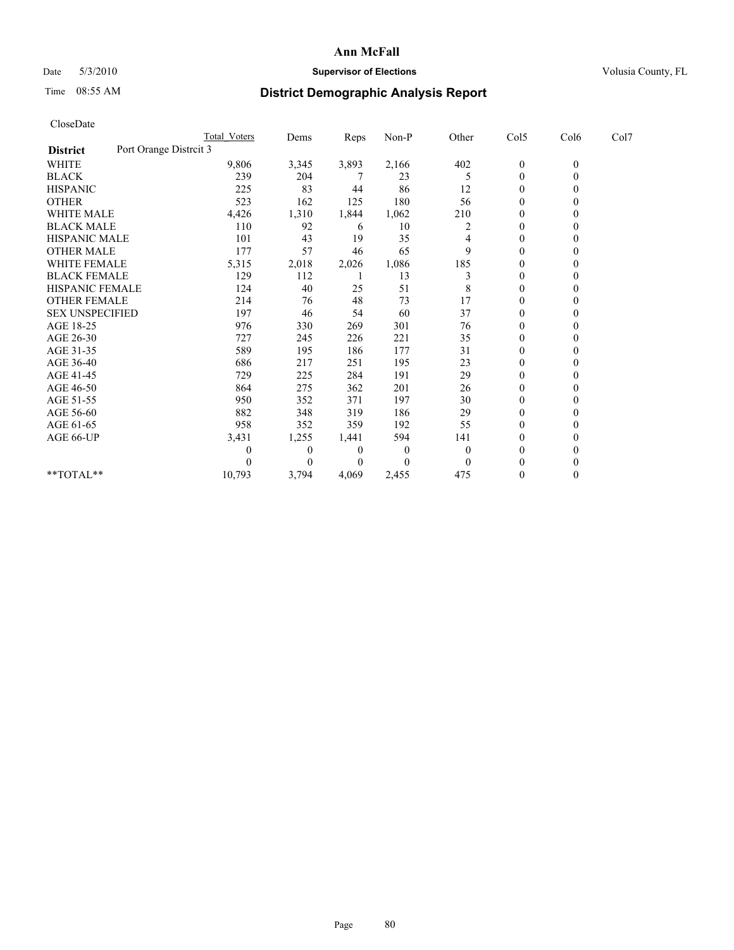## Date 5/3/2010 **Supervisor of Elections Supervisor of Elections** Volusia County, FL

# Time 08:55 AM **District Demographic Analysis Report**

|                                           | Total Voters | Dems         | Reps     | $Non-P$  | Other        | Col5             | Col6         | Col7 |
|-------------------------------------------|--------------|--------------|----------|----------|--------------|------------------|--------------|------|
| Port Orange Distrcit 3<br><b>District</b> |              |              |          |          |              |                  |              |      |
| WHITE                                     | 9,806        | 3,345        | 3,893    | 2,166    | 402          | $\boldsymbol{0}$ | $\mathbf{0}$ |      |
| <b>BLACK</b>                              | 239          | 204          |          | 23       | 5            | $\mathbf{0}$     |              |      |
| <b>HISPANIC</b>                           | 225          | 83           | 44       | 86       | 12           | $\theta$         |              |      |
| <b>OTHER</b>                              | 523          | 162          | 125      | 180      | 56           | $\Omega$         |              |      |
| <b>WHITE MALE</b>                         | 4,426        | 1,310        | 1,844    | 1,062    | 210          | 0                |              |      |
| <b>BLACK MALE</b>                         | 110          | 92           | 6        | 10       | 2            | $\Omega$         |              |      |
| HISPANIC MALE                             | 101          | 43           | 19       | 35       |              | $\theta$         |              |      |
| <b>OTHER MALE</b>                         | 177          | 57           | 46       | 65       | 9            | $\theta$         |              |      |
| WHITE FEMALE                              | 5,315        | 2,018        | 2,026    | 1,086    | 185          | $\theta$         |              |      |
| <b>BLACK FEMALE</b>                       | 129          | 112          |          | 13       | 3            | $\mathbf{0}$     |              |      |
| HISPANIC FEMALE                           | 124          | 40           | 25       | 51       | 8            | $\theta$         |              |      |
| <b>OTHER FEMALE</b>                       | 214          | 76           | 48       | 73       | 17           | $\Omega$         |              |      |
| <b>SEX UNSPECIFIED</b>                    | 197          | 46           | 54       | 60       | 37           | $\mathbf{0}$     |              |      |
| AGE 18-25                                 | 976          | 330          | 269      | 301      | 76           | $\theta$         |              |      |
| AGE 26-30                                 | 727          | 245          | 226      | 221      | 35           | $\Omega$         |              |      |
| AGE 31-35                                 | 589          | 195          | 186      | 177      | 31           | $\mathbf{0}$     |              |      |
| AGE 36-40                                 | 686          | 217          | 251      | 195      | 23           | $\Omega$         |              |      |
| AGE 41-45                                 | 729          | 225          | 284      | 191      | 29           | $\theta$         |              |      |
| AGE 46-50                                 | 864          | 275          | 362      | 201      | 26           | $\mathbf{0}$     |              |      |
| AGE 51-55                                 | 950          | 352          | 371      | 197      | 30           | $\theta$         |              |      |
| AGE 56-60                                 | 882          | 348          | 319      | 186      | 29           | $\Omega$         |              |      |
| AGE 61-65                                 | 958          | 352          | 359      | 192      | 55           | $\theta$         |              |      |
| AGE 66-UP                                 | 3,431        | 1,255        | 1,441    | 594      | 141          | $\mathbf{0}$     |              |      |
|                                           | 0            | $\mathbf{0}$ | $\bf{0}$ | $\theta$ | $\mathbf{0}$ | $\Omega$         |              |      |
|                                           | 0            | $\Omega$     | $\theta$ | $\theta$ | $\mathbf{0}$ | $\mathbf{0}$     |              |      |
| **TOTAL**                                 | 10,793       | 3,794        | 4,069    | 2,455    | 475          | $\theta$         | 0            |      |